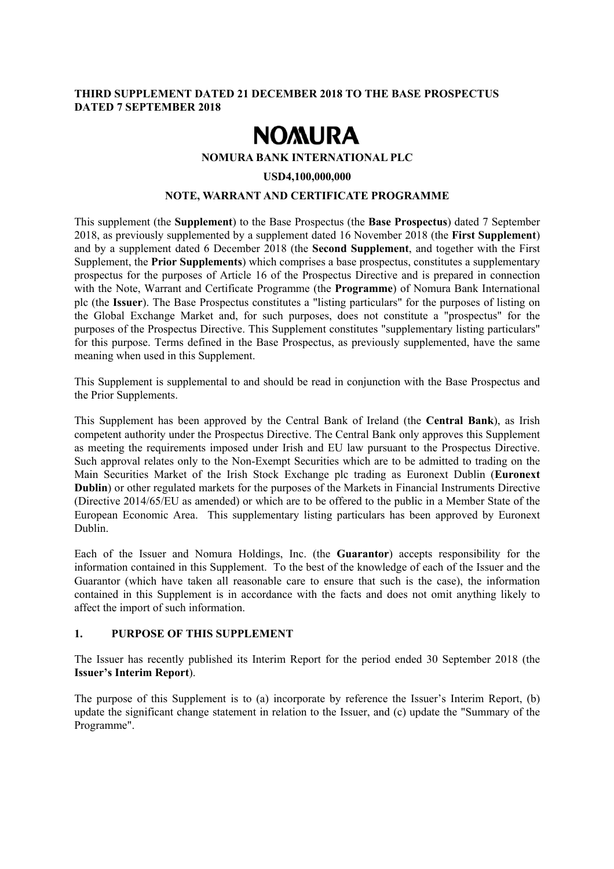#### **THIRD SUPPLEMENT DATED 21 DECEMBER 2018 TO THE BASE PROSPECTUS DATED 7 SEPTEMBER 2018**

# **NOMURA**

#### **NOMURA BANK INTERNATIONAL PLC**

#### **USD4,100,000,000**

#### **NOTE, WARRANT AND CERTIFICATE PROGRAMME**

This supplement (the **Supplement**) to the Base Prospectus (the **Base Prospectus**) dated 7 September 2018, as previously supplemented by a supplement dated 16 November 2018 (the **First Supplement**) and by a supplement dated 6 December 2018 (the **Second Supplement**, and together with the First Supplement, the **Prior Supplements**) which comprises a base prospectus, constitutes a supplementary prospectus for the purposes of Article 16 of the Prospectus Directive and is prepared in connection with the Note, Warrant and Certificate Programme (the **Programme**) of Nomura Bank International plc (the **Issuer**). The Base Prospectus constitutes a "listing particulars" for the purposes of listing on the Global Exchange Market and, for such purposes, does not constitute a "prospectus" for the purposes of the Prospectus Directive. This Supplement constitutes "supplementary listing particulars" for this purpose. Terms defined in the Base Prospectus, as previously supplemented, have the same meaning when used in this Supplement.

This Supplement is supplemental to and should be read in conjunction with the Base Prospectus and the Prior Supplements.

This Supplement has been approved by the Central Bank of Ireland (the **Central Bank**), as Irish competent authority under the Prospectus Directive. The Central Bank only approves this Supplement as meeting the requirements imposed under Irish and EU law pursuant to the Prospectus Directive. Such approval relates only to the Non-Exempt Securities which are to be admitted to trading on the Main Securities Market of the Irish Stock Exchange plc trading as Euronext Dublin (**Euronext Dublin**) or other regulated markets for the purposes of the Markets in Financial Instruments Directive (Directive 2014/65/EU as amended) or which are to be offered to the public in a Member State of the European Economic Area. This supplementary listing particulars has been approved by Euronext Dublin.

Each of the Issuer and Nomura Holdings, Inc. (the **Guarantor**) accepts responsibility for the information contained in this Supplement. To the best of the knowledge of each of the Issuer and the Guarantor (which have taken all reasonable care to ensure that such is the case), the information contained in this Supplement is in accordance with the facts and does not omit anything likely to affect the import of such information.

#### **1. PURPOSE OF THIS SUPPLEMENT**

The Issuer has recently published its Interim Report for the period ended 30 September 2018 (the **Issuer's Interim Report**).

The purpose of this Supplement is to (a) incorporate by reference the Issuer's Interim Report, (b) update the significant change statement in relation to the Issuer, and (c) update the "Summary of the Programme".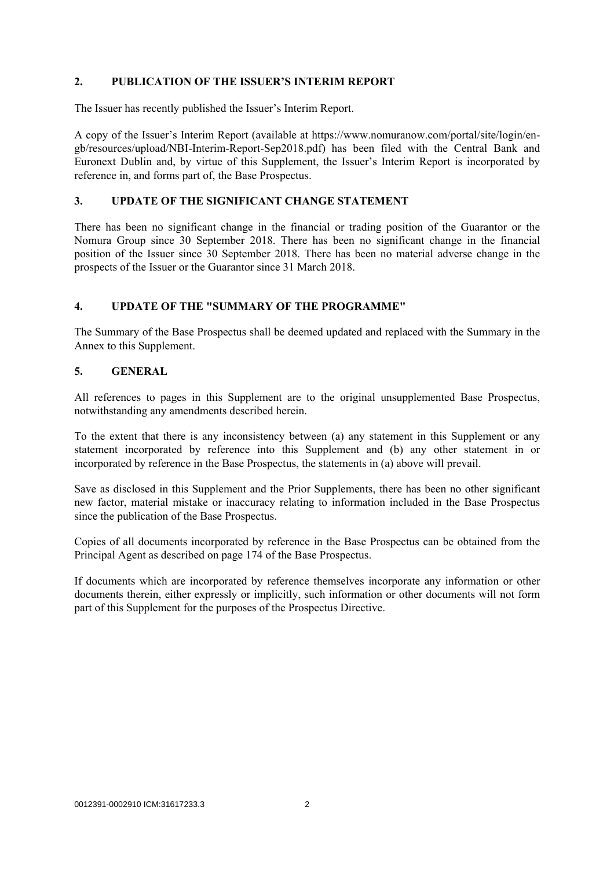#### **2. PUBLICATION OF THE ISSUER'S INTERIM REPORT**

The Issuer has recently published the Issuer's Interim Report.

A copy of the Issuer's Interim Report (available at https://www.nomuranow.com/portal/site/login/engb/resources/upload/NBI-Interim-Report-Sep2018.pdf) has been filed with the Central Bank and Euronext Dublin and, by virtue of this Supplement, the Issuer's Interim Report is incorporated by reference in, and forms part of, the Base Prospectus.

#### **3. UPDATE OF THE SIGNIFICANT CHANGE STATEMENT**

There has been no significant change in the financial or trading position of the Guarantor or the Nomura Group since 30 September 2018. There has been no significant change in the financial position of the Issuer since 30 September 2018. There has been no material adverse change in the prospects of the Issuer or the Guarantor since 31 March 2018.

#### **4. UPDATE OF THE "SUMMARY OF THE PROGRAMME"**

The Summary of the Base Prospectus shall be deemed updated and replaced with the Summary in the Annex to this Supplement.

#### **5. GENERAL**

All references to pages in this Supplement are to the original unsupplemented Base Prospectus, notwithstanding any amendments described herein.

To the extent that there is any inconsistency between (a) any statement in this Supplement or any statement incorporated by reference into this Supplement and (b) any other statement in or incorporated by reference in the Base Prospectus, the statements in (a) above will prevail.

Save as disclosed in this Supplement and the Prior Supplements, there has been no other significant new factor, material mistake or inaccuracy relating to information included in the Base Prospectus since the publication of the Base Prospectus.

Copies of all documents incorporated by reference in the Base Prospectus can be obtained from the Principal Agent as described on page 174 of the Base Prospectus.

If documents which are incorporated by reference themselves incorporate any information or other documents therein, either expressly or implicitly, such information or other documents will not form part of this Supplement for the purposes of the Prospectus Directive.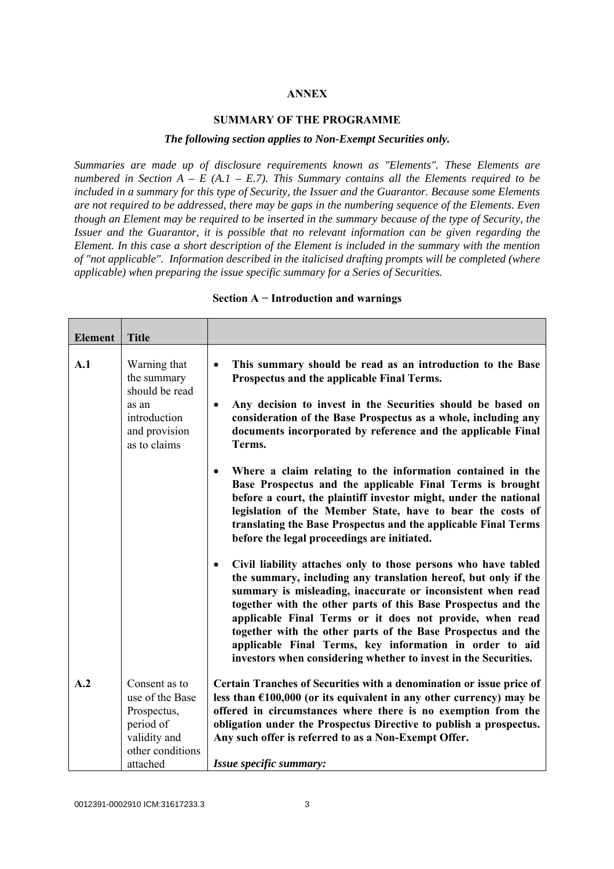#### **ANNEX**

#### **SUMMARY OF THE PROGRAMME**

#### *The following section applies to Non-Exempt Securities only.*

*Summaries are made up of disclosure requirements known as "Elements". These Elements are numbered in Section A – E (A.1 – E.7). This Summary contains all the Elements required to be included in a summary for this type of Security, the Issuer and the Guarantor. Because some Elements are not required to be addressed, there may be gaps in the numbering sequence of the Elements. Even though an Element may be required to be inserted in the summary because of the type of Security, the Issuer and the Guarantor, it is possible that no relevant information can be given regarding the Element. In this case a short description of the Element is included in the summary with the mention of "not applicable". Information described in the italicised drafting prompts will be completed (where applicable) when preparing the issue specific summary for a Series of Securities.*

| <b>Element</b> | <b>Title</b>                                                                                                 |                                                                                                                                                                                                                                                                                                                                                                                                                                                                                                                                         |
|----------------|--------------------------------------------------------------------------------------------------------------|-----------------------------------------------------------------------------------------------------------------------------------------------------------------------------------------------------------------------------------------------------------------------------------------------------------------------------------------------------------------------------------------------------------------------------------------------------------------------------------------------------------------------------------------|
| A.1            | Warning that<br>the summary<br>should be read<br>as an<br>introduction<br>and provision<br>as to claims      | This summary should be read as an introduction to the Base<br>$\bullet$<br>Prospectus and the applicable Final Terms.<br>Any decision to invest in the Securities should be based on<br>$\bullet$<br>consideration of the Base Prospectus as a whole, including any<br>documents incorporated by reference and the applicable Final<br>Terms.                                                                                                                                                                                           |
|                |                                                                                                              | Where a claim relating to the information contained in the<br>$\bullet$<br>Base Prospectus and the applicable Final Terms is brought<br>before a court, the plaintiff investor might, under the national<br>legislation of the Member State, have to bear the costs of<br>translating the Base Prospectus and the applicable Final Terms<br>before the legal proceedings are initiated.                                                                                                                                                 |
|                |                                                                                                              | Civil liability attaches only to those persons who have tabled<br>$\bullet$<br>the summary, including any translation hereof, but only if the<br>summary is misleading, inaccurate or inconsistent when read<br>together with the other parts of this Base Prospectus and the<br>applicable Final Terms or it does not provide, when read<br>together with the other parts of the Base Prospectus and the<br>applicable Final Terms, key information in order to aid<br>investors when considering whether to invest in the Securities. |
| A.2            | Consent as to<br>use of the Base<br>Prospectus,<br>period of<br>validity and<br>other conditions<br>attached | Certain Tranches of Securities with a denomination or issue price of<br>less than $£100,000$ (or its equivalent in any other currency) may be<br>offered in circumstances where there is no exemption from the<br>obligation under the Prospectus Directive to publish a prospectus.<br>Any such offer is referred to as a Non-Exempt Offer.<br>Issue specific summary:                                                                                                                                                                 |

#### **Section A − Introduction and warnings**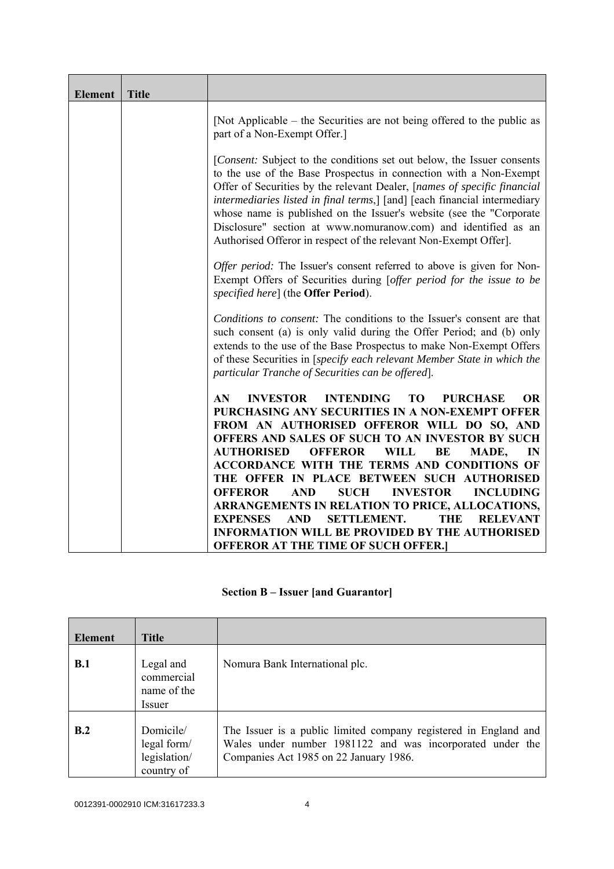| <b>Element</b> | <b>Title</b> |                                                                                                                                                                                                                                                                                                                                                                                                                                                                                                                            |  |  |
|----------------|--------------|----------------------------------------------------------------------------------------------------------------------------------------------------------------------------------------------------------------------------------------------------------------------------------------------------------------------------------------------------------------------------------------------------------------------------------------------------------------------------------------------------------------------------|--|--|
|                |              | [Not Applicable – the Securities are not being offered to the public as<br>part of a Non-Exempt Offer.]                                                                                                                                                                                                                                                                                                                                                                                                                    |  |  |
|                |              | [ <i>Consent:</i> Subject to the conditions set out below, the Issuer consents<br>to the use of the Base Prospectus in connection with a Non-Exempt<br>Offer of Securities by the relevant Dealer, [names of specific financial<br>intermediaries listed in final terms,] [and] [each financial intermediary<br>whose name is published on the Issuer's website (see the "Corporate"<br>Disclosure" section at www.nomuranow.com) and identified as an<br>Authorised Offeror in respect of the relevant Non-Exempt Offer]. |  |  |
|                |              | Offer period: The Issuer's consent referred to above is given for Non-<br>Exempt Offers of Securities during [offer period for the issue to be<br>specified here] (the Offer Period).                                                                                                                                                                                                                                                                                                                                      |  |  |
|                |              | Conditions to consent: The conditions to the Issuer's consent are that<br>such consent (a) is only valid during the Offer Period; and (b) only<br>extends to the use of the Base Prospectus to make Non-Exempt Offers<br>of these Securities in [specify each relevant Member State in which the<br>particular Tranche of Securities can be offered].                                                                                                                                                                      |  |  |
|                |              | <b>INTENDING</b><br><b>INVESTOR</b><br><b>OR</b><br>AN.<br>TO<br><b>PURCHASE</b><br>PURCHASING ANY SECURITIES IN A NON-EXEMPT OFFER                                                                                                                                                                                                                                                                                                                                                                                        |  |  |
|                |              | FROM AN AUTHORISED OFFEROR WILL DO SO, AND<br>OFFERS AND SALES OF SUCH TO AN INVESTOR BY SUCH<br><b>AUTHORISED</b><br><b>OFFEROR</b><br><b>WILL</b><br>BE<br>IN<br>MADE,                                                                                                                                                                                                                                                                                                                                                   |  |  |
|                |              | ACCORDANCE WITH THE TERMS AND CONDITIONS OF<br>THE OFFER IN PLACE BETWEEN SUCH AUTHORISED<br><b>OFFEROR</b><br><b>AND</b><br><b>SUCH</b><br><b>INVESTOR</b><br><b>INCLUDING</b>                                                                                                                                                                                                                                                                                                                                            |  |  |
|                |              | ARRANGEMENTS IN RELATION TO PRICE, ALLOCATIONS,<br><b>EXPENSES</b><br><b>SETTLEMENT.</b><br>THE<br><b>AND</b><br><b>RELEVANT</b><br><b>INFORMATION WILL BE PROVIDED BY THE AUTHORISED</b>                                                                                                                                                                                                                                                                                                                                  |  |  |
|                |              | <b>OFFEROR AT THE TIME OF SUCH OFFER.]</b>                                                                                                                                                                                                                                                                                                                                                                                                                                                                                 |  |  |

## **Section B – Issuer [and Guarantor]**

| <b>Element</b> | <b>Title</b>                                           |                                                                                                                                                                         |
|----------------|--------------------------------------------------------|-------------------------------------------------------------------------------------------------------------------------------------------------------------------------|
| B.1            | Legal and<br>commercial<br>name of the<br>Issuer       | Nomura Bank International plc.                                                                                                                                          |
| B.2            | Domicile/<br>legal form/<br>legislation/<br>country of | The Issuer is a public limited company registered in England and<br>Wales under number 1981122 and was incorporated under the<br>Companies Act 1985 on 22 January 1986. |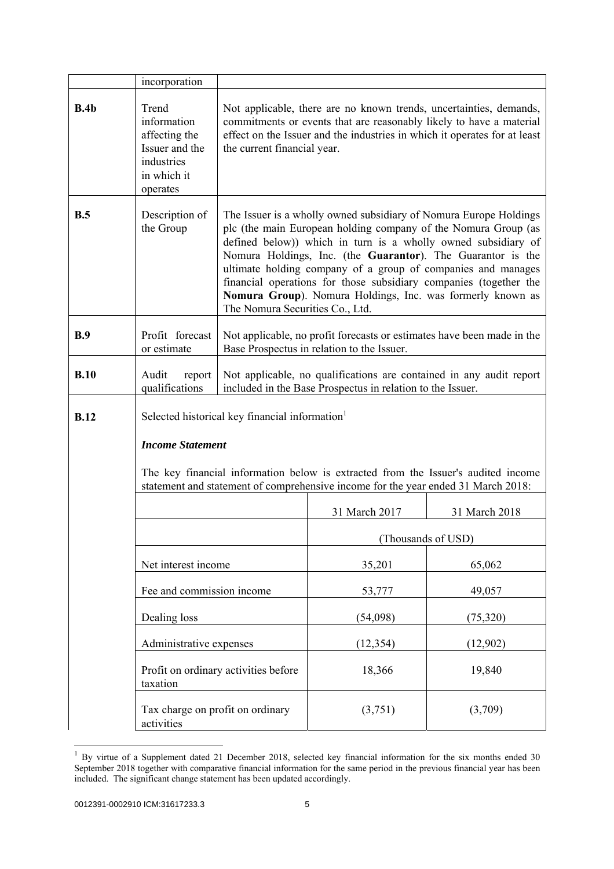|             | incorporation                                                                                    |                                                                                                                                                                                                                                                                                                                                                                                                                                                                                                           |                    |               |
|-------------|--------------------------------------------------------------------------------------------------|-----------------------------------------------------------------------------------------------------------------------------------------------------------------------------------------------------------------------------------------------------------------------------------------------------------------------------------------------------------------------------------------------------------------------------------------------------------------------------------------------------------|--------------------|---------------|
| B.4b        | Trend<br>information<br>affecting the<br>Issuer and the<br>industries<br>in which it<br>operates | Not applicable, there are no known trends, uncertainties, demands,<br>commitments or events that are reasonably likely to have a material<br>effect on the Issuer and the industries in which it operates for at least<br>the current financial year.                                                                                                                                                                                                                                                     |                    |               |
| B.5         | Description of<br>the Group                                                                      | The Issuer is a wholly owned subsidiary of Nomura Europe Holdings<br>plc (the main European holding company of the Nomura Group (as<br>defined below)) which in turn is a wholly owned subsidiary of<br>Nomura Holdings, Inc. (the Guarantor). The Guarantor is the<br>ultimate holding company of a group of companies and manages<br>financial operations for those subsidiary companies (together the<br>Nomura Group). Nomura Holdings, Inc. was formerly known as<br>The Nomura Securities Co., Ltd. |                    |               |
| B.9         | Profit forecast<br>or estimate                                                                   | Not applicable, no profit forecasts or estimates have been made in the<br>Base Prospectus in relation to the Issuer.                                                                                                                                                                                                                                                                                                                                                                                      |                    |               |
| B.10        | Audit<br>report<br>qualifications                                                                | Not applicable, no qualifications are contained in any audit report<br>included in the Base Prospectus in relation to the Issuer.                                                                                                                                                                                                                                                                                                                                                                         |                    |               |
| <b>B.12</b> | <b>Income Statement</b>                                                                          | Selected historical key financial information<br>The key financial information below is extracted from the Issuer's audited income<br>statement and statement of comprehensive income for the year ended 31 March 2018:                                                                                                                                                                                                                                                                                   |                    |               |
|             |                                                                                                  |                                                                                                                                                                                                                                                                                                                                                                                                                                                                                                           | 31 March 2017      | 31 March 2018 |
|             |                                                                                                  |                                                                                                                                                                                                                                                                                                                                                                                                                                                                                                           | (Thousands of USD) |               |
|             | Net interest income                                                                              |                                                                                                                                                                                                                                                                                                                                                                                                                                                                                                           | 35,201             | 65,062        |
|             | Fee and commission income                                                                        |                                                                                                                                                                                                                                                                                                                                                                                                                                                                                                           | 53,777             | 49,057        |
|             | Dealing loss                                                                                     |                                                                                                                                                                                                                                                                                                                                                                                                                                                                                                           | (54,098)           | (75, 320)     |
|             | Administrative expenses                                                                          |                                                                                                                                                                                                                                                                                                                                                                                                                                                                                                           | (12, 354)          | (12,902)      |
|             | taxation                                                                                         | Profit on ordinary activities before                                                                                                                                                                                                                                                                                                                                                                                                                                                                      | 18,366             | 19,840        |
|             | Tax charge on profit on ordinary<br>activities                                                   |                                                                                                                                                                                                                                                                                                                                                                                                                                                                                                           | (3,751)            | (3,709)       |

 $1$  By virtue of a Supplement dated 21 December 2018, selected key financial information for the six months ended 30 September 2018 together with comparative financial information for the same period in the previous financial year has been included. The significant change statement has been updated accordingly.

l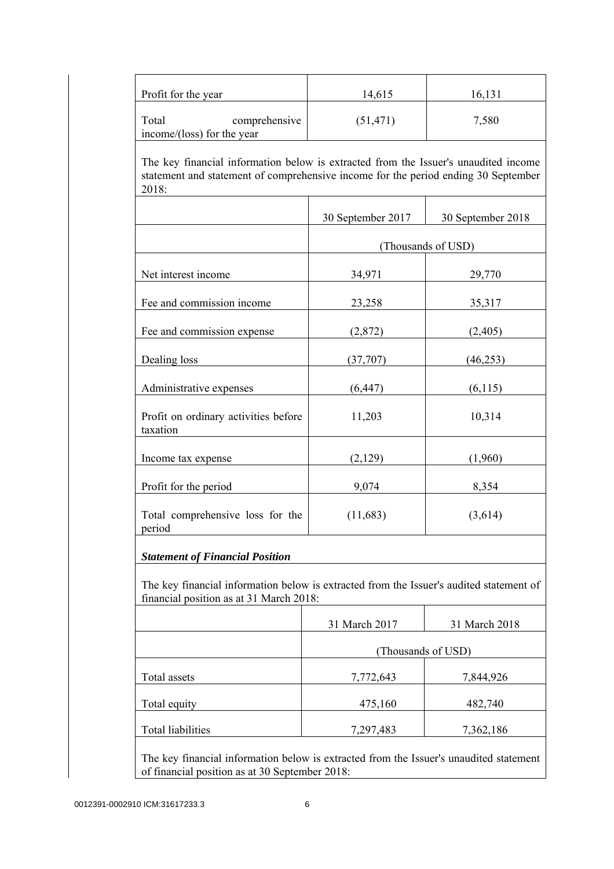| Profit for the year                                                                                                                                                                | 14,615             | 16,131             |
|------------------------------------------------------------------------------------------------------------------------------------------------------------------------------------|--------------------|--------------------|
| Total<br>comprehensive<br>income/(loss) for the year                                                                                                                               | (51, 471)          | 7,580              |
| The key financial information below is extracted from the Issuer's unaudited income<br>statement and statement of comprehensive income for the period ending 30 September<br>2018: |                    |                    |
|                                                                                                                                                                                    | 30 September 2017  | 30 September 2018  |
|                                                                                                                                                                                    |                    | (Thousands of USD) |
| Net interest income                                                                                                                                                                | 34,971             | 29,770             |
| Fee and commission income                                                                                                                                                          | 23,258             | 35,317             |
| Fee and commission expense                                                                                                                                                         | (2,872)            | (2,405)            |
| Dealing loss                                                                                                                                                                       | (37,707)           | (46, 253)          |
| Administrative expenses                                                                                                                                                            | (6, 447)           | (6, 115)           |
| Profit on ordinary activities before<br>taxation                                                                                                                                   | 11,203             | 10,314             |
| Income tax expense                                                                                                                                                                 | (2,129)            | (1,960)            |
| Profit for the period                                                                                                                                                              | 9,074              | 8,354              |
| Total comprehensive loss for the<br>period                                                                                                                                         | (11, 683)          | (3,614)            |
| <b>Statement of Financial Position</b>                                                                                                                                             |                    |                    |
| The key financial information below is extracted from the Issuer's audited statement of<br>financial position as at 31 March 2018:                                                 |                    |                    |
|                                                                                                                                                                                    | 31 March 2017      | 31 March 2018      |
|                                                                                                                                                                                    | (Thousands of USD) |                    |
| Total assets                                                                                                                                                                       | 7,772,643          | 7,844,926          |
| Total equity                                                                                                                                                                       | 475,160            | 482,740            |
| <b>Total liabilities</b>                                                                                                                                                           | 7,297,483          | 7,362,186          |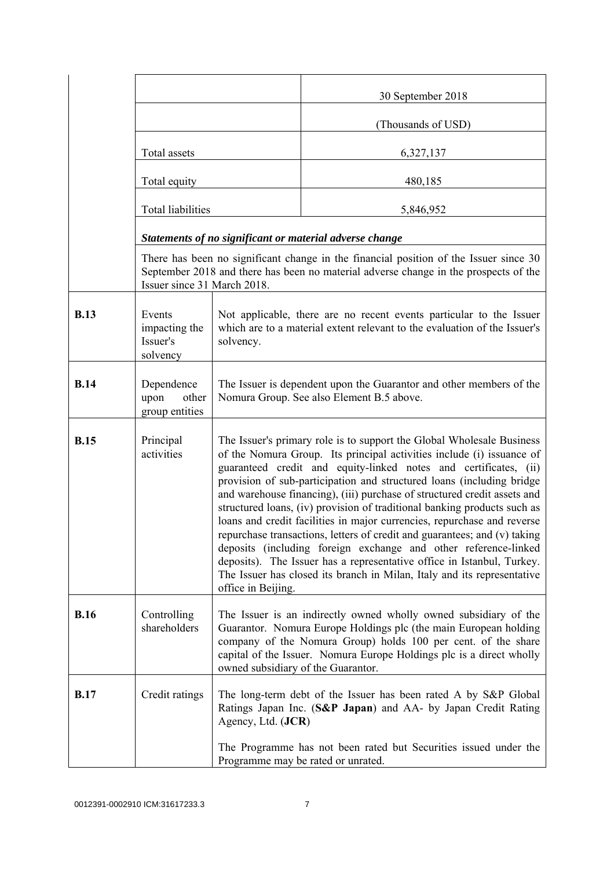|             |                                                 |                                                                                                                                                                                                                                                                                                                                                                                                                                                                                                                                                                                                                                                                                                                                                                                                                                                           | 30 September 2018                                                                                                                                                             |  |
|-------------|-------------------------------------------------|-----------------------------------------------------------------------------------------------------------------------------------------------------------------------------------------------------------------------------------------------------------------------------------------------------------------------------------------------------------------------------------------------------------------------------------------------------------------------------------------------------------------------------------------------------------------------------------------------------------------------------------------------------------------------------------------------------------------------------------------------------------------------------------------------------------------------------------------------------------|-------------------------------------------------------------------------------------------------------------------------------------------------------------------------------|--|
|             |                                                 |                                                                                                                                                                                                                                                                                                                                                                                                                                                                                                                                                                                                                                                                                                                                                                                                                                                           | (Thousands of USD)                                                                                                                                                            |  |
|             | Total assets                                    |                                                                                                                                                                                                                                                                                                                                                                                                                                                                                                                                                                                                                                                                                                                                                                                                                                                           | 6,327,137                                                                                                                                                                     |  |
|             | Total equity                                    |                                                                                                                                                                                                                                                                                                                                                                                                                                                                                                                                                                                                                                                                                                                                                                                                                                                           | 480,185                                                                                                                                                                       |  |
|             | <b>Total liabilities</b>                        |                                                                                                                                                                                                                                                                                                                                                                                                                                                                                                                                                                                                                                                                                                                                                                                                                                                           | 5,846,952                                                                                                                                                                     |  |
|             |                                                 |                                                                                                                                                                                                                                                                                                                                                                                                                                                                                                                                                                                                                                                                                                                                                                                                                                                           | Statements of no significant or material adverse change                                                                                                                       |  |
|             | Issuer since 31 March 2018.                     |                                                                                                                                                                                                                                                                                                                                                                                                                                                                                                                                                                                                                                                                                                                                                                                                                                                           | There has been no significant change in the financial position of the Issuer since 30<br>September 2018 and there has been no material adverse change in the prospects of the |  |
| <b>B.13</b> | Events<br>impacting the<br>Issuer's<br>solvency | Not applicable, there are no recent events particular to the Issuer<br>which are to a material extent relevant to the evaluation of the Issuer's<br>solvency.                                                                                                                                                                                                                                                                                                                                                                                                                                                                                                                                                                                                                                                                                             |                                                                                                                                                                               |  |
| <b>B.14</b> | Dependence<br>upon<br>other<br>group entities   | The Issuer is dependent upon the Guarantor and other members of the<br>Nomura Group. See also Element B.5 above.                                                                                                                                                                                                                                                                                                                                                                                                                                                                                                                                                                                                                                                                                                                                          |                                                                                                                                                                               |  |
| <b>B.15</b> | Principal<br>activities                         | The Issuer's primary role is to support the Global Wholesale Business<br>of the Nomura Group. Its principal activities include (i) issuance of<br>guaranteed credit and equity-linked notes and certificates, (ii)<br>provision of sub-participation and structured loans (including bridge<br>and warehouse financing), (iii) purchase of structured credit assets and<br>structured loans, (iv) provision of traditional banking products such as<br>loans and credit facilities in major currencies, repurchase and reverse<br>repurchase transactions, letters of credit and guarantees; and (v) taking<br>deposits (including foreign exchange and other reference-linked<br>deposits). The Issuer has a representative office in Istanbul, Turkey.<br>The Issuer has closed its branch in Milan, Italy and its representative<br>office in Beijing. |                                                                                                                                                                               |  |
| <b>B.16</b> | Controlling<br>shareholders                     | The Issuer is an indirectly owned wholly owned subsidiary of the<br>Guarantor. Nomura Europe Holdings plc (the main European holding<br>company of the Nomura Group) holds 100 per cent. of the share<br>capital of the Issuer. Nomura Europe Holdings plc is a direct wholly<br>owned subsidiary of the Guarantor.                                                                                                                                                                                                                                                                                                                                                                                                                                                                                                                                       |                                                                                                                                                                               |  |
| <b>B.17</b> | Credit ratings                                  | Agency, Ltd. (JCR)                                                                                                                                                                                                                                                                                                                                                                                                                                                                                                                                                                                                                                                                                                                                                                                                                                        | The long-term debt of the Issuer has been rated A by S&P Global<br>Ratings Japan Inc. (S&P Japan) and AA- by Japan Credit Rating                                              |  |
|             |                                                 |                                                                                                                                                                                                                                                                                                                                                                                                                                                                                                                                                                                                                                                                                                                                                                                                                                                           | The Programme has not been rated but Securities issued under the<br>Programme may be rated or unrated.                                                                        |  |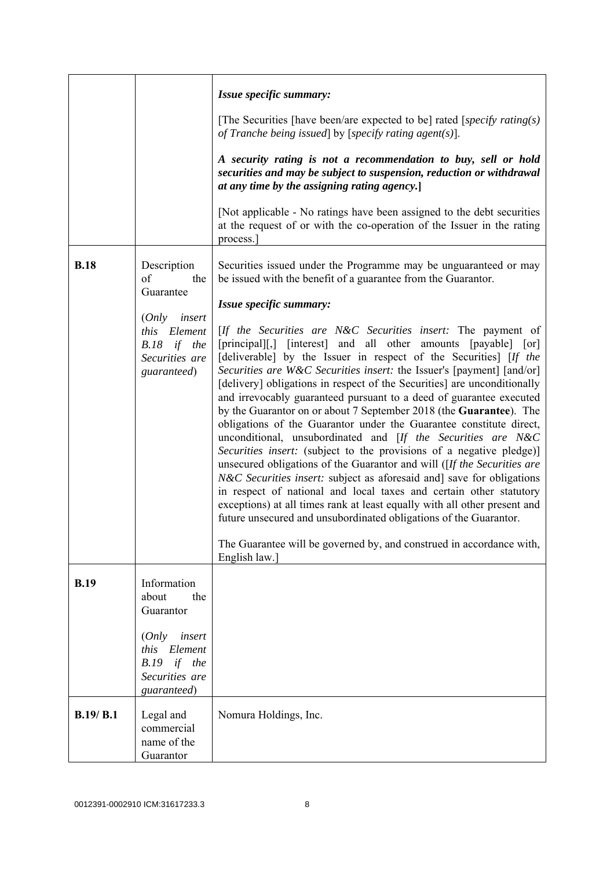|             |                                                                                                                                    | Issue specific summary:<br>[The Securities [have been/are expected to be] rated [specify rating(s)]                                                                                                                                                                                                                                                                                                                                                                                                                                                                                                                                                                                                                                                                                                                                                                                                                                                                                                                                                                                                                                                                                                                                                                                                                                                    |
|-------------|------------------------------------------------------------------------------------------------------------------------------------|--------------------------------------------------------------------------------------------------------------------------------------------------------------------------------------------------------------------------------------------------------------------------------------------------------------------------------------------------------------------------------------------------------------------------------------------------------------------------------------------------------------------------------------------------------------------------------------------------------------------------------------------------------------------------------------------------------------------------------------------------------------------------------------------------------------------------------------------------------------------------------------------------------------------------------------------------------------------------------------------------------------------------------------------------------------------------------------------------------------------------------------------------------------------------------------------------------------------------------------------------------------------------------------------------------------------------------------------------------|
|             |                                                                                                                                    | of Tranche being issued by [specify rating agent(s)].<br>A security rating is not a recommendation to buy, sell or hold<br>securities and may be subject to suspension, reduction or withdrawal<br>at any time by the assigning rating agency.<br>[Not applicable - No ratings have been assigned to the debt securities]                                                                                                                                                                                                                                                                                                                                                                                                                                                                                                                                                                                                                                                                                                                                                                                                                                                                                                                                                                                                                              |
|             |                                                                                                                                    | at the request of or with the co-operation of the Issuer in the rating<br>process.                                                                                                                                                                                                                                                                                                                                                                                                                                                                                                                                                                                                                                                                                                                                                                                                                                                                                                                                                                                                                                                                                                                                                                                                                                                                     |
| <b>B.18</b> | Description<br>of<br>the<br>Guarantee<br>insert<br>(Only<br>Element<br><i>this</i><br>B.18 if the<br>Securities are<br>guaranteed) | Securities issued under the Programme may be unguaranteed or may<br>be issued with the benefit of a guarantee from the Guarantor.<br>Issue specific summary:<br>[If the Securities are N&C Securities insert: The payment of<br>[principal][,] [interest] and all other amounts [payable] [or]<br>[deliverable] by the Issuer in respect of the Securities] [If the<br>Securities are W&C Securities insert: the Issuer's [payment] [and/or]<br>[delivery] obligations in respect of the Securities] are unconditionally<br>and irrevocably guaranteed pursuant to a deed of guarantee executed<br>by the Guarantor on or about 7 September 2018 (the Guarantee). The<br>obligations of the Guarantor under the Guarantee constitute direct,<br>unconditional, unsubordinated and [If the Securities are N&C<br>Securities insert: (subject to the provisions of a negative pledge)]<br>unsecured obligations of the Guarantor and will ( $[If the Securities are$<br><i>N&amp;C Securities insert:</i> subject as aforesaid and] save for obligations<br>in respect of national and local taxes and certain other statutory<br>exceptions) at all times rank at least equally with all other present and<br>future unsecured and unsubordinated obligations of the Guarantor.<br>The Guarantee will be governed by, and construed in accordance with, |
|             |                                                                                                                                    | English law.]                                                                                                                                                                                                                                                                                                                                                                                                                                                                                                                                                                                                                                                                                                                                                                                                                                                                                                                                                                                                                                                                                                                                                                                                                                                                                                                                          |
| <b>B.19</b> | Information<br>about<br>the<br>Guarantor                                                                                           |                                                                                                                                                                                                                                                                                                                                                                                                                                                                                                                                                                                                                                                                                                                                                                                                                                                                                                                                                                                                                                                                                                                                                                                                                                                                                                                                                        |
|             | (Only<br>insert<br>this Element<br>$B.19$ if the<br>Securities are<br>guaranteed)                                                  |                                                                                                                                                                                                                                                                                                                                                                                                                                                                                                                                                                                                                                                                                                                                                                                                                                                                                                                                                                                                                                                                                                                                                                                                                                                                                                                                                        |
| B.19/ B.1   | Legal and<br>commercial<br>name of the<br>Guarantor                                                                                | Nomura Holdings, Inc.                                                                                                                                                                                                                                                                                                                                                                                                                                                                                                                                                                                                                                                                                                                                                                                                                                                                                                                                                                                                                                                                                                                                                                                                                                                                                                                                  |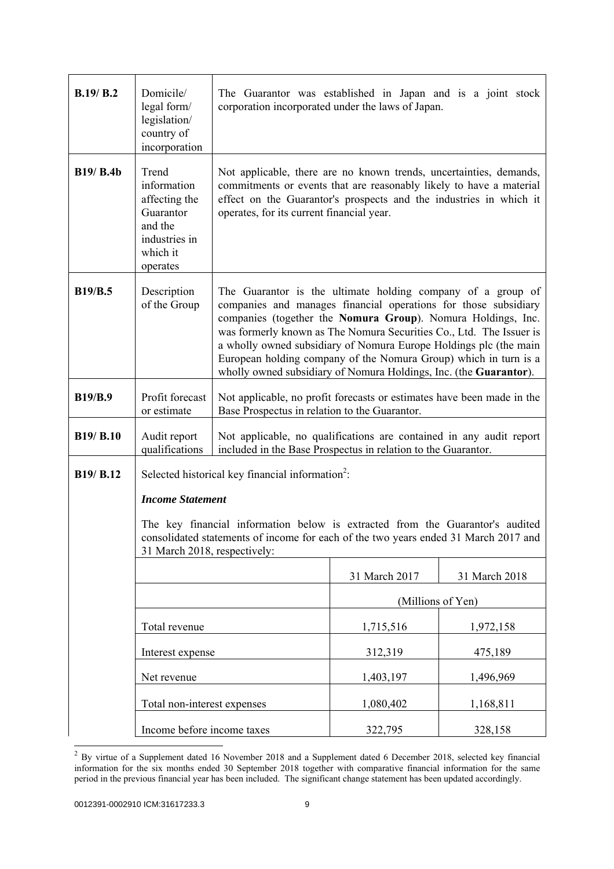| B.19/B.2         | Domicile/<br>legal form/<br>legislation/<br>country of<br>incorporation                                | The Guarantor was established in Japan and is a joint stock<br>corporation incorporated under the laws of Japan.                                                                                                                                                                                                                                                                                                                                                                    |                   |               |
|------------------|--------------------------------------------------------------------------------------------------------|-------------------------------------------------------------------------------------------------------------------------------------------------------------------------------------------------------------------------------------------------------------------------------------------------------------------------------------------------------------------------------------------------------------------------------------------------------------------------------------|-------------------|---------------|
| <b>B19/ B.4b</b> | Trend<br>information<br>affecting the<br>Guarantor<br>and the<br>industries in<br>which it<br>operates | Not applicable, there are no known trends, uncertainties, demands,<br>commitments or events that are reasonably likely to have a material<br>effect on the Guarantor's prospects and the industries in which it<br>operates, for its current financial year.                                                                                                                                                                                                                        |                   |               |
| <b>B19/B.5</b>   | Description<br>of the Group                                                                            | The Guarantor is the ultimate holding company of a group of<br>companies and manages financial operations for those subsidiary<br>companies (together the Nomura Group). Nomura Holdings, Inc.<br>was formerly known as The Nomura Securities Co., Ltd. The Issuer is<br>a wholly owned subsidiary of Nomura Europe Holdings plc (the main<br>European holding company of the Nomura Group) which in turn is a<br>wholly owned subsidiary of Nomura Holdings, Inc. (the Guarantor). |                   |               |
| <b>B19/B.9</b>   | Profit forecast<br>or estimate                                                                         | Not applicable, no profit forecasts or estimates have been made in the<br>Base Prospectus in relation to the Guarantor.                                                                                                                                                                                                                                                                                                                                                             |                   |               |
| <b>B19/ B.10</b> | Audit report<br>qualifications                                                                         | Not applicable, no qualifications are contained in any audit report<br>included in the Base Prospectus in relation to the Guarantor.                                                                                                                                                                                                                                                                                                                                                |                   |               |
| B19/ B.12        |                                                                                                        | Selected historical key financial information <sup>2</sup> :                                                                                                                                                                                                                                                                                                                                                                                                                        |                   |               |
|                  | <b>Income Statement</b>                                                                                |                                                                                                                                                                                                                                                                                                                                                                                                                                                                                     |                   |               |
|                  | 31 March 2018, respectively:                                                                           | The key financial information below is extracted from the Guarantor's audited<br>consolidated statements of income for each of the two years ended 31 March 2017 and                                                                                                                                                                                                                                                                                                                |                   |               |
|                  |                                                                                                        |                                                                                                                                                                                                                                                                                                                                                                                                                                                                                     | 31 March 2017     | 31 March 2018 |
|                  |                                                                                                        |                                                                                                                                                                                                                                                                                                                                                                                                                                                                                     | (Millions of Yen) |               |
|                  | Total revenue                                                                                          |                                                                                                                                                                                                                                                                                                                                                                                                                                                                                     | 1,715,516         | 1,972,158     |
|                  | Interest expense                                                                                       |                                                                                                                                                                                                                                                                                                                                                                                                                                                                                     | 312,319           | 475,189       |
|                  | Net revenue                                                                                            |                                                                                                                                                                                                                                                                                                                                                                                                                                                                                     | 1,403,197         | 1,496,969     |
|                  | Total non-interest expenses                                                                            |                                                                                                                                                                                                                                                                                                                                                                                                                                                                                     | 1,080,402         | 1,168,811     |
|                  | Income before income taxes                                                                             |                                                                                                                                                                                                                                                                                                                                                                                                                                                                                     | 322,795           | 328,158       |

 $^{2}$  By virtue of a Supplement dated 16 November 2018 and a Supplement dated 6 December 2018, selected key financial information for the six months ended 30 September 2018 together with comparative financial information for the same period in the previous financial year has been included. The significant change statement has been updated accordingly.

l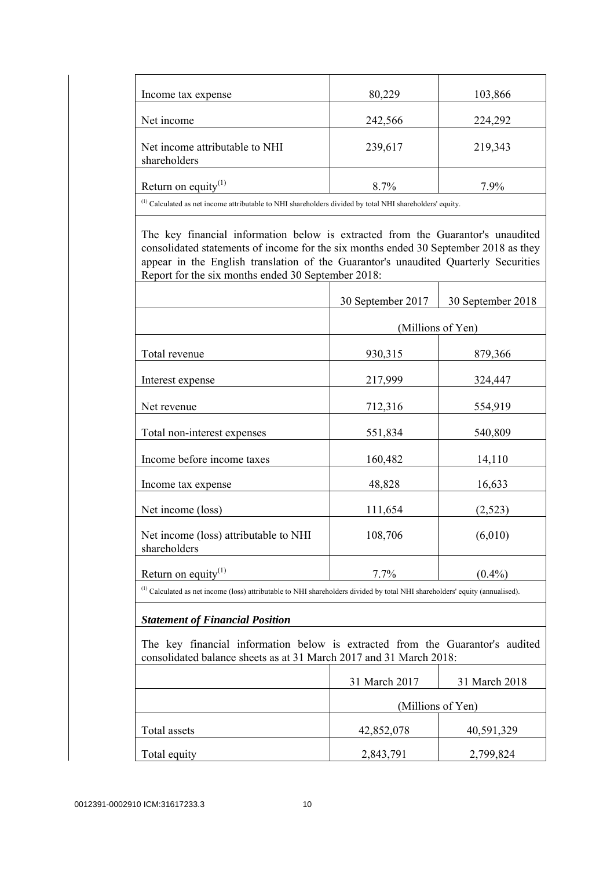| Income tax expense                                                                                                  | 80,229  | 103,866 |
|---------------------------------------------------------------------------------------------------------------------|---------|---------|
| Net income                                                                                                          | 242,566 | 224,292 |
| Net income attributable to NHI<br>shareholders                                                                      | 239,617 | 219,343 |
| Return on equity <sup>(1)</sup>                                                                                     | $8.7\%$ | $7.9\%$ |
| <sup>(1)</sup> Calculated as net income attributable to NHI shareholders divided by total NHI shareholders' equity. |         |         |

 The key financial information below is extracted from the Guarantor's unaudited consolidated statements of income for the six months ended 30 September 2018 as they appear in the English translation of the Guarantor's unaudited Quarterly Securities Report for the six months ended 30 September 2018:

|                                                       | 30 September 2017 | 30 September 2018 |
|-------------------------------------------------------|-------------------|-------------------|
|                                                       | (Millions of Yen) |                   |
| Total revenue                                         | 930,315           | 879,366           |
| Interest expense                                      | 217,999           | 324,447           |
| Net revenue                                           | 712,316           | 554,919           |
| Total non-interest expenses                           | 551,834           | 540,809           |
| Income before income taxes                            | 160,482           | 14,110            |
| Income tax expense                                    | 48,828            | 16,633            |
| Net income (loss)                                     | 111,654           | (2,523)           |
| Net income (loss) attributable to NHI<br>shareholders | 108,706           | (6,010)           |
| Return on equity $(1)$                                | 7.7%              | $(0.4\%)$         |

(1) Calculated as net income (loss) attributable to NHI shareholders divided by total NHI shareholders' equity (annualised).

### *Statement of Financial Position*

 The key financial information below is extracted from the Guarantor's audited consolidated balance sheets as at 31 March 2017 and 31 March 2018:

|              | 31 March 2017     | 31 March 2018 |
|--------------|-------------------|---------------|
|              | (Millions of Yen) |               |
| Total assets | 42,852,078        | 40,591,329    |
| Total equity | 2,843,791         | 2,799,824     |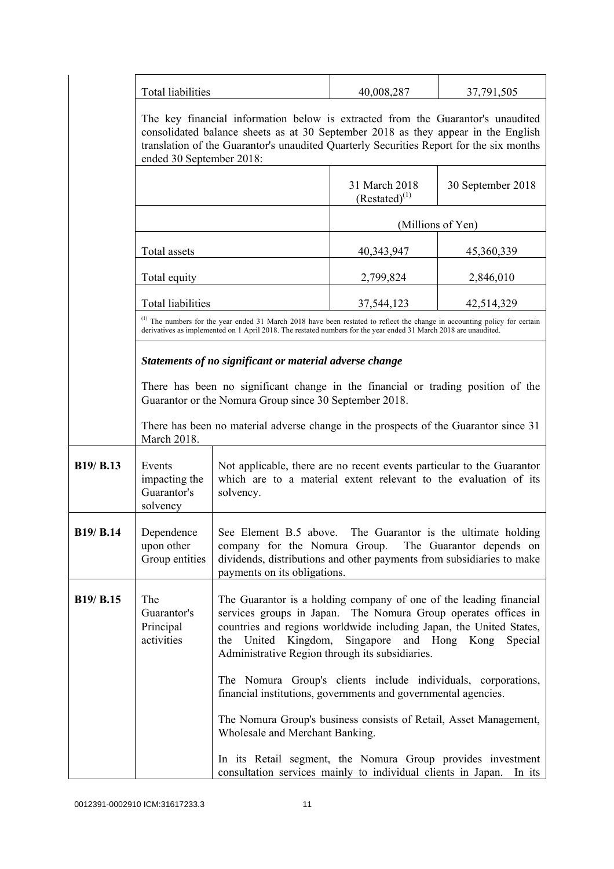|                  | Total liabilities                                                                                                                                                                                                                                                                           |                                                                                                                                                                                                                                                                                                                             | 40,008,287                          | 37,791,505        |
|------------------|---------------------------------------------------------------------------------------------------------------------------------------------------------------------------------------------------------------------------------------------------------------------------------------------|-----------------------------------------------------------------------------------------------------------------------------------------------------------------------------------------------------------------------------------------------------------------------------------------------------------------------------|-------------------------------------|-------------------|
|                  | The key financial information below is extracted from the Guarantor's unaudited<br>consolidated balance sheets as at 30 September 2018 as they appear in the English<br>translation of the Guarantor's unaudited Quarterly Securities Report for the six months<br>ended 30 September 2018: |                                                                                                                                                                                                                                                                                                                             |                                     |                   |
|                  |                                                                                                                                                                                                                                                                                             |                                                                                                                                                                                                                                                                                                                             | 31 March 2018<br>$(Restated)^{(1)}$ | 30 September 2018 |
|                  |                                                                                                                                                                                                                                                                                             |                                                                                                                                                                                                                                                                                                                             | (Millions of Yen)                   |                   |
|                  | Total assets                                                                                                                                                                                                                                                                                |                                                                                                                                                                                                                                                                                                                             | 40,343,947                          | 45,360,339        |
|                  | Total equity                                                                                                                                                                                                                                                                                |                                                                                                                                                                                                                                                                                                                             | 2,799,824                           | 2,846,010         |
|                  | <b>Total liabilities</b>                                                                                                                                                                                                                                                                    |                                                                                                                                                                                                                                                                                                                             | 37,544,123                          | 42,514,329        |
|                  |                                                                                                                                                                                                                                                                                             | (1) The numbers for the year ended 31 March 2018 have been restated to reflect the change in accounting policy for certain<br>derivatives as implemented on 1 April 2018. The restated numbers for the year ended 31 March 2018 are unaudited.                                                                              |                                     |                   |
|                  | Statements of no significant or material adverse change                                                                                                                                                                                                                                     |                                                                                                                                                                                                                                                                                                                             |                                     |                   |
|                  |                                                                                                                                                                                                                                                                                             | There has been no significant change in the financial or trading position of the<br>Guarantor or the Nomura Group since 30 September 2018.                                                                                                                                                                                  |                                     |                   |
|                  | March 2018.                                                                                                                                                                                                                                                                                 | There has been no material adverse change in the prospects of the Guarantor since 31                                                                                                                                                                                                                                        |                                     |                   |
| B19/ B.13        | Events<br>impacting the<br>Guarantor's<br>solvency                                                                                                                                                                                                                                          | Not applicable, there are no recent events particular to the Guarantor<br>which are to a material extent relevant to the evaluation of its<br>solvency.                                                                                                                                                                     |                                     |                   |
| <b>B19/ B.14</b> | Dependence<br>upon other<br>Group entities                                                                                                                                                                                                                                                  | See Element B.5 above. The Guarantor is the ultimate holding<br>company for the Nomura Group. The Guarantor depends on<br>dividends, distributions and other payments from subsidiaries to make<br>payments on its obligations.                                                                                             |                                     |                   |
| B19/ B.15        | The<br>Guarantor's<br>Principal<br>activities                                                                                                                                                                                                                                               | The Guarantor is a holding company of one of the leading financial<br>services groups in Japan. The Nomura Group operates offices in<br>countries and regions worldwide including Japan, the United States,<br>the United Kingdom,<br>Singapore and Hong Kong<br>Special<br>Administrative Region through its subsidiaries. |                                     |                   |
|                  |                                                                                                                                                                                                                                                                                             | The Nomura Group's clients include individuals, corporations,<br>financial institutions, governments and governmental agencies.                                                                                                                                                                                             |                                     |                   |
|                  |                                                                                                                                                                                                                                                                                             | The Nomura Group's business consists of Retail, Asset Management,<br>Wholesale and Merchant Banking.                                                                                                                                                                                                                        |                                     |                   |
|                  |                                                                                                                                                                                                                                                                                             | In its Retail segment, the Nomura Group provides investment<br>consultation services mainly to individual clients in Japan.                                                                                                                                                                                                 |                                     | In its            |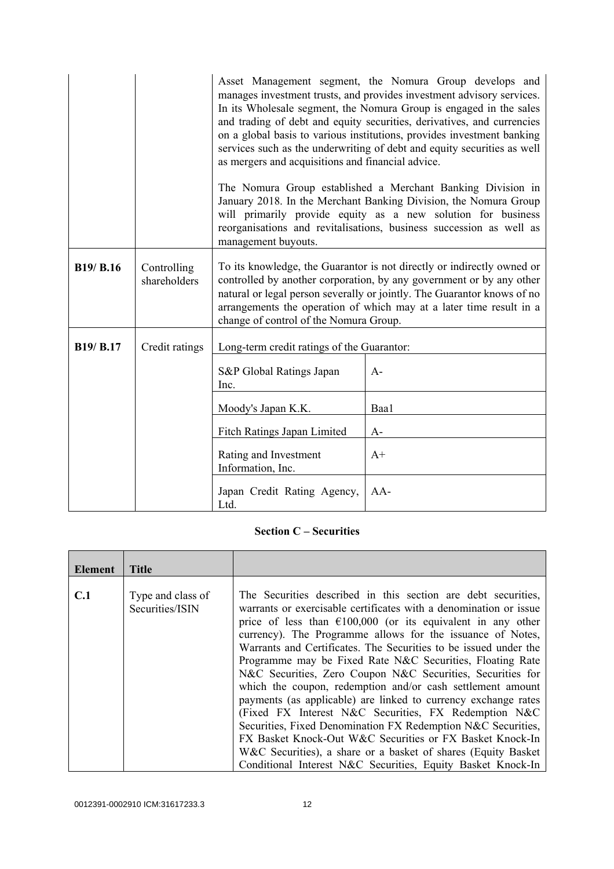|                  |                             | as mergers and acquisitions and financial advice.<br>management buyouts. | Asset Management segment, the Nomura Group develops and<br>manages investment trusts, and provides investment advisory services.<br>In its Wholesale segment, the Nomura Group is engaged in the sales<br>and trading of debt and equity securities, derivatives, and currencies<br>on a global basis to various institutions, provides investment banking<br>services such as the underwriting of debt and equity securities as well<br>The Nomura Group established a Merchant Banking Division in<br>January 2018. In the Merchant Banking Division, the Nomura Group<br>will primarily provide equity as a new solution for business<br>reorganisations and revitalisations, business succession as well as |
|------------------|-----------------------------|--------------------------------------------------------------------------|-----------------------------------------------------------------------------------------------------------------------------------------------------------------------------------------------------------------------------------------------------------------------------------------------------------------------------------------------------------------------------------------------------------------------------------------------------------------------------------------------------------------------------------------------------------------------------------------------------------------------------------------------------------------------------------------------------------------|
| <b>B19/ B.16</b> | Controlling<br>shareholders | change of control of the Nomura Group.                                   | To its knowledge, the Guarantor is not directly or indirectly owned or<br>controlled by another corporation, by any government or by any other<br>natural or legal person severally or jointly. The Guarantor knows of no<br>arrangements the operation of which may at a later time result in a                                                                                                                                                                                                                                                                                                                                                                                                                |
| <b>B19/ B.17</b> | Credit ratings              | Long-term credit ratings of the Guarantor:                               |                                                                                                                                                                                                                                                                                                                                                                                                                                                                                                                                                                                                                                                                                                                 |
|                  |                             | S&P Global Ratings Japan<br>Inc.                                         | $A-$                                                                                                                                                                                                                                                                                                                                                                                                                                                                                                                                                                                                                                                                                                            |
|                  |                             | Moody's Japan K.K.                                                       | Baa1                                                                                                                                                                                                                                                                                                                                                                                                                                                                                                                                                                                                                                                                                                            |
|                  |                             | Fitch Ratings Japan Limited                                              | $A-$                                                                                                                                                                                                                                                                                                                                                                                                                                                                                                                                                                                                                                                                                                            |
|                  |                             | Rating and Investment<br>Information, Inc.                               | $A+$                                                                                                                                                                                                                                                                                                                                                                                                                                                                                                                                                                                                                                                                                                            |
|                  |                             | Japan Credit Rating Agency,<br>Ltd.                                      | $AA-$                                                                                                                                                                                                                                                                                                                                                                                                                                                                                                                                                                                                                                                                                                           |

#### **Section C – Securities**

| Element | <b>Title</b>                         |                                                                                                                                                                                                                                                                                                                                                                                                                                                                                                                                                                                                                                                                                                                                  |
|---------|--------------------------------------|----------------------------------------------------------------------------------------------------------------------------------------------------------------------------------------------------------------------------------------------------------------------------------------------------------------------------------------------------------------------------------------------------------------------------------------------------------------------------------------------------------------------------------------------------------------------------------------------------------------------------------------------------------------------------------------------------------------------------------|
| C.1     | Type and class of<br>Securities/ISIN | The Securities described in this section are debt securities,<br>warrants or exercisable certificates with a denomination or issue<br>price of less than $\epsilon$ 100,000 (or its equivalent in any other<br>currency). The Programme allows for the issuance of Notes,<br>Warrants and Certificates. The Securities to be issued under the<br>Programme may be Fixed Rate N&C Securities, Floating Rate<br>N&C Securities, Zero Coupon N&C Securities, Securities for<br>which the coupon, redemption and/or cash settlement amount<br>payments (as applicable) are linked to currency exchange rates<br>(Fixed FX Interest N&C Securities, FX Redemption N&C<br>Securities, Fixed Denomination FX Redemption N&C Securities, |
|         |                                      | FX Basket Knock-Out W&C Securities or FX Basket Knock-In<br>W&C Securities), a share or a basket of shares (Equity Basket)<br>Conditional Interest N&C Securities, Equity Basket Knock-In                                                                                                                                                                                                                                                                                                                                                                                                                                                                                                                                        |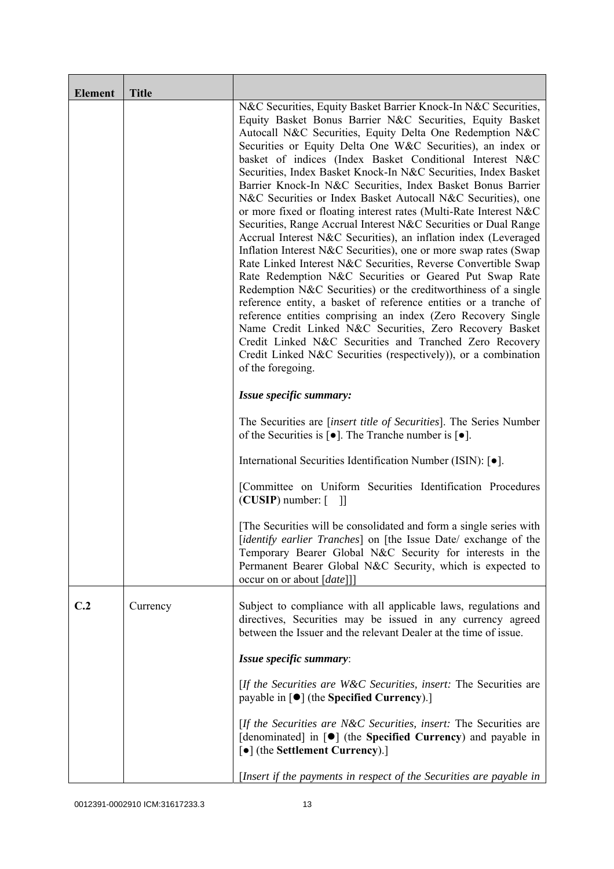| <b>Element</b> | <b>Title</b> |                                                                                                                                                                                                                                                                                                                                                                                                                                                                                                                                                                                                                                                                                                                                                                                                                                                                                                                                                                                                                                                                                                                                                                                                                                                                                                                                                  |
|----------------|--------------|--------------------------------------------------------------------------------------------------------------------------------------------------------------------------------------------------------------------------------------------------------------------------------------------------------------------------------------------------------------------------------------------------------------------------------------------------------------------------------------------------------------------------------------------------------------------------------------------------------------------------------------------------------------------------------------------------------------------------------------------------------------------------------------------------------------------------------------------------------------------------------------------------------------------------------------------------------------------------------------------------------------------------------------------------------------------------------------------------------------------------------------------------------------------------------------------------------------------------------------------------------------------------------------------------------------------------------------------------|
|                |              | N&C Securities, Equity Basket Barrier Knock-In N&C Securities,<br>Equity Basket Bonus Barrier N&C Securities, Equity Basket<br>Autocall N&C Securities, Equity Delta One Redemption N&C<br>Securities or Equity Delta One W&C Securities), an index or<br>basket of indices (Index Basket Conditional Interest N&C<br>Securities, Index Basket Knock-In N&C Securities, Index Basket<br>Barrier Knock-In N&C Securities, Index Basket Bonus Barrier<br>N&C Securities or Index Basket Autocall N&C Securities), one<br>or more fixed or floating interest rates (Multi-Rate Interest N&C<br>Securities, Range Accrual Interest N&C Securities or Dual Range<br>Accrual Interest N&C Securities), an inflation index (Leveraged<br>Inflation Interest N&C Securities), one or more swap rates (Swap<br>Rate Linked Interest N&C Securities, Reverse Convertible Swap<br>Rate Redemption N&C Securities or Geared Put Swap Rate<br>Redemption N&C Securities) or the creditworthiness of a single<br>reference entity, a basket of reference entities or a tranche of<br>reference entities comprising an index (Zero Recovery Single<br>Name Credit Linked N&C Securities, Zero Recovery Basket<br>Credit Linked N&C Securities and Tranched Zero Recovery<br>Credit Linked N&C Securities (respectively)), or a combination<br>of the foregoing. |
|                |              | Issue specific summary:                                                                                                                                                                                                                                                                                                                                                                                                                                                                                                                                                                                                                                                                                                                                                                                                                                                                                                                                                                                                                                                                                                                                                                                                                                                                                                                          |
|                |              | The Securities are <i>[insert title of Securities]</i> . The Series Number<br>of the Securities is $\lceil \bullet \rceil$ . The Tranche number is $\lceil \bullet \rceil$ .                                                                                                                                                                                                                                                                                                                                                                                                                                                                                                                                                                                                                                                                                                                                                                                                                                                                                                                                                                                                                                                                                                                                                                     |
|                |              | International Securities Identification Number (ISIN): [•].                                                                                                                                                                                                                                                                                                                                                                                                                                                                                                                                                                                                                                                                                                                                                                                                                                                                                                                                                                                                                                                                                                                                                                                                                                                                                      |
|                |              | [Committee on Uniform Securities Identification Procedures<br>$(CUSIP)$ number: $[$ ]]                                                                                                                                                                                                                                                                                                                                                                                                                                                                                                                                                                                                                                                                                                                                                                                                                                                                                                                                                                                                                                                                                                                                                                                                                                                           |
|                |              | The Securities will be consolidated and form a single series with<br>[identify earlier Tranches] on [the Issue Date/ exchange of the<br>Temporary Bearer Global N&C Security for interests in the<br>Permanent Bearer Global N&C Security, which is expected to<br>occur on or about [date]]]                                                                                                                                                                                                                                                                                                                                                                                                                                                                                                                                                                                                                                                                                                                                                                                                                                                                                                                                                                                                                                                    |
| C.2            | Currency     | Subject to compliance with all applicable laws, regulations and<br>directives, Securities may be issued in any currency agreed<br>between the Issuer and the relevant Dealer at the time of issue.                                                                                                                                                                                                                                                                                                                                                                                                                                                                                                                                                                                                                                                                                                                                                                                                                                                                                                                                                                                                                                                                                                                                               |
|                |              | Issue specific summary:                                                                                                                                                                                                                                                                                                                                                                                                                                                                                                                                                                                                                                                                                                                                                                                                                                                                                                                                                                                                                                                                                                                                                                                                                                                                                                                          |
|                |              | [If the Securities are W&C Securities, insert: The Securities are<br>payable in $\lceil \bullet \rceil$ (the Specified Currency).]                                                                                                                                                                                                                                                                                                                                                                                                                                                                                                                                                                                                                                                                                                                                                                                                                                                                                                                                                                                                                                                                                                                                                                                                               |
|                |              | [If the Securities are N&C Securities, insert: The Securities are<br>[denominated] in [ $\bullet$ ] (the Specified Currency) and payable in<br>[•] (the Settlement Currency).]                                                                                                                                                                                                                                                                                                                                                                                                                                                                                                                                                                                                                                                                                                                                                                                                                                                                                                                                                                                                                                                                                                                                                                   |
|                |              | [Insert if the payments in respect of the Securities are payable in                                                                                                                                                                                                                                                                                                                                                                                                                                                                                                                                                                                                                                                                                                                                                                                                                                                                                                                                                                                                                                                                                                                                                                                                                                                                              |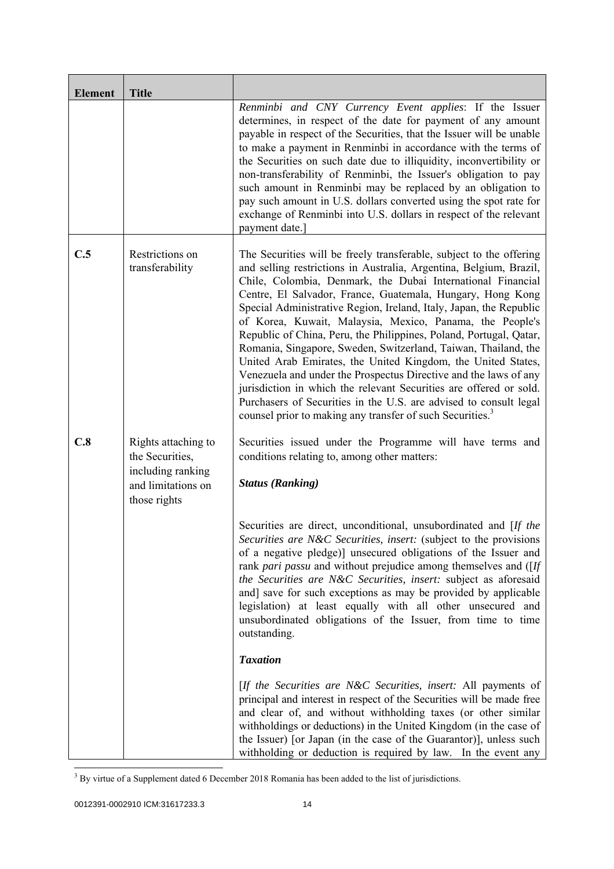| <b>Element</b> | <b>Title</b>                                                                                      |                                                                                                                                                                                                                                                                                                                                                                                                                                                                                                                                                                                                                                                                                                                                                                                                                                                                                                          |
|----------------|---------------------------------------------------------------------------------------------------|----------------------------------------------------------------------------------------------------------------------------------------------------------------------------------------------------------------------------------------------------------------------------------------------------------------------------------------------------------------------------------------------------------------------------------------------------------------------------------------------------------------------------------------------------------------------------------------------------------------------------------------------------------------------------------------------------------------------------------------------------------------------------------------------------------------------------------------------------------------------------------------------------------|
|                |                                                                                                   | Renminbi and CNY Currency Event applies: If the Issuer<br>determines, in respect of the date for payment of any amount<br>payable in respect of the Securities, that the Issuer will be unable<br>to make a payment in Renminbi in accordance with the terms of<br>the Securities on such date due to illiquidity, inconvertibility or<br>non-transferability of Renminbi, the Issuer's obligation to pay<br>such amount in Renminbi may be replaced by an obligation to<br>pay such amount in U.S. dollars converted using the spot rate for<br>exchange of Renminbi into U.S. dollars in respect of the relevant<br>payment date.                                                                                                                                                                                                                                                                      |
| C.5            | Restrictions on<br>transferability                                                                | The Securities will be freely transferable, subject to the offering<br>and selling restrictions in Australia, Argentina, Belgium, Brazil,<br>Chile, Colombia, Denmark, the Dubai International Financial<br>Centre, El Salvador, France, Guatemala, Hungary, Hong Kong<br>Special Administrative Region, Ireland, Italy, Japan, the Republic<br>of Korea, Kuwait, Malaysia, Mexico, Panama, the People's<br>Republic of China, Peru, the Philippines, Poland, Portugal, Qatar,<br>Romania, Singapore, Sweden, Switzerland, Taiwan, Thailand, the<br>United Arab Emirates, the United Kingdom, the United States,<br>Venezuela and under the Prospectus Directive and the laws of any<br>jurisdiction in which the relevant Securities are offered or sold.<br>Purchasers of Securities in the U.S. are advised to consult legal<br>counsel prior to making any transfer of such Securities. <sup>3</sup> |
| C.8            | Rights attaching to<br>the Securities,<br>including ranking<br>and limitations on<br>those rights | Securities issued under the Programme will have terms and<br>conditions relating to, among other matters:<br><b>Status (Ranking)</b>                                                                                                                                                                                                                                                                                                                                                                                                                                                                                                                                                                                                                                                                                                                                                                     |
|                |                                                                                                   | Securities are direct, unconditional, unsubordinated and [If the<br>Securities are N&C Securities, insert: (subject to the provisions<br>of a negative pledge)] unsecured obligations of the Issuer and<br>rank pari passu and without prejudice among themselves and ([If<br>the Securities are N&C Securities, insert: subject as aforesaid<br>and] save for such exceptions as may be provided by applicable<br>legislation) at least equally with all other unsecured and<br>unsubordinated obligations of the Issuer, from time to time<br>outstanding.                                                                                                                                                                                                                                                                                                                                             |
|                |                                                                                                   | <b>Taxation</b>                                                                                                                                                                                                                                                                                                                                                                                                                                                                                                                                                                                                                                                                                                                                                                                                                                                                                          |
|                |                                                                                                   | [If the Securities are N&C Securities, insert: All payments of<br>principal and interest in respect of the Securities will be made free<br>and clear of, and without withholding taxes (or other similar<br>withholdings or deductions) in the United Kingdom (in the case of<br>the Issuer) [or Japan (in the case of the Guarantor)], unless such<br>with holding or deduction is required by law. In the event any                                                                                                                                                                                                                                                                                                                                                                                                                                                                                    |

<sup>&</sup>lt;sup>3</sup> By virtue of a Supplement dated 6 December 2018 Romania has been added to the list of jurisdictions.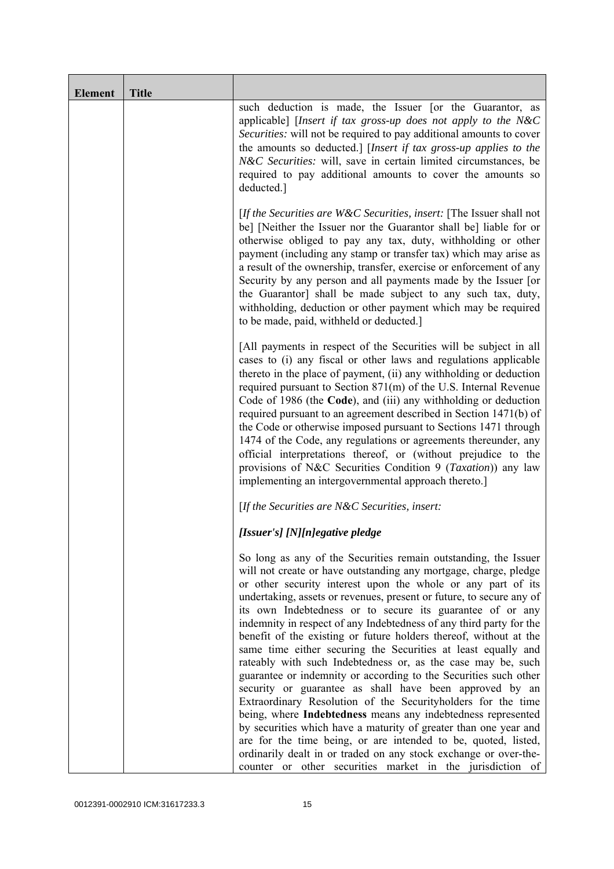| <b>Element</b> | <b>Title</b> |                                                                                                                                                                                                                                                                                                                                                                                                                                                                                                                                                                                                                                                                                                                                                                                                                                                                                                                                                                                                                                                                                                                                                             |
|----------------|--------------|-------------------------------------------------------------------------------------------------------------------------------------------------------------------------------------------------------------------------------------------------------------------------------------------------------------------------------------------------------------------------------------------------------------------------------------------------------------------------------------------------------------------------------------------------------------------------------------------------------------------------------------------------------------------------------------------------------------------------------------------------------------------------------------------------------------------------------------------------------------------------------------------------------------------------------------------------------------------------------------------------------------------------------------------------------------------------------------------------------------------------------------------------------------|
|                |              | such deduction is made, the Issuer [or the Guarantor, as<br>applicable] [Insert if tax gross-up does not apply to the N&C<br>Securities: will not be required to pay additional amounts to cover<br>the amounts so deducted.] [Insert if tax gross-up applies to the<br>N&C Securities: will, save in certain limited circumstances, be<br>required to pay additional amounts to cover the amounts so<br>deducted.]                                                                                                                                                                                                                                                                                                                                                                                                                                                                                                                                                                                                                                                                                                                                         |
|                |              | [If the Securities are $W\&C$ Securities, insert: [The Issuer shall not<br>be] [Neither the Issuer nor the Guarantor shall be] liable for or<br>otherwise obliged to pay any tax, duty, withholding or other<br>payment (including any stamp or transfer tax) which may arise as<br>a result of the ownership, transfer, exercise or enforcement of any<br>Security by any person and all payments made by the Issuer [or<br>the Guarantor] shall be made subject to any such tax, duty,<br>withholding, deduction or other payment which may be required<br>to be made, paid, withheld or deducted.]                                                                                                                                                                                                                                                                                                                                                                                                                                                                                                                                                       |
|                |              | [All payments in respect of the Securities will be subject in all<br>cases to (i) any fiscal or other laws and regulations applicable<br>thereto in the place of payment, (ii) any withholding or deduction<br>required pursuant to Section 871(m) of the U.S. Internal Revenue<br>Code of 1986 (the Code), and (iii) any withholding or deduction<br>required pursuant to an agreement described in Section 1471(b) of<br>the Code or otherwise imposed pursuant to Sections 1471 through<br>1474 of the Code, any regulations or agreements thereunder, any<br>official interpretations thereof, or (without prejudice to the<br>provisions of N&C Securities Condition 9 (Taxation)) any law<br>implementing an intergovernmental approach thereto.]                                                                                                                                                                                                                                                                                                                                                                                                     |
|                |              | [If the Securities are N&C Securities, insert:                                                                                                                                                                                                                                                                                                                                                                                                                                                                                                                                                                                                                                                                                                                                                                                                                                                                                                                                                                                                                                                                                                              |
|                |              | [Issuer's] [N][n]egative pledge                                                                                                                                                                                                                                                                                                                                                                                                                                                                                                                                                                                                                                                                                                                                                                                                                                                                                                                                                                                                                                                                                                                             |
|                |              | So long as any of the Securities remain outstanding, the Issuer<br>will not create or have outstanding any mortgage, charge, pledge<br>or other security interest upon the whole or any part of its<br>undertaking, assets or revenues, present or future, to secure any of<br>its own Indebtedness or to secure its guarantee of or any<br>indemnity in respect of any Indebtedness of any third party for the<br>benefit of the existing or future holders thereof, without at the<br>same time either securing the Securities at least equally and<br>rateably with such Indebtedness or, as the case may be, such<br>guarantee or indemnity or according to the Securities such other<br>security or guarantee as shall have been approved by an<br>Extraordinary Resolution of the Securityholders for the time<br>being, where Indebtedness means any indebtedness represented<br>by securities which have a maturity of greater than one year and<br>are for the time being, or are intended to be, quoted, listed,<br>ordinarily dealt in or traded on any stock exchange or over-the-<br>counter or other securities market in the jurisdiction of |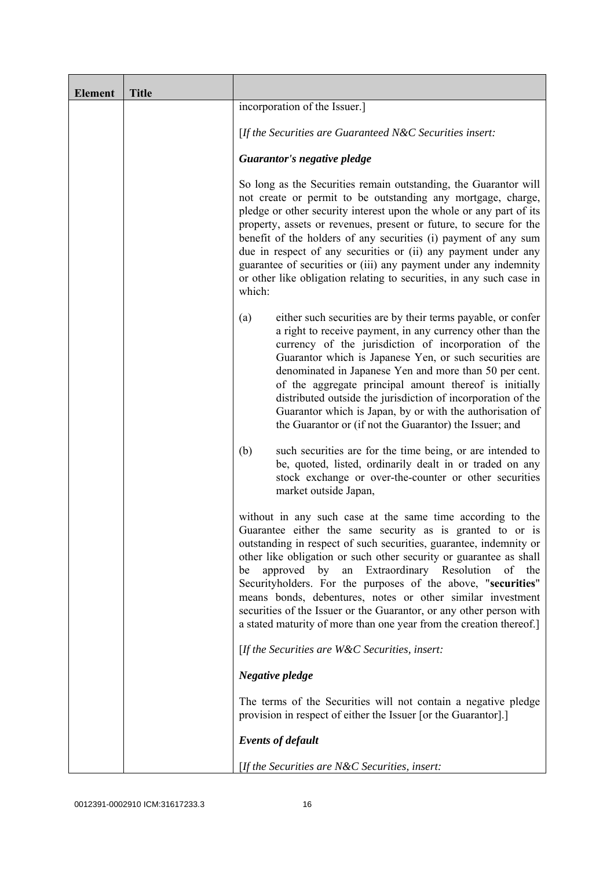| <b>Element</b> | <b>Title</b> |                                                                                                                                                                                                                                                                                                                                                                                                                                                                                                                                                                                                                  |
|----------------|--------------|------------------------------------------------------------------------------------------------------------------------------------------------------------------------------------------------------------------------------------------------------------------------------------------------------------------------------------------------------------------------------------------------------------------------------------------------------------------------------------------------------------------------------------------------------------------------------------------------------------------|
|                |              | incorporation of the Issuer.]                                                                                                                                                                                                                                                                                                                                                                                                                                                                                                                                                                                    |
|                |              | [If the Securities are Guaranteed N&C Securities insert:                                                                                                                                                                                                                                                                                                                                                                                                                                                                                                                                                         |
|                |              | Guarantor's negative pledge                                                                                                                                                                                                                                                                                                                                                                                                                                                                                                                                                                                      |
|                |              | So long as the Securities remain outstanding, the Guarantor will<br>not create or permit to be outstanding any mortgage, charge,<br>pledge or other security interest upon the whole or any part of its<br>property, assets or revenues, present or future, to secure for the<br>benefit of the holders of any securities (i) payment of any sum<br>due in respect of any securities or (ii) any payment under any<br>guarantee of securities or (iii) any payment under any indemnity<br>or other like obligation relating to securities, in any such case in<br>which:                                         |
|                |              | either such securities are by their terms payable, or confer<br>(a)<br>a right to receive payment, in any currency other than the<br>currency of the jurisdiction of incorporation of the<br>Guarantor which is Japanese Yen, or such securities are<br>denominated in Japanese Yen and more than 50 per cent.<br>of the aggregate principal amount thereof is initially<br>distributed outside the jurisdiction of incorporation of the<br>Guarantor which is Japan, by or with the authorisation of<br>the Guarantor or (if not the Guarantor) the Issuer; and                                                 |
|                |              | such securities are for the time being, or are intended to<br>(b)<br>be, quoted, listed, ordinarily dealt in or traded on any<br>stock exchange or over-the-counter or other securities<br>market outside Japan,                                                                                                                                                                                                                                                                                                                                                                                                 |
|                |              | without in any such case at the same time according to the<br>Guarantee either the same security as is granted to or is<br>outstanding in respect of such securities, guarantee, indemnity or<br>other like obligation or such other security or guarantee as shall<br>Extraordinary Resolution<br>approved by<br>an<br>of the<br>be<br>Securityholders. For the purposes of the above, "securities"<br>means bonds, debentures, notes or other similar investment<br>securities of the Issuer or the Guarantor, or any other person with<br>a stated maturity of more than one year from the creation thereof.] |
|                |              | [If the Securities are $W\&C$ Securities, insert:                                                                                                                                                                                                                                                                                                                                                                                                                                                                                                                                                                |
|                |              | Negative pledge                                                                                                                                                                                                                                                                                                                                                                                                                                                                                                                                                                                                  |
|                |              | The terms of the Securities will not contain a negative pledge<br>provision in respect of either the Issuer [or the Guarantor].]                                                                                                                                                                                                                                                                                                                                                                                                                                                                                 |
|                |              | <b>Events of default</b>                                                                                                                                                                                                                                                                                                                                                                                                                                                                                                                                                                                         |
|                |              | [If the Securities are $N\&C$ Securities, insert:                                                                                                                                                                                                                                                                                                                                                                                                                                                                                                                                                                |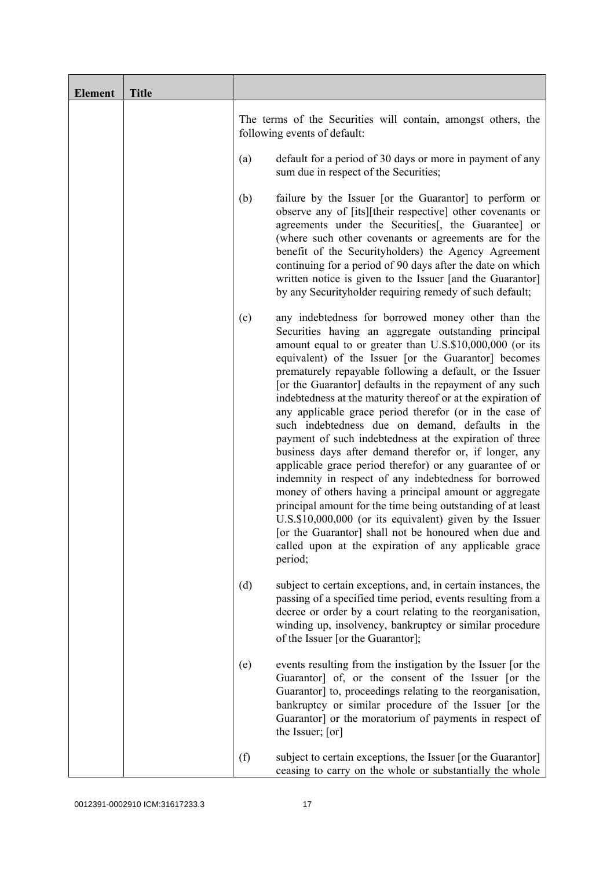| <b>Element</b> | <b>Title</b> |                                                                                                                                                                                                                                                                                                                                                                                                                                                                                                                                                                                                                                                                                                                                                                                                                                                                                                                                                                                                                                                                                                          |
|----------------|--------------|----------------------------------------------------------------------------------------------------------------------------------------------------------------------------------------------------------------------------------------------------------------------------------------------------------------------------------------------------------------------------------------------------------------------------------------------------------------------------------------------------------------------------------------------------------------------------------------------------------------------------------------------------------------------------------------------------------------------------------------------------------------------------------------------------------------------------------------------------------------------------------------------------------------------------------------------------------------------------------------------------------------------------------------------------------------------------------------------------------|
|                |              | The terms of the Securities will contain, amongst others, the<br>following events of default:                                                                                                                                                                                                                                                                                                                                                                                                                                                                                                                                                                                                                                                                                                                                                                                                                                                                                                                                                                                                            |
|                |              | default for a period of 30 days or more in payment of any<br>(a)<br>sum due in respect of the Securities;                                                                                                                                                                                                                                                                                                                                                                                                                                                                                                                                                                                                                                                                                                                                                                                                                                                                                                                                                                                                |
|                |              | failure by the Issuer [or the Guarantor] to perform or<br>(b)<br>observe any of [its][their respective] other covenants or<br>agreements under the Securities <sup>[1]</sup> , the Guarantee] or<br>(where such other covenants or agreements are for the<br>benefit of the Securityholders) the Agency Agreement<br>continuing for a period of 90 days after the date on which<br>written notice is given to the Issuer [and the Guarantor]<br>by any Securityholder requiring remedy of such default;                                                                                                                                                                                                                                                                                                                                                                                                                                                                                                                                                                                                  |
|                |              | any indebtedness for borrowed money other than the<br>(c)<br>Securities having an aggregate outstanding principal<br>amount equal to or greater than U.S.\$10,000,000 (or its<br>equivalent) of the Issuer [or the Guarantor] becomes<br>prematurely repayable following a default, or the Issuer<br>[or the Guarantor] defaults in the repayment of any such<br>indebtedness at the maturity thereof or at the expiration of<br>any applicable grace period therefor (or in the case of<br>such indebtedness due on demand, defaults in the<br>payment of such indebtedness at the expiration of three<br>business days after demand therefor or, if longer, any<br>applicable grace period therefor) or any guarantee of or<br>indemnity in respect of any indebtedness for borrowed<br>money of others having a principal amount or aggregate<br>principal amount for the time being outstanding of at least<br>U.S.\$10,000,000 (or its equivalent) given by the Issuer<br>[or the Guarantor] shall not be honoured when due and<br>called upon at the expiration of any applicable grace<br>period; |
|                |              | (d)<br>subject to certain exceptions, and, in certain instances, the<br>passing of a specified time period, events resulting from a<br>decree or order by a court relating to the reorganisation,<br>winding up, insolvency, bankruptcy or similar procedure<br>of the Issuer [or the Guarantor];                                                                                                                                                                                                                                                                                                                                                                                                                                                                                                                                                                                                                                                                                                                                                                                                        |
|                |              | events resulting from the instigation by the Issuer [or the<br>(e)<br>Guarantor] of, or the consent of the Issuer [or the<br>Guarantor] to, proceedings relating to the reorganisation,<br>bankruptcy or similar procedure of the Issuer [or the<br>Guarantor] or the moratorium of payments in respect of<br>the Issuer; [or]                                                                                                                                                                                                                                                                                                                                                                                                                                                                                                                                                                                                                                                                                                                                                                           |
|                |              | (f)<br>subject to certain exceptions, the Issuer [or the Guarantor]<br>ceasing to carry on the whole or substantially the whole                                                                                                                                                                                                                                                                                                                                                                                                                                                                                                                                                                                                                                                                                                                                                                                                                                                                                                                                                                          |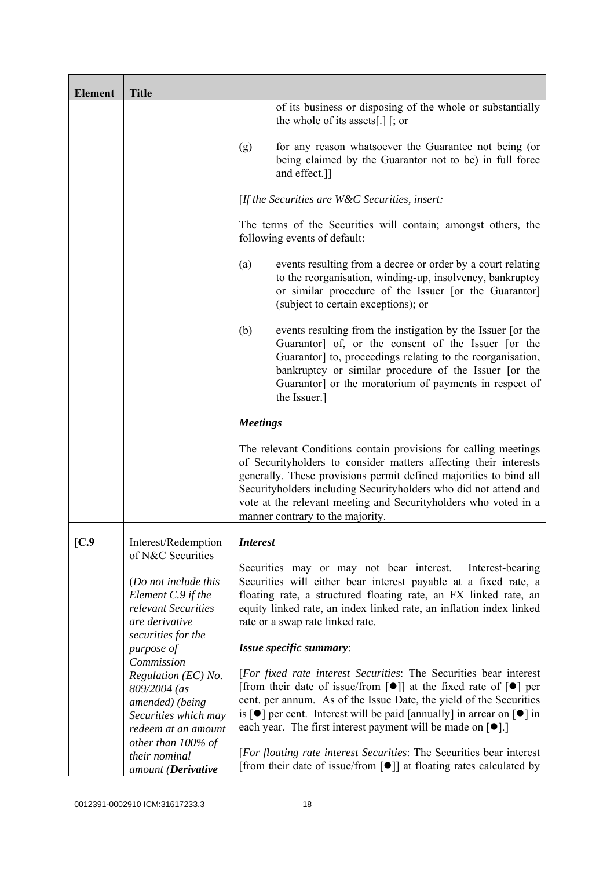| <b>Element</b> | <b>Title</b>                                                                                                                   |                                                                                                                                                                                                                                                                                                                                                                                                                                         |
|----------------|--------------------------------------------------------------------------------------------------------------------------------|-----------------------------------------------------------------------------------------------------------------------------------------------------------------------------------------------------------------------------------------------------------------------------------------------------------------------------------------------------------------------------------------------------------------------------------------|
|                |                                                                                                                                | of its business or disposing of the whole or substantially<br>the whole of its assets[.] $\lceil$ ; or                                                                                                                                                                                                                                                                                                                                  |
|                |                                                                                                                                | for any reason whatsoever the Guarantee not being (or<br>(g)<br>being claimed by the Guarantor not to be) in full force<br>and effect.]]                                                                                                                                                                                                                                                                                                |
|                |                                                                                                                                | [If the Securities are $W\&C$ Securities, insert:                                                                                                                                                                                                                                                                                                                                                                                       |
|                |                                                                                                                                | The terms of the Securities will contain; amongst others, the<br>following events of default:                                                                                                                                                                                                                                                                                                                                           |
|                |                                                                                                                                | events resulting from a decree or order by a court relating<br>(a)<br>to the reorganisation, winding-up, insolvency, bankruptcy<br>or similar procedure of the Issuer [or the Guarantor]<br>(subject to certain exceptions); or                                                                                                                                                                                                         |
|                |                                                                                                                                | (b)<br>events resulting from the instigation by the Issuer [or the<br>Guarantor] of, or the consent of the Issuer [or the<br>Guarantor] to, proceedings relating to the reorganisation,<br>bankruptcy or similar procedure of the Issuer [or the<br>Guarantor] or the moratorium of payments in respect of<br>the Issuer.]                                                                                                              |
|                |                                                                                                                                | <b>Meetings</b>                                                                                                                                                                                                                                                                                                                                                                                                                         |
|                |                                                                                                                                | The relevant Conditions contain provisions for calling meetings<br>of Securityholders to consider matters affecting their interests<br>generally. These provisions permit defined majorities to bind all<br>Securityholders including Securityholders who did not attend and<br>vote at the relevant meeting and Securityholders who voted in a<br>manner contrary to the majority.                                                     |
| [C.9]          | Interest/Redemption                                                                                                            | <i>Interest</i>                                                                                                                                                                                                                                                                                                                                                                                                                         |
|                | of N&C Securities<br>(Do not include this<br>Element C.9 if the<br>relevant Securities<br>are derivative<br>securities for the | Securities may or may not bear interest.<br>Interest-bearing<br>Securities will either bear interest payable at a fixed rate, a<br>floating rate, a structured floating rate, an FX linked rate, an<br>equity linked rate, an index linked rate, an inflation index linked<br>rate or a swap rate linked rate.                                                                                                                          |
|                | purpose of<br>Commission                                                                                                       | Issue specific summary:                                                                                                                                                                                                                                                                                                                                                                                                                 |
|                | Regulation (EC) No.<br>809/2004 (as<br>amended) (being<br>Securities which may<br>redeem at an amount                          | [For fixed rate interest Securities: The Securities bear interest<br>[from their date of issue/from $\lceil \bullet \rceil$ ] at the fixed rate of $\lceil \bullet \rceil$ per<br>cent. per annum. As of the Issue Date, the yield of the Securities<br>is $\lceil \bullet \rceil$ per cent. Interest will be paid [annually] in arrear on $\lceil \bullet \rceil$ in<br>each year. The first interest payment will be made on $[•]$ .] |
|                | other than 100% of<br>their nominal<br>amount (Derivative                                                                      | [For floating rate interest Securities: The Securities bear interest<br>[from their date of issue/from $\lceil \bullet \rceil$ ] at floating rates calculated by                                                                                                                                                                                                                                                                        |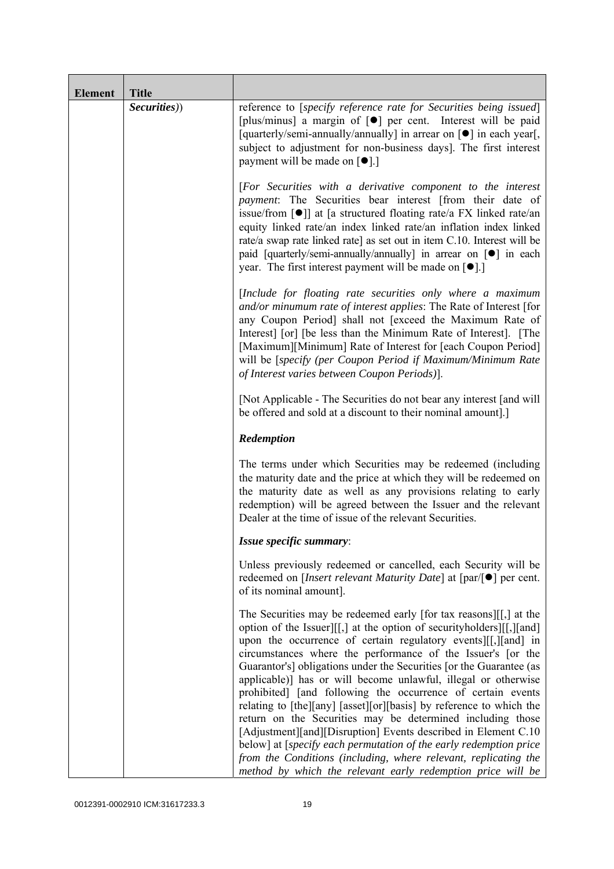| <b>Element</b> | <b>Title</b> |                                                                                                                                                                                                                                                                                                                                                                                                                                                                                                                                                                                                                                                                                                                                                                                                                                                                                                    |
|----------------|--------------|----------------------------------------------------------------------------------------------------------------------------------------------------------------------------------------------------------------------------------------------------------------------------------------------------------------------------------------------------------------------------------------------------------------------------------------------------------------------------------------------------------------------------------------------------------------------------------------------------------------------------------------------------------------------------------------------------------------------------------------------------------------------------------------------------------------------------------------------------------------------------------------------------|
|                | Securities)) | reference to [specify reference rate for Securities being issued]<br>[plus/minus] a margin of [ $\bullet$ ] per cent. Interest will be paid<br>[quarterly/semi-annually/annually] in arrear on [ $\bullet$ ] in each year[,<br>subject to adjustment for non-business days]. The first interest<br>payment will be made on $\lceil \bullet \rceil$ .]                                                                                                                                                                                                                                                                                                                                                                                                                                                                                                                                              |
|                |              | [For Securities with a derivative component to the interest<br>payment: The Securities bear interest [from their date of<br>issue/from $\lceil \bullet \rceil$ at [a structured floating rate/a FX linked rate/an<br>equity linked rate/an index linked rate/an inflation index linked<br>rate/a swap rate linked rate] as set out in item C.10. Interest will be<br>paid [quarterly/semi-annually/annually] in arrear on [ $\bullet$ ] in each<br>year. The first interest payment will be made on $[•]$ .                                                                                                                                                                                                                                                                                                                                                                                        |
|                |              | [Include for floating rate securities only where a maximum<br>and/or minumum rate of interest applies: The Rate of Interest [for<br>any Coupon Period] shall not [exceed the Maximum Rate of<br>Interest [or] [be less than the Minimum Rate of Interest]. [The<br>[Maximum][Minimum] Rate of Interest for [each Coupon Period]<br>will be [specify (per Coupon Period if Maximum/Minimum Rate<br>of Interest varies between Coupon Periods)].                                                                                                                                                                                                                                                                                                                                                                                                                                                     |
|                |              | [Not Applicable - The Securities do not bear any interest [and will]<br>be offered and sold at a discount to their nominal amount.]                                                                                                                                                                                                                                                                                                                                                                                                                                                                                                                                                                                                                                                                                                                                                                |
|                |              | Redemption                                                                                                                                                                                                                                                                                                                                                                                                                                                                                                                                                                                                                                                                                                                                                                                                                                                                                         |
|                |              | The terms under which Securities may be redeemed (including<br>the maturity date and the price at which they will be redeemed on<br>the maturity date as well as any provisions relating to early<br>redemption) will be agreed between the Issuer and the relevant<br>Dealer at the time of issue of the relevant Securities.                                                                                                                                                                                                                                                                                                                                                                                                                                                                                                                                                                     |
|                |              | Issue specific summary:                                                                                                                                                                                                                                                                                                                                                                                                                                                                                                                                                                                                                                                                                                                                                                                                                                                                            |
|                |              | Unless previously redeemed or cancelled, each Security will be<br>redeemed on [ <i>Insert relevant Maturity Date</i> ] at $\lceil \text{par}/\rceil \bullet \rceil$ per cent.<br>of its nominal amount].                                                                                                                                                                                                                                                                                                                                                                                                                                                                                                                                                                                                                                                                                           |
|                |              | The Securities may be redeemed early [for tax reasons][[,] at the<br>option of the Issuer][[,] at the option of security holders][[,][and]<br>upon the occurrence of certain regulatory events [[[, ][and] in<br>circumstances where the performance of the Issuer's [or the<br>Guarantor's] obligations under the Securities [or the Guarantee (as<br>applicable)] has or will become unlawful, illegal or otherwise<br>prohibited] [and following the occurrence of certain events<br>relating to [the][any] [asset][or][basis] by reference to which the<br>return on the Securities may be determined including those<br>[Adjustment][and][Disruption] Events described in Element C.10<br>below] at [specify each permutation of the early redemption price<br>from the Conditions (including, where relevant, replicating the<br>method by which the relevant early redemption price will be |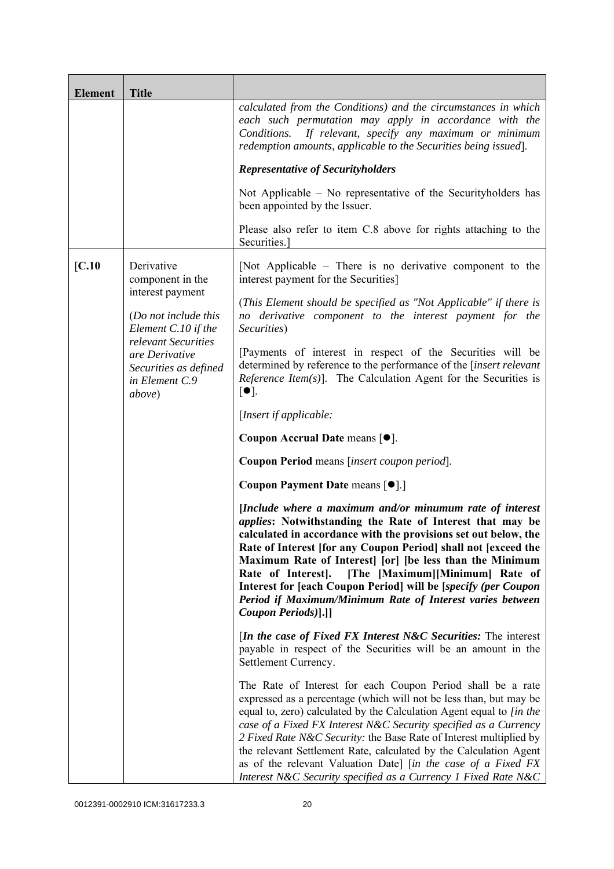| <b>Element</b> | <b>Title</b>                                                                               |                                                                                                                                                                                                                                                                                                                                                                                                                                                                                                                                                             |
|----------------|--------------------------------------------------------------------------------------------|-------------------------------------------------------------------------------------------------------------------------------------------------------------------------------------------------------------------------------------------------------------------------------------------------------------------------------------------------------------------------------------------------------------------------------------------------------------------------------------------------------------------------------------------------------------|
|                |                                                                                            | calculated from the Conditions) and the circumstances in which<br>each such permutation may apply in accordance with the<br>Conditions.<br>If relevant, specify any maximum or minimum<br>redemption amounts, applicable to the Securities being issued].                                                                                                                                                                                                                                                                                                   |
|                |                                                                                            | <b>Representative of Securityholders</b>                                                                                                                                                                                                                                                                                                                                                                                                                                                                                                                    |
|                |                                                                                            | Not Applicable – No representative of the Security holders has<br>been appointed by the Issuer.                                                                                                                                                                                                                                                                                                                                                                                                                                                             |
|                |                                                                                            | Please also refer to item C.8 above for rights attaching to the<br>Securities.]                                                                                                                                                                                                                                                                                                                                                                                                                                                                             |
| [C.10]         | Derivative<br>component in the                                                             | [Not Applicable – There is no derivative component to the<br>interest payment for the Securities]                                                                                                                                                                                                                                                                                                                                                                                                                                                           |
|                | interest payment<br>(Do not include this<br>Element C.10 if the                            | (This Element should be specified as "Not Applicable" if there is<br>no derivative component to the interest payment for the<br>Securities)                                                                                                                                                                                                                                                                                                                                                                                                                 |
|                | relevant Securities<br>are Derivative<br>Securities as defined<br>in Element C.9<br>above) | [Payments of interest in respect of the Securities will be<br>determined by reference to the performance of the [insert relevant<br><i>Reference Item(s)</i> ]. The Calculation Agent for the Securities is<br>$\lceil \bullet \rceil$ .                                                                                                                                                                                                                                                                                                                    |
|                |                                                                                            | [Insert if applicable:                                                                                                                                                                                                                                                                                                                                                                                                                                                                                                                                      |
|                |                                                                                            | Coupon Accrual Date means [ $\bullet$ ].                                                                                                                                                                                                                                                                                                                                                                                                                                                                                                                    |
|                |                                                                                            | Coupon Period means [insert coupon period].                                                                                                                                                                                                                                                                                                                                                                                                                                                                                                                 |
|                |                                                                                            | Coupon Payment Date means [ $\bullet$ ].]                                                                                                                                                                                                                                                                                                                                                                                                                                                                                                                   |
|                |                                                                                            | [Include where a maximum and/or minumum rate of interest<br><i>applies:</i> Notwithstanding the Rate of Interest that may be<br>calculated in accordance with the provisions set out below, the<br>Rate of Interest [for any Coupon Period] shall not [exceed the<br>Maximum Rate of Interest [or] [be less than the Minimum<br>Rate of Interest].<br>[The [Maximum][Minimum] Rate of<br>Interest for [each Coupon Period] will be [specify (per Coupon<br>Period if Maximum/Minimum Rate of Interest varies between<br>Coupon Periods)[.]]                 |
|                |                                                                                            | <i>In the case of Fixed FX Interest N&amp;C Securities:</i> The interest<br>payable in respect of the Securities will be an amount in the<br>Settlement Currency.                                                                                                                                                                                                                                                                                                                                                                                           |
|                |                                                                                            | The Rate of Interest for each Coupon Period shall be a rate<br>expressed as a percentage (which will not be less than, but may be<br>equal to, zero) calculated by the Calculation Agent equal to [in the<br>case of a Fixed FX Interest N&C Security specified as a Currency<br>2 Fixed Rate N&C Security: the Base Rate of Interest multiplied by<br>the relevant Settlement Rate, calculated by the Calculation Agent<br>as of the relevant Valuation Date] [in the case of a Fixed FX<br>Interest N&C Security specified as a Currency 1 Fixed Rate N&C |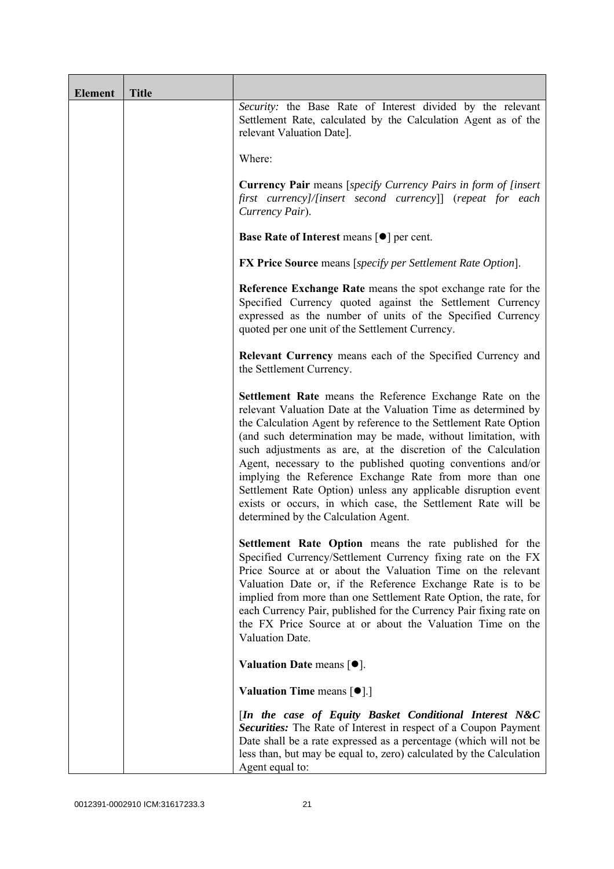| <b>Element</b> | <b>Title</b> |                                                                                                                                                                                                                                                                                                                                                                                                                                                                                                                                                                                                                                       |
|----------------|--------------|---------------------------------------------------------------------------------------------------------------------------------------------------------------------------------------------------------------------------------------------------------------------------------------------------------------------------------------------------------------------------------------------------------------------------------------------------------------------------------------------------------------------------------------------------------------------------------------------------------------------------------------|
|                |              | Security: the Base Rate of Interest divided by the relevant<br>Settlement Rate, calculated by the Calculation Agent as of the<br>relevant Valuation Date].                                                                                                                                                                                                                                                                                                                                                                                                                                                                            |
|                |              | Where:                                                                                                                                                                                                                                                                                                                                                                                                                                                                                                                                                                                                                                |
|                |              | <b>Currency Pair</b> means [specify Currency Pairs in form of [insert]<br>first currency]/[insert second currency]] (repeat for each<br>Currency Pair).                                                                                                                                                                                                                                                                                                                                                                                                                                                                               |
|                |              | <b>Base Rate of Interest means <math>\lceil \bullet \rceil</math> per cent.</b>                                                                                                                                                                                                                                                                                                                                                                                                                                                                                                                                                       |
|                |              | <b>FX Price Source</b> means [specify per Settlement Rate Option].                                                                                                                                                                                                                                                                                                                                                                                                                                                                                                                                                                    |
|                |              | Reference Exchange Rate means the spot exchange rate for the<br>Specified Currency quoted against the Settlement Currency<br>expressed as the number of units of the Specified Currency<br>quoted per one unit of the Settlement Currency.                                                                                                                                                                                                                                                                                                                                                                                            |
|                |              | Relevant Currency means each of the Specified Currency and<br>the Settlement Currency.                                                                                                                                                                                                                                                                                                                                                                                                                                                                                                                                                |
|                |              | Settlement Rate means the Reference Exchange Rate on the<br>relevant Valuation Date at the Valuation Time as determined by<br>the Calculation Agent by reference to the Settlement Rate Option<br>(and such determination may be made, without limitation, with<br>such adjustments as are, at the discretion of the Calculation<br>Agent, necessary to the published quoting conventions and/or<br>implying the Reference Exchange Rate from more than one<br>Settlement Rate Option) unless any applicable disruption event<br>exists or occurs, in which case, the Settlement Rate will be<br>determined by the Calculation Agent. |
|                |              | <b>Settlement Rate Option</b> means the rate published for the<br>Specified Currency/Settlement Currency fixing rate on the FX<br>Price Source at or about the Valuation Time on the relevant<br>Valuation Date or, if the Reference Exchange Rate is to be<br>implied from more than one Settlement Rate Option, the rate, for<br>each Currency Pair, published for the Currency Pair fixing rate on<br>the FX Price Source at or about the Valuation Time on the<br>Valuation Date.                                                                                                                                                 |
|                |              | Valuation Date means $[•]$ .                                                                                                                                                                                                                                                                                                                                                                                                                                                                                                                                                                                                          |
|                |              | <b>Valuation Time means <math>\lceil \bullet \rceil</math>.</b>                                                                                                                                                                                                                                                                                                                                                                                                                                                                                                                                                                       |
|                |              | [In the case of Equity Basket Conditional Interest N&C<br><b>Securities:</b> The Rate of Interest in respect of a Coupon Payment<br>Date shall be a rate expressed as a percentage (which will not be<br>less than, but may be equal to, zero) calculated by the Calculation<br>Agent equal to:                                                                                                                                                                                                                                                                                                                                       |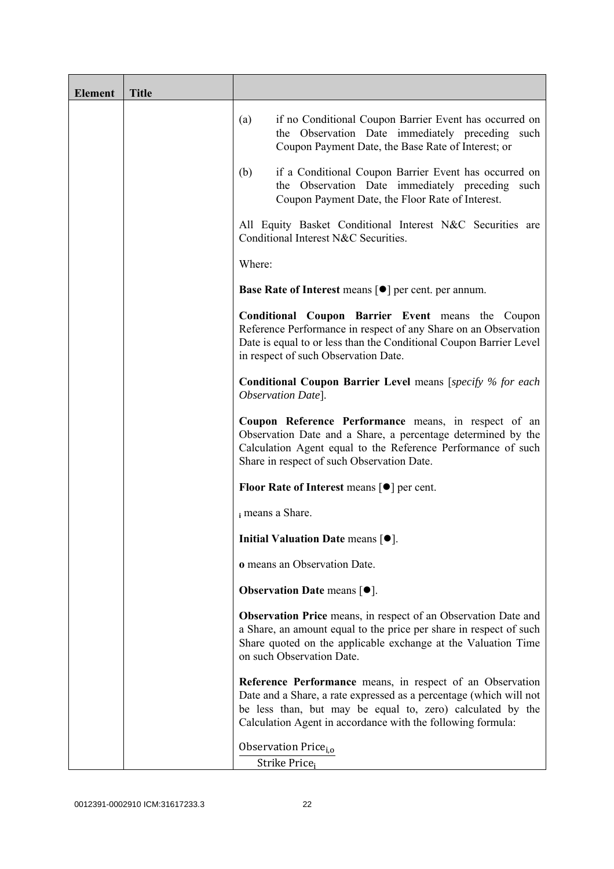| <b>Element</b> | <b>Title</b> |                                                                                                                                                                                                                                                              |
|----------------|--------------|--------------------------------------------------------------------------------------------------------------------------------------------------------------------------------------------------------------------------------------------------------------|
|                |              | if no Conditional Coupon Barrier Event has occurred on<br>(a)<br>the Observation Date immediately preceding such<br>Coupon Payment Date, the Base Rate of Interest; or                                                                                       |
|                |              | if a Conditional Coupon Barrier Event has occurred on<br>(b)<br>the Observation Date immediately preceding<br>such<br>Coupon Payment Date, the Floor Rate of Interest.                                                                                       |
|                |              | All Equity Basket Conditional Interest N&C Securities are<br>Conditional Interest N&C Securities.                                                                                                                                                            |
|                |              | Where:                                                                                                                                                                                                                                                       |
|                |              | Base Rate of Interest means [ $\bullet$ ] per cent. per annum.                                                                                                                                                                                               |
|                |              | <b>Conditional Coupon Barrier Event means the Coupon</b><br>Reference Performance in respect of any Share on an Observation<br>Date is equal to or less than the Conditional Coupon Barrier Level<br>in respect of such Observation Date.                    |
|                |              | <b>Conditional Coupon Barrier Level</b> means [specify % for each<br>Observation Date].                                                                                                                                                                      |
|                |              | Coupon Reference Performance means, in respect of an<br>Observation Date and a Share, a percentage determined by the<br>Calculation Agent equal to the Reference Performance of such<br>Share in respect of such Observation Date.                           |
|                |              | <b>Floor Rate of Interest means <math>\lceil \bullet \rceil</math> per cent.</b>                                                                                                                                                                             |
|                |              | i means a Share.                                                                                                                                                                                                                                             |
|                |              | Initial Valuation Date means [ $\bullet$ ].                                                                                                                                                                                                                  |
|                |              | o means an Observation Date.                                                                                                                                                                                                                                 |
|                |              | <b>Observation Date means <math>\lceil \bullet \rceil</math>.</b>                                                                                                                                                                                            |
|                |              | Observation Price means, in respect of an Observation Date and<br>a Share, an amount equal to the price per share in respect of such<br>Share quoted on the applicable exchange at the Valuation Time<br>on such Observation Date.                           |
|                |              | Reference Performance means, in respect of an Observation<br>Date and a Share, a rate expressed as a percentage (which will not<br>be less than, but may be equal to, zero) calculated by the<br>Calculation Agent in accordance with the following formula: |
|                |              | Observation Price <sub>i.o</sub>                                                                                                                                                                                                                             |
|                |              | Strike Price <sub>i</sub>                                                                                                                                                                                                                                    |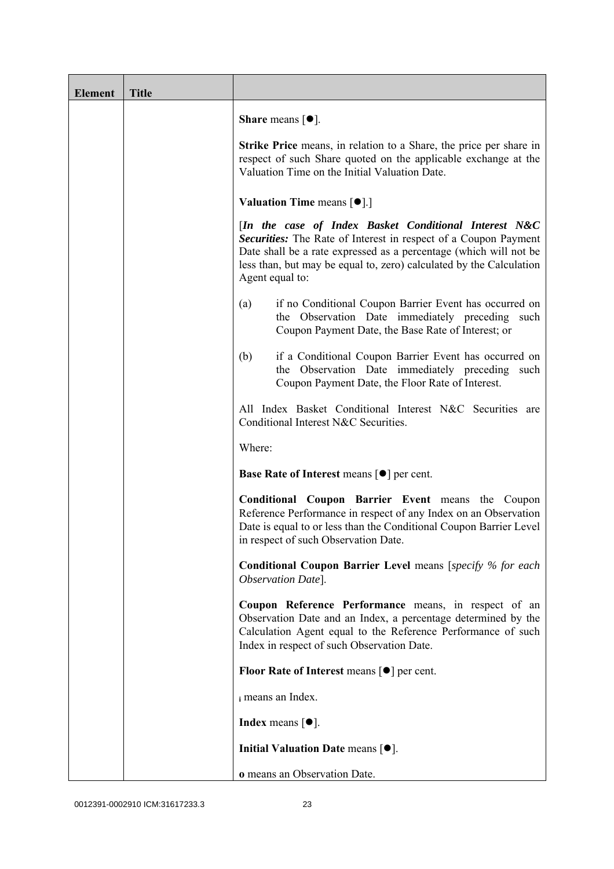| <b>Element</b> | <b>Title</b> |                                                                                                                                                                                                                                                                                         |
|----------------|--------------|-----------------------------------------------------------------------------------------------------------------------------------------------------------------------------------------------------------------------------------------------------------------------------------------|
|                |              | <b>Share</b> means $\lceil \bullet \rceil$ .                                                                                                                                                                                                                                            |
|                |              | <b>Strike Price</b> means, in relation to a Share, the price per share in<br>respect of such Share quoted on the applicable exchange at the<br>Valuation Time on the Initial Valuation Date.                                                                                            |
|                |              | <b>Valuation Time means <math>\lceil \bullet \rceil</math>.</b>                                                                                                                                                                                                                         |
|                |              | [In the case of Index Basket Conditional Interest N&C<br>Securities: The Rate of Interest in respect of a Coupon Payment<br>Date shall be a rate expressed as a percentage (which will not be<br>less than, but may be equal to, zero) calculated by the Calculation<br>Agent equal to: |
|                |              | if no Conditional Coupon Barrier Event has occurred on<br>(a)<br>the Observation Date immediately preceding such<br>Coupon Payment Date, the Base Rate of Interest; or                                                                                                                  |
|                |              | if a Conditional Coupon Barrier Event has occurred on<br>(b)<br>the Observation Date immediately preceding<br>such<br>Coupon Payment Date, the Floor Rate of Interest.                                                                                                                  |
|                |              | All Index Basket Conditional Interest N&C Securities are<br>Conditional Interest N&C Securities.                                                                                                                                                                                        |
|                |              | Where:                                                                                                                                                                                                                                                                                  |
|                |              | <b>Base Rate of Interest means <math>\lceil \bullet \rceil</math> per cent.</b>                                                                                                                                                                                                         |
|                |              | <b>Conditional Coupon Barrier Event means the Coupon</b><br>Reference Performance in respect of any Index on an Observation<br>Date is equal to or less than the Conditional Coupon Barrier Level<br>in respect of such Observation Date.                                               |
|                |              | <b>Conditional Coupon Barrier Level means [specify % for each</b><br>Observation Date].                                                                                                                                                                                                 |
|                |              | Coupon Reference Performance means, in respect of an<br>Observation Date and an Index, a percentage determined by the<br>Calculation Agent equal to the Reference Performance of such<br>Index in respect of such Observation Date.                                                     |
|                |              | <b>Floor Rate of Interest means <math>\lceil \bullet \rceil</math> per cent.</b>                                                                                                                                                                                                        |
|                |              | i means an Index.                                                                                                                                                                                                                                                                       |
|                |              | <b>Index</b> means $\lceil \bullet \rceil$ .                                                                                                                                                                                                                                            |
|                |              | Initial Valuation Date means $[•]$ .                                                                                                                                                                                                                                                    |
|                |              | o means an Observation Date.                                                                                                                                                                                                                                                            |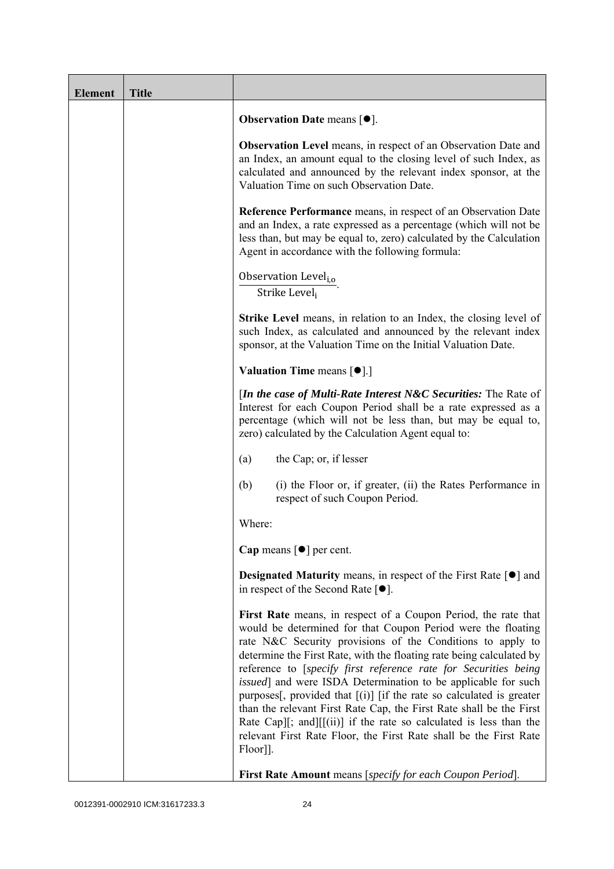| <b>Element</b> | <b>Title</b> |                                                                                                                                                                                                                                                                                                                                                                                                                                                                                                                                                                                                                                                                                                                          |
|----------------|--------------|--------------------------------------------------------------------------------------------------------------------------------------------------------------------------------------------------------------------------------------------------------------------------------------------------------------------------------------------------------------------------------------------------------------------------------------------------------------------------------------------------------------------------------------------------------------------------------------------------------------------------------------------------------------------------------------------------------------------------|
|                |              | Observation Date means [ $\bullet$ ].                                                                                                                                                                                                                                                                                                                                                                                                                                                                                                                                                                                                                                                                                    |
|                |              | <b>Observation Level</b> means, in respect of an Observation Date and<br>an Index, an amount equal to the closing level of such Index, as<br>calculated and announced by the relevant index sponsor, at the<br>Valuation Time on such Observation Date.                                                                                                                                                                                                                                                                                                                                                                                                                                                                  |
|                |              | <b>Reference Performance</b> means, in respect of an Observation Date<br>and an Index, a rate expressed as a percentage (which will not be<br>less than, but may be equal to, zero) calculated by the Calculation<br>Agent in accordance with the following formula:                                                                                                                                                                                                                                                                                                                                                                                                                                                     |
|                |              | Observation Level <sub>i,o</sub><br>Strike Level <sub>i</sub>                                                                                                                                                                                                                                                                                                                                                                                                                                                                                                                                                                                                                                                            |
|                |              | <b>Strike Level</b> means, in relation to an Index, the closing level of<br>such Index, as calculated and announced by the relevant index<br>sponsor, at the Valuation Time on the Initial Valuation Date.                                                                                                                                                                                                                                                                                                                                                                                                                                                                                                               |
|                |              | <b>Valuation Time means <math>\lceil \bullet \rceil</math>.</b>                                                                                                                                                                                                                                                                                                                                                                                                                                                                                                                                                                                                                                                          |
|                |              | [In the case of Multi-Rate Interest N&C Securities: The Rate of<br>Interest for each Coupon Period shall be a rate expressed as a<br>percentage (which will not be less than, but may be equal to,<br>zero) calculated by the Calculation Agent equal to:                                                                                                                                                                                                                                                                                                                                                                                                                                                                |
|                |              | the Cap; or, if lesser<br>(a)                                                                                                                                                                                                                                                                                                                                                                                                                                                                                                                                                                                                                                                                                            |
|                |              | (b)<br>(i) the Floor or, if greater, (ii) the Rates Performance in<br>respect of such Coupon Period.                                                                                                                                                                                                                                                                                                                                                                                                                                                                                                                                                                                                                     |
|                |              | Where:                                                                                                                                                                                                                                                                                                                                                                                                                                                                                                                                                                                                                                                                                                                   |
|                |              | Cap means $\lceil \bullet \rceil$ per cent.                                                                                                                                                                                                                                                                                                                                                                                                                                                                                                                                                                                                                                                                              |
|                |              | <b>Designated Maturity means, in respect of the First Rate <math>\lceil \bullet \rceil</math> and</b><br>in respect of the Second Rate $[•]$ .                                                                                                                                                                                                                                                                                                                                                                                                                                                                                                                                                                           |
|                |              | First Rate means, in respect of a Coupon Period, the rate that<br>would be determined for that Coupon Period were the floating<br>rate N&C Security provisions of the Conditions to apply to<br>determine the First Rate, with the floating rate being calculated by<br>reference to [specify first reference rate for Securities being<br><i>issued</i> ] and were ISDA Determination to be applicable for such<br>purposes[, provided that $[(i)]$ [if the rate so calculated is greater<br>than the relevant First Rate Cap, the First Rate shall be the First<br>Rate Cap][; and][[(ii)] if the rate so calculated is less than the<br>relevant First Rate Floor, the First Rate shall be the First Rate<br>Floor]]. |
|                |              | First Rate Amount means [specify for each Coupon Period].                                                                                                                                                                                                                                                                                                                                                                                                                                                                                                                                                                                                                                                                |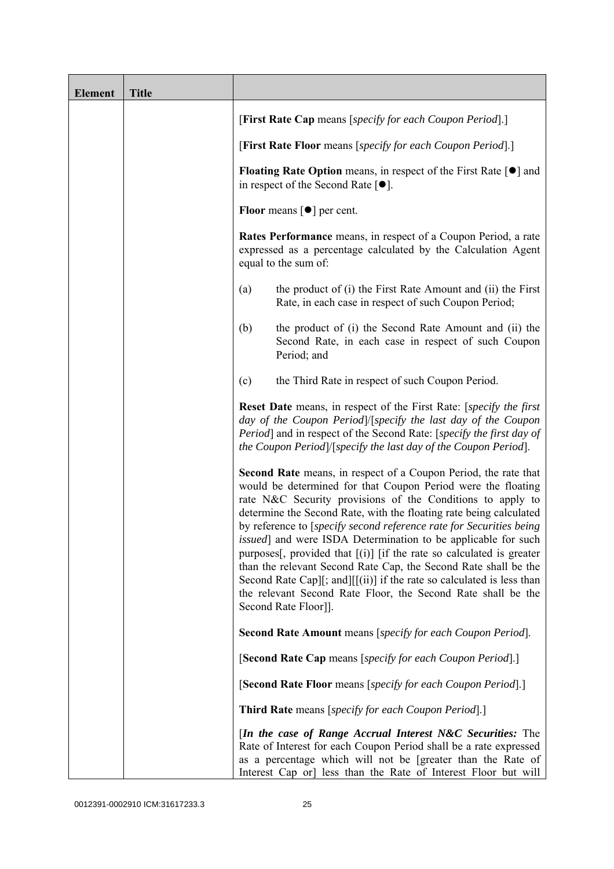| <b>Element</b> | <b>Title</b> |                                                                                                                                                                                                                                                                                                                                                                                                                                                                                                                                                                                                                                                                                                                           |  |  |
|----------------|--------------|---------------------------------------------------------------------------------------------------------------------------------------------------------------------------------------------------------------------------------------------------------------------------------------------------------------------------------------------------------------------------------------------------------------------------------------------------------------------------------------------------------------------------------------------------------------------------------------------------------------------------------------------------------------------------------------------------------------------------|--|--|
|                |              | [First Rate Cap means [specify for each Coupon Period].]                                                                                                                                                                                                                                                                                                                                                                                                                                                                                                                                                                                                                                                                  |  |  |
|                |              | [First Rate Floor means [specify for each Coupon Period].]                                                                                                                                                                                                                                                                                                                                                                                                                                                                                                                                                                                                                                                                |  |  |
|                |              | <b>Floating Rate Option</b> means, in respect of the First Rate $\lceil \bullet \rceil$ and<br>in respect of the Second Rate $[•]$ .<br>Floor means $\lceil \bullet \rceil$ per cent.                                                                                                                                                                                                                                                                                                                                                                                                                                                                                                                                     |  |  |
|                |              |                                                                                                                                                                                                                                                                                                                                                                                                                                                                                                                                                                                                                                                                                                                           |  |  |
|                |              | <b>Rates Performance</b> means, in respect of a Coupon Period, a rate<br>expressed as a percentage calculated by the Calculation Agent<br>equal to the sum of:                                                                                                                                                                                                                                                                                                                                                                                                                                                                                                                                                            |  |  |
|                |              | the product of (i) the First Rate Amount and (ii) the First<br>(a)<br>Rate, in each case in respect of such Coupon Period;                                                                                                                                                                                                                                                                                                                                                                                                                                                                                                                                                                                                |  |  |
|                |              | the product of (i) the Second Rate Amount and (ii) the<br>(b)<br>Second Rate, in each case in respect of such Coupon<br>Period; and                                                                                                                                                                                                                                                                                                                                                                                                                                                                                                                                                                                       |  |  |
|                |              | the Third Rate in respect of such Coupon Period.<br>(c)                                                                                                                                                                                                                                                                                                                                                                                                                                                                                                                                                                                                                                                                   |  |  |
|                |              | Reset Date means, in respect of the First Rate: [specify the first<br>day of the Coupon Period /[specify the last day of the Coupon<br>Period] and in respect of the Second Rate: [specify the first day of<br>the Coupon Period /[specify the last day of the Coupon Period].                                                                                                                                                                                                                                                                                                                                                                                                                                            |  |  |
|                |              | Second Rate means, in respect of a Coupon Period, the rate that<br>would be determined for that Coupon Period were the floating<br>rate N&C Security provisions of the Conditions to apply to<br>determine the Second Rate, with the floating rate being calculated<br>by reference to [specify second reference rate for Securities being<br>issued] and were ISDA Determination to be applicable for such<br>purposes[, provided that $[(i)]$ [if the rate so calculated is greater<br>than the relevant Second Rate Cap, the Second Rate shall be the<br>Second Rate Cap][; and][[(ii)] if the rate so calculated is less than<br>the relevant Second Rate Floor, the Second Rate shall be the<br>Second Rate Floor]]. |  |  |
|                |              | <b>Second Rate Amount</b> means [specify for each Coupon Period].                                                                                                                                                                                                                                                                                                                                                                                                                                                                                                                                                                                                                                                         |  |  |
|                |              | [Second Rate Cap means [specify for each Coupon Period].]                                                                                                                                                                                                                                                                                                                                                                                                                                                                                                                                                                                                                                                                 |  |  |
|                |              | [Second Rate Floor means [specify for each Coupon Period].]                                                                                                                                                                                                                                                                                                                                                                                                                                                                                                                                                                                                                                                               |  |  |
|                |              | <b>Third Rate</b> means [specify for each Coupon Period].]                                                                                                                                                                                                                                                                                                                                                                                                                                                                                                                                                                                                                                                                |  |  |
|                |              | [In the case of Range Accrual Interest N&C Securities: The<br>Rate of Interest for each Coupon Period shall be a rate expressed<br>as a percentage which will not be [greater than the Rate of<br>Interest Cap or] less than the Rate of Interest Floor but will                                                                                                                                                                                                                                                                                                                                                                                                                                                          |  |  |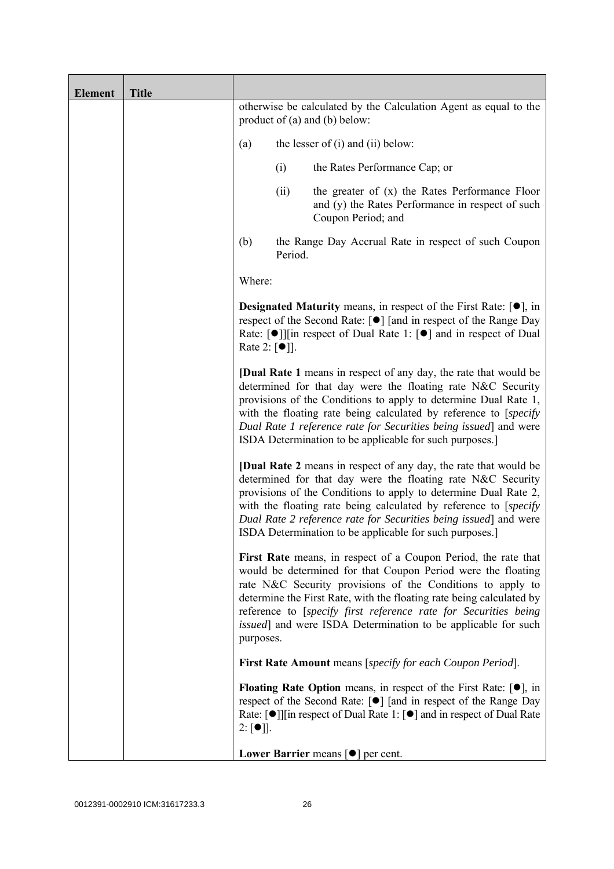| <b>Element</b> | <b>Title</b> |                  |                                                                                                                                                                                                                                                                                                  |                                                                                                                                                                                                                                                                                                                                                                                                                  |
|----------------|--------------|------------------|--------------------------------------------------------------------------------------------------------------------------------------------------------------------------------------------------------------------------------------------------------------------------------------------------|------------------------------------------------------------------------------------------------------------------------------------------------------------------------------------------------------------------------------------------------------------------------------------------------------------------------------------------------------------------------------------------------------------------|
|                |              |                  |                                                                                                                                                                                                                                                                                                  | otherwise be calculated by the Calculation Agent as equal to the<br>product of $(a)$ and $(b)$ below:                                                                                                                                                                                                                                                                                                            |
|                |              | (a)              |                                                                                                                                                                                                                                                                                                  | the lesser of $(i)$ and $(ii)$ below:                                                                                                                                                                                                                                                                                                                                                                            |
|                |              |                  | (i)                                                                                                                                                                                                                                                                                              | the Rates Performance Cap; or                                                                                                                                                                                                                                                                                                                                                                                    |
|                |              |                  | (ii)                                                                                                                                                                                                                                                                                             | the greater of $(x)$ the Rates Performance Floor<br>and (y) the Rates Performance in respect of such<br>Coupon Period; and                                                                                                                                                                                                                                                                                       |
|                |              | (b)              | Period.                                                                                                                                                                                                                                                                                          | the Range Day Accrual Rate in respect of such Coupon                                                                                                                                                                                                                                                                                                                                                             |
|                |              | Where:           |                                                                                                                                                                                                                                                                                                  |                                                                                                                                                                                                                                                                                                                                                                                                                  |
|                |              |                  | <b>Designated Maturity</b> means, in respect of the First Rate: $[•]$ , in<br>respect of the Second Rate: [●] [and in respect of the Range Day<br>Rate: $\lceil \bullet \rceil$   in respect of Dual Rate 1: $\lceil \bullet \rceil$ and in respect of Dual<br>Rate 2: $\lceil \bullet \rceil$ . |                                                                                                                                                                                                                                                                                                                                                                                                                  |
|                |              |                  |                                                                                                                                                                                                                                                                                                  | <b>[Dual Rate 1</b> means in respect of any day, the rate that would be<br>determined for that day were the floating rate N&C Security<br>provisions of the Conditions to apply to determine Dual Rate 1,<br>with the floating rate being calculated by reference to [specify]<br>Dual Rate 1 reference rate for Securities being issued] and were<br>ISDA Determination to be applicable for such purposes.]    |
|                |              |                  |                                                                                                                                                                                                                                                                                                  | <b>[Dual Rate 2</b> means in respect of any day, the rate that would be<br>determined for that day were the floating rate N&C Security<br>provisions of the Conditions to apply to determine Dual Rate 2,<br>with the floating rate being calculated by reference to [specify]<br>Dual Rate 2 reference rate for Securities being issued and were<br>ISDA Determination to be applicable for such purposes.]     |
|                |              | purposes.        |                                                                                                                                                                                                                                                                                                  | First Rate means, in respect of a Coupon Period, the rate that<br>would be determined for that Coupon Period were the floating<br>rate N&C Security provisions of the Conditions to apply to<br>determine the First Rate, with the floating rate being calculated by<br>reference to [specify first reference rate for Securities being<br><i>issued</i> ] and were ISDA Determination to be applicable for such |
|                |              |                  |                                                                                                                                                                                                                                                                                                  | <b>First Rate Amount</b> means [specify for each Coupon Period].                                                                                                                                                                                                                                                                                                                                                 |
|                |              | $2: [\bullet]$ . |                                                                                                                                                                                                                                                                                                  | <b>Floating Rate Option</b> means, in respect of the First Rate: $[•]$ , in<br>respect of the Second Rate: [●] [and in respect of the Range Day<br>Rate: $\lceil \bullet \rceil$   [in respect of Dual Rate 1: $\lceil \bullet \rceil$ and in respect of Dual Rate                                                                                                                                               |
|                |              |                  |                                                                                                                                                                                                                                                                                                  | Lower Barrier means $\lceil \bullet \rceil$ per cent.                                                                                                                                                                                                                                                                                                                                                            |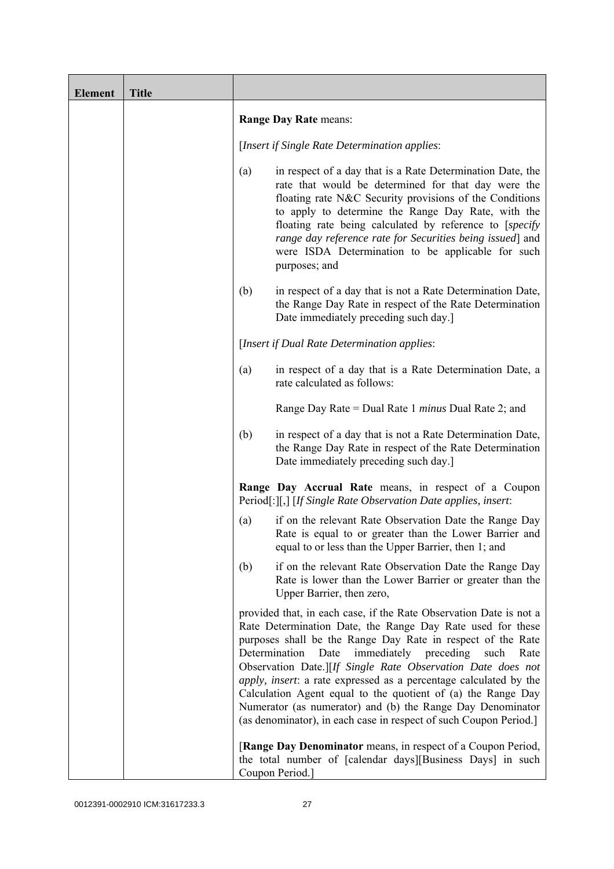| <b>Element</b> | <b>Title</b> |                                                                                                                                                                                                                                                                                                                                                                                                                                                                                                                                                                                                          |
|----------------|--------------|----------------------------------------------------------------------------------------------------------------------------------------------------------------------------------------------------------------------------------------------------------------------------------------------------------------------------------------------------------------------------------------------------------------------------------------------------------------------------------------------------------------------------------------------------------------------------------------------------------|
|                |              | Range Day Rate means:                                                                                                                                                                                                                                                                                                                                                                                                                                                                                                                                                                                    |
|                |              | [Insert if Single Rate Determination applies:                                                                                                                                                                                                                                                                                                                                                                                                                                                                                                                                                            |
|                |              | in respect of a day that is a Rate Determination Date, the<br>(a)<br>rate that would be determined for that day were the<br>floating rate N&C Security provisions of the Conditions<br>to apply to determine the Range Day Rate, with the<br>floating rate being calculated by reference to [specify]<br>range day reference rate for Securities being issued] and<br>were ISDA Determination to be applicable for such<br>purposes; and                                                                                                                                                                 |
|                |              | in respect of a day that is not a Rate Determination Date,<br>(b)<br>the Range Day Rate in respect of the Rate Determination<br>Date immediately preceding such day.                                                                                                                                                                                                                                                                                                                                                                                                                                     |
|                |              | [Insert if Dual Rate Determination applies:                                                                                                                                                                                                                                                                                                                                                                                                                                                                                                                                                              |
|                |              | in respect of a day that is a Rate Determination Date, a<br>(a)<br>rate calculated as follows:                                                                                                                                                                                                                                                                                                                                                                                                                                                                                                           |
|                |              | Range Day Rate = Dual Rate 1 <i>minus</i> Dual Rate 2; and                                                                                                                                                                                                                                                                                                                                                                                                                                                                                                                                               |
|                |              | in respect of a day that is not a Rate Determination Date,<br>(b)<br>the Range Day Rate in respect of the Rate Determination<br>Date immediately preceding such day.                                                                                                                                                                                                                                                                                                                                                                                                                                     |
|                |              | Range Day Accrual Rate means, in respect of a Coupon<br>Period[:][,] [If Single Rate Observation Date applies, insert:                                                                                                                                                                                                                                                                                                                                                                                                                                                                                   |
|                |              | if on the relevant Rate Observation Date the Range Day<br>(a)<br>Rate is equal to or greater than the Lower Barrier and<br>equal to or less than the Upper Barrier, then 1; and                                                                                                                                                                                                                                                                                                                                                                                                                          |
|                |              | if on the relevant Rate Observation Date the Range Day<br>(b)<br>Rate is lower than the Lower Barrier or greater than the<br>Upper Barrier, then zero,                                                                                                                                                                                                                                                                                                                                                                                                                                                   |
|                |              | provided that, in each case, if the Rate Observation Date is not a<br>Rate Determination Date, the Range Day Rate used for these<br>purposes shall be the Range Day Rate in respect of the Rate<br>immediately preceding<br>Determination<br>Date<br>such<br>Rate<br>Observation Date.][If Single Rate Observation Date does not<br>apply, insert: a rate expressed as a percentage calculated by the<br>Calculation Agent equal to the quotient of (a) the Range Day<br>Numerator (as numerator) and (b) the Range Day Denominator<br>(as denominator), in each case in respect of such Coupon Period.] |
|                |              | [Range Day Denominator means, in respect of a Coupon Period,<br>the total number of [calendar days][Business Days] in such<br>Coupon Period.]                                                                                                                                                                                                                                                                                                                                                                                                                                                            |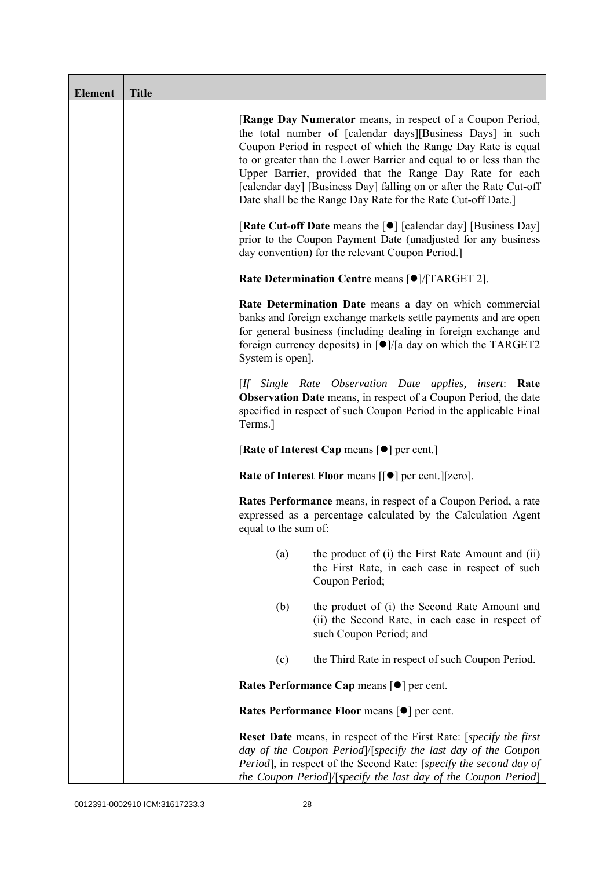| <b>Element</b> | <b>Title</b> |                                                                                                                                                                                                                                                                                                                                                                                                                                                                   |
|----------------|--------------|-------------------------------------------------------------------------------------------------------------------------------------------------------------------------------------------------------------------------------------------------------------------------------------------------------------------------------------------------------------------------------------------------------------------------------------------------------------------|
|                |              | [Range Day Numerator means, in respect of a Coupon Period,<br>the total number of [calendar days][Business Days] in such<br>Coupon Period in respect of which the Range Day Rate is equal<br>to or greater than the Lower Barrier and equal to or less than the<br>Upper Barrier, provided that the Range Day Rate for each<br>[calendar day] [Business Day] falling on or after the Rate Cut-off<br>Date shall be the Range Day Rate for the Rate Cut-off Date.] |
|                |              | <b>[Rate Cut-off Date</b> means the [ $\bullet$ ] [calendar day] [Business Day]<br>prior to the Coupon Payment Date (unadjusted for any business<br>day convention) for the relevant Coupon Period.]                                                                                                                                                                                                                                                              |
|                |              | Rate Determination Centre means [ $\bullet$ ]/[TARGET 2].                                                                                                                                                                                                                                                                                                                                                                                                         |
|                |              | Rate Determination Date means a day on which commercial<br>banks and foreign exchange markets settle payments and are open<br>for general business (including dealing in foreign exchange and<br>foreign currency deposits) in $\lceil \bullet \rceil / \lceil a \rceil$ day on which the TARGET2<br>System is open].                                                                                                                                             |
|                |              | [If Single Rate Observation Date applies, insert: Rate<br><b>Observation Date</b> means, in respect of a Coupon Period, the date<br>specified in respect of such Coupon Period in the applicable Final<br>Terms.]                                                                                                                                                                                                                                                 |
|                |              | [Rate of Interest Cap means $\lceil \bullet \rceil$ per cent.]                                                                                                                                                                                                                                                                                                                                                                                                    |
|                |              | Rate of Interest Floor means [[ $\bullet$ ] per cent.][zero].                                                                                                                                                                                                                                                                                                                                                                                                     |
|                |              | Rates Performance means, in respect of a Coupon Period, a rate<br>expressed as a percentage calculated by the Calculation Agent<br>equal to the sum of:                                                                                                                                                                                                                                                                                                           |
|                |              | the product of (i) the First Rate Amount and (ii)<br>(a)<br>the First Rate, in each case in respect of such<br>Coupon Period;                                                                                                                                                                                                                                                                                                                                     |
|                |              | (b)<br>the product of (i) the Second Rate Amount and<br>(ii) the Second Rate, in each case in respect of<br>such Coupon Period; and                                                                                                                                                                                                                                                                                                                               |
|                |              | the Third Rate in respect of such Coupon Period.<br>(c)                                                                                                                                                                                                                                                                                                                                                                                                           |
|                |              | Rates Performance Cap means [ $\bullet$ ] per cent.                                                                                                                                                                                                                                                                                                                                                                                                               |
|                |              | Rates Performance Floor means [ $\bullet$ ] per cent.                                                                                                                                                                                                                                                                                                                                                                                                             |
|                |              | <b>Reset Date</b> means, in respect of the First Rate: [specify the first<br>day of the Coupon Period /[specify the last day of the Coupon<br>Period], in respect of the Second Rate: [specify the second day of<br>the Coupon Period]/[specify the last day of the Coupon Period]                                                                                                                                                                                |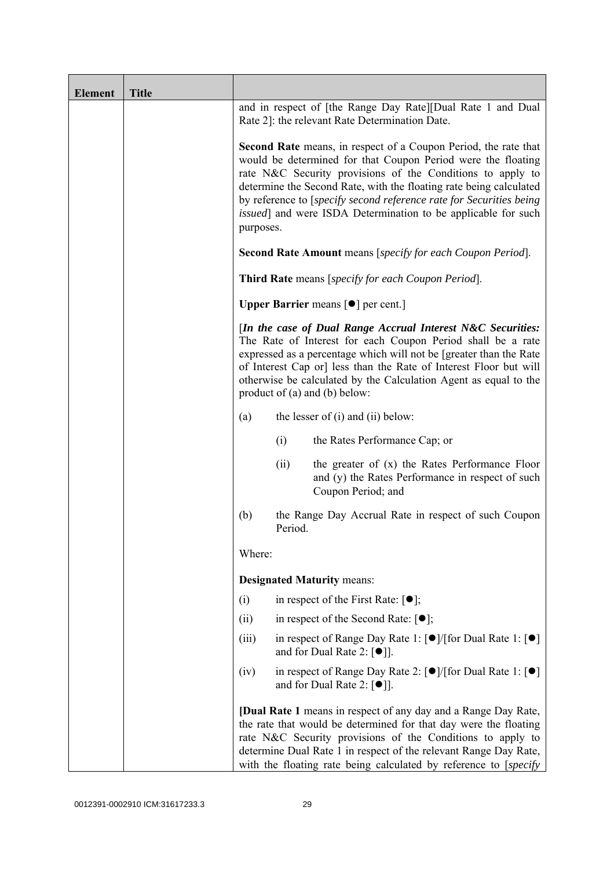| <b>Element</b> | <b>Title</b> |                                                                                                                                                                                                                                                                                                                                                                                |         |                                                                                                                                                                                                                                                                                                                                                                                                                     |
|----------------|--------------|--------------------------------------------------------------------------------------------------------------------------------------------------------------------------------------------------------------------------------------------------------------------------------------------------------------------------------------------------------------------------------|---------|---------------------------------------------------------------------------------------------------------------------------------------------------------------------------------------------------------------------------------------------------------------------------------------------------------------------------------------------------------------------------------------------------------------------|
|                |              |                                                                                                                                                                                                                                                                                                                                                                                |         | and in respect of [the Range Day Rate][Dual Rate 1 and Dual<br>Rate 2]: the relevant Rate Determination Date.                                                                                                                                                                                                                                                                                                       |
|                |              | purposes.                                                                                                                                                                                                                                                                                                                                                                      |         | <b>Second Rate</b> means, in respect of a Coupon Period, the rate that<br>would be determined for that Coupon Period were the floating<br>rate N&C Security provisions of the Conditions to apply to<br>determine the Second Rate, with the floating rate being calculated<br>by reference to [specify second reference rate for Securities being]<br>issued] and were ISDA Determination to be applicable for such |
|                |              |                                                                                                                                                                                                                                                                                                                                                                                |         | <b>Second Rate Amount</b> means [specify for each Coupon Period].                                                                                                                                                                                                                                                                                                                                                   |
|                |              |                                                                                                                                                                                                                                                                                                                                                                                |         | Third Rate means [specify for each Coupon Period].                                                                                                                                                                                                                                                                                                                                                                  |
|                |              |                                                                                                                                                                                                                                                                                                                                                                                |         | <b>Upper Barrier</b> means $\lceil \bullet \rceil$ per cent.]                                                                                                                                                                                                                                                                                                                                                       |
|                |              | [In the case of Dual Range Accrual Interest N&C Securities:<br>The Rate of Interest for each Coupon Period shall be a rate<br>expressed as a percentage which will not be [greater than the Rate<br>of Interest Cap or] less than the Rate of Interest Floor but will<br>otherwise be calculated by the Calculation Agent as equal to the<br>product of $(a)$ and $(b)$ below: |         |                                                                                                                                                                                                                                                                                                                                                                                                                     |
|                |              | (a)                                                                                                                                                                                                                                                                                                                                                                            |         | the lesser of $(i)$ and $(ii)$ below:                                                                                                                                                                                                                                                                                                                                                                               |
|                |              |                                                                                                                                                                                                                                                                                                                                                                                | (i)     | the Rates Performance Cap; or                                                                                                                                                                                                                                                                                                                                                                                       |
|                |              |                                                                                                                                                                                                                                                                                                                                                                                | (ii)    | the greater of $(x)$ the Rates Performance Floor<br>and (y) the Rates Performance in respect of such<br>Coupon Period; and                                                                                                                                                                                                                                                                                          |
|                |              | (b)                                                                                                                                                                                                                                                                                                                                                                            | Period. | the Range Day Accrual Rate in respect of such Coupon                                                                                                                                                                                                                                                                                                                                                                |
|                |              | Where:                                                                                                                                                                                                                                                                                                                                                                         |         |                                                                                                                                                                                                                                                                                                                                                                                                                     |
|                |              |                                                                                                                                                                                                                                                                                                                                                                                |         | <b>Designated Maturity means:</b>                                                                                                                                                                                                                                                                                                                                                                                   |
|                |              | (i)                                                                                                                                                                                                                                                                                                                                                                            |         | in respect of the First Rate: $[•]$ ;                                                                                                                                                                                                                                                                                                                                                                               |
|                |              | (ii)                                                                                                                                                                                                                                                                                                                                                                           |         | in respect of the Second Rate: $[•]$ ;                                                                                                                                                                                                                                                                                                                                                                              |
|                |              | (iii)                                                                                                                                                                                                                                                                                                                                                                          |         | in respect of Range Day Rate 1: $\lceil \bullet \rceil / \lceil \text{for Dual Rate 1} \rceil \lceil \bullet \rceil$<br>and for Dual Rate 2: $[•]$ ].                                                                                                                                                                                                                                                               |
|                |              | (iv)                                                                                                                                                                                                                                                                                                                                                                           |         | in respect of Range Day Rate 2: [●]/[for Dual Rate 1: [●]<br>and for Dual Rate 2: $[\bullet]$ ].                                                                                                                                                                                                                                                                                                                    |
|                |              |                                                                                                                                                                                                                                                                                                                                                                                |         | [Dual Rate 1 means in respect of any day and a Range Day Rate,<br>the rate that would be determined for that day were the floating<br>rate N&C Security provisions of the Conditions to apply to<br>determine Dual Rate 1 in respect of the relevant Range Day Rate,<br>with the floating rate being calculated by reference to [specify]                                                                           |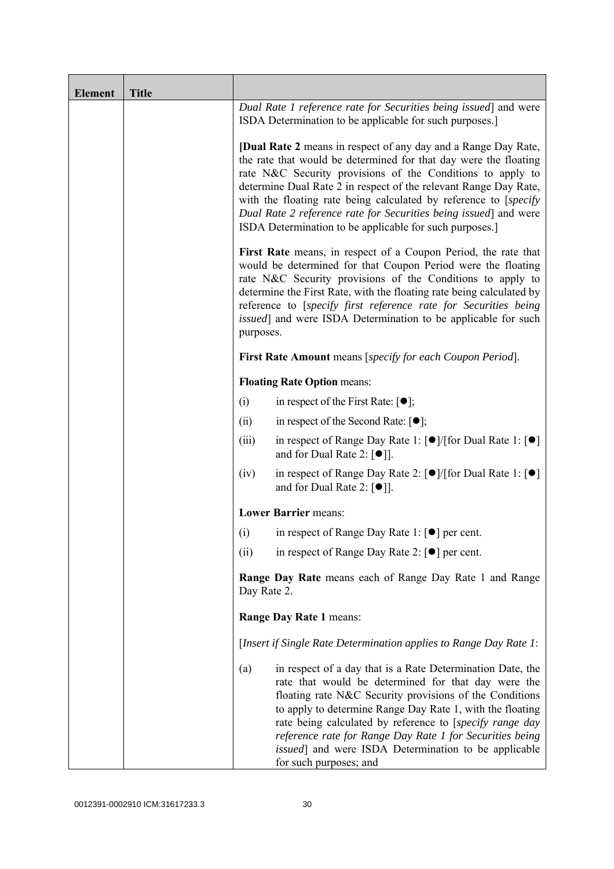| <b>Element</b> | <b>Title</b> |                                                                                                                                                                                                                                                                                                                                                                                                                                                                                 |                                                                                                                                                                                                                                                                                                                                                                                                                                                     |  |
|----------------|--------------|---------------------------------------------------------------------------------------------------------------------------------------------------------------------------------------------------------------------------------------------------------------------------------------------------------------------------------------------------------------------------------------------------------------------------------------------------------------------------------|-----------------------------------------------------------------------------------------------------------------------------------------------------------------------------------------------------------------------------------------------------------------------------------------------------------------------------------------------------------------------------------------------------------------------------------------------------|--|
|                |              |                                                                                                                                                                                                                                                                                                                                                                                                                                                                                 | Dual Rate 1 reference rate for Securities being issued] and were<br>ISDA Determination to be applicable for such purposes.]                                                                                                                                                                                                                                                                                                                         |  |
|                |              | <b>[Dual Rate 2</b> means in respect of any day and a Range Day Rate,<br>the rate that would be determined for that day were the floating<br>rate N&C Security provisions of the Conditions to apply to<br>determine Dual Rate 2 in respect of the relevant Range Day Rate,<br>with the floating rate being calculated by reference to [specify]<br>Dual Rate 2 reference rate for Securities being issued] and were<br>ISDA Determination to be applicable for such purposes.] |                                                                                                                                                                                                                                                                                                                                                                                                                                                     |  |
|                |              | First Rate means, in respect of a Coupon Period, the rate that<br>would be determined for that Coupon Period were the floating<br>rate N&C Security provisions of the Conditions to apply to<br>determine the First Rate, with the floating rate being calculated by<br>reference to [specify first reference rate for Securities being<br>issued] and were ISDA Determination to be applicable for such<br>purposes.                                                           |                                                                                                                                                                                                                                                                                                                                                                                                                                                     |  |
|                |              |                                                                                                                                                                                                                                                                                                                                                                                                                                                                                 | First Rate Amount means [specify for each Coupon Period].                                                                                                                                                                                                                                                                                                                                                                                           |  |
|                |              |                                                                                                                                                                                                                                                                                                                                                                                                                                                                                 | <b>Floating Rate Option means:</b>                                                                                                                                                                                                                                                                                                                                                                                                                  |  |
|                |              | (i)                                                                                                                                                                                                                                                                                                                                                                                                                                                                             | in respect of the First Rate: $[•]$ ;                                                                                                                                                                                                                                                                                                                                                                                                               |  |
|                |              | (ii)                                                                                                                                                                                                                                                                                                                                                                                                                                                                            | in respect of the Second Rate: $[•]$ ;                                                                                                                                                                                                                                                                                                                                                                                                              |  |
|                |              | (iii)                                                                                                                                                                                                                                                                                                                                                                                                                                                                           | in respect of Range Day Rate 1: $\lceil \bullet \rceil / \lceil \text{for Dual Rate 1} \rceil \rceil$<br>and for Dual Rate 2: $\lceil \bullet \rceil$ .                                                                                                                                                                                                                                                                                             |  |
|                |              | (iv)                                                                                                                                                                                                                                                                                                                                                                                                                                                                            | in respect of Range Day Rate 2: $\lceil \bullet \rceil / \lceil \text{for Dual Rate 1} \rceil \rceil$<br>and for Dual Rate 2: $\lceil \bullet \rceil$ .                                                                                                                                                                                                                                                                                             |  |
|                |              |                                                                                                                                                                                                                                                                                                                                                                                                                                                                                 | <b>Lower Barrier means:</b>                                                                                                                                                                                                                                                                                                                                                                                                                         |  |
|                |              | (i)                                                                                                                                                                                                                                                                                                                                                                                                                                                                             | in respect of Range Day Rate 1: $\lceil \bullet \rceil$ per cent.                                                                                                                                                                                                                                                                                                                                                                                   |  |
|                |              | (ii)                                                                                                                                                                                                                                                                                                                                                                                                                                                                            | in respect of Range Day Rate 2: $\lceil \bullet \rceil$ per cent.                                                                                                                                                                                                                                                                                                                                                                                   |  |
|                |              | <b>Range Day Rate</b> means each of Range Day Rate 1 and Range<br>Day Rate 2.                                                                                                                                                                                                                                                                                                                                                                                                   |                                                                                                                                                                                                                                                                                                                                                                                                                                                     |  |
|                |              |                                                                                                                                                                                                                                                                                                                                                                                                                                                                                 | Range Day Rate 1 means:                                                                                                                                                                                                                                                                                                                                                                                                                             |  |
|                |              | [Insert if Single Rate Determination applies to Range Day Rate 1:                                                                                                                                                                                                                                                                                                                                                                                                               |                                                                                                                                                                                                                                                                                                                                                                                                                                                     |  |
|                |              | (a)                                                                                                                                                                                                                                                                                                                                                                                                                                                                             | in respect of a day that is a Rate Determination Date, the<br>rate that would be determined for that day were the<br>floating rate N&C Security provisions of the Conditions<br>to apply to determine Range Day Rate 1, with the floating<br>rate being calculated by reference to [specify range day<br>reference rate for Range Day Rate 1 for Securities being<br>issued] and were ISDA Determination to be applicable<br>for such purposes; and |  |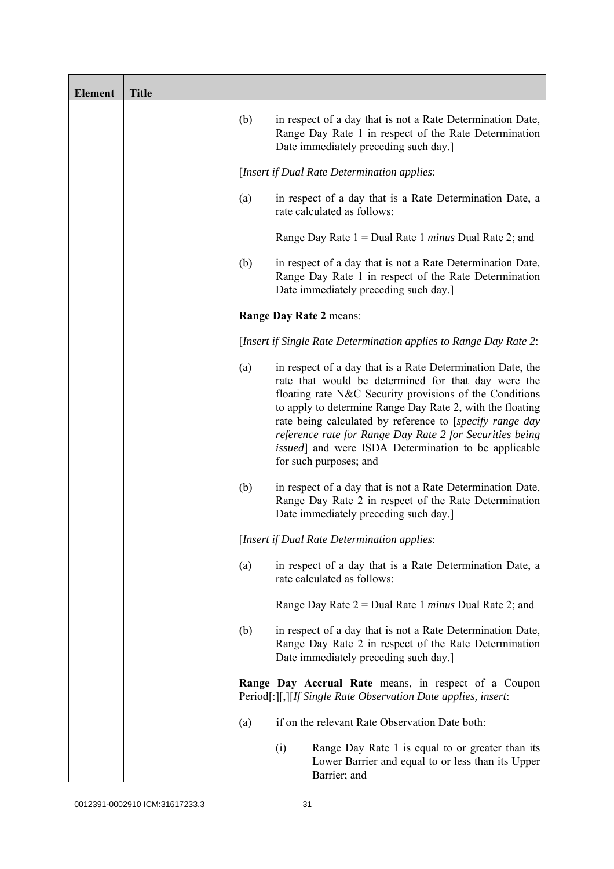| <b>Element</b> | <b>Title</b> |     |                                                                                                                                                                                                                                                                                                                                                                                                                                                             |
|----------------|--------------|-----|-------------------------------------------------------------------------------------------------------------------------------------------------------------------------------------------------------------------------------------------------------------------------------------------------------------------------------------------------------------------------------------------------------------------------------------------------------------|
|                |              | (b) | in respect of a day that is not a Rate Determination Date,<br>Range Day Rate 1 in respect of the Rate Determination<br>Date immediately preceding such day.]                                                                                                                                                                                                                                                                                                |
|                |              |     | [Insert if Dual Rate Determination applies:                                                                                                                                                                                                                                                                                                                                                                                                                 |
|                |              | (a) | in respect of a day that is a Rate Determination Date, a<br>rate calculated as follows:                                                                                                                                                                                                                                                                                                                                                                     |
|                |              |     | Range Day Rate $1 =$ Dual Rate 1 <i>minus</i> Dual Rate 2; and                                                                                                                                                                                                                                                                                                                                                                                              |
|                |              | (b) | in respect of a day that is not a Rate Determination Date,<br>Range Day Rate 1 in respect of the Rate Determination<br>Date immediately preceding such day.]                                                                                                                                                                                                                                                                                                |
|                |              |     | Range Day Rate 2 means:                                                                                                                                                                                                                                                                                                                                                                                                                                     |
|                |              |     | [Insert if Single Rate Determination applies to Range Day Rate 2:                                                                                                                                                                                                                                                                                                                                                                                           |
|                |              | (a) | in respect of a day that is a Rate Determination Date, the<br>rate that would be determined for that day were the<br>floating rate N&C Security provisions of the Conditions<br>to apply to determine Range Day Rate 2, with the floating<br>rate being calculated by reference to [specify range day<br>reference rate for Range Day Rate 2 for Securities being<br><i>issued</i> ] and were ISDA Determination to be applicable<br>for such purposes; and |
|                |              | (b) | in respect of a day that is not a Rate Determination Date,<br>Range Day Rate 2 in respect of the Rate Determination<br>Date immediately preceding such day.]                                                                                                                                                                                                                                                                                                |
|                |              |     | [Insert if Dual Rate Determination applies:                                                                                                                                                                                                                                                                                                                                                                                                                 |
|                |              | (a) | in respect of a day that is a Rate Determination Date, a<br>rate calculated as follows:                                                                                                                                                                                                                                                                                                                                                                     |
|                |              |     | Range Day Rate $2 =$ Dual Rate 1 <i>minus</i> Dual Rate 2; and                                                                                                                                                                                                                                                                                                                                                                                              |
|                |              | (b) | in respect of a day that is not a Rate Determination Date,<br>Range Day Rate 2 in respect of the Rate Determination<br>Date immediately preceding such day.]                                                                                                                                                                                                                                                                                                |
|                |              |     | Range Day Accrual Rate means, in respect of a Coupon<br>Period[:][,][If Single Rate Observation Date applies, insert:                                                                                                                                                                                                                                                                                                                                       |
|                |              | (a) | if on the relevant Rate Observation Date both:                                                                                                                                                                                                                                                                                                                                                                                                              |
|                |              |     | Range Day Rate 1 is equal to or greater than its<br>(i)<br>Lower Barrier and equal to or less than its Upper<br>Barrier; and                                                                                                                                                                                                                                                                                                                                |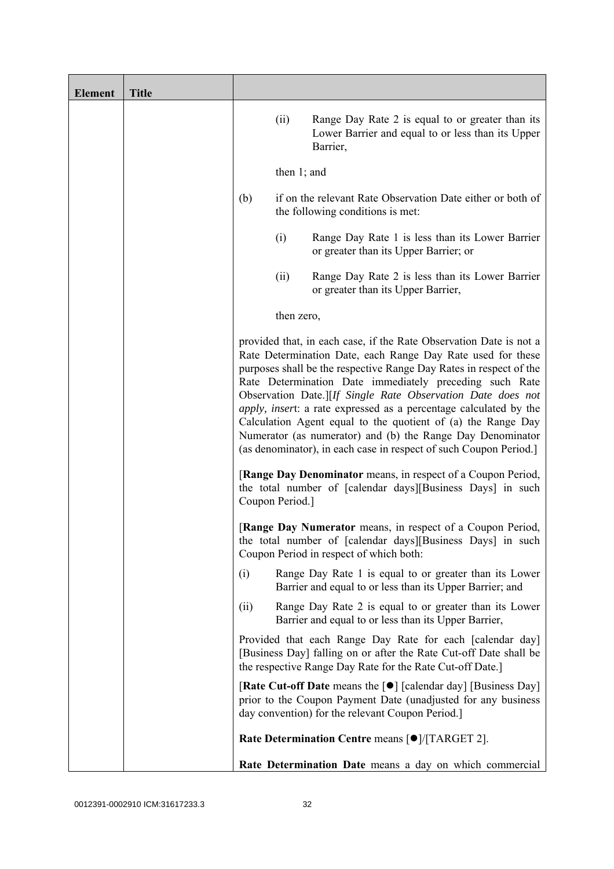| <b>Element</b> | <b>Title</b> |                                                                                                                                                                                                                                                                                                                                                                                                                                                                                                                                                                                                           |                 |                                                                                                                                                                                             |
|----------------|--------------|-----------------------------------------------------------------------------------------------------------------------------------------------------------------------------------------------------------------------------------------------------------------------------------------------------------------------------------------------------------------------------------------------------------------------------------------------------------------------------------------------------------------------------------------------------------------------------------------------------------|-----------------|---------------------------------------------------------------------------------------------------------------------------------------------------------------------------------------------|
|                |              |                                                                                                                                                                                                                                                                                                                                                                                                                                                                                                                                                                                                           | (ii)            | Range Day Rate 2 is equal to or greater than its<br>Lower Barrier and equal to or less than its Upper<br>Barrier,                                                                           |
|                |              |                                                                                                                                                                                                                                                                                                                                                                                                                                                                                                                                                                                                           | then $1$ ; and  |                                                                                                                                                                                             |
|                |              | (b)                                                                                                                                                                                                                                                                                                                                                                                                                                                                                                                                                                                                       |                 | if on the relevant Rate Observation Date either or both of<br>the following conditions is met:                                                                                              |
|                |              |                                                                                                                                                                                                                                                                                                                                                                                                                                                                                                                                                                                                           | (i)             | Range Day Rate 1 is less than its Lower Barrier<br>or greater than its Upper Barrier; or                                                                                                    |
|                |              |                                                                                                                                                                                                                                                                                                                                                                                                                                                                                                                                                                                                           | (ii)            | Range Day Rate 2 is less than its Lower Barrier<br>or greater than its Upper Barrier,                                                                                                       |
|                |              |                                                                                                                                                                                                                                                                                                                                                                                                                                                                                                                                                                                                           | then zero,      |                                                                                                                                                                                             |
|                |              | provided that, in each case, if the Rate Observation Date is not a<br>Rate Determination Date, each Range Day Rate used for these<br>purposes shall be the respective Range Day Rates in respect of the<br>Rate Determination Date immediately preceding such Rate<br>Observation Date.][If Single Rate Observation Date does not<br>apply, insert: a rate expressed as a percentage calculated by the<br>Calculation Agent equal to the quotient of (a) the Range Day<br>Numerator (as numerator) and (b) the Range Day Denominator<br>(as denominator), in each case in respect of such Coupon Period.] |                 |                                                                                                                                                                                             |
|                |              |                                                                                                                                                                                                                                                                                                                                                                                                                                                                                                                                                                                                           | Coupon Period.] | [Range Day Denominator means, in respect of a Coupon Period,<br>the total number of [calendar days][Business Days] in such                                                                  |
|                |              |                                                                                                                                                                                                                                                                                                                                                                                                                                                                                                                                                                                                           |                 | [Range Day Numerator means, in respect of a Coupon Period,<br>the total number of [calendar days][Business Days] in such<br>Coupon Period in respect of which both:                         |
|                |              | (i)                                                                                                                                                                                                                                                                                                                                                                                                                                                                                                                                                                                                       |                 | Range Day Rate 1 is equal to or greater than its Lower<br>Barrier and equal to or less than its Upper Barrier; and                                                                          |
|                |              | (ii)                                                                                                                                                                                                                                                                                                                                                                                                                                                                                                                                                                                                      |                 | Range Day Rate 2 is equal to or greater than its Lower<br>Barrier and equal to or less than its Upper Barrier,                                                                              |
|                |              |                                                                                                                                                                                                                                                                                                                                                                                                                                                                                                                                                                                                           |                 | Provided that each Range Day Rate for each [calendar day]<br>[Business Day] falling on or after the Rate Cut-off Date shall be<br>the respective Range Day Rate for the Rate Cut-off Date.] |
|                |              |                                                                                                                                                                                                                                                                                                                                                                                                                                                                                                                                                                                                           |                 | [Rate Cut-off Date means the [●] [calendar day] [Business Day]<br>prior to the Coupon Payment Date (unadjusted for any business<br>day convention) for the relevant Coupon Period.]         |
|                |              |                                                                                                                                                                                                                                                                                                                                                                                                                                                                                                                                                                                                           |                 | Rate Determination Centre means [ $\bullet$ ]/[TARGET 2].                                                                                                                                   |
|                |              |                                                                                                                                                                                                                                                                                                                                                                                                                                                                                                                                                                                                           |                 | Rate Determination Date means a day on which commercial                                                                                                                                     |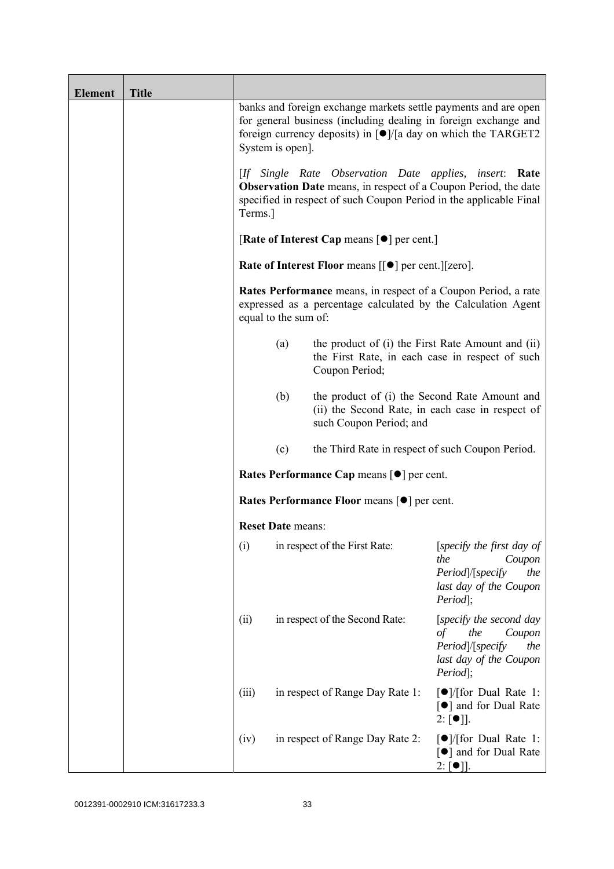| <b>Element</b> | <b>Title</b> |                          |                                                                                                                                                                                                                          |                                                                                                                         |
|----------------|--------------|--------------------------|--------------------------------------------------------------------------------------------------------------------------------------------------------------------------------------------------------------------------|-------------------------------------------------------------------------------------------------------------------------|
|                |              | System is open].         | banks and foreign exchange markets settle payments and are open<br>for general business (including dealing in foreign exchange and<br>foreign currency deposits) in $\lceil \bullet \rceil$ /[a day on which the TARGET2 |                                                                                                                         |
|                |              | Terms.]                  | [If Single Rate Observation Date applies, insert: Rate<br><b>Observation Date</b> means, in respect of a Coupon Period, the date<br>specified in respect of such Coupon Period in the applicable Final                   |                                                                                                                         |
|                |              |                          | [Rate of Interest Cap means $\lceil \bullet \rceil$ per cent.]                                                                                                                                                           |                                                                                                                         |
|                |              |                          | <b>Rate of Interest Floor means <math>\lceil \bullet \rceil</math> per cent. <math>\lceil \lceil \text{zero} \rceil</math>.</b>                                                                                          |                                                                                                                         |
|                |              | equal to the sum of:     | Rates Performance means, in respect of a Coupon Period, a rate<br>expressed as a percentage calculated by the Calculation Agent                                                                                          |                                                                                                                         |
|                |              | (a)                      | the product of (i) the First Rate Amount and (ii)<br>the First Rate, in each case in respect of such<br>Coupon Period;                                                                                                   |                                                                                                                         |
|                |              | (b)                      | the product of (i) the Second Rate Amount and<br>(ii) the Second Rate, in each case in respect of<br>such Coupon Period; and                                                                                             |                                                                                                                         |
|                |              | (c)                      | the Third Rate in respect of such Coupon Period.                                                                                                                                                                         |                                                                                                                         |
|                |              |                          | Rates Performance Cap means [ $\bullet$ ] per cent.                                                                                                                                                                      |                                                                                                                         |
|                |              |                          | <b>Rates Performance Floor means [●] per cent.</b>                                                                                                                                                                       |                                                                                                                         |
|                |              | <b>Reset Date means:</b> |                                                                                                                                                                                                                          |                                                                                                                         |
|                |              | (i)                      | in respect of the First Rate:                                                                                                                                                                                            | [specify the first day of<br>the<br>Coupon<br>Period /[specify<br>the<br>last day of the Coupon<br>Period];             |
|                |              | (ii)                     | in respect of the Second Rate:                                                                                                                                                                                           | [specify the second day<br>the<br>$\sigma f$<br>Coupon<br>Period /[specify<br>the<br>last day of the Coupon<br>Period]; |
|                |              | (iii)                    | in respect of Range Day Rate 1:                                                                                                                                                                                          | $\lceil \bullet \rceil$ / [for Dual Rate 1:<br>[●] and for Dual Rate<br>$2: [\bullet]$ .                                |
|                |              | (iv)                     | in respect of Range Day Rate 2:                                                                                                                                                                                          | $\lceil \bullet \rceil$ / [for Dual Rate 1:<br>[●] and for Dual Rate<br>$2: [\bullet]$ .                                |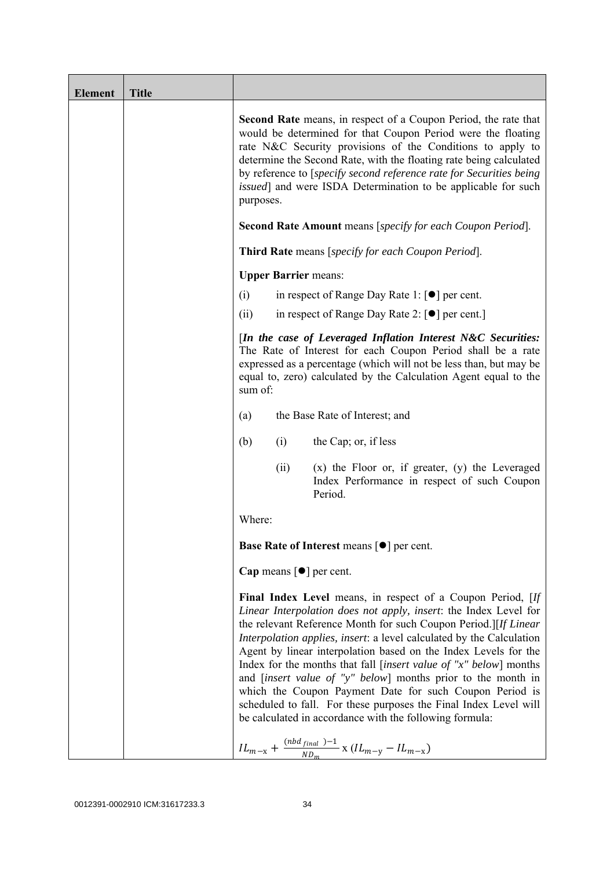| <b>Element</b> | <b>Title</b> |                                                                                                                                                                                                                                                                                                                                                                                                                                                                                                                                                                                                                                                                                                                                                                |  |  |
|----------------|--------------|----------------------------------------------------------------------------------------------------------------------------------------------------------------------------------------------------------------------------------------------------------------------------------------------------------------------------------------------------------------------------------------------------------------------------------------------------------------------------------------------------------------------------------------------------------------------------------------------------------------------------------------------------------------------------------------------------------------------------------------------------------------|--|--|
|                |              | <b>Second Rate</b> means, in respect of a Coupon Period, the rate that<br>would be determined for that Coupon Period were the floating<br>rate N&C Security provisions of the Conditions to apply to<br>determine the Second Rate, with the floating rate being calculated<br>by reference to [specify second reference rate for Securities being<br><i>issued</i> ] and were ISDA Determination to be applicable for such<br>purposes.<br><b>Second Rate Amount</b> means [specify for each Coupon Period].                                                                                                                                                                                                                                                   |  |  |
|                |              | <b>Third Rate</b> means [specify for each Coupon Period].                                                                                                                                                                                                                                                                                                                                                                                                                                                                                                                                                                                                                                                                                                      |  |  |
|                |              | <b>Upper Barrier means:</b>                                                                                                                                                                                                                                                                                                                                                                                                                                                                                                                                                                                                                                                                                                                                    |  |  |
|                |              | in respect of Range Day Rate 1: $\lceil \bullet \rceil$ per cent.<br>(i)                                                                                                                                                                                                                                                                                                                                                                                                                                                                                                                                                                                                                                                                                       |  |  |
|                |              | in respect of Range Day Rate 2: $\lceil \bullet \rceil$ per cent.<br>(ii)                                                                                                                                                                                                                                                                                                                                                                                                                                                                                                                                                                                                                                                                                      |  |  |
|                |              | [In the case of Leveraged Inflation Interest N&C Securities:<br>The Rate of Interest for each Coupon Period shall be a rate<br>expressed as a percentage (which will not be less than, but may be<br>equal to, zero) calculated by the Calculation Agent equal to the<br>sum of:                                                                                                                                                                                                                                                                                                                                                                                                                                                                               |  |  |
|                |              | the Base Rate of Interest; and<br>(a)                                                                                                                                                                                                                                                                                                                                                                                                                                                                                                                                                                                                                                                                                                                          |  |  |
|                |              | (b)<br>(i)<br>the Cap; or, if less                                                                                                                                                                                                                                                                                                                                                                                                                                                                                                                                                                                                                                                                                                                             |  |  |
|                |              | $(x)$ the Floor or, if greater, $(y)$ the Leveraged<br>(ii)<br>Index Performance in respect of such Coupon<br>Period.                                                                                                                                                                                                                                                                                                                                                                                                                                                                                                                                                                                                                                          |  |  |
|                |              | Where:                                                                                                                                                                                                                                                                                                                                                                                                                                                                                                                                                                                                                                                                                                                                                         |  |  |
|                |              | <b>Base Rate of Interest means <math>\lceil \bullet \rceil</math> per cent.</b>                                                                                                                                                                                                                                                                                                                                                                                                                                                                                                                                                                                                                                                                                |  |  |
|                |              | Cap means $\lceil \bullet \rceil$ per cent.                                                                                                                                                                                                                                                                                                                                                                                                                                                                                                                                                                                                                                                                                                                    |  |  |
|                |              | Final Index Level means, in respect of a Coupon Period, [If<br>Linear Interpolation does not apply, insert: the Index Level for<br>the relevant Reference Month for such Coupon Period.][If Linear<br>Interpolation applies, insert: a level calculated by the Calculation<br>Agent by linear interpolation based on the Index Levels for the<br>Index for the months that fall [insert value of " $x$ " below] months<br>and <i>[insert value of "y" below]</i> months prior to the month in<br>which the Coupon Payment Date for such Coupon Period is<br>scheduled to fall. For these purposes the Final Index Level will<br>be calculated in accordance with the following formula:<br>$IL_{m-x} + \frac{(nbd_{final})-1}{ND_m}$ x $(IL_{m-y} - IL_{m-x})$ |  |  |
|                |              |                                                                                                                                                                                                                                                                                                                                                                                                                                                                                                                                                                                                                                                                                                                                                                |  |  |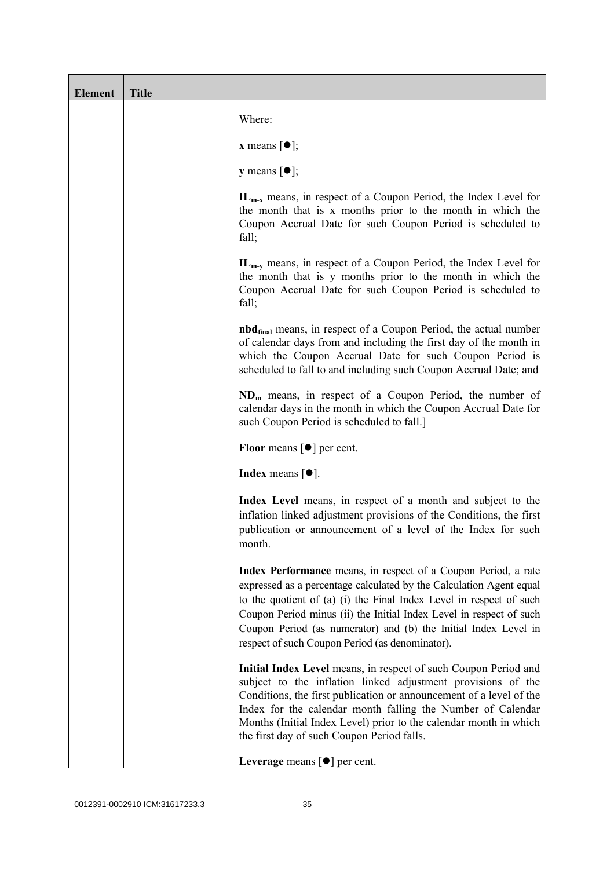| <b>Element</b> | <b>Title</b> |                                                                                                                                                                                                                                                                                                                                                                                                           |
|----------------|--------------|-----------------------------------------------------------------------------------------------------------------------------------------------------------------------------------------------------------------------------------------------------------------------------------------------------------------------------------------------------------------------------------------------------------|
|                |              | Where:                                                                                                                                                                                                                                                                                                                                                                                                    |
|                |              | <b>x</b> means $[\bullet]$ ;                                                                                                                                                                                                                                                                                                                                                                              |
|                |              | <b>y</b> means $[\bullet]$ ;                                                                                                                                                                                                                                                                                                                                                                              |
|                |              | $IL_{m-x}$ means, in respect of a Coupon Period, the Index Level for<br>the month that is x months prior to the month in which the<br>Coupon Accrual Date for such Coupon Period is scheduled to<br>fall;                                                                                                                                                                                                 |
|                |              | $IL_{m-v}$ means, in respect of a Coupon Period, the Index Level for<br>the month that is y months prior to the month in which the<br>Coupon Accrual Date for such Coupon Period is scheduled to<br>fall;                                                                                                                                                                                                 |
|                |              | <b>nbd</b> <sub>final</sub> means, in respect of a Coupon Period, the actual number<br>of calendar days from and including the first day of the month in<br>which the Coupon Accrual Date for such Coupon Period is<br>scheduled to fall to and including such Coupon Accrual Date; and                                                                                                                   |
|                |              | $NDm$ means, in respect of a Coupon Period, the number of<br>calendar days in the month in which the Coupon Accrual Date for<br>such Coupon Period is scheduled to fall.]                                                                                                                                                                                                                                 |
|                |              | <b>Floor</b> means $\lceil \bullet \rceil$ per cent.                                                                                                                                                                                                                                                                                                                                                      |
|                |              | <b>Index</b> means $\lceil \bullet \rceil$ .                                                                                                                                                                                                                                                                                                                                                              |
|                |              | Index Level means, in respect of a month and subject to the<br>inflation linked adjustment provisions of the Conditions, the first<br>publication or announcement of a level of the Index for such<br>month.                                                                                                                                                                                              |
|                |              | Index Performance means, in respect of a Coupon Period, a rate<br>expressed as a percentage calculated by the Calculation Agent equal<br>to the quotient of (a) (i) the Final Index Level in respect of such<br>Coupon Period minus (ii) the Initial Index Level in respect of such<br>Coupon Period (as numerator) and (b) the Initial Index Level in<br>respect of such Coupon Period (as denominator). |
|                |              | Initial Index Level means, in respect of such Coupon Period and<br>subject to the inflation linked adjustment provisions of the<br>Conditions, the first publication or announcement of a level of the<br>Index for the calendar month falling the Number of Calendar<br>Months (Initial Index Level) prior to the calendar month in which<br>the first day of such Coupon Period falls.                  |
|                |              | Leverage means $[\bullet]$ per cent.                                                                                                                                                                                                                                                                                                                                                                      |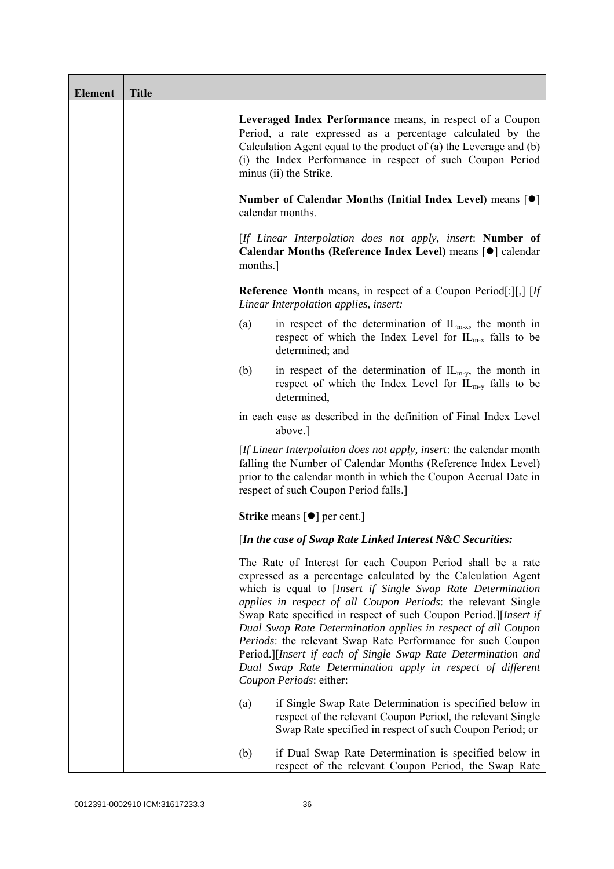| <b>Element</b> | <b>Title</b> |                                                                                                                                                                                                                                                                                                                                                                                                                                                                                                                                                                                                                            |
|----------------|--------------|----------------------------------------------------------------------------------------------------------------------------------------------------------------------------------------------------------------------------------------------------------------------------------------------------------------------------------------------------------------------------------------------------------------------------------------------------------------------------------------------------------------------------------------------------------------------------------------------------------------------------|
|                |              | Leveraged Index Performance means, in respect of a Coupon<br>Period, a rate expressed as a percentage calculated by the<br>Calculation Agent equal to the product of $(a)$ the Leverage and $(b)$<br>(i) the Index Performance in respect of such Coupon Period<br>minus (ii) the Strike.                                                                                                                                                                                                                                                                                                                                  |
|                |              | Number of Calendar Months (Initial Index Level) means [●]<br>calendar months.                                                                                                                                                                                                                                                                                                                                                                                                                                                                                                                                              |
|                |              | [If Linear Interpolation does not apply, insert: Number of<br>Calendar Months (Reference Index Level) means [ $\bullet$ ] calendar<br>months.                                                                                                                                                                                                                                                                                                                                                                                                                                                                              |
|                |              | <b>Reference Month</b> means, in respect of a Coupon Period[:][,] $[If]$<br>Linear Interpolation applies, insert:                                                                                                                                                                                                                                                                                                                                                                                                                                                                                                          |
|                |              | in respect of the determination of $IL_{m-x}$ , the month in<br>(a)<br>respect of which the Index Level for $IL_{m-x}$ falls to be<br>determined; and                                                                                                                                                                                                                                                                                                                                                                                                                                                                      |
|                |              | in respect of the determination of $IL_{m-y}$ , the month in<br>(b)<br>respect of which the Index Level for $IL_{m-v}$ falls to be<br>determined,                                                                                                                                                                                                                                                                                                                                                                                                                                                                          |
|                |              | in each case as described in the definition of Final Index Level<br>above.]                                                                                                                                                                                                                                                                                                                                                                                                                                                                                                                                                |
|                |              | [If Linear Interpolation does not apply, insert: the calendar month<br>falling the Number of Calendar Months (Reference Index Level)<br>prior to the calendar month in which the Coupon Accrual Date in<br>respect of such Coupon Period falls.]                                                                                                                                                                                                                                                                                                                                                                           |
|                |              | <b>Strike</b> means $\lceil \bullet \rceil$ per cent.]                                                                                                                                                                                                                                                                                                                                                                                                                                                                                                                                                                     |
|                |              | [In the case of Swap Rate Linked Interest N&C Securities:                                                                                                                                                                                                                                                                                                                                                                                                                                                                                                                                                                  |
|                |              | The Rate of Interest for each Coupon Period shall be a rate<br>expressed as a percentage calculated by the Calculation Agent<br>which is equal to [Insert if Single Swap Rate Determination<br>applies in respect of all Coupon Periods: the relevant Single<br>Swap Rate specified in respect of such Coupon Period.][Insert if<br>Dual Swap Rate Determination applies in respect of all Coupon<br>Periods: the relevant Swap Rate Performance for such Coupon<br>Period.][Insert if each of Single Swap Rate Determination and<br>Dual Swap Rate Determination apply in respect of different<br>Coupon Periods: either: |
|                |              | if Single Swap Rate Determination is specified below in<br>(a)<br>respect of the relevant Coupon Period, the relevant Single<br>Swap Rate specified in respect of such Coupon Period; or                                                                                                                                                                                                                                                                                                                                                                                                                                   |
|                |              | if Dual Swap Rate Determination is specified below in<br>(b)<br>respect of the relevant Coupon Period, the Swap Rate                                                                                                                                                                                                                                                                                                                                                                                                                                                                                                       |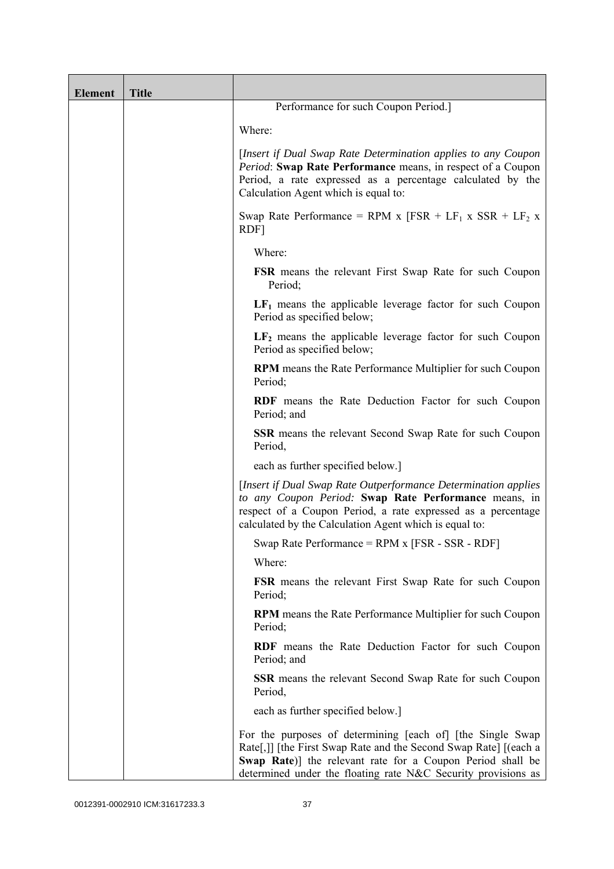| <b>Element</b> | <b>Title</b> |                                                                                                                                                                                                                                                               |
|----------------|--------------|---------------------------------------------------------------------------------------------------------------------------------------------------------------------------------------------------------------------------------------------------------------|
|                |              | Performance for such Coupon Period.]                                                                                                                                                                                                                          |
|                |              | Where:                                                                                                                                                                                                                                                        |
|                |              | [Insert if Dual Swap Rate Determination applies to any Coupon<br>Period: Swap Rate Performance means, in respect of a Coupon<br>Period, a rate expressed as a percentage calculated by the<br>Calculation Agent which is equal to:                            |
|                |              | Swap Rate Performance = RPM x $[FSR + LF_1 x SSR + LF_2 x]$<br>RDF]                                                                                                                                                                                           |
|                |              | Where:                                                                                                                                                                                                                                                        |
|                |              | <b>FSR</b> means the relevant First Swap Rate for such Coupon<br>Period;                                                                                                                                                                                      |
|                |              | $LF1$ means the applicable leverage factor for such Coupon<br>Period as specified below;                                                                                                                                                                      |
|                |              | $LF2$ means the applicable leverage factor for such Coupon<br>Period as specified below;                                                                                                                                                                      |
|                |              | <b>RPM</b> means the Rate Performance Multiplier for such Coupon<br>Period;                                                                                                                                                                                   |
|                |              | RDF means the Rate Deduction Factor for such Coupon<br>Period; and                                                                                                                                                                                            |
|                |              | <b>SSR</b> means the relevant Second Swap Rate for such Coupon<br>Period,                                                                                                                                                                                     |
|                |              | each as further specified below.]                                                                                                                                                                                                                             |
|                |              | [Insert if Dual Swap Rate Outperformance Determination applies]<br>to any Coupon Period: Swap Rate Performance means, in<br>respect of a Coupon Period, a rate expressed as a percentage<br>calculated by the Calculation Agent which is equal to:            |
|                |              | Swap Rate Performance = RPM x [FSR - SSR - RDF]                                                                                                                                                                                                               |
|                |              | Where:                                                                                                                                                                                                                                                        |
|                |              | <b>FSR</b> means the relevant First Swap Rate for such Coupon<br>Period;                                                                                                                                                                                      |
|                |              | RPM means the Rate Performance Multiplier for such Coupon<br>Period;                                                                                                                                                                                          |
|                |              | <b>RDF</b> means the Rate Deduction Factor for such Coupon<br>Period; and                                                                                                                                                                                     |
|                |              | <b>SSR</b> means the relevant Second Swap Rate for such Coupon<br>Period,                                                                                                                                                                                     |
|                |              | each as further specified below.]                                                                                                                                                                                                                             |
|                |              | For the purposes of determining [each of] [the Single Swap<br>Rate[,]] [the First Swap Rate and the Second Swap Rate] [(each a<br>Swap Rate)] the relevant rate for a Coupon Period shall be<br>determined under the floating rate N&C Security provisions as |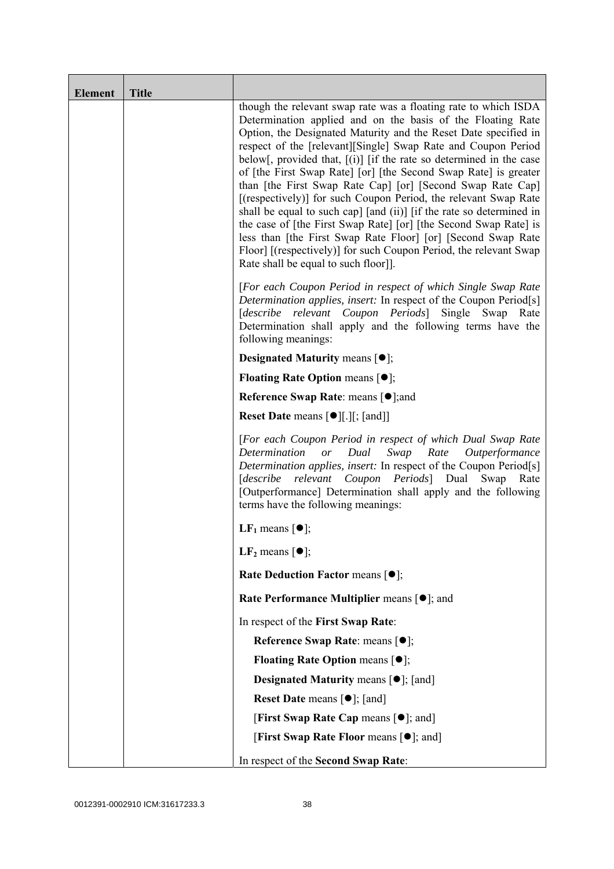| <b>Element</b> | <b>Title</b> |                                                                                                                                                                                                                                                                                                                                                                                                                                                                                                                                                                                                                                                                                                                                                                                                                                                                          |
|----------------|--------------|--------------------------------------------------------------------------------------------------------------------------------------------------------------------------------------------------------------------------------------------------------------------------------------------------------------------------------------------------------------------------------------------------------------------------------------------------------------------------------------------------------------------------------------------------------------------------------------------------------------------------------------------------------------------------------------------------------------------------------------------------------------------------------------------------------------------------------------------------------------------------|
|                |              | though the relevant swap rate was a floating rate to which ISDA<br>Determination applied and on the basis of the Floating Rate<br>Option, the Designated Maturity and the Reset Date specified in<br>respect of the [relevant][Single] Swap Rate and Coupon Period<br>below[, provided that, $[(i)]$ [if the rate so determined in the case<br>of [the First Swap Rate] [or] [the Second Swap Rate] is greater<br>than [the First Swap Rate Cap] [or] [Second Swap Rate Cap]<br>[(respectively)] for such Coupon Period, the relevant Swap Rate<br>shall be equal to such cap] [and (ii)] [if the rate so determined in<br>the case of [the First Swap Rate] [or] [the Second Swap Rate] is<br>less than [the First Swap Rate Floor] [or] [Second Swap Rate<br>Floor] [(respectively)] for such Coupon Period, the relevant Swap<br>Rate shall be equal to such floor]]. |
|                |              | [For each Coupon Period in respect of which Single Swap Rate<br>Determination applies, insert: In respect of the Coupon Period[s]<br>relevant<br>Coupon Periods Single<br>[describe<br>Swap<br>Rate<br>Determination shall apply and the following terms have the<br>following meanings:                                                                                                                                                                                                                                                                                                                                                                                                                                                                                                                                                                                 |
|                |              | <b>Designated Maturity means <math>\lceil \bullet \rceil</math>;</b>                                                                                                                                                                                                                                                                                                                                                                                                                                                                                                                                                                                                                                                                                                                                                                                                     |
|                |              | <b>Floating Rate Option means <math>[•]</math>;</b>                                                                                                                                                                                                                                                                                                                                                                                                                                                                                                                                                                                                                                                                                                                                                                                                                      |
|                |              | <b>Reference Swap Rate: means [●];and</b>                                                                                                                                                                                                                                                                                                                                                                                                                                                                                                                                                                                                                                                                                                                                                                                                                                |
|                |              | <b>Reset Date means <math>[\bullet]</math>[.][; [and]]</b>                                                                                                                                                                                                                                                                                                                                                                                                                                                                                                                                                                                                                                                                                                                                                                                                               |
|                |              | [For each Coupon Period in respect of which Dual Swap Rate<br>Determination or<br>Dual<br>Swap<br>Rate Outperformance<br>Determination applies, insert: In respect of the Coupon Period[s]<br>[describe relevant Coupon Periods] Dual Swap<br>Rate<br>[Outperformance] Determination shall apply and the following<br>terms have the following meanings:                                                                                                                                                                                                                                                                                                                                                                                                                                                                                                                 |
|                |              | LF <sub>1</sub> means $\lceil \bullet \rceil$ ;                                                                                                                                                                                                                                                                                                                                                                                                                                                                                                                                                                                                                                                                                                                                                                                                                          |
|                |              | LF <sub>2</sub> means $\lceil \bullet \rceil$ ;                                                                                                                                                                                                                                                                                                                                                                                                                                                                                                                                                                                                                                                                                                                                                                                                                          |
|                |              | Rate Deduction Factor means [ $\bullet$ ];                                                                                                                                                                                                                                                                                                                                                                                                                                                                                                                                                                                                                                                                                                                                                                                                                               |
|                |              | Rate Performance Multiplier means $[•]$ ; and                                                                                                                                                                                                                                                                                                                                                                                                                                                                                                                                                                                                                                                                                                                                                                                                                            |
|                |              | In respect of the First Swap Rate:                                                                                                                                                                                                                                                                                                                                                                                                                                                                                                                                                                                                                                                                                                                                                                                                                                       |
|                |              | Reference Swap Rate: means [ $\bullet$ ];                                                                                                                                                                                                                                                                                                                                                                                                                                                                                                                                                                                                                                                                                                                                                                                                                                |
|                |              | <b>Floating Rate Option means <math>[①]</math>;</b>                                                                                                                                                                                                                                                                                                                                                                                                                                                                                                                                                                                                                                                                                                                                                                                                                      |
|                |              | <b>Designated Maturity means <math>\lceil \bullet \rceil</math>; [and]</b>                                                                                                                                                                                                                                                                                                                                                                                                                                                                                                                                                                                                                                                                                                                                                                                               |
|                |              | <b>Reset Date</b> means $[\bullet]$ ; [and]                                                                                                                                                                                                                                                                                                                                                                                                                                                                                                                                                                                                                                                                                                                                                                                                                              |
|                |              | [First Swap Rate Cap means [ $\bullet$ ]; and]                                                                                                                                                                                                                                                                                                                                                                                                                                                                                                                                                                                                                                                                                                                                                                                                                           |
|                |              | [First Swap Rate Floor means [ $\bullet$ ]; and]                                                                                                                                                                                                                                                                                                                                                                                                                                                                                                                                                                                                                                                                                                                                                                                                                         |
|                |              | In respect of the Second Swap Rate:                                                                                                                                                                                                                                                                                                                                                                                                                                                                                                                                                                                                                                                                                                                                                                                                                                      |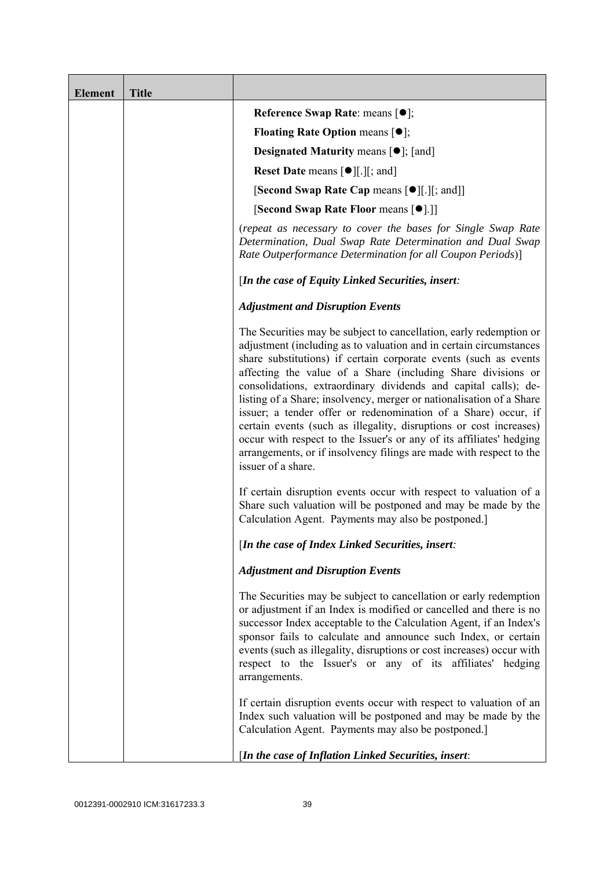| <b>Element</b> | <b>Title</b> |                                                                                                                                                                                                                                                                                                                                                                                                                                                                                                                                                                                                                                                                                                                                      |
|----------------|--------------|--------------------------------------------------------------------------------------------------------------------------------------------------------------------------------------------------------------------------------------------------------------------------------------------------------------------------------------------------------------------------------------------------------------------------------------------------------------------------------------------------------------------------------------------------------------------------------------------------------------------------------------------------------------------------------------------------------------------------------------|
|                |              | Reference Swap Rate: means [ $\bullet$ ];                                                                                                                                                                                                                                                                                                                                                                                                                                                                                                                                                                                                                                                                                            |
|                |              | <b>Floating Rate Option means <math>\lceil \bullet \rceil</math>;</b>                                                                                                                                                                                                                                                                                                                                                                                                                                                                                                                                                                                                                                                                |
|                |              | <b>Designated Maturity means <math>[\bullet]</math>; [and]</b>                                                                                                                                                                                                                                                                                                                                                                                                                                                                                                                                                                                                                                                                       |
|                |              | <b>Reset Date means <math>[\bullet]</math>.</b> [.] [; and ]                                                                                                                                                                                                                                                                                                                                                                                                                                                                                                                                                                                                                                                                         |
|                |              | <b>[Second Swap Rate Cap means [<math>\bullet</math></b> ][.][; and]]                                                                                                                                                                                                                                                                                                                                                                                                                                                                                                                                                                                                                                                                |
|                |              | [Second Swap Rate Floor means [ $\bullet$ ].]]                                                                                                                                                                                                                                                                                                                                                                                                                                                                                                                                                                                                                                                                                       |
|                |              | (repeat as necessary to cover the bases for Single Swap Rate<br>Determination, Dual Swap Rate Determination and Dual Swap<br>Rate Outperformance Determination for all Coupon Periods)]                                                                                                                                                                                                                                                                                                                                                                                                                                                                                                                                              |
|                |              | [In the case of Equity Linked Securities, insert:                                                                                                                                                                                                                                                                                                                                                                                                                                                                                                                                                                                                                                                                                    |
|                |              | <b>Adjustment and Disruption Events</b>                                                                                                                                                                                                                                                                                                                                                                                                                                                                                                                                                                                                                                                                                              |
|                |              | The Securities may be subject to cancellation, early redemption or<br>adjustment (including as to valuation and in certain circumstances<br>share substitutions) if certain corporate events (such as events<br>affecting the value of a Share (including Share divisions or<br>consolidations, extraordinary dividends and capital calls); de-<br>listing of a Share; insolvency, merger or nationalisation of a Share<br>issuer; a tender offer or redenomination of a Share) occur, if<br>certain events (such as illegality, disruptions or cost increases)<br>occur with respect to the Issuer's or any of its affiliates' hedging<br>arrangements, or if insolvency filings are made with respect to the<br>issuer of a share. |
|                |              | If certain disruption events occur with respect to valuation of a<br>Share such valuation will be postponed and may be made by the<br>Calculation Agent. Payments may also be postponed.]                                                                                                                                                                                                                                                                                                                                                                                                                                                                                                                                            |
|                |              | [In the case of Index Linked Securities, insert:                                                                                                                                                                                                                                                                                                                                                                                                                                                                                                                                                                                                                                                                                     |
|                |              | <b>Adjustment and Disruption Events</b>                                                                                                                                                                                                                                                                                                                                                                                                                                                                                                                                                                                                                                                                                              |
|                |              | The Securities may be subject to cancellation or early redemption<br>or adjustment if an Index is modified or cancelled and there is no<br>successor Index acceptable to the Calculation Agent, if an Index's<br>sponsor fails to calculate and announce such Index, or certain<br>events (such as illegality, disruptions or cost increases) occur with<br>respect to the Issuer's or any of its affiliates' hedging<br>arrangements.                                                                                                                                                                                                                                                                                               |
|                |              | If certain disruption events occur with respect to valuation of an<br>Index such valuation will be postponed and may be made by the<br>Calculation Agent. Payments may also be postponed.]                                                                                                                                                                                                                                                                                                                                                                                                                                                                                                                                           |
|                |              | [In the case of Inflation Linked Securities, insert:                                                                                                                                                                                                                                                                                                                                                                                                                                                                                                                                                                                                                                                                                 |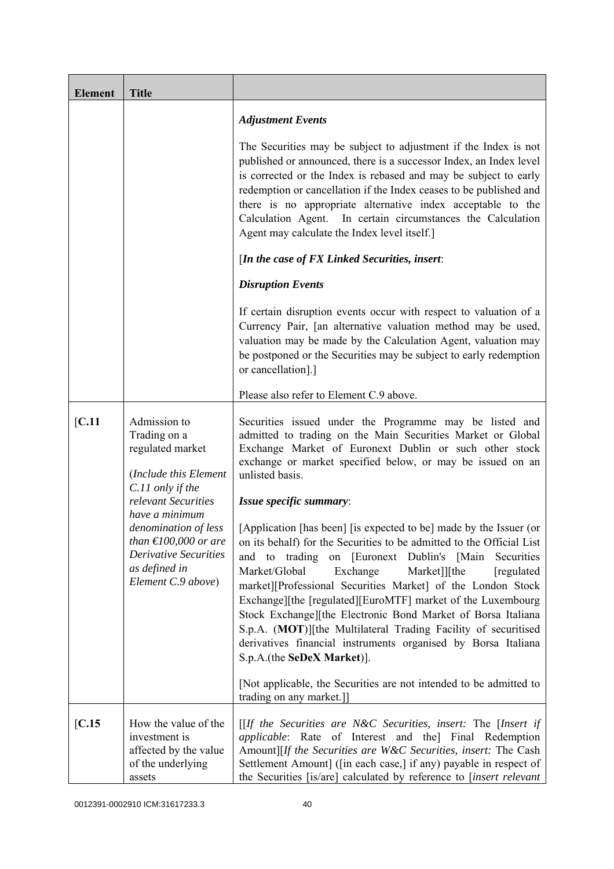| <b>Element</b> | <b>Title</b>                                                                                                                                    |                                                                                                                                                                                                                                                                                                                                                                                                                                                                                                                                                                                                                                        |
|----------------|-------------------------------------------------------------------------------------------------------------------------------------------------|----------------------------------------------------------------------------------------------------------------------------------------------------------------------------------------------------------------------------------------------------------------------------------------------------------------------------------------------------------------------------------------------------------------------------------------------------------------------------------------------------------------------------------------------------------------------------------------------------------------------------------------|
|                |                                                                                                                                                 | <b>Adjustment Events</b>                                                                                                                                                                                                                                                                                                                                                                                                                                                                                                                                                                                                               |
|                |                                                                                                                                                 | The Securities may be subject to adjustment if the Index is not<br>published or announced, there is a successor Index, an Index level<br>is corrected or the Index is rebased and may be subject to early<br>redemption or cancellation if the Index ceases to be published and<br>there is no appropriate alternative index acceptable to the<br>Calculation Agent. In certain circumstances the Calculation<br>Agent may calculate the Index level itself.]                                                                                                                                                                          |
|                |                                                                                                                                                 | [In the case of FX Linked Securities, insert:                                                                                                                                                                                                                                                                                                                                                                                                                                                                                                                                                                                          |
|                |                                                                                                                                                 | <b>Disruption Events</b>                                                                                                                                                                                                                                                                                                                                                                                                                                                                                                                                                                                                               |
|                |                                                                                                                                                 | If certain disruption events occur with respect to valuation of a<br>Currency Pair, [an alternative valuation method may be used,<br>valuation may be made by the Calculation Agent, valuation may<br>be postponed or the Securities may be subject to early redemption<br>or cancellation].]                                                                                                                                                                                                                                                                                                                                          |
|                |                                                                                                                                                 | Please also refer to Element C.9 above.                                                                                                                                                                                                                                                                                                                                                                                                                                                                                                                                                                                                |
| [C.11]         | Admission to<br>Trading on a<br>regulated market<br>(Include this Element                                                                       | Securities issued under the Programme may be listed and<br>admitted to trading on the Main Securities Market or Global<br>Exchange Market of Euronext Dublin or such other stock<br>exchange or market specified below, or may be issued on an<br>unlisted basis.                                                                                                                                                                                                                                                                                                                                                                      |
|                | C.11 only if the<br>relevant Securities                                                                                                         | Issue specific summary:                                                                                                                                                                                                                                                                                                                                                                                                                                                                                                                                                                                                                |
|                | have a minimum<br>denomination of less<br>than $\epsilon$ 100,000 or are<br><b>Derivative Securities</b><br>as defined in<br>Element C.9 above) | [Application [has been] [is expected to be] made by the Issuer (or<br>on its behalf) for the Securities to be admitted to the Official List<br>and to trading<br>on [Euronext Dublin's [Main]<br>Securities<br>Market/Global<br>Exchange<br>Market]][the<br>[regulated]<br>market][Professional Securities Market] of the London Stock<br>Exchange][the [regulated][EuroMTF] market of the Luxembourg<br>Stock Exchange][the Electronic Bond Market of Borsa Italiana<br>S.p.A. (MOT)][the Multilateral Trading Facility of securitised<br>derivatives financial instruments organised by Borsa Italiana<br>S.p.A.(the SeDeX Market)]. |
|                |                                                                                                                                                 | [Not applicable, the Securities are not intended to be admitted to<br>trading on any market.]                                                                                                                                                                                                                                                                                                                                                                                                                                                                                                                                          |
| [C.15]         | How the value of the<br>investment is<br>affected by the value<br>of the underlying<br>assets                                                   | $[$ If the Securities are N&C Securities, insert: The [Insert if<br><i>applicable</i> : Rate of Interest and the] Final Redemption<br>Amount][If the Securities are W&C Securities, insert: The Cash<br>Settlement Amount] ([in each case,] if any) payable in respect of<br>the Securities [is/are] calculated by reference to [insert relevant                                                                                                                                                                                                                                                                                       |

0012391-0002910 ICM:31617233.3 40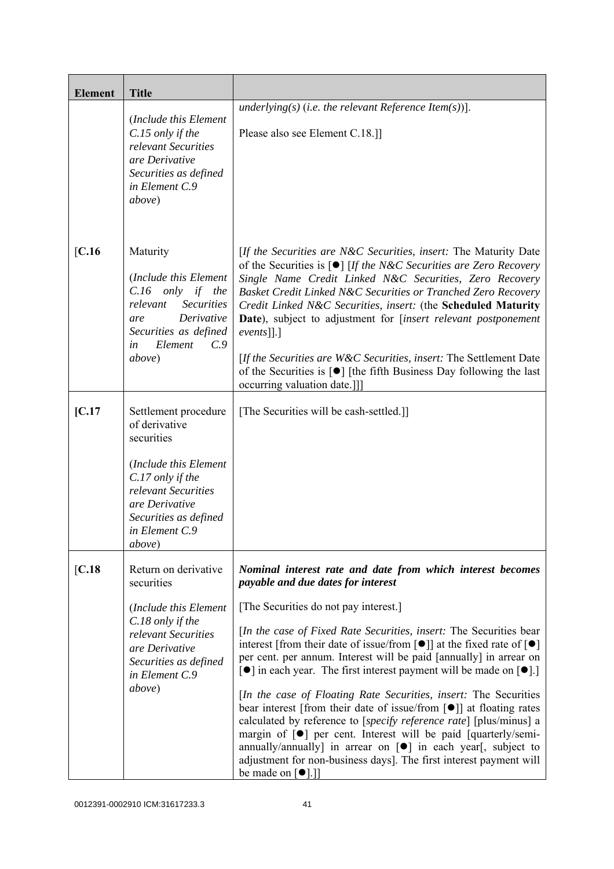| <b>Element</b> | <b>Title</b>                                                                                                                                                                                           |                                                                                                                                                                                                                                                                                                                                                                                                                                                                                                                                                                                                                                                                                                                                                                                                                                                                                                                                                                                                          |
|----------------|--------------------------------------------------------------------------------------------------------------------------------------------------------------------------------------------------------|----------------------------------------------------------------------------------------------------------------------------------------------------------------------------------------------------------------------------------------------------------------------------------------------------------------------------------------------------------------------------------------------------------------------------------------------------------------------------------------------------------------------------------------------------------------------------------------------------------------------------------------------------------------------------------------------------------------------------------------------------------------------------------------------------------------------------------------------------------------------------------------------------------------------------------------------------------------------------------------------------------|
|                | (Include this Element<br>C.15 only if the<br>relevant Securities<br>are Derivative<br>Securities as defined<br>in Element C.9<br>above)                                                                | underlying(s) (i.e. the relevant Reference Item(s))].<br>Please also see Element C.18.]                                                                                                                                                                                                                                                                                                                                                                                                                                                                                                                                                                                                                                                                                                                                                                                                                                                                                                                  |
| [C.16]         | Maturity<br>(Include this Element<br>$C.16$ only if the<br>relevant<br><b>Securities</b><br>Derivative<br>are<br>Securities as defined<br>Element<br>C.9<br>in<br>above)                               | [If the Securities are N&C Securities, insert: The Maturity Date<br>of the Securities is $\lceil \bullet \rceil$ [If the N&C Securities are Zero Recovery<br>Single Name Credit Linked N&C Securities, Zero Recovery<br>Basket Credit Linked N&C Securities or Tranched Zero Recovery<br>Credit Linked N&C Securities, insert: (the Scheduled Maturity<br>Date), subject to adjustment for [insert relevant postponement<br>$events$ [].]<br>[If the Securities are W&C Securities, insert: The Settlement Date<br>of the Securities is $\lceil \bullet \rceil$ [the fifth Business Day following the last<br>occurring valuation date.]]                                                                                                                                                                                                                                                                                                                                                                |
| [C.17]         | Settlement procedure<br>of derivative<br>securities<br>(Include this Element<br>C.17 only if the<br>relevant Securities<br>are Derivative<br>Securities as defined<br>in Element C.9<br><i>above</i> ) | [The Securities will be cash-settled.]]                                                                                                                                                                                                                                                                                                                                                                                                                                                                                                                                                                                                                                                                                                                                                                                                                                                                                                                                                                  |
| [C.18]         | Return on derivative<br>securities<br>(Include this Element<br>C.18 only if the<br>relevant Securities<br>are Derivative<br>Securities as defined<br>in Element C.9<br>above)                          | Nominal interest rate and date from which interest becomes<br>payable and due dates for interest<br>[The Securities do not pay interest.]<br>[In the case of Fixed Rate Securities, insert: The Securities bear<br>interest [from their date of issue/from $\lceil \bullet \rceil$ ] at the fixed rate of $\lceil \bullet \rceil$<br>per cent. per annum. Interest will be paid [annually] in arrear on<br>[ $\bullet$ ] in each year. The first interest payment will be made on [ $\bullet$ ].]<br><i>In the case of Floating Rate Securities, insert:</i> The Securities<br>bear interest [from their date of issue/from $\lceil \bullet \rceil$ ] at floating rates<br>calculated by reference to [specify reference rate] [plus/minus] a<br>margin of $[\bullet]$ per cent. Interest will be paid [quarterly/semi-<br>annually/annually] in arrear on $[\bullet]$ in each year[, subject to<br>adjustment for non-business days]. The first interest payment will<br>be made on [ <sup>o</sup> ].]] |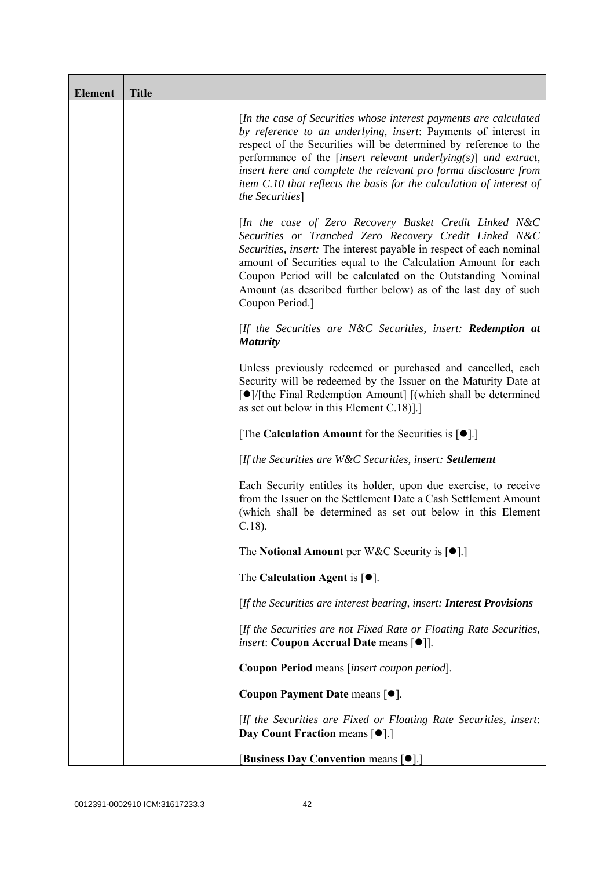| <b>Element</b> | <b>Title</b> |                                                                                                                                                                                                                                                                                                                                                                                                                                              |
|----------------|--------------|----------------------------------------------------------------------------------------------------------------------------------------------------------------------------------------------------------------------------------------------------------------------------------------------------------------------------------------------------------------------------------------------------------------------------------------------|
|                |              | [In the case of Securities whose interest payments are calculated<br>by reference to an underlying, insert: Payments of interest in<br>respect of the Securities will be determined by reference to the<br>performance of the [insert relevant underlying $(s)$ ] and extract,<br>insert here and complete the relevant pro forma disclosure from<br>item C.10 that reflects the basis for the calculation of interest of<br>the Securities] |
|                |              | [In the case of Zero Recovery Basket Credit Linked N&C<br>Securities or Tranched Zero Recovery Credit Linked N&C<br>Securities, insert: The interest payable in respect of each nominal<br>amount of Securities equal to the Calculation Amount for each<br>Coupon Period will be calculated on the Outstanding Nominal<br>Amount (as described further below) as of the last day of such<br>Coupon Period.]                                 |
|                |              | $[$ If the Securities are N&C Securities, insert: <b>Redemption at</b><br><b>Maturity</b>                                                                                                                                                                                                                                                                                                                                                    |
|                |              | Unless previously redeemed or purchased and cancelled, each<br>Security will be redeemed by the Issuer on the Maturity Date at<br>[●]/[the Final Redemption Amount] [(which shall be determined<br>as set out below in this Element $C.18$ ].]                                                                                                                                                                                               |
|                |              | [The Calculation Amount for the Securities is $[•]$ .]                                                                                                                                                                                                                                                                                                                                                                                       |
|                |              | [If the Securities are W&C Securities, insert: Settlement                                                                                                                                                                                                                                                                                                                                                                                    |
|                |              | Each Security entitles its holder, upon due exercise, to receive<br>from the Issuer on the Settlement Date a Cash Settlement Amount<br>(which shall be determined as set out below in this Element<br>$C.18$ ).                                                                                                                                                                                                                              |
|                |              | The Notional Amount per W&C Security is $[•]$ .                                                                                                                                                                                                                                                                                                                                                                                              |
|                |              | The Calculation Agent is $[•]$ .                                                                                                                                                                                                                                                                                                                                                                                                             |
|                |              | [If the Securities are interest bearing, insert: Interest Provisions                                                                                                                                                                                                                                                                                                                                                                         |
|                |              | [If the Securities are not Fixed Rate or Floating Rate Securities,<br><i>insert</i> : Coupon Accrual Date means [ $\bullet$ ].                                                                                                                                                                                                                                                                                                               |
|                |              | Coupon Period means [insert coupon period].                                                                                                                                                                                                                                                                                                                                                                                                  |
|                |              | Coupon Payment Date means [ $\bullet$ ].                                                                                                                                                                                                                                                                                                                                                                                                     |
|                |              | [If the Securities are Fixed or Floating Rate Securities, insert:<br>Day Count Fraction means [ $\bullet$ ].]                                                                                                                                                                                                                                                                                                                                |
|                |              | [Business Day Convention means [ $\bullet$ ].]                                                                                                                                                                                                                                                                                                                                                                                               |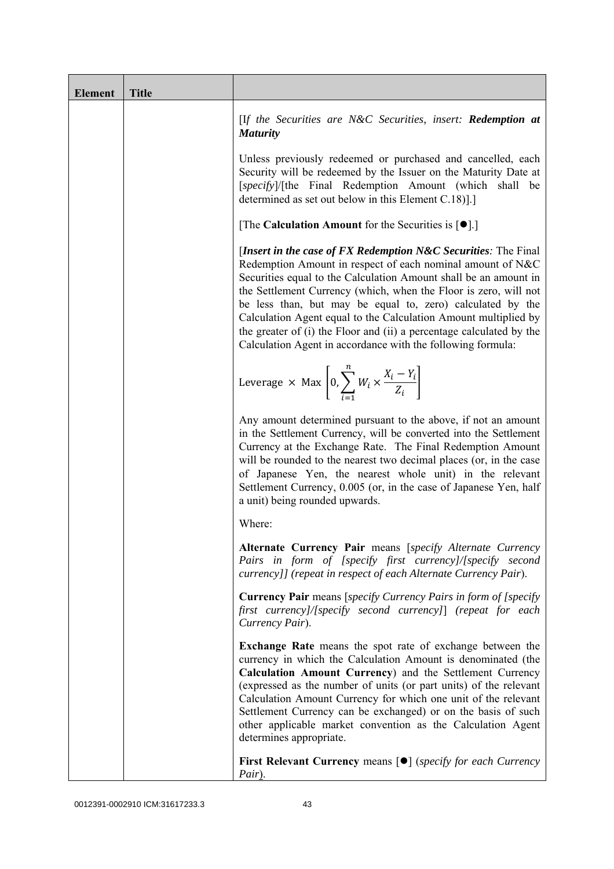| <b>Element</b> | <b>Title</b> |                                                                                                                                                                                                                                                                                                                                                                                                                                                                                                                                                 |
|----------------|--------------|-------------------------------------------------------------------------------------------------------------------------------------------------------------------------------------------------------------------------------------------------------------------------------------------------------------------------------------------------------------------------------------------------------------------------------------------------------------------------------------------------------------------------------------------------|
|                |              | [If the Securities are N&C Securities, insert: Redemption at<br><b>Maturity</b>                                                                                                                                                                                                                                                                                                                                                                                                                                                                 |
|                |              | Unless previously redeemed or purchased and cancelled, each<br>Security will be redeemed by the Issuer on the Maturity Date at<br>[specify]/[the Final Redemption Amount (which shall be<br>determined as set out below in this Element C.18).                                                                                                                                                                                                                                                                                                  |
|                |              | [The Calculation Amount for the Securities is $[•]$ .]                                                                                                                                                                                                                                                                                                                                                                                                                                                                                          |
|                |              | [Insert in the case of FX Redemption $N\&C$ Securities: The Final<br>Redemption Amount in respect of each nominal amount of N&C<br>Securities equal to the Calculation Amount shall be an amount in<br>the Settlement Currency (which, when the Floor is zero, will not<br>be less than, but may be equal to, zero) calculated by the<br>Calculation Agent equal to the Calculation Amount multiplied by<br>the greater of (i) the Floor and (ii) a percentage calculated by the<br>Calculation Agent in accordance with the following formula: |
|                |              | Leverage $\times$ Max $\left[0, \sum_{i=1}^{n} W_i \times \frac{X_i - Y_i}{Z_i}\right]$                                                                                                                                                                                                                                                                                                                                                                                                                                                         |
|                |              | Any amount determined pursuant to the above, if not an amount<br>in the Settlement Currency, will be converted into the Settlement<br>Currency at the Exchange Rate. The Final Redemption Amount<br>will be rounded to the nearest two decimal places (or, in the case<br>of Japanese Yen, the nearest whole unit) in the relevant<br>Settlement Currency, 0.005 (or, in the case of Japanese Yen, half<br>a unit) being rounded upwards.                                                                                                       |
|                |              | Where:                                                                                                                                                                                                                                                                                                                                                                                                                                                                                                                                          |
|                |              | Alternate Currency Pair means [specify Alternate Currency<br>Pairs in form of [specify first currency]/[specify second<br>currency]] (repeat in respect of each Alternate Currency Pair).                                                                                                                                                                                                                                                                                                                                                       |
|                |              | <b>Currency Pair</b> means [specify Currency Pairs in form of [specify<br>first currency]/[specify second currency]] (repeat for each<br>Currency Pair).                                                                                                                                                                                                                                                                                                                                                                                        |
|                |              | <b>Exchange Rate</b> means the spot rate of exchange between the<br>currency in which the Calculation Amount is denominated (the<br>Calculation Amount Currency) and the Settlement Currency<br>(expressed as the number of units (or part units) of the relevant<br>Calculation Amount Currency for which one unit of the relevant<br>Settlement Currency can be exchanged) or on the basis of such<br>other applicable market convention as the Calculation Agent<br>determines appropriate.                                                  |
|                |              | <b>First Relevant Currency means <math>\lceil \bullet \rceil</math> (specify for each Currency</b><br>Pair).                                                                                                                                                                                                                                                                                                                                                                                                                                    |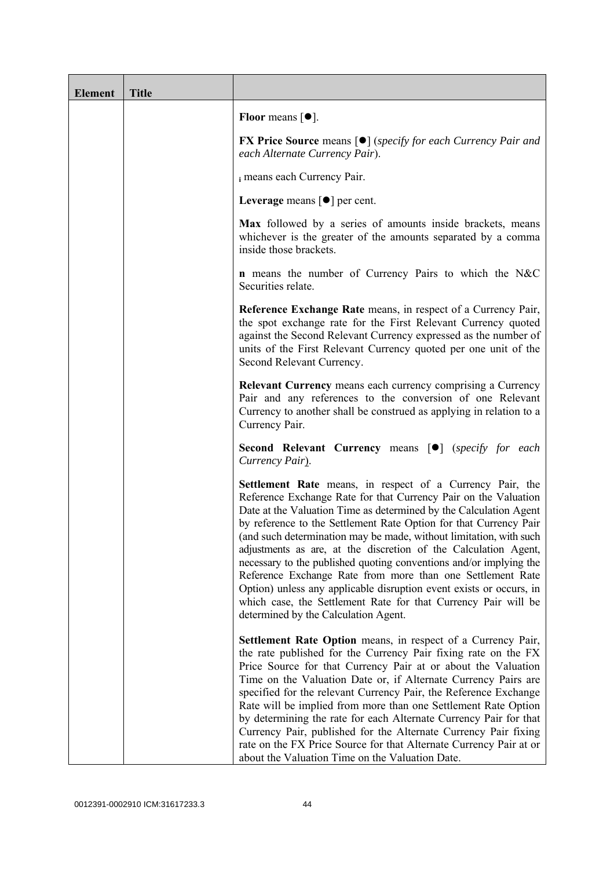| <b>Element</b> | <b>Title</b> |                                                                                                                                                                                                                                                                                                                                                                                                                                                                                                                                                                                                                                                                                                                                      |
|----------------|--------------|--------------------------------------------------------------------------------------------------------------------------------------------------------------------------------------------------------------------------------------------------------------------------------------------------------------------------------------------------------------------------------------------------------------------------------------------------------------------------------------------------------------------------------------------------------------------------------------------------------------------------------------------------------------------------------------------------------------------------------------|
|                |              | Floor means $\lceil \bullet \rceil$ .                                                                                                                                                                                                                                                                                                                                                                                                                                                                                                                                                                                                                                                                                                |
|                |              | <b>FX Price Source</b> means $[\bullet]$ (specify for each Currency Pair and<br>each Alternate Currency Pair).                                                                                                                                                                                                                                                                                                                                                                                                                                                                                                                                                                                                                       |
|                |              | i means each Currency Pair.                                                                                                                                                                                                                                                                                                                                                                                                                                                                                                                                                                                                                                                                                                          |
|                |              | Leverage means $\lceil \bullet \rceil$ per cent.                                                                                                                                                                                                                                                                                                                                                                                                                                                                                                                                                                                                                                                                                     |
|                |              | Max followed by a series of amounts inside brackets, means<br>whichever is the greater of the amounts separated by a comma<br>inside those brackets.                                                                                                                                                                                                                                                                                                                                                                                                                                                                                                                                                                                 |
|                |              | <b>n</b> means the number of Currency Pairs to which the N&C<br>Securities relate.                                                                                                                                                                                                                                                                                                                                                                                                                                                                                                                                                                                                                                                   |
|                |              | Reference Exchange Rate means, in respect of a Currency Pair,<br>the spot exchange rate for the First Relevant Currency quoted<br>against the Second Relevant Currency expressed as the number of<br>units of the First Relevant Currency quoted per one unit of the<br>Second Relevant Currency.                                                                                                                                                                                                                                                                                                                                                                                                                                    |
|                |              | <b>Relevant Currency</b> means each currency comprising a Currency<br>Pair and any references to the conversion of one Relevant<br>Currency to another shall be construed as applying in relation to a<br>Currency Pair.                                                                                                                                                                                                                                                                                                                                                                                                                                                                                                             |
|                |              | <b>Second Relevant Currency means [O]</b> (specify for each<br>Currency Pair).                                                                                                                                                                                                                                                                                                                                                                                                                                                                                                                                                                                                                                                       |
|                |              | Settlement Rate means, in respect of a Currency Pair, the<br>Reference Exchange Rate for that Currency Pair on the Valuation<br>Date at the Valuation Time as determined by the Calculation Agent<br>by reference to the Settlement Rate Option for that Currency Pair<br>(and such determination may be made, without limitation, with such<br>adjustments as are, at the discretion of the Calculation Agent,<br>necessary to the published quoting conventions and/or implying the<br>Reference Exchange Rate from more than one Settlement Rate<br>Option) unless any applicable disruption event exists or occurs, in<br>which case, the Settlement Rate for that Currency Pair will be<br>determined by the Calculation Agent. |
|                |              | <b>Settlement Rate Option</b> means, in respect of a Currency Pair,<br>the rate published for the Currency Pair fixing rate on the FX<br>Price Source for that Currency Pair at or about the Valuation<br>Time on the Valuation Date or, if Alternate Currency Pairs are<br>specified for the relevant Currency Pair, the Reference Exchange<br>Rate will be implied from more than one Settlement Rate Option<br>by determining the rate for each Alternate Currency Pair for that<br>Currency Pair, published for the Alternate Currency Pair fixing<br>rate on the FX Price Source for that Alternate Currency Pair at or<br>about the Valuation Time on the Valuation Date.                                                      |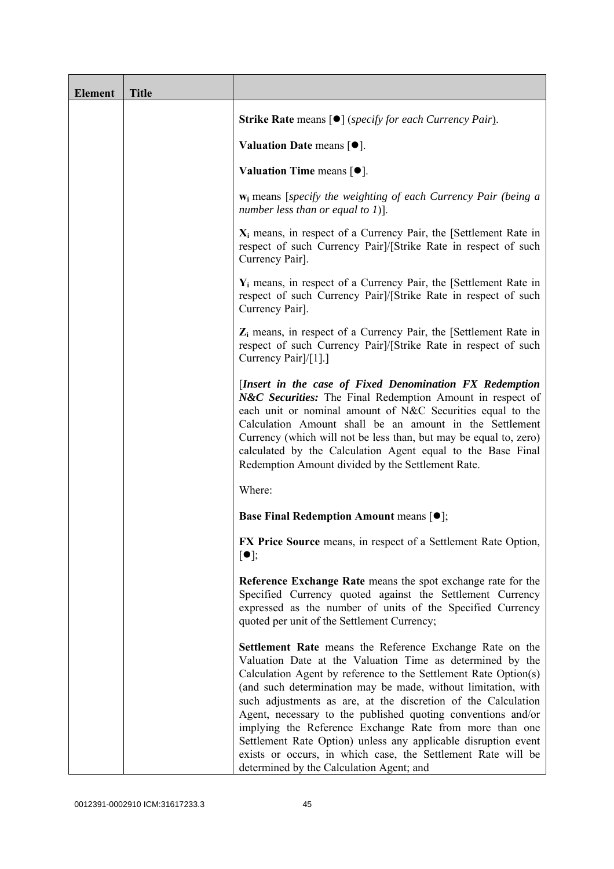| <b>Element</b> | <b>Title</b> |                                                                                                                                                                                                                                                                                                                                                                                                                                                                                                                                                                                                                                     |
|----------------|--------------|-------------------------------------------------------------------------------------------------------------------------------------------------------------------------------------------------------------------------------------------------------------------------------------------------------------------------------------------------------------------------------------------------------------------------------------------------------------------------------------------------------------------------------------------------------------------------------------------------------------------------------------|
|                |              | <b>Strike Rate</b> means $\lceil \bullet \rceil$ ( <i>specify for each Currency Pair</i> ).                                                                                                                                                                                                                                                                                                                                                                                                                                                                                                                                         |
|                |              | Valuation Date means $[•]$ .                                                                                                                                                                                                                                                                                                                                                                                                                                                                                                                                                                                                        |
|                |              | Valuation Time means $[\bullet].$                                                                                                                                                                                                                                                                                                                                                                                                                                                                                                                                                                                                   |
|                |              | $w_i$ means [specify the weighting of each Currency Pair (being a<br>number less than or equal to $1$ ].                                                                                                                                                                                                                                                                                                                                                                                                                                                                                                                            |
|                |              | $X_i$ means, in respect of a Currency Pair, the [Settlement Rate in<br>respect of such Currency Pair]/[Strike Rate in respect of such<br>Currency Pair].                                                                                                                                                                                                                                                                                                                                                                                                                                                                            |
|                |              | $Y_i$ means, in respect of a Currency Pair, the [Settlement Rate in<br>respect of such Currency Pair]/[Strike Rate in respect of such<br>Currency Pair].                                                                                                                                                                                                                                                                                                                                                                                                                                                                            |
|                |              | $Z_i$ means, in respect of a Currency Pair, the [Settlement Rate in<br>respect of such Currency Pair]/[Strike Rate in respect of such<br>Currency Pair <sup>[/[1]</sup> .]                                                                                                                                                                                                                                                                                                                                                                                                                                                          |
|                |              | [Insert in the case of Fixed Denomination FX Redemption<br>N&C Securities: The Final Redemption Amount in respect of<br>each unit or nominal amount of N&C Securities equal to the<br>Calculation Amount shall be an amount in the Settlement<br>Currency (which will not be less than, but may be equal to, zero)<br>calculated by the Calculation Agent equal to the Base Final<br>Redemption Amount divided by the Settlement Rate.                                                                                                                                                                                              |
|                |              | Where:                                                                                                                                                                                                                                                                                                                                                                                                                                                                                                                                                                                                                              |
|                |              | <b>Base Final Redemption Amount means <math>[①]</math>;</b>                                                                                                                                                                                                                                                                                                                                                                                                                                                                                                                                                                         |
|                |              | FX Price Source means, in respect of a Settlement Rate Option,<br>$\lceil \bullet \rceil;$                                                                                                                                                                                                                                                                                                                                                                                                                                                                                                                                          |
|                |              | Reference Exchange Rate means the spot exchange rate for the<br>Specified Currency quoted against the Settlement Currency<br>expressed as the number of units of the Specified Currency<br>quoted per unit of the Settlement Currency;                                                                                                                                                                                                                                                                                                                                                                                              |
|                |              | Settlement Rate means the Reference Exchange Rate on the<br>Valuation Date at the Valuation Time as determined by the<br>Calculation Agent by reference to the Settlement Rate Option(s)<br>(and such determination may be made, without limitation, with<br>such adjustments as are, at the discretion of the Calculation<br>Agent, necessary to the published quoting conventions and/or<br>implying the Reference Exchange Rate from more than one<br>Settlement Rate Option) unless any applicable disruption event<br>exists or occurs, in which case, the Settlement Rate will be<br>determined by the Calculation Agent; and |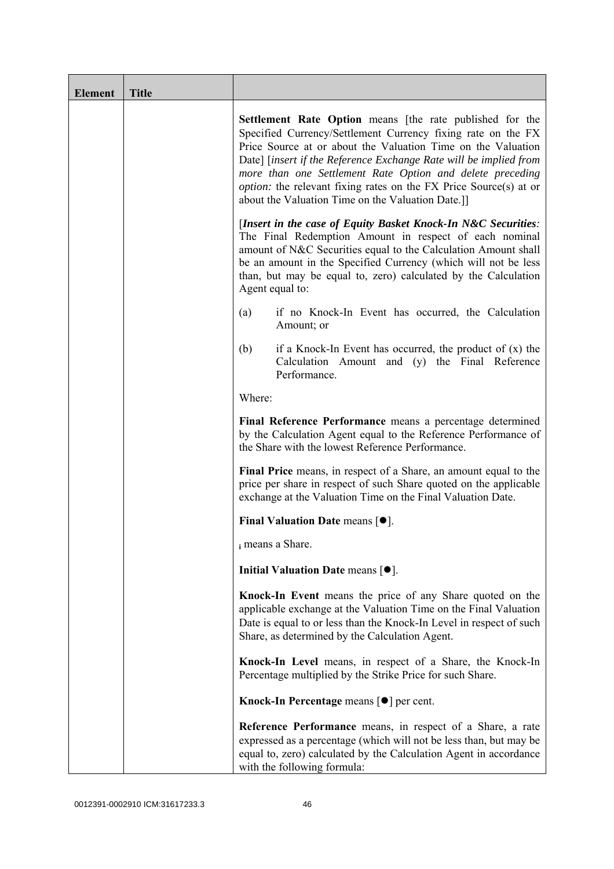| <b>Element</b> | <b>Title</b> |                                                                                                                                                                                                                                                                                                                                                                                                                                                                    |
|----------------|--------------|--------------------------------------------------------------------------------------------------------------------------------------------------------------------------------------------------------------------------------------------------------------------------------------------------------------------------------------------------------------------------------------------------------------------------------------------------------------------|
|                |              | <b>Settlement Rate Option</b> means [the rate published for the<br>Specified Currency/Settlement Currency fixing rate on the FX<br>Price Source at or about the Valuation Time on the Valuation<br>Date] [insert if the Reference Exchange Rate will be implied from<br>more than one Settlement Rate Option and delete preceding<br><i>option:</i> the relevant fixing rates on the FX Price Source(s) at or<br>about the Valuation Time on the Valuation Date.]] |
|                |              | [Insert in the case of Equity Basket Knock-In N&C Securities:<br>The Final Redemption Amount in respect of each nominal<br>amount of N&C Securities equal to the Calculation Amount shall<br>be an amount in the Specified Currency (which will not be less<br>than, but may be equal to, zero) calculated by the Calculation<br>Agent equal to:                                                                                                                   |
|                |              | if no Knock-In Event has occurred, the Calculation<br>(a)<br>Amount; or                                                                                                                                                                                                                                                                                                                                                                                            |
|                |              | (b)<br>if a Knock-In Event has occurred, the product of $(x)$ the<br>Calculation Amount and (y) the Final Reference<br>Performance.                                                                                                                                                                                                                                                                                                                                |
|                |              | Where:                                                                                                                                                                                                                                                                                                                                                                                                                                                             |
|                |              | Final Reference Performance means a percentage determined<br>by the Calculation Agent equal to the Reference Performance of<br>the Share with the lowest Reference Performance.                                                                                                                                                                                                                                                                                    |
|                |              | Final Price means, in respect of a Share, an amount equal to the<br>price per share in respect of such Share quoted on the applicable<br>exchange at the Valuation Time on the Final Valuation Date.                                                                                                                                                                                                                                                               |
|                |              | Final Valuation Date means $[•]$ .                                                                                                                                                                                                                                                                                                                                                                                                                                 |
|                |              | i means a Share.                                                                                                                                                                                                                                                                                                                                                                                                                                                   |
|                |              | Initial Valuation Date means $[•]$ .                                                                                                                                                                                                                                                                                                                                                                                                                               |
|                |              | Knock-In Event means the price of any Share quoted on the<br>applicable exchange at the Valuation Time on the Final Valuation<br>Date is equal to or less than the Knock-In Level in respect of such<br>Share, as determined by the Calculation Agent.                                                                                                                                                                                                             |
|                |              | Knock-In Level means, in respect of a Share, the Knock-In<br>Percentage multiplied by the Strike Price for such Share.                                                                                                                                                                                                                                                                                                                                             |
|                |              | Knock-In Percentage means $\lceil \bullet \rceil$ per cent.                                                                                                                                                                                                                                                                                                                                                                                                        |
|                |              | <b>Reference Performance</b> means, in respect of a Share, a rate<br>expressed as a percentage (which will not be less than, but may be<br>equal to, zero) calculated by the Calculation Agent in accordance<br>with the following formula:                                                                                                                                                                                                                        |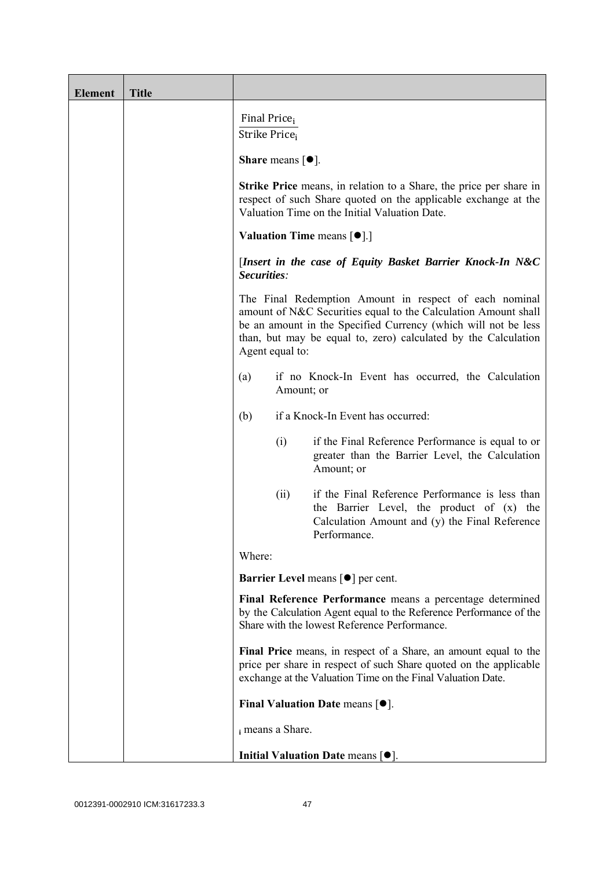| <b>Element</b> | <b>Title</b> |                                                                                                                                                                                                                                                                                 |
|----------------|--------------|---------------------------------------------------------------------------------------------------------------------------------------------------------------------------------------------------------------------------------------------------------------------------------|
|                |              | Final Price <sub>i</sub><br>Strike Price <sub>i</sub>                                                                                                                                                                                                                           |
|                |              | <b>Share</b> means $\lceil \bullet \rceil$ .                                                                                                                                                                                                                                    |
|                |              | <b>Strike Price</b> means, in relation to a Share, the price per share in<br>respect of such Share quoted on the applicable exchange at the<br>Valuation Time on the Initial Valuation Date.                                                                                    |
|                |              | <b>Valuation Time means <math>[\bullet]</math>.</b> ]                                                                                                                                                                                                                           |
|                |              | [Insert in the case of Equity Basket Barrier Knock-In N&C<br>Securities:                                                                                                                                                                                                        |
|                |              | The Final Redemption Amount in respect of each nominal<br>amount of N&C Securities equal to the Calculation Amount shall<br>be an amount in the Specified Currency (which will not be less<br>than, but may be equal to, zero) calculated by the Calculation<br>Agent equal to: |
|                |              | if no Knock-In Event has occurred, the Calculation<br>(a)<br>Amount; or                                                                                                                                                                                                         |
|                |              | if a Knock-In Event has occurred:<br>(b)                                                                                                                                                                                                                                        |
|                |              | if the Final Reference Performance is equal to or<br>(i)<br>greater than the Barrier Level, the Calculation<br>Amount; or                                                                                                                                                       |
|                |              | if the Final Reference Performance is less than<br>(ii)<br>the Barrier Level, the product of (x) the<br>Calculation Amount and (y) the Final Reference<br>Performance.                                                                                                          |
|                |              | Where:                                                                                                                                                                                                                                                                          |
|                |              | <b>Barrier Level means [<math>\bullet</math>] per cent.</b>                                                                                                                                                                                                                     |
|                |              | Final Reference Performance means a percentage determined<br>by the Calculation Agent equal to the Reference Performance of the<br>Share with the lowest Reference Performance.                                                                                                 |
|                |              | Final Price means, in respect of a Share, an amount equal to the<br>price per share in respect of such Share quoted on the applicable<br>exchange at the Valuation Time on the Final Valuation Date.                                                                            |
|                |              | Final Valuation Date means $[\bullet].$                                                                                                                                                                                                                                         |
|                |              | i means a Share.                                                                                                                                                                                                                                                                |
|                |              | Initial Valuation Date means $[•]$ .                                                                                                                                                                                                                                            |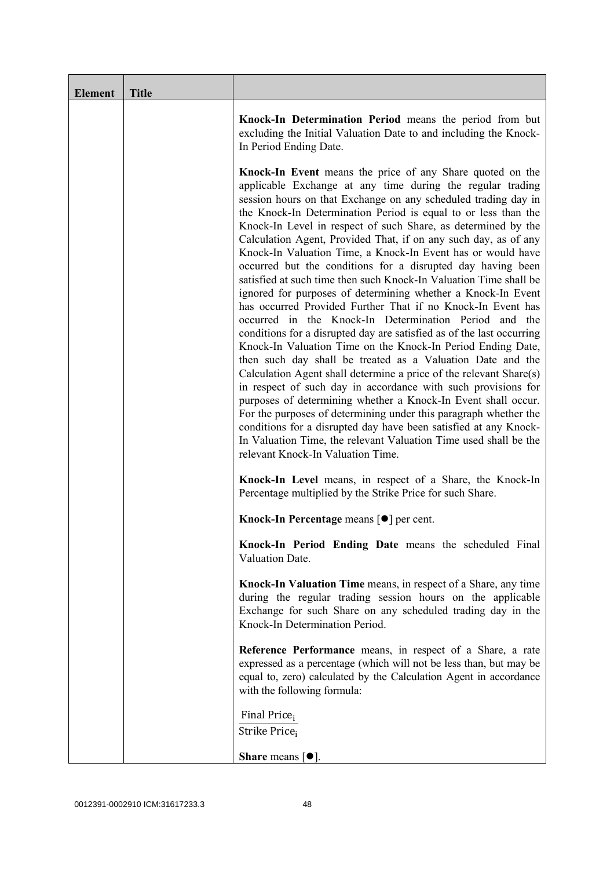| <b>Element</b> | <b>Title</b> |                                                                                                                                                                                                                                                                                                                                                                                                                                                                                                                                                                                                                                                                                                                                                                                                                                                                                                                                                                                                                                                                                                                                                                                                                                                                                                                                                                                                                                                                  |
|----------------|--------------|------------------------------------------------------------------------------------------------------------------------------------------------------------------------------------------------------------------------------------------------------------------------------------------------------------------------------------------------------------------------------------------------------------------------------------------------------------------------------------------------------------------------------------------------------------------------------------------------------------------------------------------------------------------------------------------------------------------------------------------------------------------------------------------------------------------------------------------------------------------------------------------------------------------------------------------------------------------------------------------------------------------------------------------------------------------------------------------------------------------------------------------------------------------------------------------------------------------------------------------------------------------------------------------------------------------------------------------------------------------------------------------------------------------------------------------------------------------|
|                |              | Knock-In Determination Period means the period from but<br>excluding the Initial Valuation Date to and including the Knock-<br>In Period Ending Date.                                                                                                                                                                                                                                                                                                                                                                                                                                                                                                                                                                                                                                                                                                                                                                                                                                                                                                                                                                                                                                                                                                                                                                                                                                                                                                            |
|                |              | <b>Knock-In Event</b> means the price of any Share quoted on the<br>applicable Exchange at any time during the regular trading<br>session hours on that Exchange on any scheduled trading day in<br>the Knock-In Determination Period is equal to or less than the<br>Knock-In Level in respect of such Share, as determined by the<br>Calculation Agent, Provided That, if on any such day, as of any<br>Knock-In Valuation Time, a Knock-In Event has or would have<br>occurred but the conditions for a disrupted day having been<br>satisfied at such time then such Knock-In Valuation Time shall be<br>ignored for purposes of determining whether a Knock-In Event<br>has occurred Provided Further That if no Knock-In Event has<br>occurred in the Knock-In Determination Period and the<br>conditions for a disrupted day are satisfied as of the last occurring<br>Knock-In Valuation Time on the Knock-In Period Ending Date,<br>then such day shall be treated as a Valuation Date and the<br>Calculation Agent shall determine a price of the relevant Share(s)<br>in respect of such day in accordance with such provisions for<br>purposes of determining whether a Knock-In Event shall occur.<br>For the purposes of determining under this paragraph whether the<br>conditions for a disrupted day have been satisfied at any Knock-<br>In Valuation Time, the relevant Valuation Time used shall be the<br>relevant Knock-In Valuation Time. |
|                |              | Knock-In Level means, in respect of a Share, the Knock-In<br>Percentage multiplied by the Strike Price for such Share.                                                                                                                                                                                                                                                                                                                                                                                                                                                                                                                                                                                                                                                                                                                                                                                                                                                                                                                                                                                                                                                                                                                                                                                                                                                                                                                                           |
|                |              | Knock-In Percentage means [●] per cent.                                                                                                                                                                                                                                                                                                                                                                                                                                                                                                                                                                                                                                                                                                                                                                                                                                                                                                                                                                                                                                                                                                                                                                                                                                                                                                                                                                                                                          |
|                |              | Knock-In Period Ending Date means the scheduled Final<br>Valuation Date.                                                                                                                                                                                                                                                                                                                                                                                                                                                                                                                                                                                                                                                                                                                                                                                                                                                                                                                                                                                                                                                                                                                                                                                                                                                                                                                                                                                         |
|                |              | Knock-In Valuation Time means, in respect of a Share, any time<br>during the regular trading session hours on the applicable<br>Exchange for such Share on any scheduled trading day in the<br>Knock-In Determination Period.                                                                                                                                                                                                                                                                                                                                                                                                                                                                                                                                                                                                                                                                                                                                                                                                                                                                                                                                                                                                                                                                                                                                                                                                                                    |
|                |              | Reference Performance means, in respect of a Share, a rate<br>expressed as a percentage (which will not be less than, but may be<br>equal to, zero) calculated by the Calculation Agent in accordance<br>with the following formula:                                                                                                                                                                                                                                                                                                                                                                                                                                                                                                                                                                                                                                                                                                                                                                                                                                                                                                                                                                                                                                                                                                                                                                                                                             |
|                |              | Final Price <sub>i</sub><br>Strike Price;                                                                                                                                                                                                                                                                                                                                                                                                                                                                                                                                                                                                                                                                                                                                                                                                                                                                                                                                                                                                                                                                                                                                                                                                                                                                                                                                                                                                                        |
|                |              | <b>Share</b> means $\lceil \bullet \rceil$ .                                                                                                                                                                                                                                                                                                                                                                                                                                                                                                                                                                                                                                                                                                                                                                                                                                                                                                                                                                                                                                                                                                                                                                                                                                                                                                                                                                                                                     |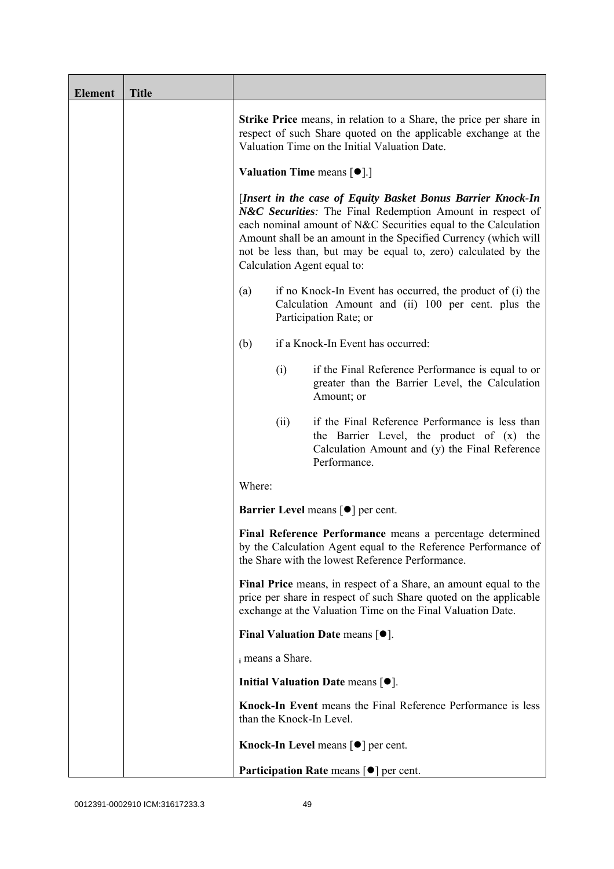| <b>Element</b> | <b>Title</b> |                          |                                                                                                                                                                                                                                                                                                                                                                |
|----------------|--------------|--------------------------|----------------------------------------------------------------------------------------------------------------------------------------------------------------------------------------------------------------------------------------------------------------------------------------------------------------------------------------------------------------|
|                |              |                          | <b>Strike Price</b> means, in relation to a Share, the price per share in<br>respect of such Share quoted on the applicable exchange at the<br>Valuation Time on the Initial Valuation Date.                                                                                                                                                                   |
|                |              |                          | <b>Valuation Time means <math>[\bullet]</math>.</b> ]                                                                                                                                                                                                                                                                                                          |
|                |              |                          | [Insert in the case of Equity Basket Bonus Barrier Knock-In<br>N&C Securities: The Final Redemption Amount in respect of<br>each nominal amount of N&C Securities equal to the Calculation<br>Amount shall be an amount in the Specified Currency (which will<br>not be less than, but may be equal to, zero) calculated by the<br>Calculation Agent equal to: |
|                |              | (a)                      | if no Knock-In Event has occurred, the product of (i) the<br>Calculation Amount and (ii) 100 per cent. plus the<br>Participation Rate; or                                                                                                                                                                                                                      |
|                |              | (b)                      | if a Knock-In Event has occurred:                                                                                                                                                                                                                                                                                                                              |
|                |              | (i)                      | if the Final Reference Performance is equal to or<br>greater than the Barrier Level, the Calculation<br>Amount; or                                                                                                                                                                                                                                             |
|                |              | (ii)                     | if the Final Reference Performance is less than<br>the Barrier Level, the product of (x) the<br>Calculation Amount and (y) the Final Reference<br>Performance.                                                                                                                                                                                                 |
|                |              | Where:                   |                                                                                                                                                                                                                                                                                                                                                                |
|                |              |                          | <b>Barrier Level</b> means $\lceil \bullet \rceil$ per cent.                                                                                                                                                                                                                                                                                                   |
|                |              |                          | Final Reference Performance means a percentage determined<br>by the Calculation Agent equal to the Reference Performance of<br>the Share with the lowest Reference Performance.                                                                                                                                                                                |
|                |              |                          | Final Price means, in respect of a Share, an amount equal to the<br>price per share in respect of such Share quoted on the applicable<br>exchange at the Valuation Time on the Final Valuation Date.                                                                                                                                                           |
|                |              |                          | Final Valuation Date means $[•]$ .                                                                                                                                                                                                                                                                                                                             |
|                |              | i means a Share.         |                                                                                                                                                                                                                                                                                                                                                                |
|                |              |                          | Initial Valuation Date means $[•]$ .                                                                                                                                                                                                                                                                                                                           |
|                |              | than the Knock-In Level. | Knock-In Event means the Final Reference Performance is less                                                                                                                                                                                                                                                                                                   |
|                |              |                          | Knock-In Level means $\lceil \bullet \rceil$ per cent.                                                                                                                                                                                                                                                                                                         |
|                |              |                          | <b>Participation Rate means <math>\lceil \bullet \rceil</math> per cent.</b>                                                                                                                                                                                                                                                                                   |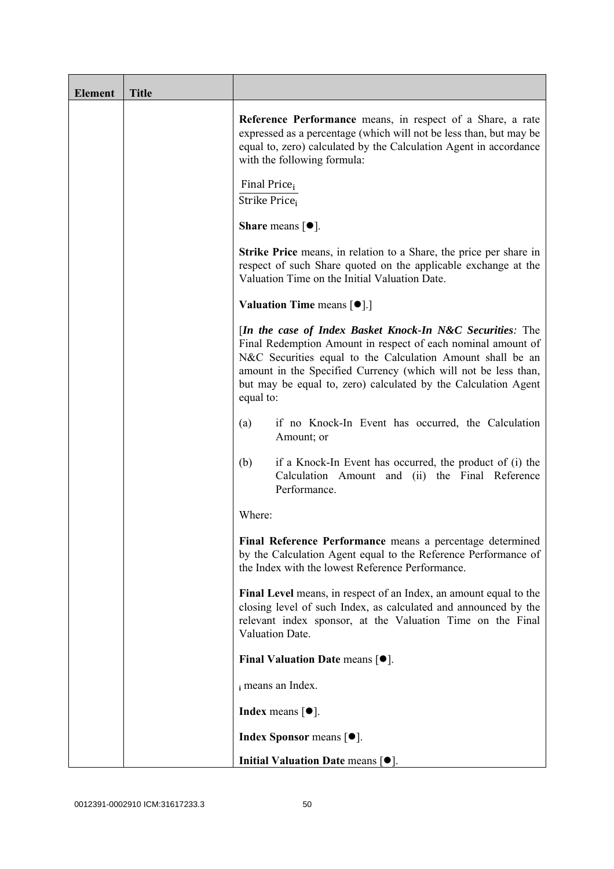| <b>Element</b> | <b>Title</b> |                                                                                                                                                                                                                                                                                                                                          |
|----------------|--------------|------------------------------------------------------------------------------------------------------------------------------------------------------------------------------------------------------------------------------------------------------------------------------------------------------------------------------------------|
|                |              | Reference Performance means, in respect of a Share, a rate<br>expressed as a percentage (which will not be less than, but may be<br>equal to, zero) calculated by the Calculation Agent in accordance<br>with the following formula:                                                                                                     |
|                |              | Final Price <sub>i</sub><br>Strike Price <sub>i</sub>                                                                                                                                                                                                                                                                                    |
|                |              | Share means $[•]$ .                                                                                                                                                                                                                                                                                                                      |
|                |              | <b>Strike Price</b> means, in relation to a Share, the price per share in<br>respect of such Share quoted on the applicable exchange at the<br>Valuation Time on the Initial Valuation Date.                                                                                                                                             |
|                |              | <b>Valuation Time means <math>\lceil \bullet \rceil</math>.</b>                                                                                                                                                                                                                                                                          |
|                |              | [In the case of Index Basket Knock-In N&C Securities: The<br>Final Redemption Amount in respect of each nominal amount of<br>N&C Securities equal to the Calculation Amount shall be an<br>amount in the Specified Currency (which will not be less than,<br>but may be equal to, zero) calculated by the Calculation Agent<br>equal to: |
|                |              | if no Knock-In Event has occurred, the Calculation<br>(a)<br>Amount; or                                                                                                                                                                                                                                                                  |
|                |              | (b)<br>if a Knock-In Event has occurred, the product of (i) the<br>Calculation Amount and (ii) the Final Reference<br>Performance.                                                                                                                                                                                                       |
|                |              | Where:                                                                                                                                                                                                                                                                                                                                   |
|                |              | Final Reference Performance means a percentage determined<br>by the Calculation Agent equal to the Reference Performance of<br>the Index with the lowest Reference Performance.                                                                                                                                                          |
|                |              | Final Level means, in respect of an Index, an amount equal to the<br>closing level of such Index, as calculated and announced by the<br>relevant index sponsor, at the Valuation Time on the Final<br>Valuation Date.                                                                                                                    |
|                |              | Final Valuation Date means $[•]$ .                                                                                                                                                                                                                                                                                                       |
|                |              | i means an Index.                                                                                                                                                                                                                                                                                                                        |
|                |              | <b>Index</b> means $\lceil \bullet \rceil$ .                                                                                                                                                                                                                                                                                             |
|                |              | <b>Index Sponsor</b> means $[•]$ .                                                                                                                                                                                                                                                                                                       |
|                |              | Initial Valuation Date means [ $\bullet$ ].                                                                                                                                                                                                                                                                                              |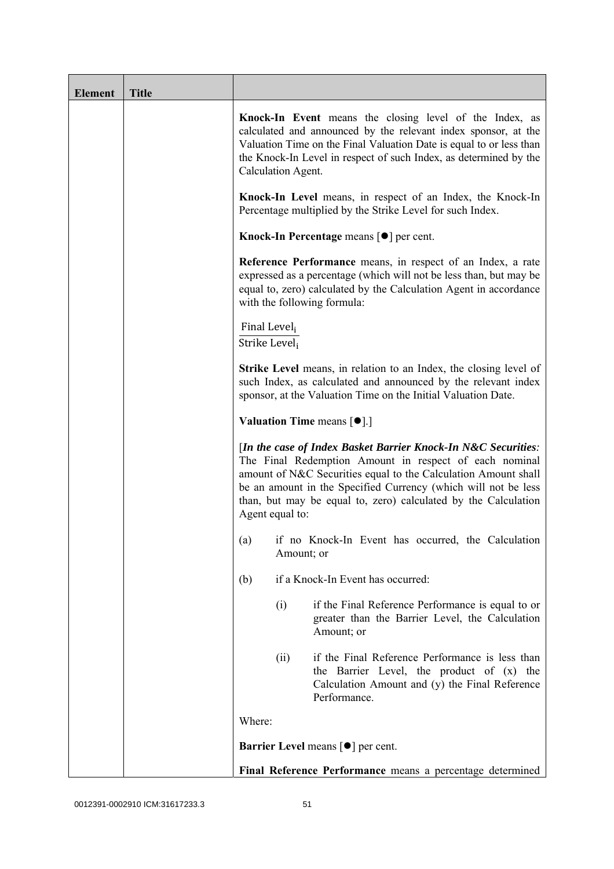| <b>Element</b> | <b>Title</b> |                                           |                                                                                                                                                                                                                                                                                                                               |
|----------------|--------------|-------------------------------------------|-------------------------------------------------------------------------------------------------------------------------------------------------------------------------------------------------------------------------------------------------------------------------------------------------------------------------------|
|                |              | Calculation Agent.                        | Knock-In Event means the closing level of the Index, as<br>calculated and announced by the relevant index sponsor, at the<br>Valuation Time on the Final Valuation Date is equal to or less than<br>the Knock-In Level in respect of such Index, as determined by the                                                         |
|                |              |                                           | Knock-In Level means, in respect of an Index, the Knock-In<br>Percentage multiplied by the Strike Level for such Index.                                                                                                                                                                                                       |
|                |              |                                           | Knock-In Percentage means $\lceil \bullet \rceil$ per cent.                                                                                                                                                                                                                                                                   |
|                |              |                                           | <b>Reference Performance</b> means, in respect of an Index, a rate<br>expressed as a percentage (which will not be less than, but may be<br>equal to, zero) calculated by the Calculation Agent in accordance<br>with the following formula:                                                                                  |
|                |              | Final Level <sub>i</sub><br>Strike Level; |                                                                                                                                                                                                                                                                                                                               |
|                |              |                                           | <b>Strike Level</b> means, in relation to an Index, the closing level of<br>such Index, as calculated and announced by the relevant index<br>sponsor, at the Valuation Time on the Initial Valuation Date.                                                                                                                    |
|                |              |                                           | <b>Valuation Time means <math>[\bullet]</math>.</b> ]                                                                                                                                                                                                                                                                         |
|                |              | Agent equal to:                           | [In the case of Index Basket Barrier Knock-In N&C Securities:<br>The Final Redemption Amount in respect of each nominal<br>amount of N&C Securities equal to the Calculation Amount shall<br>be an amount in the Specified Currency (which will not be less<br>than, but may be equal to, zero) calculated by the Calculation |
|                |              |                                           | (a) if no Knock-In Event has occurred, the Calculation<br>Amount; or                                                                                                                                                                                                                                                          |
|                |              | (b)                                       | if a Knock-In Event has occurred:                                                                                                                                                                                                                                                                                             |
|                |              | (i)                                       | if the Final Reference Performance is equal to or<br>greater than the Barrier Level, the Calculation<br>Amount; or                                                                                                                                                                                                            |
|                |              | (ii)                                      | if the Final Reference Performance is less than<br>the Barrier Level, the product of (x) the<br>Calculation Amount and (y) the Final Reference<br>Performance.                                                                                                                                                                |
|                |              | Where:                                    |                                                                                                                                                                                                                                                                                                                               |
|                |              |                                           | Barrier Level means [ $\bullet$ ] per cent.                                                                                                                                                                                                                                                                                   |
|                |              |                                           | Final Reference Performance means a percentage determined                                                                                                                                                                                                                                                                     |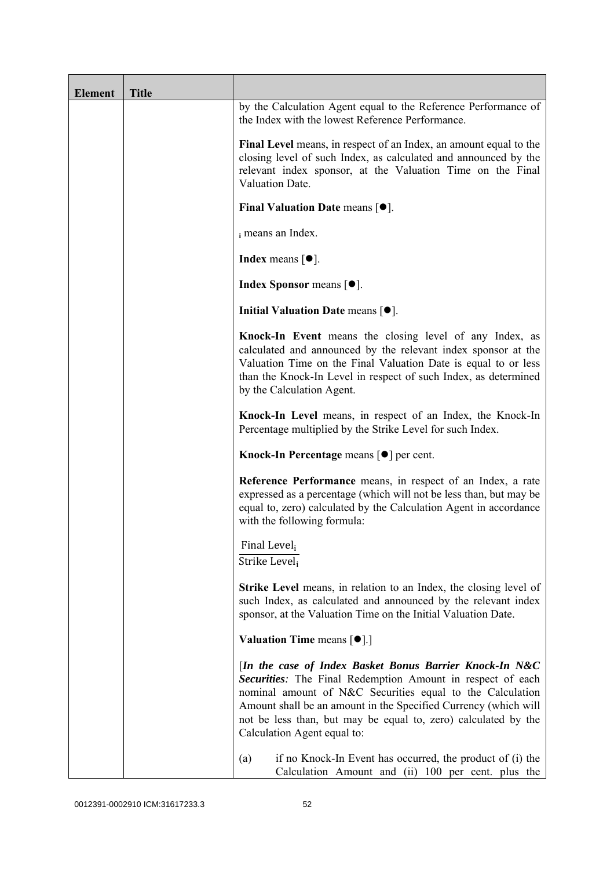| <b>Element</b> | <b>Title</b> |                                                                                                                                                                                                                                                                                                                                                        |
|----------------|--------------|--------------------------------------------------------------------------------------------------------------------------------------------------------------------------------------------------------------------------------------------------------------------------------------------------------------------------------------------------------|
|                |              | by the Calculation Agent equal to the Reference Performance of<br>the Index with the lowest Reference Performance.                                                                                                                                                                                                                                     |
|                |              | Final Level means, in respect of an Index, an amount equal to the<br>closing level of such Index, as calculated and announced by the<br>relevant index sponsor, at the Valuation Time on the Final<br>Valuation Date.                                                                                                                                  |
|                |              | Final Valuation Date means $[•]$ .                                                                                                                                                                                                                                                                                                                     |
|                |              | i means an Index.                                                                                                                                                                                                                                                                                                                                      |
|                |              | <b>Index</b> means $[•]$ .                                                                                                                                                                                                                                                                                                                             |
|                |              | <b>Index Sponsor</b> means $[•]$ .                                                                                                                                                                                                                                                                                                                     |
|                |              | Initial Valuation Date means [ $\bullet$ ].                                                                                                                                                                                                                                                                                                            |
|                |              | Knock-In Event means the closing level of any Index, as<br>calculated and announced by the relevant index sponsor at the<br>Valuation Time on the Final Valuation Date is equal to or less<br>than the Knock-In Level in respect of such Index, as determined<br>by the Calculation Agent.                                                             |
|                |              | Knock-In Level means, in respect of an Index, the Knock-In<br>Percentage multiplied by the Strike Level for such Index.                                                                                                                                                                                                                                |
|                |              | Knock-In Percentage means [●] per cent.                                                                                                                                                                                                                                                                                                                |
|                |              | Reference Performance means, in respect of an Index, a rate<br>expressed as a percentage (which will not be less than, but may be<br>equal to, zero) calculated by the Calculation Agent in accordance<br>with the following formula:                                                                                                                  |
|                |              | Final Level <sub>i</sub><br>Strike Level <sub>i</sub>                                                                                                                                                                                                                                                                                                  |
|                |              | <b>Strike Level</b> means, in relation to an Index, the closing level of<br>such Index, as calculated and announced by the relevant index<br>sponsor, at the Valuation Time on the Initial Valuation Date.                                                                                                                                             |
|                |              | <b>Valuation Time means <math>\lceil \bullet \rceil</math>.</b>                                                                                                                                                                                                                                                                                        |
|                |              | [In the case of Index Basket Bonus Barrier Knock-In N&C<br>Securities: The Final Redemption Amount in respect of each<br>nominal amount of N&C Securities equal to the Calculation<br>Amount shall be an amount in the Specified Currency (which will<br>not be less than, but may be equal to, zero) calculated by the<br>Calculation Agent equal to: |
|                |              | (a)<br>if no Knock-In Event has occurred, the product of (i) the<br>Calculation Amount and (ii) 100 per cent. plus the                                                                                                                                                                                                                                 |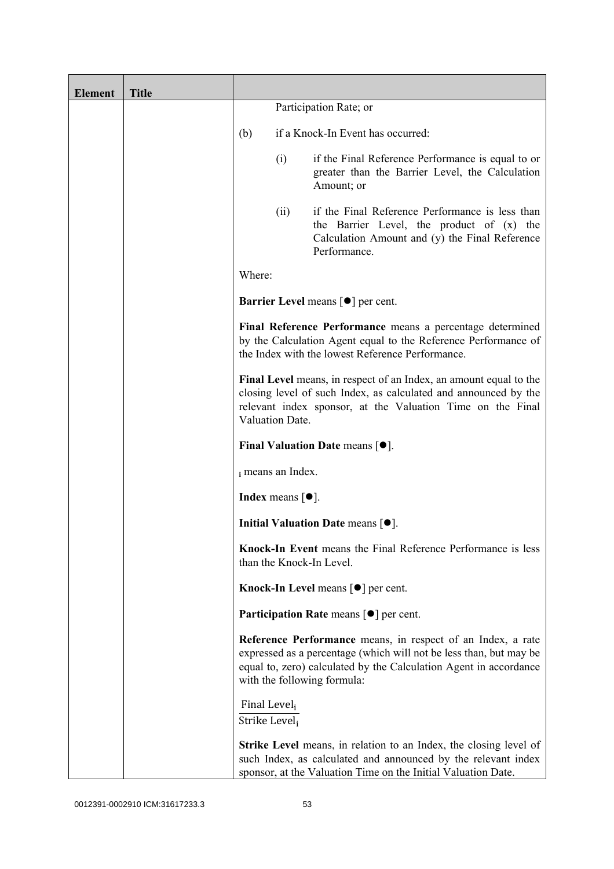| <b>Element</b> | <b>Title</b> |                                                       |                                              |                                                                                                                                                                                                                                       |
|----------------|--------------|-------------------------------------------------------|----------------------------------------------|---------------------------------------------------------------------------------------------------------------------------------------------------------------------------------------------------------------------------------------|
|                |              |                                                       |                                              | Participation Rate; or                                                                                                                                                                                                                |
|                |              | (b)                                                   |                                              | if a Knock-In Event has occurred:                                                                                                                                                                                                     |
|                |              |                                                       | (i)                                          | if the Final Reference Performance is equal to or<br>greater than the Barrier Level, the Calculation<br>Amount; or                                                                                                                    |
|                |              |                                                       | (ii)                                         | if the Final Reference Performance is less than<br>the Barrier Level, the product of (x) the<br>Calculation Amount and (y) the Final Reference<br>Performance.                                                                        |
|                |              | Where:                                                |                                              |                                                                                                                                                                                                                                       |
|                |              |                                                       |                                              | <b>Barrier Level means [<math>\bullet</math>] per cent.</b>                                                                                                                                                                           |
|                |              |                                                       |                                              | Final Reference Performance means a percentage determined<br>by the Calculation Agent equal to the Reference Performance of<br>the Index with the lowest Reference Performance.                                                       |
|                |              |                                                       | Valuation Date.                              | Final Level means, in respect of an Index, an amount equal to the<br>closing level of such Index, as calculated and announced by the<br>relevant index sponsor, at the Valuation Time on the Final                                    |
|                |              |                                                       |                                              | Final Valuation Date means $[•]$ .                                                                                                                                                                                                    |
|                |              |                                                       | i means an Index.                            |                                                                                                                                                                                                                                       |
|                |              |                                                       | <b>Index</b> means $\lceil \bullet \rceil$ . |                                                                                                                                                                                                                                       |
|                |              |                                                       |                                              | Initial Valuation Date means $[•]$ .                                                                                                                                                                                                  |
|                |              |                                                       |                                              | Knock-In Event means the Final Reference Performance is less<br>than the Knock-In Level.                                                                                                                                              |
|                |              |                                                       |                                              | <b>Knock-In Level means <math>\lceil \bullet \rceil</math> per cent.</b>                                                                                                                                                              |
|                |              |                                                       |                                              | <b>Participation Rate</b> means $\lceil \bullet \rceil$ per cent.                                                                                                                                                                     |
|                |              |                                                       |                                              | Reference Performance means, in respect of an Index, a rate<br>expressed as a percentage (which will not be less than, but may be<br>equal to, zero) calculated by the Calculation Agent in accordance<br>with the following formula: |
|                |              | Final Level <sub>i</sub><br>Strike Level <sub>i</sub> |                                              |                                                                                                                                                                                                                                       |
|                |              |                                                       |                                              | <b>Strike Level</b> means, in relation to an Index, the closing level of<br>such Index, as calculated and announced by the relevant index<br>sponsor, at the Valuation Time on the Initial Valuation Date.                            |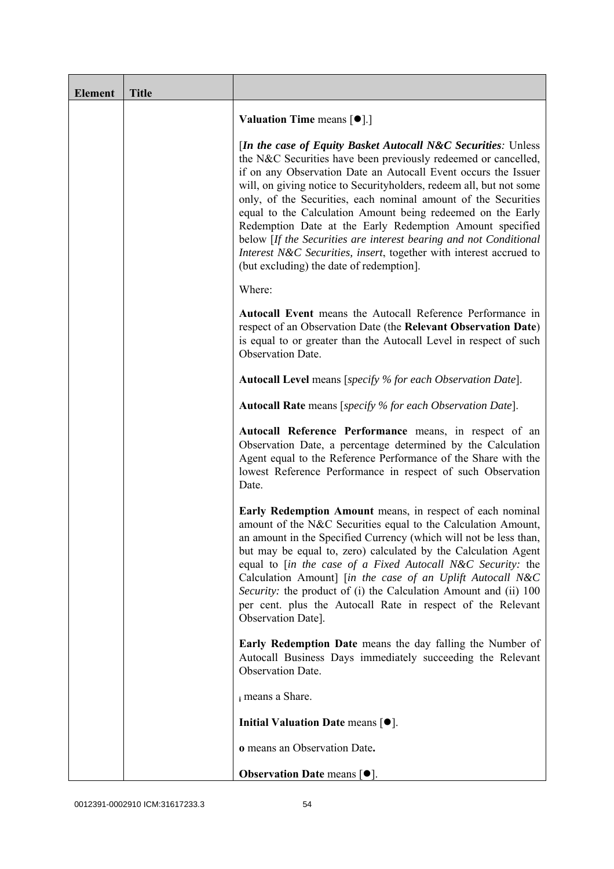| <b>Element</b> | <b>Title</b> |                                                                                                                                                                                                                                                                                                                                                                                                                                                                                                                                                                                                                                                             |
|----------------|--------------|-------------------------------------------------------------------------------------------------------------------------------------------------------------------------------------------------------------------------------------------------------------------------------------------------------------------------------------------------------------------------------------------------------------------------------------------------------------------------------------------------------------------------------------------------------------------------------------------------------------------------------------------------------------|
|                |              | <b>Valuation Time means <math>[\bullet]</math>.</b> ]                                                                                                                                                                                                                                                                                                                                                                                                                                                                                                                                                                                                       |
|                |              | [In the case of Equity Basket Autocall N&C Securities: Unless<br>the N&C Securities have been previously redeemed or cancelled,<br>if on any Observation Date an Autocall Event occurs the Issuer<br>will, on giving notice to Securityholders, redeem all, but not some<br>only, of the Securities, each nominal amount of the Securities<br>equal to the Calculation Amount being redeemed on the Early<br>Redemption Date at the Early Redemption Amount specified<br>below [If the Securities are interest bearing and not Conditional<br>Interest N&C Securities, insert, together with interest accrued to<br>(but excluding) the date of redemption. |
|                |              | Where:                                                                                                                                                                                                                                                                                                                                                                                                                                                                                                                                                                                                                                                      |
|                |              | Autocall Event means the Autocall Reference Performance in<br>respect of an Observation Date (the Relevant Observation Date)<br>is equal to or greater than the Autocall Level in respect of such<br>Observation Date.                                                                                                                                                                                                                                                                                                                                                                                                                                      |
|                |              | <b>Autocall Level</b> means [specify % for each Observation Date].                                                                                                                                                                                                                                                                                                                                                                                                                                                                                                                                                                                          |
|                |              | <b>Autocall Rate</b> means [specify % for each Observation Date].                                                                                                                                                                                                                                                                                                                                                                                                                                                                                                                                                                                           |
|                |              | Autocall Reference Performance means, in respect of an<br>Observation Date, a percentage determined by the Calculation<br>Agent equal to the Reference Performance of the Share with the<br>lowest Reference Performance in respect of such Observation<br>Date.                                                                                                                                                                                                                                                                                                                                                                                            |
|                |              | Early Redemption Amount means, in respect of each nominal<br>amount of the N&C Securities equal to the Calculation Amount,<br>an amount in the Specified Currency (which will not be less than,<br>but may be equal to, zero) calculated by the Calculation Agent<br>equal to [in the case of a Fixed Autocall N&C Security: the<br>Calculation Amount] [in the case of an Uplift Autocall N&C<br>Security: the product of (i) the Calculation Amount and (ii) 100<br>per cent. plus the Autocall Rate in respect of the Relevant<br>Observation Date].                                                                                                     |
|                |              | Early Redemption Date means the day falling the Number of<br>Autocall Business Days immediately succeeding the Relevant<br>Observation Date.                                                                                                                                                                                                                                                                                                                                                                                                                                                                                                                |
|                |              | i means a Share.                                                                                                                                                                                                                                                                                                                                                                                                                                                                                                                                                                                                                                            |
|                |              | Initial Valuation Date means $[•]$ .                                                                                                                                                                                                                                                                                                                                                                                                                                                                                                                                                                                                                        |
|                |              | o means an Observation Date.                                                                                                                                                                                                                                                                                                                                                                                                                                                                                                                                                                                                                                |
|                |              | <b>Observation Date means <math>[•]</math>.</b>                                                                                                                                                                                                                                                                                                                                                                                                                                                                                                                                                                                                             |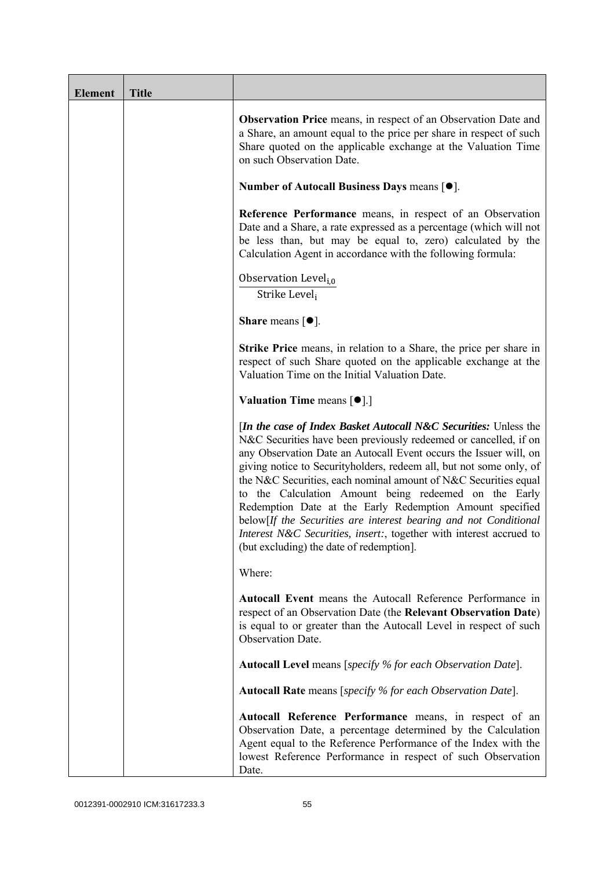| <b>Element</b> | <b>Title</b> |                                                                                                                                                                                                                                                                                                                                                                                                                                                                                                                                                                                                                                                                          |
|----------------|--------------|--------------------------------------------------------------------------------------------------------------------------------------------------------------------------------------------------------------------------------------------------------------------------------------------------------------------------------------------------------------------------------------------------------------------------------------------------------------------------------------------------------------------------------------------------------------------------------------------------------------------------------------------------------------------------|
|                |              | <b>Observation Price</b> means, in respect of an Observation Date and<br>a Share, an amount equal to the price per share in respect of such<br>Share quoted on the applicable exchange at the Valuation Time<br>on such Observation Date.                                                                                                                                                                                                                                                                                                                                                                                                                                |
|                |              | Number of Autocall Business Days means $[•]$ .                                                                                                                                                                                                                                                                                                                                                                                                                                                                                                                                                                                                                           |
|                |              | Reference Performance means, in respect of an Observation<br>Date and a Share, a rate expressed as a percentage (which will not<br>be less than, but may be equal to, zero) calculated by the<br>Calculation Agent in accordance with the following formula:                                                                                                                                                                                                                                                                                                                                                                                                             |
|                |              | Observation Level <sub>i,0</sub><br>Strike Level,                                                                                                                                                                                                                                                                                                                                                                                                                                                                                                                                                                                                                        |
|                |              | <b>Share</b> means $\lceil \bullet \rceil$ .                                                                                                                                                                                                                                                                                                                                                                                                                                                                                                                                                                                                                             |
|                |              | Strike Price means, in relation to a Share, the price per share in<br>respect of such Share quoted on the applicable exchange at the<br>Valuation Time on the Initial Valuation Date.                                                                                                                                                                                                                                                                                                                                                                                                                                                                                    |
|                |              | <b>Valuation Time means <math>\lceil \bullet \rceil</math>.</b>                                                                                                                                                                                                                                                                                                                                                                                                                                                                                                                                                                                                          |
|                |              | <i>In the case of Index Basket Autocall N&amp;C Securities: Unless the</i><br>N&C Securities have been previously redeemed or cancelled, if on<br>any Observation Date an Autocall Event occurs the Issuer will, on<br>giving notice to Securityholders, redeem all, but not some only, of<br>the N&C Securities, each nominal amount of N&C Securities equal<br>to the Calculation Amount being redeemed on the Early<br>Redemption Date at the Early Redemption Amount specified<br>below[If the Securities are interest bearing and not Conditional<br>Interest N&C Securities, insert:, together with interest accrued to<br>(but excluding) the date of redemption. |
|                |              | Where:                                                                                                                                                                                                                                                                                                                                                                                                                                                                                                                                                                                                                                                                   |
|                |              | Autocall Event means the Autocall Reference Performance in<br>respect of an Observation Date (the Relevant Observation Date)<br>is equal to or greater than the Autocall Level in respect of such<br>Observation Date.                                                                                                                                                                                                                                                                                                                                                                                                                                                   |
|                |              | Autocall Level means [specify % for each Observation Date].                                                                                                                                                                                                                                                                                                                                                                                                                                                                                                                                                                                                              |
|                |              | <b>Autocall Rate</b> means [specify % for each Observation Date].                                                                                                                                                                                                                                                                                                                                                                                                                                                                                                                                                                                                        |
|                |              | Autocall Reference Performance means, in respect of an<br>Observation Date, a percentage determined by the Calculation<br>Agent equal to the Reference Performance of the Index with the<br>lowest Reference Performance in respect of such Observation<br>Date.                                                                                                                                                                                                                                                                                                                                                                                                         |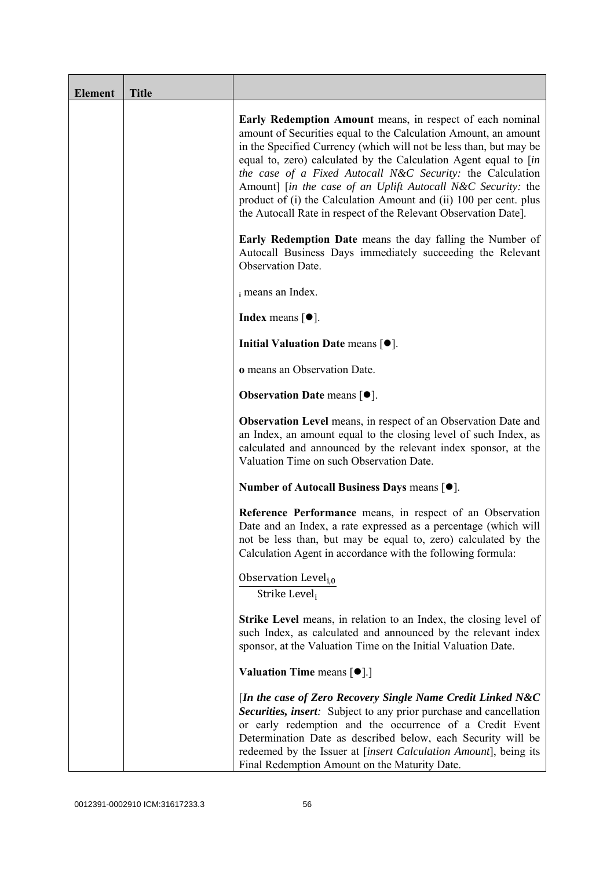| <b>Element</b> | <b>Title</b> |                                                                                                                                                                                                                                                                                                                                                                                                                                                                                                                                              |
|----------------|--------------|----------------------------------------------------------------------------------------------------------------------------------------------------------------------------------------------------------------------------------------------------------------------------------------------------------------------------------------------------------------------------------------------------------------------------------------------------------------------------------------------------------------------------------------------|
|                |              | Early Redemption Amount means, in respect of each nominal<br>amount of Securities equal to the Calculation Amount, an amount<br>in the Specified Currency (which will not be less than, but may be<br>equal to, zero) calculated by the Calculation Agent equal to [in<br>the case of a Fixed Autocall N&C Security: the Calculation<br>Amount] [in the case of an Uplift Autocall N&C Security: the<br>product of (i) the Calculation Amount and (ii) 100 per cent. plus<br>the Autocall Rate in respect of the Relevant Observation Date]. |
|                |              | <b>Early Redemption Date</b> means the day falling the Number of<br>Autocall Business Days immediately succeeding the Relevant<br>Observation Date.                                                                                                                                                                                                                                                                                                                                                                                          |
|                |              | i means an Index.                                                                                                                                                                                                                                                                                                                                                                                                                                                                                                                            |
|                |              | <b>Index</b> means $\lceil \bullet \rceil$ .                                                                                                                                                                                                                                                                                                                                                                                                                                                                                                 |
|                |              | Initial Valuation Date means $[•]$ .                                                                                                                                                                                                                                                                                                                                                                                                                                                                                                         |
|                |              | o means an Observation Date.                                                                                                                                                                                                                                                                                                                                                                                                                                                                                                                 |
|                |              | <b>Observation Date means <math>\lceil \bullet \rceil</math>.</b>                                                                                                                                                                                                                                                                                                                                                                                                                                                                            |
|                |              | <b>Observation Level</b> means, in respect of an Observation Date and<br>an Index, an amount equal to the closing level of such Index, as<br>calculated and announced by the relevant index sponsor, at the<br>Valuation Time on such Observation Date.                                                                                                                                                                                                                                                                                      |
|                |              | Number of Autocall Business Days means [●].                                                                                                                                                                                                                                                                                                                                                                                                                                                                                                  |
|                |              | Reference Performance means, in respect of an Observation<br>Date and an Index, a rate expressed as a percentage (which will<br>not be less than, but may be equal to, zero) calculated by the<br>Calculation Agent in accordance with the following formula:                                                                                                                                                                                                                                                                                |
|                |              | Observation Level <sub>i,0</sub><br>Strike Level,                                                                                                                                                                                                                                                                                                                                                                                                                                                                                            |
|                |              | <b>Strike Level</b> means, in relation to an Index, the closing level of<br>such Index, as calculated and announced by the relevant index<br>sponsor, at the Valuation Time on the Initial Valuation Date.                                                                                                                                                                                                                                                                                                                                   |
|                |              | <b>Valuation Time means <math>[\bullet]</math>.</b> ]                                                                                                                                                                                                                                                                                                                                                                                                                                                                                        |
|                |              | [In the case of Zero Recovery Single Name Credit Linked N&C<br>Securities, insert: Subject to any prior purchase and cancellation<br>or early redemption and the occurrence of a Credit Event<br>Determination Date as described below, each Security will be<br>redeemed by the Issuer at [insert Calculation Amount], being its<br>Final Redemption Amount on the Maturity Date.                                                                                                                                                           |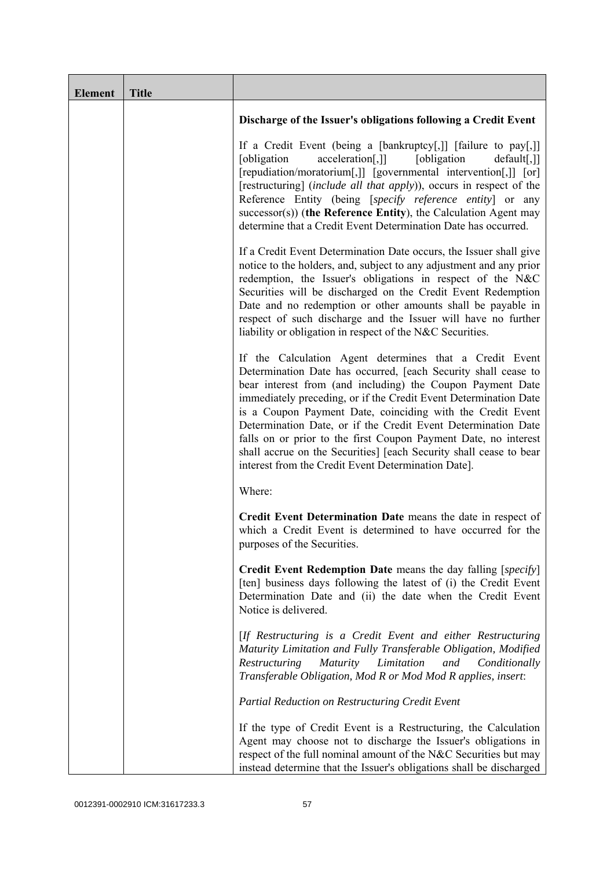| <b>Element</b> | <b>Title</b> |                                                                                                                                                                                                                                                                                                                                                                                                                                                                                                                                                                                            |
|----------------|--------------|--------------------------------------------------------------------------------------------------------------------------------------------------------------------------------------------------------------------------------------------------------------------------------------------------------------------------------------------------------------------------------------------------------------------------------------------------------------------------------------------------------------------------------------------------------------------------------------------|
|                |              | Discharge of the Issuer's obligations following a Credit Event                                                                                                                                                                                                                                                                                                                                                                                                                                                                                                                             |
|                |              | If a Credit Event (being a [bankruptcy[,]] [failure to pay[,]]<br>[obligation]<br>[obligation]<br>acceleration[,]]<br>$default[,$ ]]<br>[repudiation/moratorium[,]] [governmental intervention[,]] [or]<br>[restructuring] (include all that apply)), occurs in respect of the<br>Reference Entity (being [specify reference entity] or any<br>successor(s)) (the Reference Entity), the Calculation Agent may<br>determine that a Credit Event Determination Date has occurred.                                                                                                           |
|                |              | If a Credit Event Determination Date occurs, the Issuer shall give<br>notice to the holders, and, subject to any adjustment and any prior<br>redemption, the Issuer's obligations in respect of the N&C<br>Securities will be discharged on the Credit Event Redemption<br>Date and no redemption or other amounts shall be payable in<br>respect of such discharge and the Issuer will have no further<br>liability or obligation in respect of the N&C Securities.                                                                                                                       |
|                |              | If the Calculation Agent determines that a Credit Event<br>Determination Date has occurred, [each Security shall cease to<br>bear interest from (and including) the Coupon Payment Date<br>immediately preceding, or if the Credit Event Determination Date<br>is a Coupon Payment Date, coinciding with the Credit Event<br>Determination Date, or if the Credit Event Determination Date<br>falls on or prior to the first Coupon Payment Date, no interest<br>shall accrue on the Securities] [each Security shall cease to bear<br>interest from the Credit Event Determination Date]. |
|                |              | Where:                                                                                                                                                                                                                                                                                                                                                                                                                                                                                                                                                                                     |
|                |              | Credit Event Determination Date means the date in respect of<br>which a Credit Event is determined to have occurred for the<br>purposes of the Securities.                                                                                                                                                                                                                                                                                                                                                                                                                                 |
|                |              | Credit Event Redemption Date means the day falling [specify]<br>[ten] business days following the latest of (i) the Credit Event<br>Determination Date and (ii) the date when the Credit Event<br>Notice is delivered.                                                                                                                                                                                                                                                                                                                                                                     |
|                |              | [If Restructuring is a Credit Event and either Restructuring<br>Maturity Limitation and Fully Transferable Obligation, Modified<br>Restructuring<br><i>Maturity</i><br>Limitation<br>and<br>Conditionally<br>Transferable Obligation, Mod R or Mod Mod R applies, insert:                                                                                                                                                                                                                                                                                                                  |
|                |              | <b>Partial Reduction on Restructuring Credit Event</b>                                                                                                                                                                                                                                                                                                                                                                                                                                                                                                                                     |
|                |              | If the type of Credit Event is a Restructuring, the Calculation<br>Agent may choose not to discharge the Issuer's obligations in<br>respect of the full nominal amount of the N&C Securities but may<br>instead determine that the Issuer's obligations shall be discharged                                                                                                                                                                                                                                                                                                                |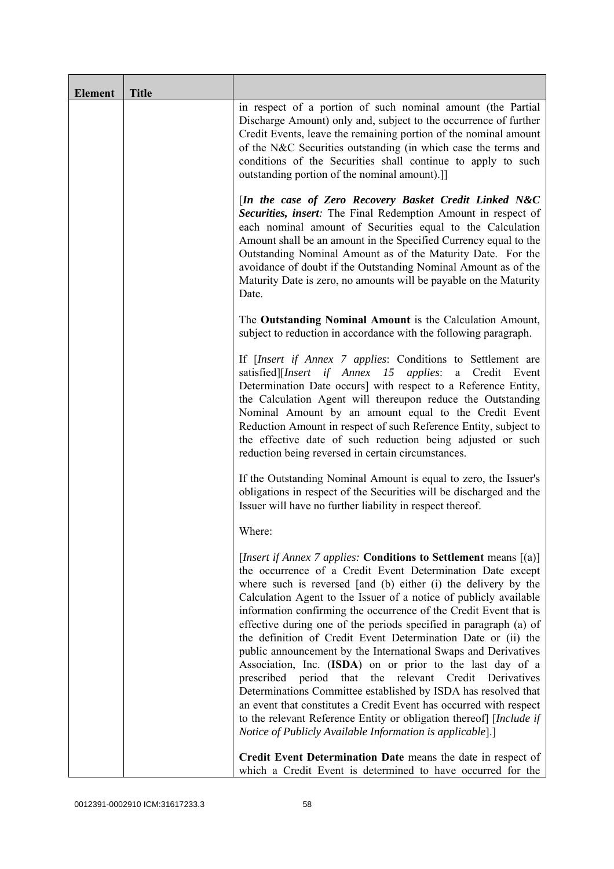| <b>Element</b> | <b>Title</b> |                                                                                                                                                                                                                                                                                                                                                                                                                                                                                                                                                                                                                                                                                                                                                                                                                                                                                                                                                                |
|----------------|--------------|----------------------------------------------------------------------------------------------------------------------------------------------------------------------------------------------------------------------------------------------------------------------------------------------------------------------------------------------------------------------------------------------------------------------------------------------------------------------------------------------------------------------------------------------------------------------------------------------------------------------------------------------------------------------------------------------------------------------------------------------------------------------------------------------------------------------------------------------------------------------------------------------------------------------------------------------------------------|
|                |              | in respect of a portion of such nominal amount (the Partial<br>Discharge Amount) only and, subject to the occurrence of further<br>Credit Events, leave the remaining portion of the nominal amount<br>of the N&C Securities outstanding (in which case the terms and<br>conditions of the Securities shall continue to apply to such<br>outstanding portion of the nominal amount).]                                                                                                                                                                                                                                                                                                                                                                                                                                                                                                                                                                          |
|                |              | [In the case of Zero Recovery Basket Credit Linked N&C<br>Securities, insert: The Final Redemption Amount in respect of<br>each nominal amount of Securities equal to the Calculation<br>Amount shall be an amount in the Specified Currency equal to the<br>Outstanding Nominal Amount as of the Maturity Date. For the<br>avoidance of doubt if the Outstanding Nominal Amount as of the<br>Maturity Date is zero, no amounts will be payable on the Maturity<br>Date.                                                                                                                                                                                                                                                                                                                                                                                                                                                                                       |
|                |              | The Outstanding Nominal Amount is the Calculation Amount,<br>subject to reduction in accordance with the following paragraph.                                                                                                                                                                                                                                                                                                                                                                                                                                                                                                                                                                                                                                                                                                                                                                                                                                  |
|                |              | If <i>[Insert if Annex 7 applies: Conditions to Settlement are</i><br>satisfied][Insert if Annex 15 applies: a Credit<br>Event<br>Determination Date occurs] with respect to a Reference Entity,<br>the Calculation Agent will thereupon reduce the Outstanding<br>Nominal Amount by an amount equal to the Credit Event<br>Reduction Amount in respect of such Reference Entity, subject to<br>the effective date of such reduction being adjusted or such<br>reduction being reversed in certain circumstances.                                                                                                                                                                                                                                                                                                                                                                                                                                              |
|                |              | If the Outstanding Nominal Amount is equal to zero, the Issuer's<br>obligations in respect of the Securities will be discharged and the<br>Issuer will have no further liability in respect thereof.                                                                                                                                                                                                                                                                                                                                                                                                                                                                                                                                                                                                                                                                                                                                                           |
|                |              | Where:                                                                                                                                                                                                                                                                                                                                                                                                                                                                                                                                                                                                                                                                                                                                                                                                                                                                                                                                                         |
|                |              | [Insert if Annex 7 applies: Conditions to Settlement means [(a)]<br>the occurrence of a Credit Event Determination Date except<br>where such is reversed [and (b) either (i) the delivery by the<br>Calculation Agent to the Issuer of a notice of publicly available<br>information confirming the occurrence of the Credit Event that is<br>effective during one of the periods specified in paragraph (a) of<br>the definition of Credit Event Determination Date or (ii) the<br>public announcement by the International Swaps and Derivatives<br>Association, Inc. (ISDA) on or prior to the last day of a<br>that the relevant Credit<br>prescribed<br>period<br>Derivatives<br>Determinations Committee established by ISDA has resolved that<br>an event that constitutes a Credit Event has occurred with respect<br>to the relevant Reference Entity or obligation thereof] [Include if<br>Notice of Publicly Available Information is applicable].] |
|                |              | Credit Event Determination Date means the date in respect of<br>which a Credit Event is determined to have occurred for the                                                                                                                                                                                                                                                                                                                                                                                                                                                                                                                                                                                                                                                                                                                                                                                                                                    |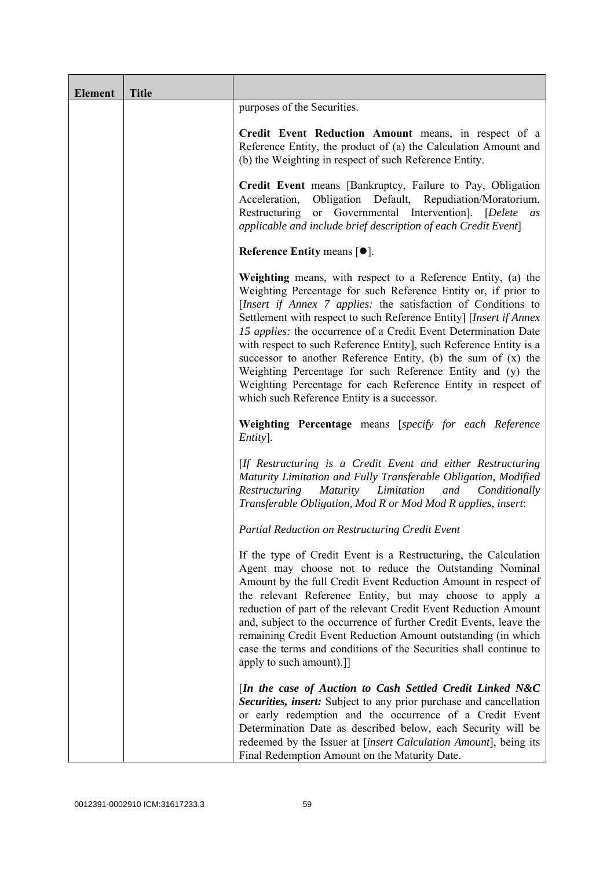| <b>Element</b> | <b>Title</b> |                                                                                                                                                                                                                                                                                                                                                                                                                                                                                                                                                                                                                                                                |
|----------------|--------------|----------------------------------------------------------------------------------------------------------------------------------------------------------------------------------------------------------------------------------------------------------------------------------------------------------------------------------------------------------------------------------------------------------------------------------------------------------------------------------------------------------------------------------------------------------------------------------------------------------------------------------------------------------------|
|                |              | purposes of the Securities.                                                                                                                                                                                                                                                                                                                                                                                                                                                                                                                                                                                                                                    |
|                |              | Credit Event Reduction Amount means, in respect of a<br>Reference Entity, the product of (a) the Calculation Amount and<br>(b) the Weighting in respect of such Reference Entity.                                                                                                                                                                                                                                                                                                                                                                                                                                                                              |
|                |              | Credit Event means [Bankruptcy, Failure to Pay, Obligation<br>Obligation Default, Repudiation/Moratorium,<br>Acceleration,<br>Restructuring or Governmental Intervention]. [Delete<br>as<br>applicable and include brief description of each Credit Event]                                                                                                                                                                                                                                                                                                                                                                                                     |
|                |              | Reference Entity means $[•]$ .                                                                                                                                                                                                                                                                                                                                                                                                                                                                                                                                                                                                                                 |
|                |              | Weighting means, with respect to a Reference Entity, (a) the<br>Weighting Percentage for such Reference Entity or, if prior to<br>[Insert if Annex 7 applies: the satisfaction of Conditions to<br>Settlement with respect to such Reference Entity] [Insert if Annex<br>15 applies: the occurrence of a Credit Event Determination Date<br>with respect to such Reference Entity], such Reference Entity is a<br>successor to another Reference Entity, (b) the sum of $(x)$ the<br>Weighting Percentage for such Reference Entity and (y) the<br>Weighting Percentage for each Reference Entity in respect of<br>which such Reference Entity is a successor. |
|                |              | Weighting Percentage means [specify for each Reference<br>Entity].                                                                                                                                                                                                                                                                                                                                                                                                                                                                                                                                                                                             |
|                |              | [If Restructuring is a Credit Event and either Restructuring<br>Maturity Limitation and Fully Transferable Obligation, Modified<br>Maturity Limitation<br>Restructuring<br>and<br>Conditionally<br>Transferable Obligation, Mod R or Mod Mod R applies, insert:                                                                                                                                                                                                                                                                                                                                                                                                |
|                |              | Partial Reduction on Restructuring Credit Event                                                                                                                                                                                                                                                                                                                                                                                                                                                                                                                                                                                                                |
|                |              | If the type of Credit Event is a Restructuring, the Calculation<br>Agent may choose not to reduce the Outstanding Nominal<br>Amount by the full Credit Event Reduction Amount in respect of<br>the relevant Reference Entity, but may choose to apply a<br>reduction of part of the relevant Credit Event Reduction Amount<br>and, subject to the occurrence of further Credit Events, leave the<br>remaining Credit Event Reduction Amount outstanding (in which<br>case the terms and conditions of the Securities shall continue to<br>apply to such amount).]                                                                                              |
|                |              | [In the case of Auction to Cash Settled Credit Linked N&C<br>Securities, insert: Subject to any prior purchase and cancellation<br>or early redemption and the occurrence of a Credit Event<br>Determination Date as described below, each Security will be<br>redeemed by the Issuer at [insert Calculation Amount], being its<br>Final Redemption Amount on the Maturity Date.                                                                                                                                                                                                                                                                               |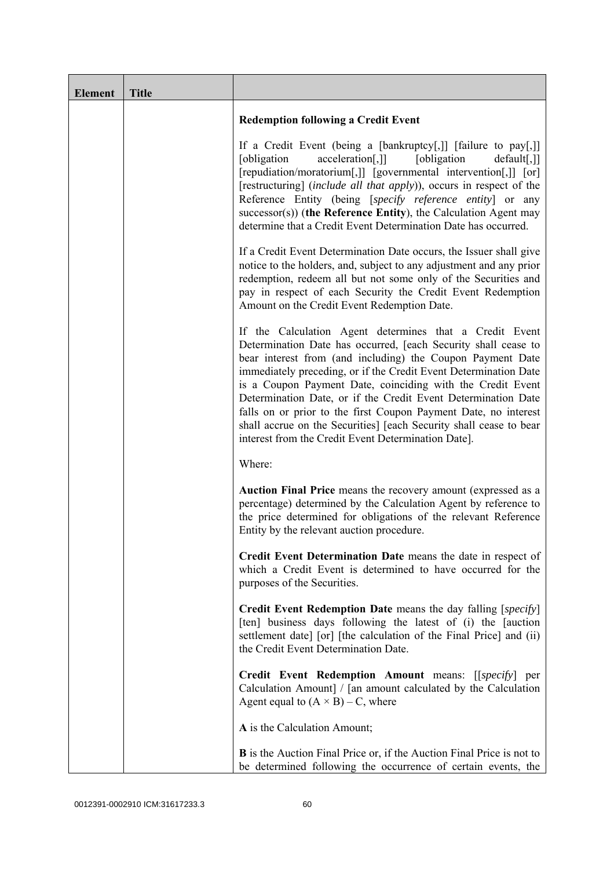| <b>Element</b> | <b>Title</b> |                                                                                                                                                                                                                                                                                                                                                                                                                                                                                                                                                                                            |
|----------------|--------------|--------------------------------------------------------------------------------------------------------------------------------------------------------------------------------------------------------------------------------------------------------------------------------------------------------------------------------------------------------------------------------------------------------------------------------------------------------------------------------------------------------------------------------------------------------------------------------------------|
|                |              | <b>Redemption following a Credit Event</b>                                                                                                                                                                                                                                                                                                                                                                                                                                                                                                                                                 |
|                |              | If a Credit Event (being a [bankruptcy[,]] [failure to pay[,]]<br>acceleration[,]]<br>[obligation<br>[obligation]<br>default[,]]<br>[repudiation/moratorium[,]] [governmental intervention[,]] [or]<br>[restructuring] (include all that apply)), occurs in respect of the<br>Reference Entity (being [specify reference entity] or any<br>$successor(s)$ ) (the Reference Entity), the Calculation Agent may<br>determine that a Credit Event Determination Date has occurred.                                                                                                            |
|                |              | If a Credit Event Determination Date occurs, the Issuer shall give<br>notice to the holders, and, subject to any adjustment and any prior<br>redemption, redeem all but not some only of the Securities and<br>pay in respect of each Security the Credit Event Redemption<br>Amount on the Credit Event Redemption Date.                                                                                                                                                                                                                                                                  |
|                |              | If the Calculation Agent determines that a Credit Event<br>Determination Date has occurred, [each Security shall cease to<br>bear interest from (and including) the Coupon Payment Date<br>immediately preceding, or if the Credit Event Determination Date<br>is a Coupon Payment Date, coinciding with the Credit Event<br>Determination Date, or if the Credit Event Determination Date<br>falls on or prior to the first Coupon Payment Date, no interest<br>shall accrue on the Securities] [each Security shall cease to bear<br>interest from the Credit Event Determination Date]. |
|                |              | Where:                                                                                                                                                                                                                                                                                                                                                                                                                                                                                                                                                                                     |
|                |              | Auction Final Price means the recovery amount (expressed as a<br>percentage) determined by the Calculation Agent by reference to<br>the price determined for obligations of the relevant Reference<br>Entity by the relevant auction procedure.                                                                                                                                                                                                                                                                                                                                            |
|                |              | Credit Event Determination Date means the date in respect of<br>which a Credit Event is determined to have occurred for the<br>purposes of the Securities.                                                                                                                                                                                                                                                                                                                                                                                                                                 |
|                |              | <b>Credit Event Redemption Date</b> means the day falling [specify]<br>[ten] business days following the latest of (i) the [auction<br>settlement date] [or] [the calculation of the Final Price] and (ii)<br>the Credit Event Determination Date.                                                                                                                                                                                                                                                                                                                                         |
|                |              | Credit Event Redemption Amount means: [[specify] per<br>Calculation Amount] / [an amount calculated by the Calculation<br>Agent equal to $(A \times B) - C$ , where                                                                                                                                                                                                                                                                                                                                                                                                                        |
|                |              | A is the Calculation Amount;                                                                                                                                                                                                                                                                                                                                                                                                                                                                                                                                                               |
|                |              | <b>B</b> is the Auction Final Price or, if the Auction Final Price is not to<br>be determined following the occurrence of certain events, the                                                                                                                                                                                                                                                                                                                                                                                                                                              |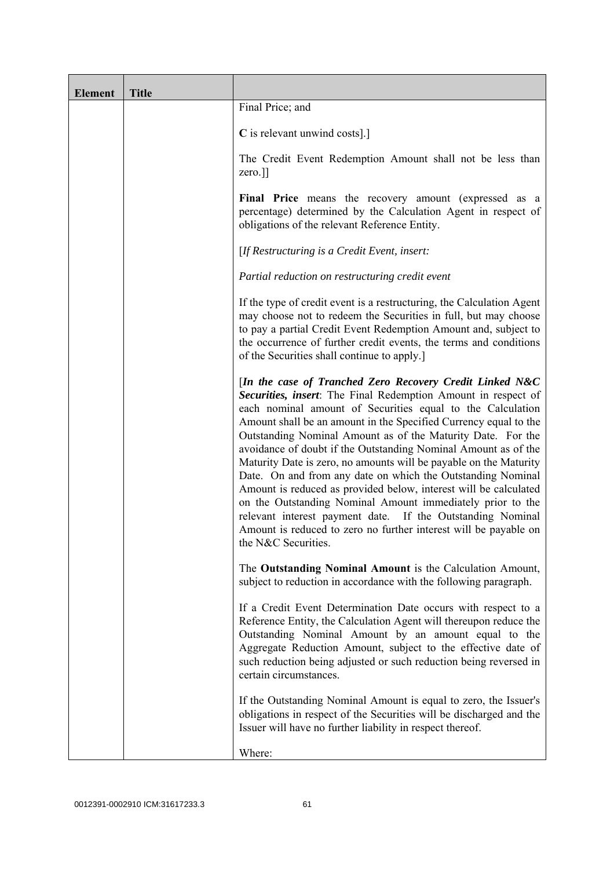| <b>Element</b> | <b>Title</b> |                                                                                                                                                                                                                                                                                                                                                                                                                                                                                                                                                                                                                                                                                                                                                                                                                             |
|----------------|--------------|-----------------------------------------------------------------------------------------------------------------------------------------------------------------------------------------------------------------------------------------------------------------------------------------------------------------------------------------------------------------------------------------------------------------------------------------------------------------------------------------------------------------------------------------------------------------------------------------------------------------------------------------------------------------------------------------------------------------------------------------------------------------------------------------------------------------------------|
|                |              | Final Price; and                                                                                                                                                                                                                                                                                                                                                                                                                                                                                                                                                                                                                                                                                                                                                                                                            |
|                |              | C is relevant unwind costs].]                                                                                                                                                                                                                                                                                                                                                                                                                                                                                                                                                                                                                                                                                                                                                                                               |
|                |              | The Credit Event Redemption Amount shall not be less than<br>zero.]]                                                                                                                                                                                                                                                                                                                                                                                                                                                                                                                                                                                                                                                                                                                                                        |
|                |              | Final Price means the recovery amount (expressed as a<br>percentage) determined by the Calculation Agent in respect of<br>obligations of the relevant Reference Entity.                                                                                                                                                                                                                                                                                                                                                                                                                                                                                                                                                                                                                                                     |
|                |              | [If Restructuring is a Credit Event, insert:                                                                                                                                                                                                                                                                                                                                                                                                                                                                                                                                                                                                                                                                                                                                                                                |
|                |              | Partial reduction on restructuring credit event                                                                                                                                                                                                                                                                                                                                                                                                                                                                                                                                                                                                                                                                                                                                                                             |
|                |              | If the type of credit event is a restructuring, the Calculation Agent<br>may choose not to redeem the Securities in full, but may choose<br>to pay a partial Credit Event Redemption Amount and, subject to<br>the occurrence of further credit events, the terms and conditions<br>of the Securities shall continue to apply.]                                                                                                                                                                                                                                                                                                                                                                                                                                                                                             |
|                |              | [In the case of Tranched Zero Recovery Credit Linked N&C<br>Securities, insert: The Final Redemption Amount in respect of<br>each nominal amount of Securities equal to the Calculation<br>Amount shall be an amount in the Specified Currency equal to the<br>Outstanding Nominal Amount as of the Maturity Date. For the<br>avoidance of doubt if the Outstanding Nominal Amount as of the<br>Maturity Date is zero, no amounts will be payable on the Maturity<br>Date. On and from any date on which the Outstanding Nominal<br>Amount is reduced as provided below, interest will be calculated<br>on the Outstanding Nominal Amount immediately prior to the<br>relevant interest payment date. If the Outstanding Nominal<br>Amount is reduced to zero no further interest will be payable on<br>the N&C Securities. |
|                |              | The Outstanding Nominal Amount is the Calculation Amount,<br>subject to reduction in accordance with the following paragraph.                                                                                                                                                                                                                                                                                                                                                                                                                                                                                                                                                                                                                                                                                               |
|                |              | If a Credit Event Determination Date occurs with respect to a<br>Reference Entity, the Calculation Agent will thereupon reduce the<br>Outstanding Nominal Amount by an amount equal to the<br>Aggregate Reduction Amount, subject to the effective date of<br>such reduction being adjusted or such reduction being reversed in<br>certain circumstances.                                                                                                                                                                                                                                                                                                                                                                                                                                                                   |
|                |              | If the Outstanding Nominal Amount is equal to zero, the Issuer's<br>obligations in respect of the Securities will be discharged and the<br>Issuer will have no further liability in respect thereof.                                                                                                                                                                                                                                                                                                                                                                                                                                                                                                                                                                                                                        |
|                |              | Where:                                                                                                                                                                                                                                                                                                                                                                                                                                                                                                                                                                                                                                                                                                                                                                                                                      |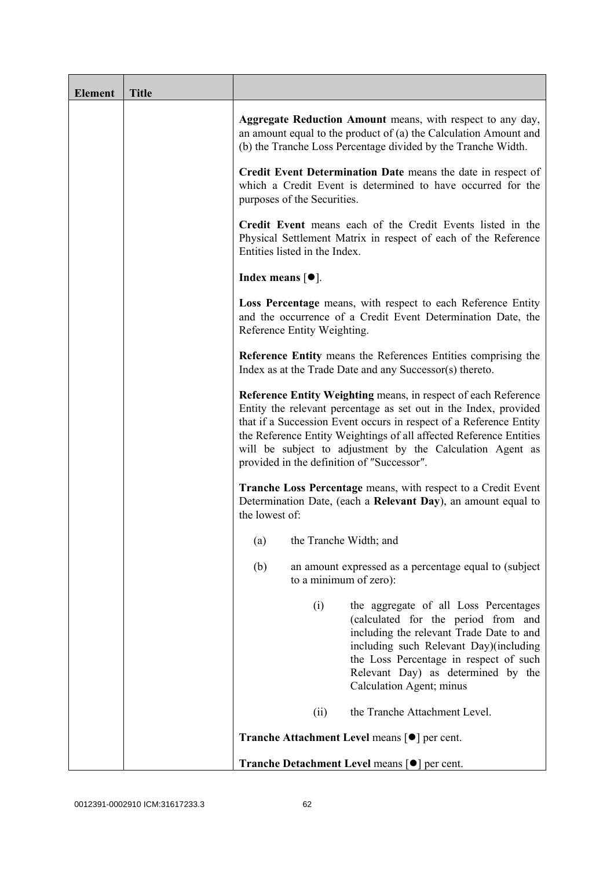| <b>Element</b> | <b>Title</b> |                                                                                                                                                                                                                                                                                                                                                                                           |
|----------------|--------------|-------------------------------------------------------------------------------------------------------------------------------------------------------------------------------------------------------------------------------------------------------------------------------------------------------------------------------------------------------------------------------------------|
|                |              | Aggregate Reduction Amount means, with respect to any day,<br>an amount equal to the product of (a) the Calculation Amount and<br>(b) the Tranche Loss Percentage divided by the Tranche Width.                                                                                                                                                                                           |
|                |              | Credit Event Determination Date means the date in respect of<br>which a Credit Event is determined to have occurred for the<br>purposes of the Securities.                                                                                                                                                                                                                                |
|                |              | Credit Event means each of the Credit Events listed in the<br>Physical Settlement Matrix in respect of each of the Reference<br>Entities listed in the Index.                                                                                                                                                                                                                             |
|                |              | Index means $[①]$ .                                                                                                                                                                                                                                                                                                                                                                       |
|                |              | Loss Percentage means, with respect to each Reference Entity<br>and the occurrence of a Credit Event Determination Date, the<br>Reference Entity Weighting.                                                                                                                                                                                                                               |
|                |              | <b>Reference Entity means the References Entities comprising the</b><br>Index as at the Trade Date and any Successor(s) thereto.                                                                                                                                                                                                                                                          |
|                |              | Reference Entity Weighting means, in respect of each Reference<br>Entity the relevant percentage as set out in the Index, provided<br>that if a Succession Event occurs in respect of a Reference Entity<br>the Reference Entity Weightings of all affected Reference Entities<br>will be subject to adjustment by the Calculation Agent as<br>provided in the definition of "Successor". |
|                |              | <b>Tranche Loss Percentage</b> means, with respect to a Credit Event<br>Determination Date, (each a Relevant Day), an amount equal to<br>the lowest of:                                                                                                                                                                                                                                   |
|                |              | the Tranche Width; and<br>(a)                                                                                                                                                                                                                                                                                                                                                             |
|                |              | (b)<br>an amount expressed as a percentage equal to (subject)<br>to a minimum of zero):                                                                                                                                                                                                                                                                                                   |
|                |              | (i)<br>the aggregate of all Loss Percentages<br>(calculated for the period from and<br>including the relevant Trade Date to and<br>including such Relevant Day)(including<br>the Loss Percentage in respect of such<br>Relevant Day) as determined by the<br>Calculation Agent; minus                                                                                                     |
|                |              | the Tranche Attachment Level.<br>(ii)                                                                                                                                                                                                                                                                                                                                                     |
|                |              | <b>Tranche Attachment Level means [●] per cent.</b>                                                                                                                                                                                                                                                                                                                                       |
|                |              | Tranche Detachment Level means [●] per cent.                                                                                                                                                                                                                                                                                                                                              |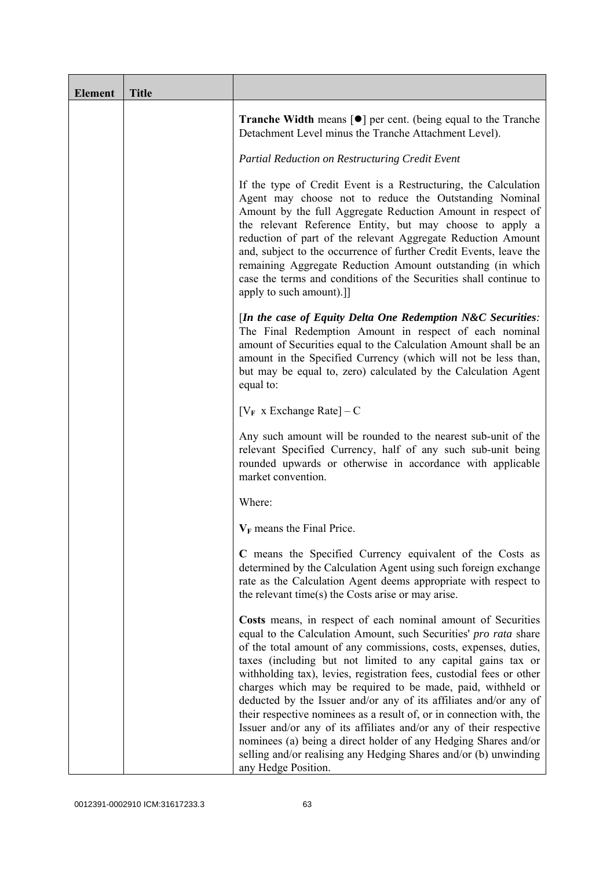| <b>Element</b> | <b>Title</b> |                                                                                                                                                                                                                                                                                                                                                                                                                                                                                                                                                                                                                                                                                                                                                                                              |
|----------------|--------------|----------------------------------------------------------------------------------------------------------------------------------------------------------------------------------------------------------------------------------------------------------------------------------------------------------------------------------------------------------------------------------------------------------------------------------------------------------------------------------------------------------------------------------------------------------------------------------------------------------------------------------------------------------------------------------------------------------------------------------------------------------------------------------------------|
|                |              | <b>Tranche Width</b> means $\lceil \bullet \rceil$ per cent. (being equal to the Tranche<br>Detachment Level minus the Tranche Attachment Level).                                                                                                                                                                                                                                                                                                                                                                                                                                                                                                                                                                                                                                            |
|                |              | Partial Reduction on Restructuring Credit Event                                                                                                                                                                                                                                                                                                                                                                                                                                                                                                                                                                                                                                                                                                                                              |
|                |              | If the type of Credit Event is a Restructuring, the Calculation<br>Agent may choose not to reduce the Outstanding Nominal<br>Amount by the full Aggregate Reduction Amount in respect of<br>the relevant Reference Entity, but may choose to apply a<br>reduction of part of the relevant Aggregate Reduction Amount<br>and, subject to the occurrence of further Credit Events, leave the<br>remaining Aggregate Reduction Amount outstanding (in which<br>case the terms and conditions of the Securities shall continue to<br>apply to such amount).]]                                                                                                                                                                                                                                    |
|                |              | [In the case of Equity Delta One Redemption $N\&C$ Securities:<br>The Final Redemption Amount in respect of each nominal<br>amount of Securities equal to the Calculation Amount shall be an<br>amount in the Specified Currency (which will not be less than,<br>but may be equal to, zero) calculated by the Calculation Agent<br>equal to:                                                                                                                                                                                                                                                                                                                                                                                                                                                |
|                |              | $[V_F \times Exchange Rate] - C$                                                                                                                                                                                                                                                                                                                                                                                                                                                                                                                                                                                                                                                                                                                                                             |
|                |              | Any such amount will be rounded to the nearest sub-unit of the<br>relevant Specified Currency, half of any such sub-unit being<br>rounded upwards or otherwise in accordance with applicable<br>market convention.                                                                                                                                                                                                                                                                                                                                                                                                                                                                                                                                                                           |
|                |              | Where:                                                                                                                                                                                                                                                                                                                                                                                                                                                                                                                                                                                                                                                                                                                                                                                       |
|                |              | $V_F$ means the Final Price.                                                                                                                                                                                                                                                                                                                                                                                                                                                                                                                                                                                                                                                                                                                                                                 |
|                |              | C means the Specified Currency equivalent of the Costs as<br>determined by the Calculation Agent using such foreign exchange<br>rate as the Calculation Agent deems appropriate with respect to<br>the relevant time(s) the Costs arise or may arise.                                                                                                                                                                                                                                                                                                                                                                                                                                                                                                                                        |
|                |              | Costs means, in respect of each nominal amount of Securities<br>equal to the Calculation Amount, such Securities' pro rata share<br>of the total amount of any commissions, costs, expenses, duties,<br>taxes (including but not limited to any capital gains tax or<br>withholding tax), levies, registration fees, custodial fees or other<br>charges which may be required to be made, paid, withheld or<br>deducted by the Issuer and/or any of its affiliates and/or any of<br>their respective nominees as a result of, or in connection with, the<br>Issuer and/or any of its affiliates and/or any of their respective<br>nominees (a) being a direct holder of any Hedging Shares and/or<br>selling and/or realising any Hedging Shares and/or (b) unwinding<br>any Hedge Position. |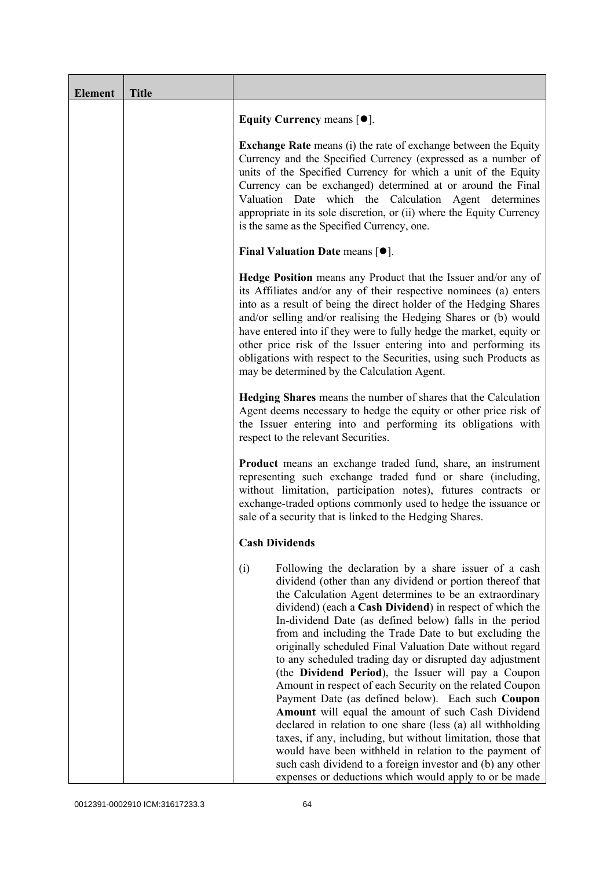| <b>Element</b> | <b>Title</b> |                                                                                                                                                                                                                                                                                                                                                                                                                                                                                                                                                                                                                                                                                                                                                                                                                                                                                                                                                                                                                                              |
|----------------|--------------|----------------------------------------------------------------------------------------------------------------------------------------------------------------------------------------------------------------------------------------------------------------------------------------------------------------------------------------------------------------------------------------------------------------------------------------------------------------------------------------------------------------------------------------------------------------------------------------------------------------------------------------------------------------------------------------------------------------------------------------------------------------------------------------------------------------------------------------------------------------------------------------------------------------------------------------------------------------------------------------------------------------------------------------------|
|                |              | Equity Currency means $[\bullet].$                                                                                                                                                                                                                                                                                                                                                                                                                                                                                                                                                                                                                                                                                                                                                                                                                                                                                                                                                                                                           |
|                |              | <b>Exchange Rate</b> means (i) the rate of exchange between the Equity<br>Currency and the Specified Currency (expressed as a number of<br>units of the Specified Currency for which a unit of the Equity<br>Currency can be exchanged) determined at or around the Final<br>Valuation Date which the Calculation Agent determines<br>appropriate in its sole discretion, or (ii) where the Equity Currency<br>is the same as the Specified Currency, one.                                                                                                                                                                                                                                                                                                                                                                                                                                                                                                                                                                                   |
|                |              | Final Valuation Date means $[•]$ .                                                                                                                                                                                                                                                                                                                                                                                                                                                                                                                                                                                                                                                                                                                                                                                                                                                                                                                                                                                                           |
|                |              | <b>Hedge Position</b> means any Product that the Issuer and/or any of<br>its Affiliates and/or any of their respective nominees (a) enters<br>into as a result of being the direct holder of the Hedging Shares<br>and/or selling and/or realising the Hedging Shares or (b) would<br>have entered into if they were to fully hedge the market, equity or<br>other price risk of the Issuer entering into and performing its<br>obligations with respect to the Securities, using such Products as<br>may be determined by the Calculation Agent.                                                                                                                                                                                                                                                                                                                                                                                                                                                                                            |
|                |              | Hedging Shares means the number of shares that the Calculation<br>Agent deems necessary to hedge the equity or other price risk of<br>the Issuer entering into and performing its obligations with<br>respect to the relevant Securities.                                                                                                                                                                                                                                                                                                                                                                                                                                                                                                                                                                                                                                                                                                                                                                                                    |
|                |              | <b>Product</b> means an exchange traded fund, share, an instrument<br>representing such exchange traded fund or share (including,<br>without limitation, participation notes), futures contracts or<br>exchange-traded options commonly used to hedge the issuance or<br>sale of a security that is linked to the Hedging Shares.                                                                                                                                                                                                                                                                                                                                                                                                                                                                                                                                                                                                                                                                                                            |
|                |              | <b>Cash Dividends</b>                                                                                                                                                                                                                                                                                                                                                                                                                                                                                                                                                                                                                                                                                                                                                                                                                                                                                                                                                                                                                        |
|                |              | (i)<br>Following the declaration by a share issuer of a cash<br>dividend (other than any dividend or portion thereof that<br>the Calculation Agent determines to be an extraordinary<br>dividend) (each a Cash Dividend) in respect of which the<br>In-dividend Date (as defined below) falls in the period<br>from and including the Trade Date to but excluding the<br>originally scheduled Final Valuation Date without regard<br>to any scheduled trading day or disrupted day adjustment<br>(the Dividend Period), the Issuer will pay a Coupon<br>Amount in respect of each Security on the related Coupon<br>Payment Date (as defined below). Each such Coupon<br>Amount will equal the amount of such Cash Dividend<br>declared in relation to one share (less (a) all withholding<br>taxes, if any, including, but without limitation, those that<br>would have been withheld in relation to the payment of<br>such cash dividend to a foreign investor and (b) any other<br>expenses or deductions which would apply to or be made |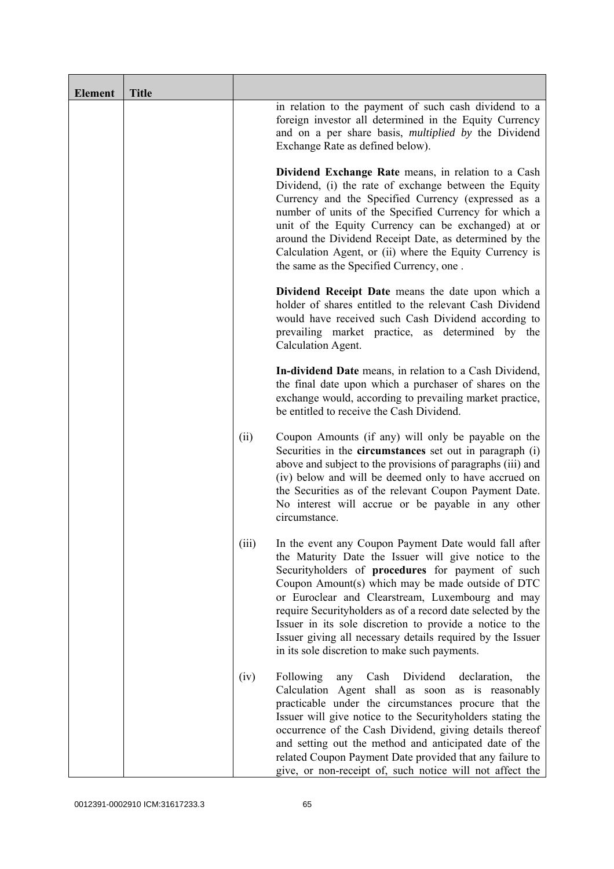| <b>Element</b> | <b>Title</b> |       |                                                                                                                                                                                                                                                                                                                                                                                                                                                                                                                       |
|----------------|--------------|-------|-----------------------------------------------------------------------------------------------------------------------------------------------------------------------------------------------------------------------------------------------------------------------------------------------------------------------------------------------------------------------------------------------------------------------------------------------------------------------------------------------------------------------|
|                |              |       | in relation to the payment of such cash dividend to a<br>foreign investor all determined in the Equity Currency<br>and on a per share basis, <i>multiplied by</i> the Dividend<br>Exchange Rate as defined below).                                                                                                                                                                                                                                                                                                    |
|                |              |       | Dividend Exchange Rate means, in relation to a Cash<br>Dividend, (i) the rate of exchange between the Equity<br>Currency and the Specified Currency (expressed as a<br>number of units of the Specified Currency for which a<br>unit of the Equity Currency can be exchanged) at or<br>around the Dividend Receipt Date, as determined by the<br>Calculation Agent, or (ii) where the Equity Currency is<br>the same as the Specified Currency, one.                                                                  |
|                |              |       | Dividend Receipt Date means the date upon which a<br>holder of shares entitled to the relevant Cash Dividend<br>would have received such Cash Dividend according to<br>prevailing market practice, as determined by the<br>Calculation Agent.                                                                                                                                                                                                                                                                         |
|                |              |       | In-dividend Date means, in relation to a Cash Dividend,<br>the final date upon which a purchaser of shares on the<br>exchange would, according to prevailing market practice,<br>be entitled to receive the Cash Dividend.                                                                                                                                                                                                                                                                                            |
|                |              | (ii)  | Coupon Amounts (if any) will only be payable on the<br>Securities in the <b>circumstances</b> set out in paragraph (i)<br>above and subject to the provisions of paragraphs (iii) and<br>(iv) below and will be deemed only to have accrued on<br>the Securities as of the relevant Coupon Payment Date.<br>No interest will accrue or be payable in any other<br>circumstance.                                                                                                                                       |
|                |              | (iii) | In the event any Coupon Payment Date would fall after<br>the Maturity Date the Issuer will give notice to the<br>Securityholders of procedures for payment of such<br>Coupon Amount(s) which may be made outside of DTC<br>or Euroclear and Clearstream, Luxembourg and may<br>require Securityholders as of a record date selected by the<br>Issuer in its sole discretion to provide a notice to the<br>Issuer giving all necessary details required by the Issuer<br>in its sole discretion to make such payments. |
|                |              | (iv)  | Following<br>Dividend<br>Cash<br>declaration,<br>the<br>any<br>Calculation Agent shall as soon as is reasonably<br>practicable under the circumstances procure that the<br>Issuer will give notice to the Securityholders stating the<br>occurrence of the Cash Dividend, giving details thereof<br>and setting out the method and anticipated date of the<br>related Coupon Payment Date provided that any failure to<br>give, or non-receipt of, such notice will not affect the                                    |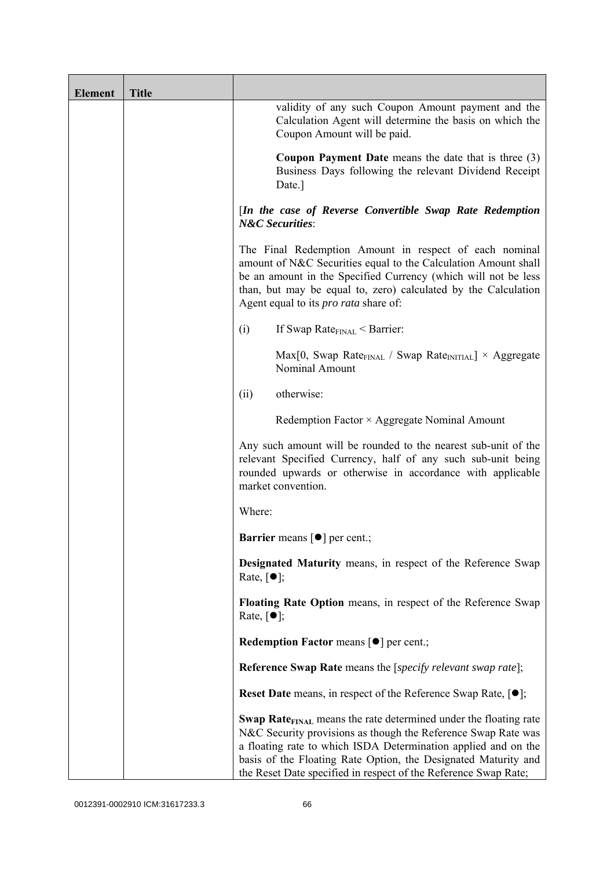| <b>Element</b> | <b>Title</b> |                                                                                                                                                                                                                                                                                                                                                             |
|----------------|--------------|-------------------------------------------------------------------------------------------------------------------------------------------------------------------------------------------------------------------------------------------------------------------------------------------------------------------------------------------------------------|
|                |              | validity of any such Coupon Amount payment and the<br>Calculation Agent will determine the basis on which the<br>Coupon Amount will be paid.                                                                                                                                                                                                                |
|                |              | <b>Coupon Payment Date</b> means the date that is three $(3)$<br>Business Days following the relevant Dividend Receipt<br>Date.]                                                                                                                                                                                                                            |
|                |              | [In the case of Reverse Convertible Swap Rate Redemption<br><b>N&amp;C</b> Securities:                                                                                                                                                                                                                                                                      |
|                |              | The Final Redemption Amount in respect of each nominal<br>amount of N&C Securities equal to the Calculation Amount shall<br>be an amount in the Specified Currency (which will not be less<br>than, but may be equal to, zero) calculated by the Calculation<br>Agent equal to its <i>pro rata</i> share of:                                                |
|                |              | If Swap Rate $_{\text{FINAL}}$ < Barrier:<br>(i)                                                                                                                                                                                                                                                                                                            |
|                |              | $Max[0, Swap Rate_{FINAL} / Swap Rate_{INITIAL}] \times Aggregate$<br>Nominal Amount                                                                                                                                                                                                                                                                        |
|                |              | otherwise:<br>(ii)                                                                                                                                                                                                                                                                                                                                          |
|                |              | Redemption Factor $\times$ Aggregate Nominal Amount                                                                                                                                                                                                                                                                                                         |
|                |              | Any such amount will be rounded to the nearest sub-unit of the<br>relevant Specified Currency, half of any such sub-unit being<br>rounded upwards or otherwise in accordance with applicable<br>market convention.                                                                                                                                          |
|                |              | Where:                                                                                                                                                                                                                                                                                                                                                      |
|                |              | <b>Barrier</b> means $\lceil \bullet \rceil$ per cent.;                                                                                                                                                                                                                                                                                                     |
|                |              | Designated Maturity means, in respect of the Reference Swap<br>Rate, $\lceil \bullet \rceil$ ;                                                                                                                                                                                                                                                              |
|                |              | Floating Rate Option means, in respect of the Reference Swap<br>Rate, $\lceil \bullet \rceil$ ;                                                                                                                                                                                                                                                             |
|                |              | <b>Redemption Factor means [O] per cent.;</b>                                                                                                                                                                                                                                                                                                               |
|                |              | <b>Reference Swap Rate</b> means the [ <i>specify relevant swap rate</i> ];                                                                                                                                                                                                                                                                                 |
|                |              | <b>Reset Date</b> means, in respect of the Reference Swap Rate, $[•]$ ;                                                                                                                                                                                                                                                                                     |
|                |              | <b>Swap Rate</b> <sub>FINAL</sub> means the rate determined under the floating rate<br>N&C Security provisions as though the Reference Swap Rate was<br>a floating rate to which ISDA Determination applied and on the<br>basis of the Floating Rate Option, the Designated Maturity and<br>the Reset Date specified in respect of the Reference Swap Rate; |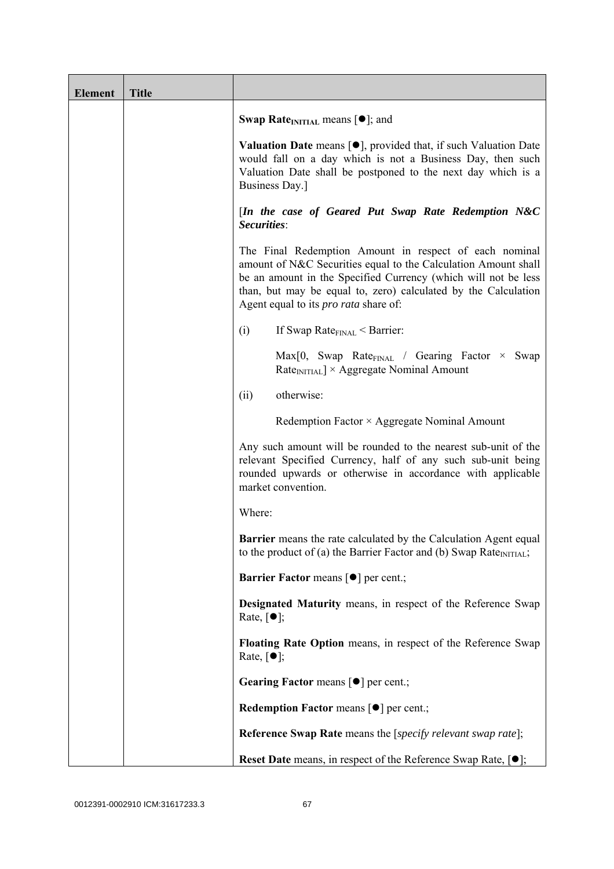| <b>Element</b> | <b>Title</b> |                                                                                                                                                                                                                                                                                                              |
|----------------|--------------|--------------------------------------------------------------------------------------------------------------------------------------------------------------------------------------------------------------------------------------------------------------------------------------------------------------|
|                |              | <b>Swap Rate</b> <sub>INITIAL</sub> means $[\bullet]$ ; and                                                                                                                                                                                                                                                  |
|                |              | <b>Valuation Date</b> means $[\bullet]$ , provided that, if such Valuation Date<br>would fall on a day which is not a Business Day, then such<br>Valuation Date shall be postponed to the next day which is a<br>Business Day.]                                                                              |
|                |              | [In the case of Geared Put Swap Rate Redemption N&C<br>Securities:                                                                                                                                                                                                                                           |
|                |              | The Final Redemption Amount in respect of each nominal<br>amount of N&C Securities equal to the Calculation Amount shall<br>be an amount in the Specified Currency (which will not be less<br>than, but may be equal to, zero) calculated by the Calculation<br>Agent equal to its <i>pro rata</i> share of: |
|                |              | If Swap Rate $_{\text{FINAL}}$ < Barrier:<br>(i)                                                                                                                                                                                                                                                             |
|                |              | Max[0, Swap Rate <sub>FINAL</sub> / Gearing Factor $\times$ Swap<br>$RateINITIAL$ × Aggregate Nominal Amount                                                                                                                                                                                                 |
|                |              | otherwise:<br>(ii)                                                                                                                                                                                                                                                                                           |
|                |              | Redemption Factor × Aggregate Nominal Amount                                                                                                                                                                                                                                                                 |
|                |              | Any such amount will be rounded to the nearest sub-unit of the<br>relevant Specified Currency, half of any such sub-unit being<br>rounded upwards or otherwise in accordance with applicable<br>market convention.                                                                                           |
|                |              | Where:                                                                                                                                                                                                                                                                                                       |
|                |              | <b>Barrier</b> means the rate calculated by the Calculation Agent equal<br>to the product of (a) the Barrier Factor and (b) Swap Rate <sub>INITIAL</sub> ;                                                                                                                                                   |
|                |              | Barrier Factor means [ $\bullet$ ] per cent.;                                                                                                                                                                                                                                                                |
|                |              | Designated Maturity means, in respect of the Reference Swap<br>Rate, $\lceil \bullet \rceil$ ;                                                                                                                                                                                                               |
|                |              | Floating Rate Option means, in respect of the Reference Swap<br>Rate, $\lceil \bullet \rceil$ ;                                                                                                                                                                                                              |
|                |              | Gearing Factor means [ $\bullet$ ] per cent.;                                                                                                                                                                                                                                                                |
|                |              | Redemption Factor means [ $\bullet$ ] per cent.;                                                                                                                                                                                                                                                             |
|                |              | <b>Reference Swap Rate</b> means the [specify relevant swap rate];                                                                                                                                                                                                                                           |
|                |              | <b>Reset Date</b> means, in respect of the Reference Swap Rate, $[•]$ ;                                                                                                                                                                                                                                      |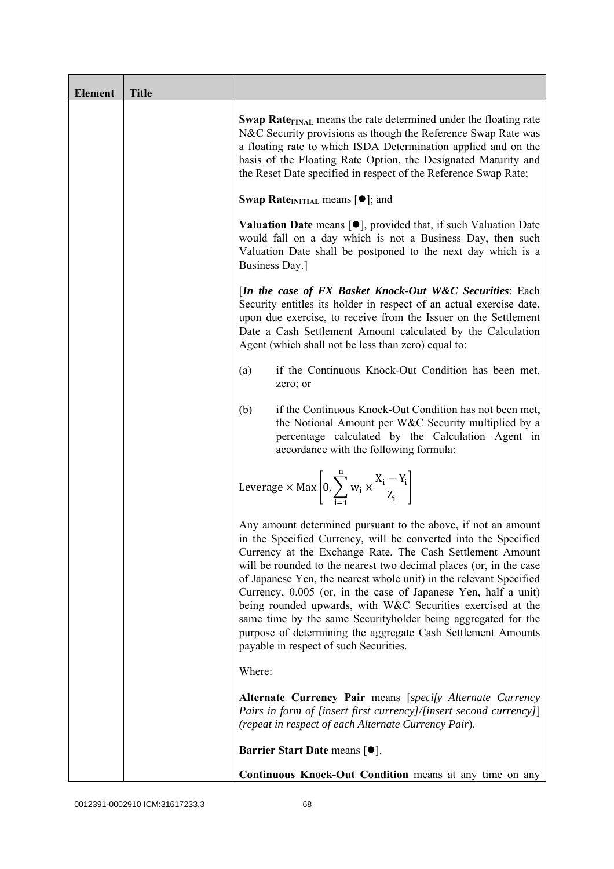| <b>Element</b> | <b>Title</b> |                                                                                                                                                                                                                                                                                                                                                                                                                                                                                                                                                                                                                                                       |
|----------------|--------------|-------------------------------------------------------------------------------------------------------------------------------------------------------------------------------------------------------------------------------------------------------------------------------------------------------------------------------------------------------------------------------------------------------------------------------------------------------------------------------------------------------------------------------------------------------------------------------------------------------------------------------------------------------|
|                |              | <b>Swap Rate</b> <sub>FINAL</sub> means the rate determined under the floating rate<br>N&C Security provisions as though the Reference Swap Rate was<br>a floating rate to which ISDA Determination applied and on the<br>basis of the Floating Rate Option, the Designated Maturity and<br>the Reset Date specified in respect of the Reference Swap Rate;                                                                                                                                                                                                                                                                                           |
|                |              | <b>Swap Rate</b> <sub>INITIAL</sub> means $[\bullet]$ ; and                                                                                                                                                                                                                                                                                                                                                                                                                                                                                                                                                                                           |
|                |              | <b>Valuation Date</b> means $[\bullet]$ , provided that, if such Valuation Date<br>would fall on a day which is not a Business Day, then such<br>Valuation Date shall be postponed to the next day which is a<br>Business Day.]                                                                                                                                                                                                                                                                                                                                                                                                                       |
|                |              | [In the case of FX Basket Knock-Out W&C Securities: Each<br>Security entitles its holder in respect of an actual exercise date,<br>upon due exercise, to receive from the Issuer on the Settlement<br>Date a Cash Settlement Amount calculated by the Calculation<br>Agent (which shall not be less than zero) equal to:                                                                                                                                                                                                                                                                                                                              |
|                |              | if the Continuous Knock-Out Condition has been met,<br>(a)<br>zero; or                                                                                                                                                                                                                                                                                                                                                                                                                                                                                                                                                                                |
|                |              | if the Continuous Knock-Out Condition has not been met,<br>(b)<br>the Notional Amount per W&C Security multiplied by a<br>percentage calculated by the Calculation Agent in<br>accordance with the following formula:                                                                                                                                                                                                                                                                                                                                                                                                                                 |
|                |              | Leverage $\times$ Max $\left  0, \sum_{i=1}^{n} w_i \times \frac{X_i - Y_i}{Z_i} \right $                                                                                                                                                                                                                                                                                                                                                                                                                                                                                                                                                             |
|                |              | Any amount determined pursuant to the above, if not an amount<br>in the Specified Currency, will be converted into the Specified<br>Currency at the Exchange Rate. The Cash Settlement Amount<br>will be rounded to the nearest two decimal places (or, in the case<br>of Japanese Yen, the nearest whole unit) in the relevant Specified<br>Currency, 0.005 (or, in the case of Japanese Yen, half a unit)<br>being rounded upwards, with W&C Securities exercised at the<br>same time by the same Securityholder being aggregated for the<br>purpose of determining the aggregate Cash Settlement Amounts<br>payable in respect of such Securities. |
|                |              | Where:                                                                                                                                                                                                                                                                                                                                                                                                                                                                                                                                                                                                                                                |
|                |              | Alternate Currency Pair means [specify Alternate Currency<br>Pairs in form of [insert first currency]/[insert second currency]]<br>(repeat in respect of each Alternate Currency Pair).                                                                                                                                                                                                                                                                                                                                                                                                                                                               |
|                |              | <b>Barrier Start Date means [<math>\bullet</math>].</b>                                                                                                                                                                                                                                                                                                                                                                                                                                                                                                                                                                                               |
|                |              | Continuous Knock-Out Condition means at any time on any                                                                                                                                                                                                                                                                                                                                                                                                                                                                                                                                                                                               |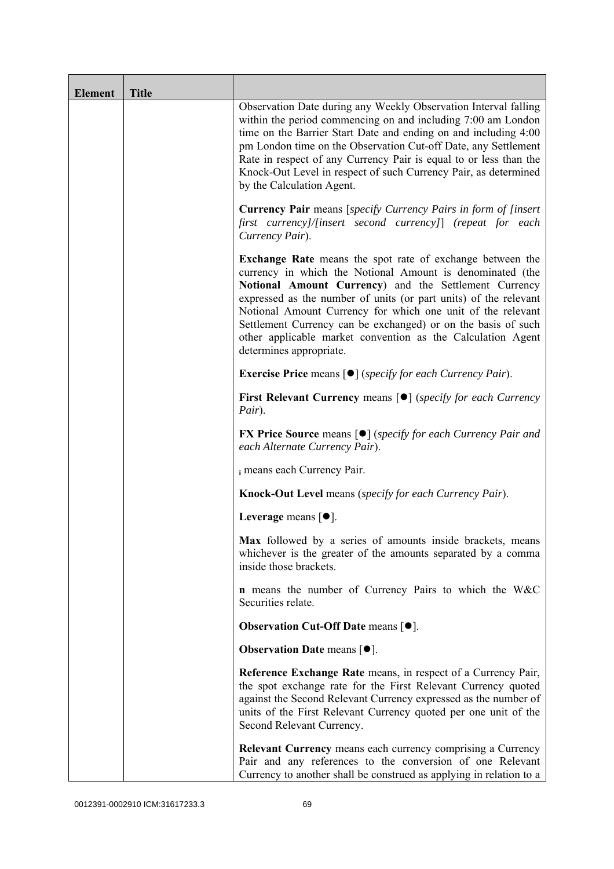| <b>Element</b> | <b>Title</b> |                                                                                                                                                                                                                                                                                                                                                                                                                                                                                      |
|----------------|--------------|--------------------------------------------------------------------------------------------------------------------------------------------------------------------------------------------------------------------------------------------------------------------------------------------------------------------------------------------------------------------------------------------------------------------------------------------------------------------------------------|
|                |              | Observation Date during any Weekly Observation Interval falling<br>within the period commencing on and including 7:00 am London<br>time on the Barrier Start Date and ending on and including 4:00<br>pm London time on the Observation Cut-off Date, any Settlement<br>Rate in respect of any Currency Pair is equal to or less than the<br>Knock-Out Level in respect of such Currency Pair, as determined<br>by the Calculation Agent.                                            |
|                |              | <b>Currency Pair</b> means [specify Currency Pairs in form of [insert]<br>first currency]/[insert second currency]] (repeat for each<br>Currency Pair).                                                                                                                                                                                                                                                                                                                              |
|                |              | <b>Exchange Rate</b> means the spot rate of exchange between the<br>currency in which the Notional Amount is denominated (the<br>Notional Amount Currency) and the Settlement Currency<br>expressed as the number of units (or part units) of the relevant<br>Notional Amount Currency for which one unit of the relevant<br>Settlement Currency can be exchanged) or on the basis of such<br>other applicable market convention as the Calculation Agent<br>determines appropriate. |
|                |              | <b>Exercise Price</b> means $\lceil \bullet \rceil$ ( <i>specify for each Currency Pair</i> ).                                                                                                                                                                                                                                                                                                                                                                                       |
|                |              | <b>First Relevant Currency means [O]</b> (specify for each Currency<br>Pair).                                                                                                                                                                                                                                                                                                                                                                                                        |
|                |              | <b>FX Price Source</b> means $\lceil \bullet \rceil$ (specify for each Currency Pair and<br>each Alternate Currency Pair).                                                                                                                                                                                                                                                                                                                                                           |
|                |              | i means each Currency Pair.                                                                                                                                                                                                                                                                                                                                                                                                                                                          |
|                |              | <b>Knock-Out Level</b> means (specify for each Currency Pair).                                                                                                                                                                                                                                                                                                                                                                                                                       |
|                |              | Leverage means $[•]$ .                                                                                                                                                                                                                                                                                                                                                                                                                                                               |
|                |              | Max followed by a series of amounts inside brackets, means<br>whichever is the greater of the amounts separated by a comma<br>inside those brackets.                                                                                                                                                                                                                                                                                                                                 |
|                |              | <b>n</b> means the number of Currency Pairs to which the W&C<br>Securities relate.                                                                                                                                                                                                                                                                                                                                                                                                   |
|                |              | <b>Observation Cut-Off Date means <math>[•]</math>.</b>                                                                                                                                                                                                                                                                                                                                                                                                                              |
|                |              | <b>Observation Date means <math>\lceil \bullet \rceil</math>.</b>                                                                                                                                                                                                                                                                                                                                                                                                                    |
|                |              | Reference Exchange Rate means, in respect of a Currency Pair,<br>the spot exchange rate for the First Relevant Currency quoted<br>against the Second Relevant Currency expressed as the number of<br>units of the First Relevant Currency quoted per one unit of the<br>Second Relevant Currency.                                                                                                                                                                                    |
|                |              | <b>Relevant Currency</b> means each currency comprising a Currency<br>Pair and any references to the conversion of one Relevant<br>Currency to another shall be construed as applying in relation to a                                                                                                                                                                                                                                                                               |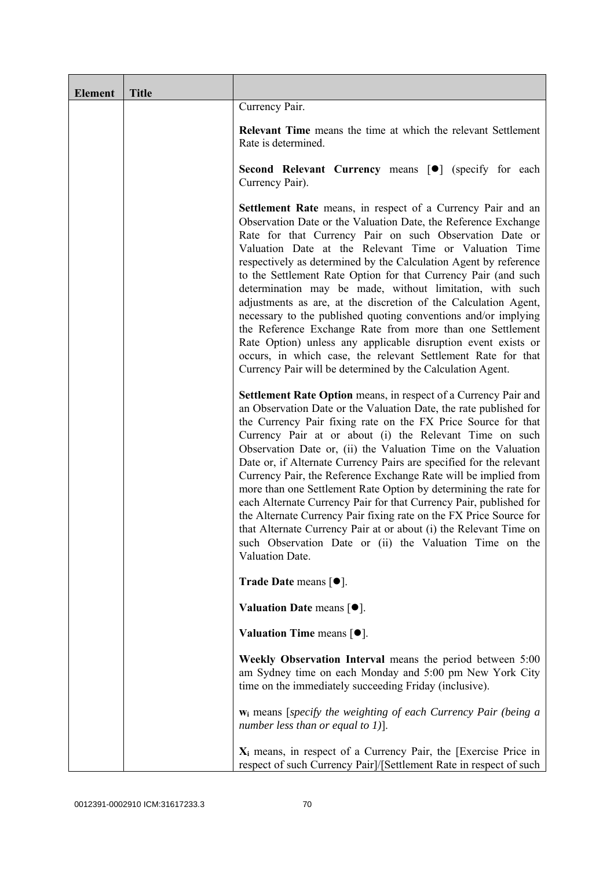| <b>Element</b> | <b>Title</b> |                                                                                                                                                                                                                                                                                                                                                                                                                                                                                                                                                                                                                                                                                                                                                                                                                                                             |
|----------------|--------------|-------------------------------------------------------------------------------------------------------------------------------------------------------------------------------------------------------------------------------------------------------------------------------------------------------------------------------------------------------------------------------------------------------------------------------------------------------------------------------------------------------------------------------------------------------------------------------------------------------------------------------------------------------------------------------------------------------------------------------------------------------------------------------------------------------------------------------------------------------------|
|                |              | Currency Pair.                                                                                                                                                                                                                                                                                                                                                                                                                                                                                                                                                                                                                                                                                                                                                                                                                                              |
|                |              | <b>Relevant Time</b> means the time at which the relevant Settlement<br>Rate is determined.                                                                                                                                                                                                                                                                                                                                                                                                                                                                                                                                                                                                                                                                                                                                                                 |
|                |              | Second Relevant Currency means [ $\bullet$ ] (specify for each<br>Currency Pair).                                                                                                                                                                                                                                                                                                                                                                                                                                                                                                                                                                                                                                                                                                                                                                           |
|                |              | <b>Settlement Rate</b> means, in respect of a Currency Pair and an<br>Observation Date or the Valuation Date, the Reference Exchange<br>Rate for that Currency Pair on such Observation Date or<br>Valuation Date at the Relevant Time or Valuation Time<br>respectively as determined by the Calculation Agent by reference<br>to the Settlement Rate Option for that Currency Pair (and such<br>determination may be made, without limitation, with such<br>adjustments as are, at the discretion of the Calculation Agent,<br>necessary to the published quoting conventions and/or implying<br>the Reference Exchange Rate from more than one Settlement<br>Rate Option) unless any applicable disruption event exists or<br>occurs, in which case, the relevant Settlement Rate for that<br>Currency Pair will be determined by the Calculation Agent. |
|                |              | Settlement Rate Option means, in respect of a Currency Pair and<br>an Observation Date or the Valuation Date, the rate published for<br>the Currency Pair fixing rate on the FX Price Source for that<br>Currency Pair at or about (i) the Relevant Time on such<br>Observation Date or, (ii) the Valuation Time on the Valuation<br>Date or, if Alternate Currency Pairs are specified for the relevant<br>Currency Pair, the Reference Exchange Rate will be implied from<br>more than one Settlement Rate Option by determining the rate for<br>each Alternate Currency Pair for that Currency Pair, published for<br>the Alternate Currency Pair fixing rate on the FX Price Source for<br>that Alternate Currency Pair at or about (i) the Relevant Time on<br>such Observation Date or (ii) the Valuation Time on the<br>Valuation Date.              |
|                |              | <b>Trade Date means <math>\lceil \bullet \rceil</math>.</b>                                                                                                                                                                                                                                                                                                                                                                                                                                                                                                                                                                                                                                                                                                                                                                                                 |
|                |              | Valuation Date means $[•]$ .                                                                                                                                                                                                                                                                                                                                                                                                                                                                                                                                                                                                                                                                                                                                                                                                                                |
|                |              | Valuation Time means $[\bullet].$                                                                                                                                                                                                                                                                                                                                                                                                                                                                                                                                                                                                                                                                                                                                                                                                                           |
|                |              | Weekly Observation Interval means the period between 5:00<br>am Sydney time on each Monday and 5:00 pm New York City<br>time on the immediately succeeding Friday (inclusive).                                                                                                                                                                                                                                                                                                                                                                                                                                                                                                                                                                                                                                                                              |
|                |              | $w_i$ means [specify the weighting of each Currency Pair (being a<br>number less than or equal to 1)].                                                                                                                                                                                                                                                                                                                                                                                                                                                                                                                                                                                                                                                                                                                                                      |
|                |              | $X_i$ means, in respect of a Currency Pair, the [Exercise Price in<br>respect of such Currency Pair]/[Settlement Rate in respect of such                                                                                                                                                                                                                                                                                                                                                                                                                                                                                                                                                                                                                                                                                                                    |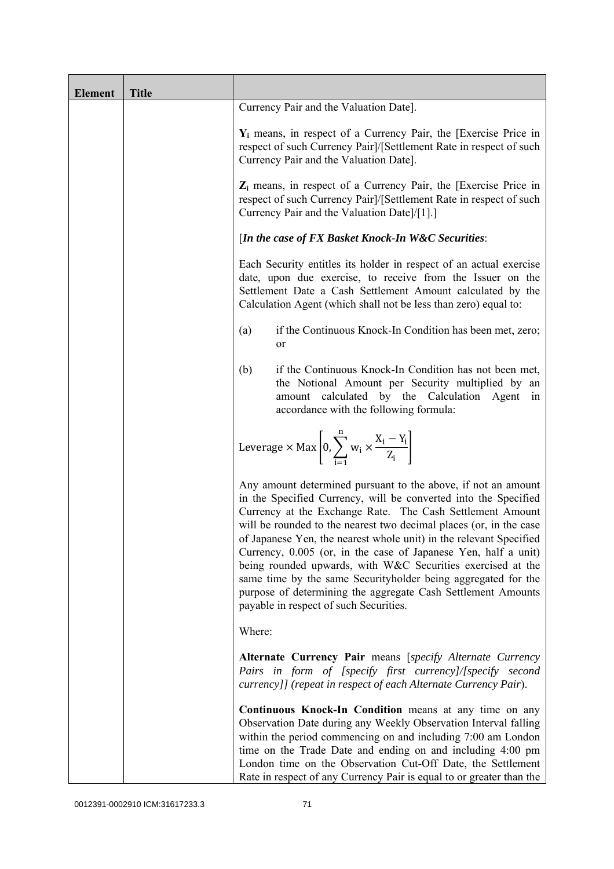| <b>Element</b> | <b>Title</b> |                                                                                                                                                                                                                                                                                                                                                                                                                                                                                                                                                                                                                                                       |
|----------------|--------------|-------------------------------------------------------------------------------------------------------------------------------------------------------------------------------------------------------------------------------------------------------------------------------------------------------------------------------------------------------------------------------------------------------------------------------------------------------------------------------------------------------------------------------------------------------------------------------------------------------------------------------------------------------|
|                |              | Currency Pair and the Valuation Date].                                                                                                                                                                                                                                                                                                                                                                                                                                                                                                                                                                                                                |
|                |              | $Y_i$ means, in respect of a Currency Pair, the [Exercise Price in<br>respect of such Currency Pair]/[Settlement Rate in respect of such<br>Currency Pair and the Valuation Date].                                                                                                                                                                                                                                                                                                                                                                                                                                                                    |
|                |              | $Z_i$ means, in respect of a Currency Pair, the [Exercise Price in<br>respect of such Currency Pair]/[Settlement Rate in respect of such<br>Currency Pair and the Valuation Date]/[1].]                                                                                                                                                                                                                                                                                                                                                                                                                                                               |
|                |              | [In the case of FX Basket Knock-In W&C Securities:                                                                                                                                                                                                                                                                                                                                                                                                                                                                                                                                                                                                    |
|                |              | Each Security entitles its holder in respect of an actual exercise<br>date, upon due exercise, to receive from the Issuer on the<br>Settlement Date a Cash Settlement Amount calculated by the<br>Calculation Agent (which shall not be less than zero) equal to:                                                                                                                                                                                                                                                                                                                                                                                     |
|                |              | if the Continuous Knock-In Condition has been met, zero;<br>(a)<br>or                                                                                                                                                                                                                                                                                                                                                                                                                                                                                                                                                                                 |
|                |              | if the Continuous Knock-In Condition has not been met,<br>(b)<br>the Notional Amount per Security multiplied by an<br>amount calculated by the Calculation Agent<br>in<br>accordance with the following formula:                                                                                                                                                                                                                                                                                                                                                                                                                                      |
|                |              | Leverage $\times$ Max $\left[0, \sum_{i=1}^{n} w_i \times \frac{X_i - Y_i}{Z_i}\right]$                                                                                                                                                                                                                                                                                                                                                                                                                                                                                                                                                               |
|                |              | Any amount determined pursuant to the above, if not an amount<br>in the Specified Currency, will be converted into the Specified<br>Currency at the Exchange Rate. The Cash Settlement Amount<br>will be rounded to the nearest two decimal places (or, in the case<br>of Japanese Yen, the nearest whole unit) in the relevant Specified<br>Currency, 0.005 (or, in the case of Japanese Yen, half a unit)<br>being rounded upwards, with W&C Securities exercised at the<br>same time by the same Securityholder being aggregated for the<br>purpose of determining the aggregate Cash Settlement Amounts<br>payable in respect of such Securities. |
|                |              | Where:                                                                                                                                                                                                                                                                                                                                                                                                                                                                                                                                                                                                                                                |
|                |              | Alternate Currency Pair means [specify Alternate Currency<br>Pairs in form of [specify first currency]/[specify second<br>currency]] (repeat in respect of each Alternate Currency Pair).                                                                                                                                                                                                                                                                                                                                                                                                                                                             |
|                |              | Continuous Knock-In Condition means at any time on any<br>Observation Date during any Weekly Observation Interval falling<br>within the period commencing on and including 7:00 am London<br>time on the Trade Date and ending on and including 4:00 pm<br>London time on the Observation Cut-Off Date, the Settlement<br>Rate in respect of any Currency Pair is equal to or greater than the                                                                                                                                                                                                                                                        |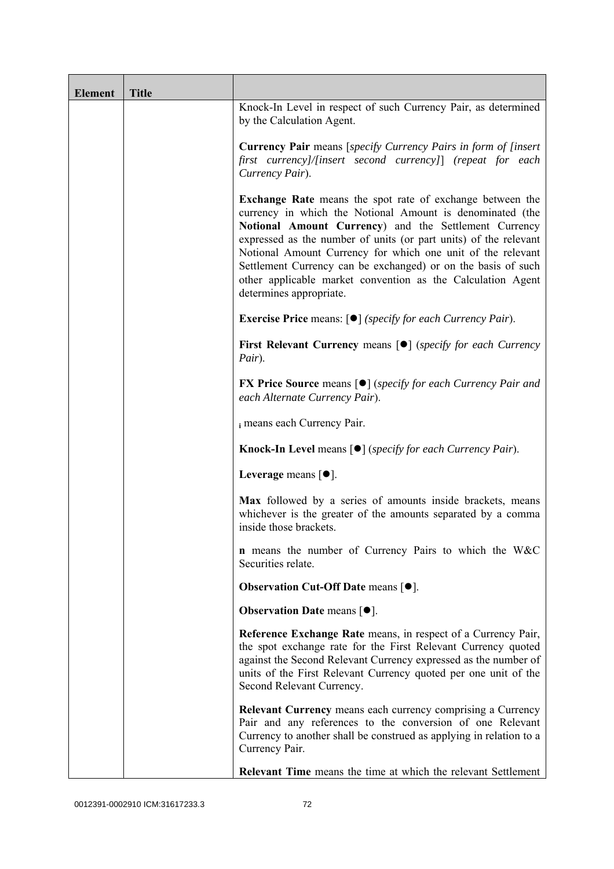| <b>Element</b> | <b>Title</b> |                                                                                                                                                                                                                                                                                                                                                                                                                                                                                      |
|----------------|--------------|--------------------------------------------------------------------------------------------------------------------------------------------------------------------------------------------------------------------------------------------------------------------------------------------------------------------------------------------------------------------------------------------------------------------------------------------------------------------------------------|
|                |              | Knock-In Level in respect of such Currency Pair, as determined<br>by the Calculation Agent.                                                                                                                                                                                                                                                                                                                                                                                          |
|                |              | <b>Currency Pair</b> means [specify Currency Pairs in form of [insert]<br>first currency]/[insert second currency]] (repeat for each<br>Currency Pair).                                                                                                                                                                                                                                                                                                                              |
|                |              | <b>Exchange Rate</b> means the spot rate of exchange between the<br>currency in which the Notional Amount is denominated (the<br>Notional Amount Currency) and the Settlement Currency<br>expressed as the number of units (or part units) of the relevant<br>Notional Amount Currency for which one unit of the relevant<br>Settlement Currency can be exchanged) or on the basis of such<br>other applicable market convention as the Calculation Agent<br>determines appropriate. |
|                |              | <b>Exercise Price</b> means: $\lceil \bullet \rceil$ ( <i>specify for each Currency Pair</i> ).                                                                                                                                                                                                                                                                                                                                                                                      |
|                |              | <b>First Relevant Currency means [O]</b> ( <i>specify for each Currency</i><br>Pair).                                                                                                                                                                                                                                                                                                                                                                                                |
|                |              | <b>FX Price Source</b> means $\lceil \bullet \rceil$ (specify for each Currency Pair and<br>each Alternate Currency Pair).                                                                                                                                                                                                                                                                                                                                                           |
|                |              | i means each Currency Pair.                                                                                                                                                                                                                                                                                                                                                                                                                                                          |
|                |              | <b>Knock-In Level means <math>\lceil \bullet \rceil</math> (specify for each Currency Pair).</b>                                                                                                                                                                                                                                                                                                                                                                                     |
|                |              | Leverage means $[•]$ .                                                                                                                                                                                                                                                                                                                                                                                                                                                               |
|                |              | Max followed by a series of amounts inside brackets, means<br>whichever is the greater of the amounts separated by a comma<br>inside those brackets.                                                                                                                                                                                                                                                                                                                                 |
|                |              | <b>n</b> means the number of Currency Pairs to which the W&C<br>Securities relate.                                                                                                                                                                                                                                                                                                                                                                                                   |
|                |              | Observation Cut-Off Date means [ $\bullet$ ].                                                                                                                                                                                                                                                                                                                                                                                                                                        |
|                |              | <b>Observation Date means <math>\lceil \bullet \rceil</math>.</b>                                                                                                                                                                                                                                                                                                                                                                                                                    |
|                |              | Reference Exchange Rate means, in respect of a Currency Pair,<br>the spot exchange rate for the First Relevant Currency quoted<br>against the Second Relevant Currency expressed as the number of<br>units of the First Relevant Currency quoted per one unit of the<br>Second Relevant Currency.                                                                                                                                                                                    |
|                |              | <b>Relevant Currency</b> means each currency comprising a Currency<br>Pair and any references to the conversion of one Relevant<br>Currency to another shall be construed as applying in relation to a<br>Currency Pair.                                                                                                                                                                                                                                                             |
|                |              | <b>Relevant Time</b> means the time at which the relevant Settlement                                                                                                                                                                                                                                                                                                                                                                                                                 |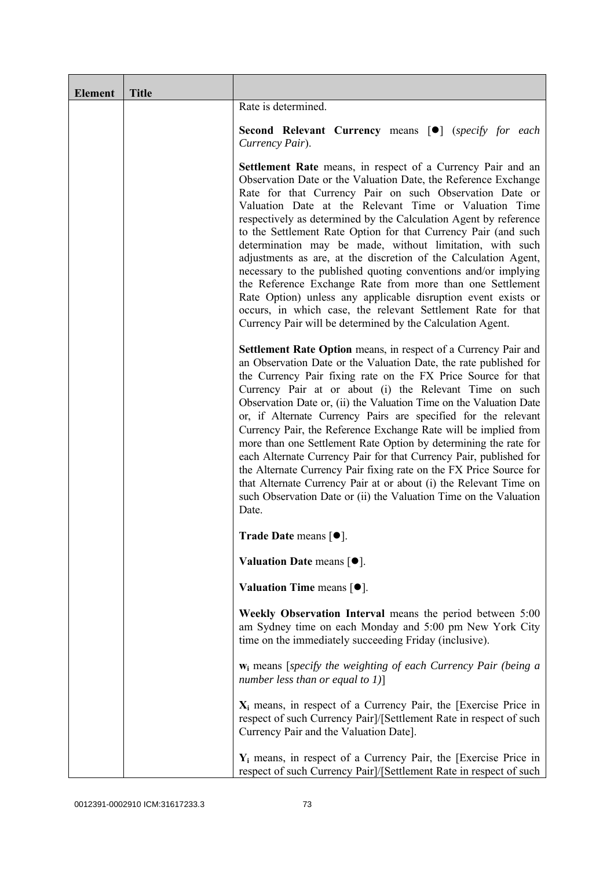| <b>Element</b> | <b>Title</b> |                                                                                                                                                                                                                                                                                                                                                                                                                                                                                                                                                                                                                                                                                                                                                                                                                                                             |
|----------------|--------------|-------------------------------------------------------------------------------------------------------------------------------------------------------------------------------------------------------------------------------------------------------------------------------------------------------------------------------------------------------------------------------------------------------------------------------------------------------------------------------------------------------------------------------------------------------------------------------------------------------------------------------------------------------------------------------------------------------------------------------------------------------------------------------------------------------------------------------------------------------------|
|                |              | Rate is determined.                                                                                                                                                                                                                                                                                                                                                                                                                                                                                                                                                                                                                                                                                                                                                                                                                                         |
|                |              | <b>Second Relevant Currency means [O]</b> (specify for each<br>Currency Pair).                                                                                                                                                                                                                                                                                                                                                                                                                                                                                                                                                                                                                                                                                                                                                                              |
|                |              | <b>Settlement Rate</b> means, in respect of a Currency Pair and an<br>Observation Date or the Valuation Date, the Reference Exchange<br>Rate for that Currency Pair on such Observation Date or<br>Valuation Date at the Relevant Time or Valuation Time<br>respectively as determined by the Calculation Agent by reference<br>to the Settlement Rate Option for that Currency Pair (and such<br>determination may be made, without limitation, with such<br>adjustments as are, at the discretion of the Calculation Agent,<br>necessary to the published quoting conventions and/or implying<br>the Reference Exchange Rate from more than one Settlement<br>Rate Option) unless any applicable disruption event exists or<br>occurs, in which case, the relevant Settlement Rate for that<br>Currency Pair will be determined by the Calculation Agent. |
|                |              | Settlement Rate Option means, in respect of a Currency Pair and<br>an Observation Date or the Valuation Date, the rate published for<br>the Currency Pair fixing rate on the FX Price Source for that<br>Currency Pair at or about (i) the Relevant Time on such<br>Observation Date or, (ii) the Valuation Time on the Valuation Date<br>or, if Alternate Currency Pairs are specified for the relevant<br>Currency Pair, the Reference Exchange Rate will be implied from<br>more than one Settlement Rate Option by determining the rate for<br>each Alternate Currency Pair for that Currency Pair, published for<br>the Alternate Currency Pair fixing rate on the FX Price Source for<br>that Alternate Currency Pair at or about (i) the Relevant Time on<br>such Observation Date or (ii) the Valuation Time on the Valuation<br>Date.              |
|                |              | Trade Date means $[•]$ .                                                                                                                                                                                                                                                                                                                                                                                                                                                                                                                                                                                                                                                                                                                                                                                                                                    |
|                |              | Valuation Date means [ $\bullet$ ].                                                                                                                                                                                                                                                                                                                                                                                                                                                                                                                                                                                                                                                                                                                                                                                                                         |
|                |              | Valuation Time means $[•]$ .                                                                                                                                                                                                                                                                                                                                                                                                                                                                                                                                                                                                                                                                                                                                                                                                                                |
|                |              | Weekly Observation Interval means the period between 5:00<br>am Sydney time on each Monday and 5:00 pm New York City<br>time on the immediately succeeding Friday (inclusive).                                                                                                                                                                                                                                                                                                                                                                                                                                                                                                                                                                                                                                                                              |
|                |              | $w_i$ means [specify the weighting of each Currency Pair (being a<br>number less than or equal to $1$ ]                                                                                                                                                                                                                                                                                                                                                                                                                                                                                                                                                                                                                                                                                                                                                     |
|                |              | $X_i$ means, in respect of a Currency Pair, the [Exercise Price in<br>respect of such Currency Pair]/[Settlement Rate in respect of such<br>Currency Pair and the Valuation Date].                                                                                                                                                                                                                                                                                                                                                                                                                                                                                                                                                                                                                                                                          |
|                |              | $Y_i$ means, in respect of a Currency Pair, the [Exercise Price in<br>respect of such Currency Pair]/[Settlement Rate in respect of such                                                                                                                                                                                                                                                                                                                                                                                                                                                                                                                                                                                                                                                                                                                    |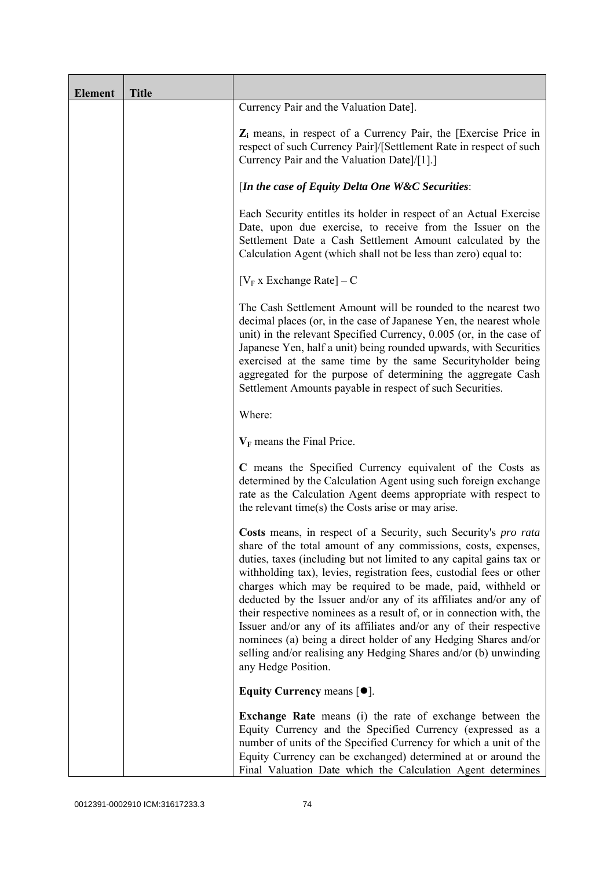| <b>Element</b> | <b>Title</b> |                                                                                                                                                                                                                                                                                                                                                                                                                                                                                                                                                                                                                                                                                                                                   |
|----------------|--------------|-----------------------------------------------------------------------------------------------------------------------------------------------------------------------------------------------------------------------------------------------------------------------------------------------------------------------------------------------------------------------------------------------------------------------------------------------------------------------------------------------------------------------------------------------------------------------------------------------------------------------------------------------------------------------------------------------------------------------------------|
|                |              | Currency Pair and the Valuation Date].                                                                                                                                                                                                                                                                                                                                                                                                                                                                                                                                                                                                                                                                                            |
|                |              | $Z_i$ means, in respect of a Currency Pair, the [Exercise Price in<br>respect of such Currency Pair]/[Settlement Rate in respect of such<br>Currency Pair and the Valuation Date]/[1].]                                                                                                                                                                                                                                                                                                                                                                                                                                                                                                                                           |
|                |              | [In the case of Equity Delta One W&C Securities:                                                                                                                                                                                                                                                                                                                                                                                                                                                                                                                                                                                                                                                                                  |
|                |              | Each Security entitles its holder in respect of an Actual Exercise<br>Date, upon due exercise, to receive from the Issuer on the<br>Settlement Date a Cash Settlement Amount calculated by the<br>Calculation Agent (which shall not be less than zero) equal to:                                                                                                                                                                                                                                                                                                                                                                                                                                                                 |
|                |              | $[V_F x]$ Exchange Rate] – C                                                                                                                                                                                                                                                                                                                                                                                                                                                                                                                                                                                                                                                                                                      |
|                |              | The Cash Settlement Amount will be rounded to the nearest two<br>decimal places (or, in the case of Japanese Yen, the nearest whole<br>unit) in the relevant Specified Currency, 0.005 (or, in the case of<br>Japanese Yen, half a unit) being rounded upwards, with Securities<br>exercised at the same time by the same Securityholder being<br>aggregated for the purpose of determining the aggregate Cash<br>Settlement Amounts payable in respect of such Securities.                                                                                                                                                                                                                                                       |
|                |              | Where:                                                                                                                                                                                                                                                                                                                                                                                                                                                                                                                                                                                                                                                                                                                            |
|                |              | $V_F$ means the Final Price.                                                                                                                                                                                                                                                                                                                                                                                                                                                                                                                                                                                                                                                                                                      |
|                |              | C means the Specified Currency equivalent of the Costs as<br>determined by the Calculation Agent using such foreign exchange<br>rate as the Calculation Agent deems appropriate with respect to<br>the relevant time(s) the Costs arise or may arise.                                                                                                                                                                                                                                                                                                                                                                                                                                                                             |
|                |              | Costs means, in respect of a Security, such Security's pro rata<br>share of the total amount of any commissions, costs, expenses,<br>duties, taxes (including but not limited to any capital gains tax or<br>withholding tax), levies, registration fees, custodial fees or other<br>charges which may be required to be made, paid, withheld or<br>deducted by the Issuer and/or any of its affiliates and/or any of<br>their respective nominees as a result of, or in connection with, the<br>Issuer and/or any of its affiliates and/or any of their respective<br>nominees (a) being a direct holder of any Hedging Shares and/or<br>selling and/or realising any Hedging Shares and/or (b) unwinding<br>any Hedge Position. |
|                |              | Equity Currency means $[•]$ .                                                                                                                                                                                                                                                                                                                                                                                                                                                                                                                                                                                                                                                                                                     |
|                |              | <b>Exchange Rate</b> means (i) the rate of exchange between the<br>Equity Currency and the Specified Currency (expressed as a<br>number of units of the Specified Currency for which a unit of the<br>Equity Currency can be exchanged) determined at or around the<br>Final Valuation Date which the Calculation Agent determines                                                                                                                                                                                                                                                                                                                                                                                                |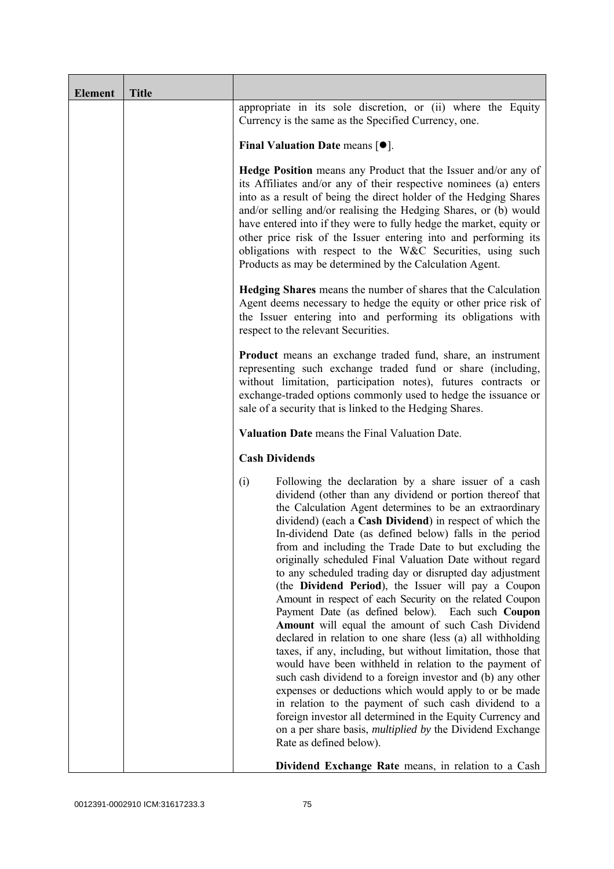| <b>Element</b> | <b>Title</b> |                                                                                                                                                                                                                                                                                                                                                                                                                                                                                                                                                                                                                                                                                                                                                                                                                                                                                                                                                                                                                                                                                                                                                                                                                                                                    |
|----------------|--------------|--------------------------------------------------------------------------------------------------------------------------------------------------------------------------------------------------------------------------------------------------------------------------------------------------------------------------------------------------------------------------------------------------------------------------------------------------------------------------------------------------------------------------------------------------------------------------------------------------------------------------------------------------------------------------------------------------------------------------------------------------------------------------------------------------------------------------------------------------------------------------------------------------------------------------------------------------------------------------------------------------------------------------------------------------------------------------------------------------------------------------------------------------------------------------------------------------------------------------------------------------------------------|
|                |              | appropriate in its sole discretion, or (ii) where the Equity<br>Currency is the same as the Specified Currency, one.                                                                                                                                                                                                                                                                                                                                                                                                                                                                                                                                                                                                                                                                                                                                                                                                                                                                                                                                                                                                                                                                                                                                               |
|                |              | Final Valuation Date means $[•]$ .                                                                                                                                                                                                                                                                                                                                                                                                                                                                                                                                                                                                                                                                                                                                                                                                                                                                                                                                                                                                                                                                                                                                                                                                                                 |
|                |              | <b>Hedge Position</b> means any Product that the Issuer and/or any of<br>its Affiliates and/or any of their respective nominees (a) enters<br>into as a result of being the direct holder of the Hedging Shares<br>and/or selling and/or realising the Hedging Shares, or (b) would<br>have entered into if they were to fully hedge the market, equity or<br>other price risk of the Issuer entering into and performing its<br>obligations with respect to the W&C Securities, using such<br>Products as may be determined by the Calculation Agent.                                                                                                                                                                                                                                                                                                                                                                                                                                                                                                                                                                                                                                                                                                             |
|                |              | <b>Hedging Shares</b> means the number of shares that the Calculation<br>Agent deems necessary to hedge the equity or other price risk of<br>the Issuer entering into and performing its obligations with<br>respect to the relevant Securities.                                                                                                                                                                                                                                                                                                                                                                                                                                                                                                                                                                                                                                                                                                                                                                                                                                                                                                                                                                                                                   |
|                |              | <b>Product</b> means an exchange traded fund, share, an instrument<br>representing such exchange traded fund or share (including,<br>without limitation, participation notes), futures contracts or<br>exchange-traded options commonly used to hedge the issuance or<br>sale of a security that is linked to the Hedging Shares.                                                                                                                                                                                                                                                                                                                                                                                                                                                                                                                                                                                                                                                                                                                                                                                                                                                                                                                                  |
|                |              | Valuation Date means the Final Valuation Date.                                                                                                                                                                                                                                                                                                                                                                                                                                                                                                                                                                                                                                                                                                                                                                                                                                                                                                                                                                                                                                                                                                                                                                                                                     |
|                |              | <b>Cash Dividends</b>                                                                                                                                                                                                                                                                                                                                                                                                                                                                                                                                                                                                                                                                                                                                                                                                                                                                                                                                                                                                                                                                                                                                                                                                                                              |
|                |              | Following the declaration by a share issuer of a cash<br>(i)<br>dividend (other than any dividend or portion thereof that<br>the Calculation Agent determines to be an extraordinary<br>dividend) (each a Cash Dividend) in respect of which the<br>In-dividend Date (as defined below) falls in the period<br>from and including the Trade Date to but excluding the<br>originally scheduled Final Valuation Date without regard<br>to any scheduled trading day or disrupted day adjustment<br>(the Dividend Period), the Issuer will pay a Coupon<br>Amount in respect of each Security on the related Coupon<br>Payment Date (as defined below). Each such Coupon<br>Amount will equal the amount of such Cash Dividend<br>declared in relation to one share (less (a) all withholding<br>taxes, if any, including, but without limitation, those that<br>would have been withheld in relation to the payment of<br>such cash dividend to a foreign investor and (b) any other<br>expenses or deductions which would apply to or be made<br>in relation to the payment of such cash dividend to a<br>foreign investor all determined in the Equity Currency and<br>on a per share basis, <i>multiplied by</i> the Dividend Exchange<br>Rate as defined below). |
|                |              | Dividend Exchange Rate means, in relation to a Cash                                                                                                                                                                                                                                                                                                                                                                                                                                                                                                                                                                                                                                                                                                                                                                                                                                                                                                                                                                                                                                                                                                                                                                                                                |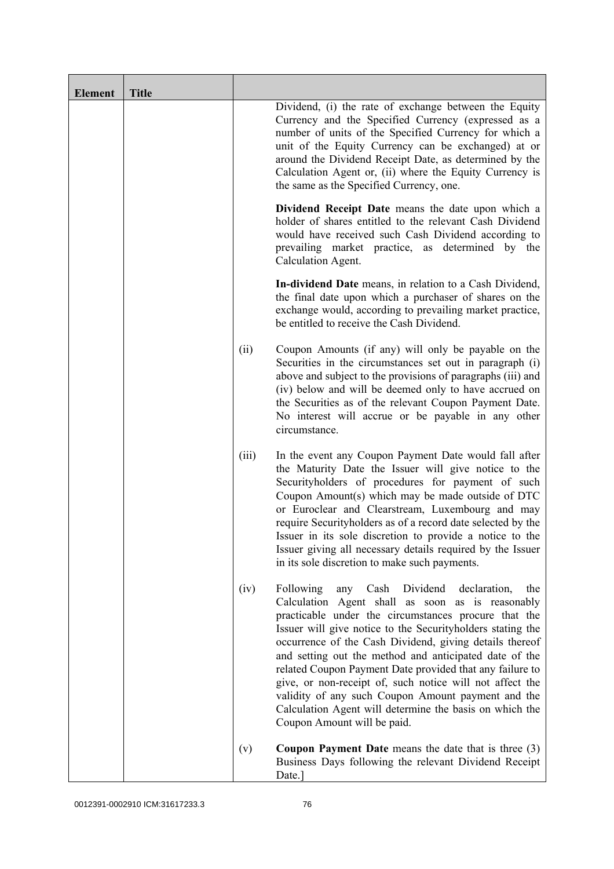| <b>Element</b> | <b>Title</b> |       |                                                                                                                                                                                                                                                                                                                                                                                                                                                                                                                                                                                                                                    |
|----------------|--------------|-------|------------------------------------------------------------------------------------------------------------------------------------------------------------------------------------------------------------------------------------------------------------------------------------------------------------------------------------------------------------------------------------------------------------------------------------------------------------------------------------------------------------------------------------------------------------------------------------------------------------------------------------|
|                |              |       | Dividend, (i) the rate of exchange between the Equity<br>Currency and the Specified Currency (expressed as a<br>number of units of the Specified Currency for which a<br>unit of the Equity Currency can be exchanged) at or<br>around the Dividend Receipt Date, as determined by the<br>Calculation Agent or, (ii) where the Equity Currency is<br>the same as the Specified Currency, one.                                                                                                                                                                                                                                      |
|                |              |       | Dividend Receipt Date means the date upon which a<br>holder of shares entitled to the relevant Cash Dividend<br>would have received such Cash Dividend according to<br>prevailing market practice, as determined by the<br>Calculation Agent.                                                                                                                                                                                                                                                                                                                                                                                      |
|                |              |       | In-dividend Date means, in relation to a Cash Dividend,<br>the final date upon which a purchaser of shares on the<br>exchange would, according to prevailing market practice,<br>be entitled to receive the Cash Dividend.                                                                                                                                                                                                                                                                                                                                                                                                         |
|                |              | (ii)  | Coupon Amounts (if any) will only be payable on the<br>Securities in the circumstances set out in paragraph (i)<br>above and subject to the provisions of paragraphs (iii) and<br>(iv) below and will be deemed only to have accrued on<br>the Securities as of the relevant Coupon Payment Date.<br>No interest will accrue or be payable in any other<br>circumstance.                                                                                                                                                                                                                                                           |
|                |              | (iii) | In the event any Coupon Payment Date would fall after<br>the Maturity Date the Issuer will give notice to the<br>Securityholders of procedures for payment of such<br>Coupon Amount(s) which may be made outside of DTC<br>or Euroclear and Clearstream, Luxembourg and may<br>require Securityholders as of a record date selected by the<br>Issuer in its sole discretion to provide a notice to the<br>Issuer giving all necessary details required by the Issuer<br>in its sole discretion to make such payments.                                                                                                              |
|                |              | (iv)  | Following<br>Dividend<br>Cash<br>declaration,<br>any<br>the<br>Calculation Agent shall as soon as is reasonably<br>practicable under the circumstances procure that the<br>Issuer will give notice to the Securityholders stating the<br>occurrence of the Cash Dividend, giving details thereof<br>and setting out the method and anticipated date of the<br>related Coupon Payment Date provided that any failure to<br>give, or non-receipt of, such notice will not affect the<br>validity of any such Coupon Amount payment and the<br>Calculation Agent will determine the basis on which the<br>Coupon Amount will be paid. |
|                |              | (v)   | <b>Coupon Payment Date</b> means the date that is three $(3)$<br>Business Days following the relevant Dividend Receipt<br>Date.]                                                                                                                                                                                                                                                                                                                                                                                                                                                                                                   |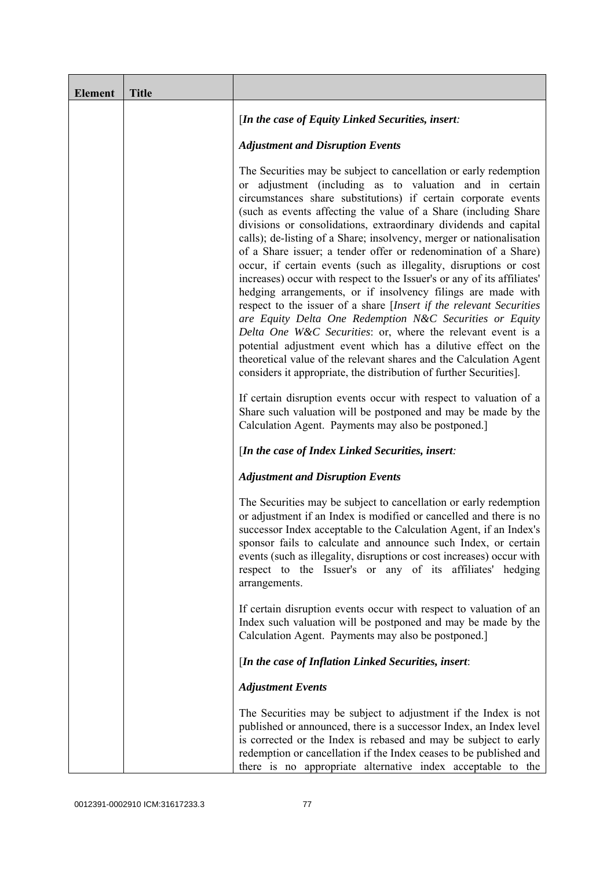| <b>Element</b> | <b>Title</b> |                                                                                                                                                                                                                                                                                                                                                                                                                                                                                                                                                                                                                                                                                                                                                                                                                                                                                                                                                                                                                                                                                                                  |
|----------------|--------------|------------------------------------------------------------------------------------------------------------------------------------------------------------------------------------------------------------------------------------------------------------------------------------------------------------------------------------------------------------------------------------------------------------------------------------------------------------------------------------------------------------------------------------------------------------------------------------------------------------------------------------------------------------------------------------------------------------------------------------------------------------------------------------------------------------------------------------------------------------------------------------------------------------------------------------------------------------------------------------------------------------------------------------------------------------------------------------------------------------------|
|                |              | [In the case of Equity Linked Securities, insert:                                                                                                                                                                                                                                                                                                                                                                                                                                                                                                                                                                                                                                                                                                                                                                                                                                                                                                                                                                                                                                                                |
|                |              | <b>Adjustment and Disruption Events</b>                                                                                                                                                                                                                                                                                                                                                                                                                                                                                                                                                                                                                                                                                                                                                                                                                                                                                                                                                                                                                                                                          |
|                |              | The Securities may be subject to cancellation or early redemption<br>or adjustment (including as to valuation and in certain<br>circumstances share substitutions) if certain corporate events<br>(such as events affecting the value of a Share (including Share)<br>divisions or consolidations, extraordinary dividends and capital<br>calls); de-listing of a Share; insolvency, merger or nationalisation<br>of a Share issuer; a tender offer or redenomination of a Share)<br>occur, if certain events (such as illegality, disruptions or cost<br>increases) occur with respect to the Issuer's or any of its affiliates'<br>hedging arrangements, or if insolvency filings are made with<br>respect to the issuer of a share [Insert if the relevant Securities<br>are Equity Delta One Redemption N&C Securities or Equity<br>Delta One W&C Securities: or, where the relevant event is a<br>potential adjustment event which has a dilutive effect on the<br>theoretical value of the relevant shares and the Calculation Agent<br>considers it appropriate, the distribution of further Securities]. |
|                |              | If certain disruption events occur with respect to valuation of a<br>Share such valuation will be postponed and may be made by the<br>Calculation Agent. Payments may also be postponed.]                                                                                                                                                                                                                                                                                                                                                                                                                                                                                                                                                                                                                                                                                                                                                                                                                                                                                                                        |
|                |              | [In the case of Index Linked Securities, insert:                                                                                                                                                                                                                                                                                                                                                                                                                                                                                                                                                                                                                                                                                                                                                                                                                                                                                                                                                                                                                                                                 |
|                |              | <b>Adjustment and Disruption Events</b>                                                                                                                                                                                                                                                                                                                                                                                                                                                                                                                                                                                                                                                                                                                                                                                                                                                                                                                                                                                                                                                                          |
|                |              | The Securities may be subject to cancellation or early redemption<br>or adjustment if an Index is modified or cancelled and there is no<br>successor Index acceptable to the Calculation Agent, if an Index's<br>sponsor fails to calculate and announce such Index, or certain<br>events (such as illegality, disruptions or cost increases) occur with<br>respect to the Issuer's or any of its affiliates' hedging<br>arrangements.                                                                                                                                                                                                                                                                                                                                                                                                                                                                                                                                                                                                                                                                           |
|                |              | If certain disruption events occur with respect to valuation of an<br>Index such valuation will be postponed and may be made by the<br>Calculation Agent. Payments may also be postponed.]                                                                                                                                                                                                                                                                                                                                                                                                                                                                                                                                                                                                                                                                                                                                                                                                                                                                                                                       |
|                |              | [In the case of Inflation Linked Securities, insert:                                                                                                                                                                                                                                                                                                                                                                                                                                                                                                                                                                                                                                                                                                                                                                                                                                                                                                                                                                                                                                                             |
|                |              | <b>Adjustment Events</b>                                                                                                                                                                                                                                                                                                                                                                                                                                                                                                                                                                                                                                                                                                                                                                                                                                                                                                                                                                                                                                                                                         |
|                |              | The Securities may be subject to adjustment if the Index is not<br>published or announced, there is a successor Index, an Index level<br>is corrected or the Index is rebased and may be subject to early<br>redemption or cancellation if the Index ceases to be published and<br>there is no appropriate alternative index acceptable to the                                                                                                                                                                                                                                                                                                                                                                                                                                                                                                                                                                                                                                                                                                                                                                   |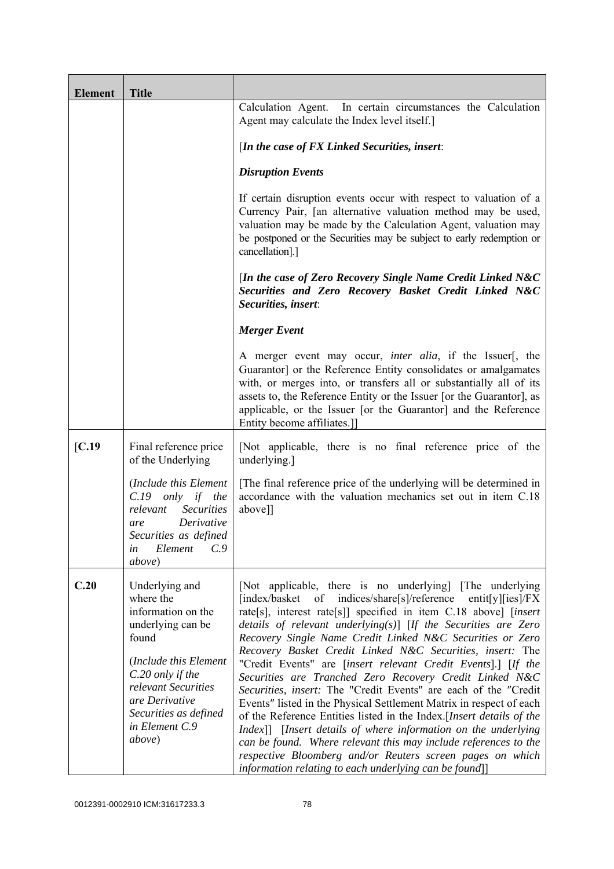| <b>Element</b> | <b>Title</b>                                                                                                                                                                                                               |                                                                                                                                                                                                                                                                                                                                                                                                                                                                                                                                                                                                                                                                                                                                                                                                                                                                                                                                                                                                              |
|----------------|----------------------------------------------------------------------------------------------------------------------------------------------------------------------------------------------------------------------------|--------------------------------------------------------------------------------------------------------------------------------------------------------------------------------------------------------------------------------------------------------------------------------------------------------------------------------------------------------------------------------------------------------------------------------------------------------------------------------------------------------------------------------------------------------------------------------------------------------------------------------------------------------------------------------------------------------------------------------------------------------------------------------------------------------------------------------------------------------------------------------------------------------------------------------------------------------------------------------------------------------------|
|                |                                                                                                                                                                                                                            | Calculation Agent. In certain circumstances the Calculation<br>Agent may calculate the Index level itself.]                                                                                                                                                                                                                                                                                                                                                                                                                                                                                                                                                                                                                                                                                                                                                                                                                                                                                                  |
|                |                                                                                                                                                                                                                            | [In the case of $FX$ Linked Securities, insert:                                                                                                                                                                                                                                                                                                                                                                                                                                                                                                                                                                                                                                                                                                                                                                                                                                                                                                                                                              |
|                |                                                                                                                                                                                                                            | <b>Disruption Events</b>                                                                                                                                                                                                                                                                                                                                                                                                                                                                                                                                                                                                                                                                                                                                                                                                                                                                                                                                                                                     |
|                |                                                                                                                                                                                                                            | If certain disruption events occur with respect to valuation of a<br>Currency Pair, [an alternative valuation method may be used,<br>valuation may be made by the Calculation Agent, valuation may<br>be postponed or the Securities may be subject to early redemption or<br>cancellation].]                                                                                                                                                                                                                                                                                                                                                                                                                                                                                                                                                                                                                                                                                                                |
|                |                                                                                                                                                                                                                            | [In the case of Zero Recovery Single Name Credit Linked N&C<br>Securities and Zero Recovery Basket Credit Linked N&C<br>Securities, insert:                                                                                                                                                                                                                                                                                                                                                                                                                                                                                                                                                                                                                                                                                                                                                                                                                                                                  |
|                |                                                                                                                                                                                                                            | <b>Merger Event</b>                                                                                                                                                                                                                                                                                                                                                                                                                                                                                                                                                                                                                                                                                                                                                                                                                                                                                                                                                                                          |
|                |                                                                                                                                                                                                                            | A merger event may occur, <i>inter alia</i> , if the Issuer[, the<br>Guarantor] or the Reference Entity consolidates or amalgamates<br>with, or merges into, or transfers all or substantially all of its<br>assets to, the Reference Entity or the Issuer [or the Guarantor], as<br>applicable, or the Issuer [or the Guarantor] and the Reference<br>Entity become affiliates.]                                                                                                                                                                                                                                                                                                                                                                                                                                                                                                                                                                                                                            |
| [C.19]         | Final reference price<br>of the Underlying                                                                                                                                                                                 | [Not applicable, there is no final reference price of the<br>underlying.]                                                                                                                                                                                                                                                                                                                                                                                                                                                                                                                                                                                                                                                                                                                                                                                                                                                                                                                                    |
|                | (Include this Element<br>$C.19$ only if the<br><b>Securities</b><br>relevant<br>Derivative<br>are<br>Securities as defined<br>C.9<br>Element<br>in<br><i>above</i> )                                                       | [The final reference price of the underlying will be determined in<br>accordance with the valuation mechanics set out in item C.18<br>above]]                                                                                                                                                                                                                                                                                                                                                                                                                                                                                                                                                                                                                                                                                                                                                                                                                                                                |
| C.20           | Underlying and<br>where the<br>information on the<br>underlying can be<br>found<br>(Include this Element<br>C.20 only if the<br>relevant Securities<br>are Derivative<br>Securities as defined<br>in Element C.9<br>above) | [Not applicable, there is no underlying] [The underlying]<br>[index/basket of indices/share[s]/reference<br>entit[y][ies]/ $FX$<br>rate[s], interest rate[s]] specified in item C.18 above] [insert<br>details of relevant underlying $(s)$ [If the Securities are Zero<br>Recovery Single Name Credit Linked N&C Securities or Zero<br>Recovery Basket Credit Linked N&C Securities, insert: The<br>"Credit Events" are [insert relevant Credit Events].] [If the<br>Securities are Tranched Zero Recovery Credit Linked N&C<br>Securities, insert: The "Credit Events" are each of the "Credit<br>Events" listed in the Physical Settlement Matrix in respect of each<br>of the Reference Entities listed in the Index. [Insert details of the<br>Index]] [Insert details of where information on the underlying<br>can be found. Where relevant this may include references to the<br>respective Bloomberg and/or Reuters screen pages on which<br>information relating to each underlying can be found]] |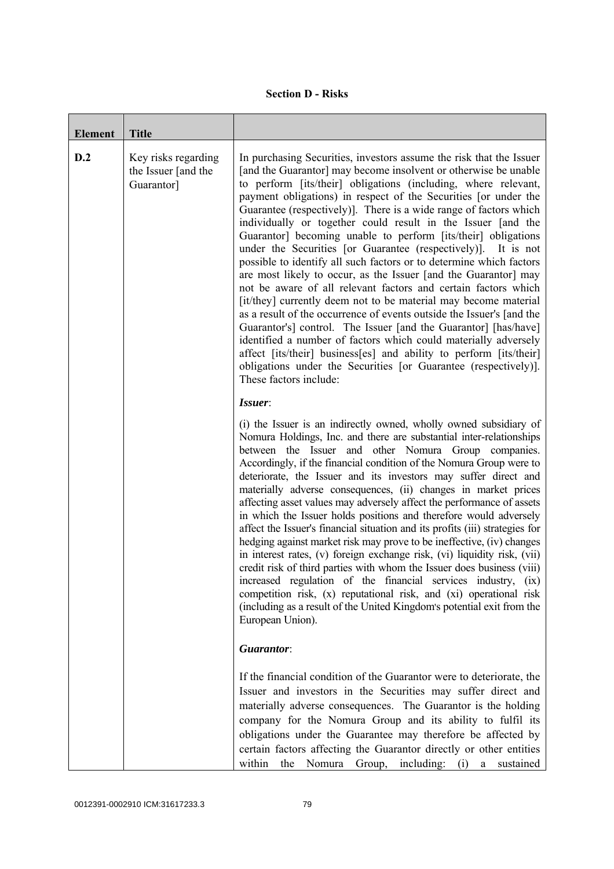|  | <b>Section D - Risks</b> |
|--|--------------------------|
|--|--------------------------|

| <b>Element</b> | <b>Title</b>                                             |                                                                                                                                                                                                                                                                                                                                                                                                                                                                                                                                                                                                                                                                                                                                                                                                                                                                                                                                                                                                                                                                                                                                                                                                                     |
|----------------|----------------------------------------------------------|---------------------------------------------------------------------------------------------------------------------------------------------------------------------------------------------------------------------------------------------------------------------------------------------------------------------------------------------------------------------------------------------------------------------------------------------------------------------------------------------------------------------------------------------------------------------------------------------------------------------------------------------------------------------------------------------------------------------------------------------------------------------------------------------------------------------------------------------------------------------------------------------------------------------------------------------------------------------------------------------------------------------------------------------------------------------------------------------------------------------------------------------------------------------------------------------------------------------|
| D.2            | Key risks regarding<br>the Issuer [and the<br>Guarantor] | In purchasing Securities, investors assume the risk that the Issuer<br>[and the Guarantor] may become insolvent or otherwise be unable<br>to perform [its/their] obligations (including, where relevant,<br>payment obligations) in respect of the Securities [or under the<br>Guarantee (respectively)]. There is a wide range of factors which<br>individually or together could result in the Issuer [and the<br>Guarantor] becoming unable to perform [its/their] obligations<br>under the Securities [or Guarantee (respectively)]. It is not<br>possible to identify all such factors or to determine which factors<br>are most likely to occur, as the Issuer [and the Guarantor] may<br>not be aware of all relevant factors and certain factors which<br>[it/they] currently deem not to be material may become material<br>as a result of the occurrence of events outside the Issuer's [and the<br>Guarantor's] control. The Issuer [and the Guarantor] [has/have]<br>identified a number of factors which could materially adversely<br>affect [its/their] business[es] and ability to perform [its/their]<br>obligations under the Securities [or Guarantee (respectively)].<br>These factors include: |
|                |                                                          | Issuer:<br>(i) the Issuer is an indirectly owned, wholly owned subsidiary of<br>Nomura Holdings, Inc. and there are substantial inter-relationships<br>between the Issuer and other Nomura Group companies.<br>Accordingly, if the financial condition of the Nomura Group were to<br>deteriorate, the Issuer and its investors may suffer direct and<br>materially adverse consequences, (ii) changes in market prices<br>affecting asset values may adversely affect the performance of assets<br>in which the Issuer holds positions and therefore would adversely<br>affect the Issuer's financial situation and its profits (iii) strategies for<br>hedging against market risk may prove to be ineffective, (iv) changes<br>in interest rates, (v) foreign exchange risk, (vi) liquidity risk, (vii)<br>credit risk of third parties with whom the Issuer does business (viii)<br>increased regulation of the financial services industry, (ix)<br>competition risk, (x) reputational risk, and (xi) operational risk<br>(including as a result of the United Kingdom's potential exit from the<br>European Union).                                                                                           |
|                |                                                          | Guarantor:<br>If the financial condition of the Guarantor were to deteriorate, the<br>Issuer and investors in the Securities may suffer direct and<br>materially adverse consequences. The Guarantor is the holding<br>company for the Nomura Group and its ability to fulfil its<br>obligations under the Guarantee may therefore be affected by<br>certain factors affecting the Guarantor directly or other entities                                                                                                                                                                                                                                                                                                                                                                                                                                                                                                                                                                                                                                                                                                                                                                                             |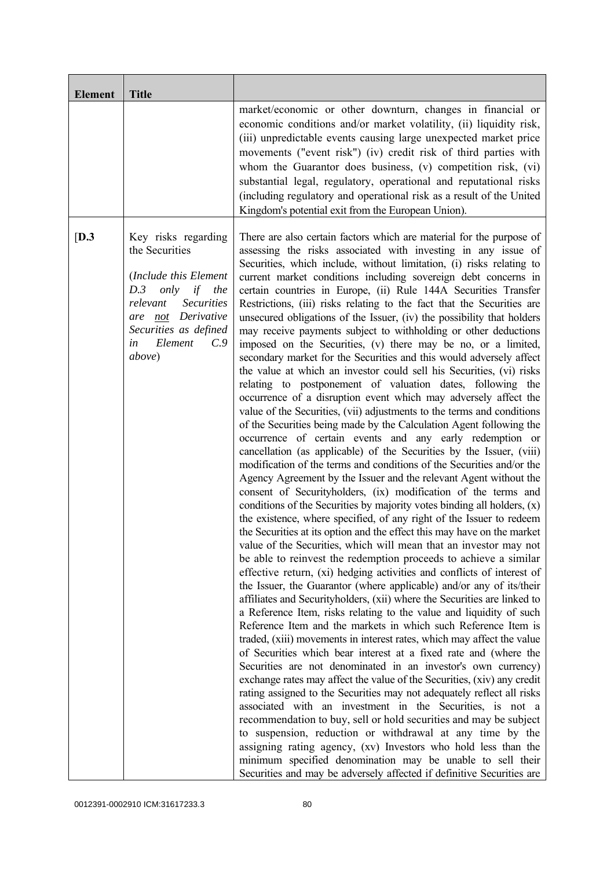| <b>Element</b> | <b>Title</b>                                                                                                                                                                                                 |                                                                                                                                                                                                                                                                                                                                                                                                                                                                                                                                                                                                                                                                                                                                                                                                                                                                                                                                                                                                                                                                                                                                                                                                                                                                                                                                                                                                                                                                                                                                                                                                                                                                                                                                                                                                                                                                                                                                                                                                                                                                                                                                                                                                                                                                                                                                                                                                                                                                                                                                                                                                                                                                                                                                                                                                                                                                                                                                                           |
|----------------|--------------------------------------------------------------------------------------------------------------------------------------------------------------------------------------------------------------|-----------------------------------------------------------------------------------------------------------------------------------------------------------------------------------------------------------------------------------------------------------------------------------------------------------------------------------------------------------------------------------------------------------------------------------------------------------------------------------------------------------------------------------------------------------------------------------------------------------------------------------------------------------------------------------------------------------------------------------------------------------------------------------------------------------------------------------------------------------------------------------------------------------------------------------------------------------------------------------------------------------------------------------------------------------------------------------------------------------------------------------------------------------------------------------------------------------------------------------------------------------------------------------------------------------------------------------------------------------------------------------------------------------------------------------------------------------------------------------------------------------------------------------------------------------------------------------------------------------------------------------------------------------------------------------------------------------------------------------------------------------------------------------------------------------------------------------------------------------------------------------------------------------------------------------------------------------------------------------------------------------------------------------------------------------------------------------------------------------------------------------------------------------------------------------------------------------------------------------------------------------------------------------------------------------------------------------------------------------------------------------------------------------------------------------------------------------------------------------------------------------------------------------------------------------------------------------------------------------------------------------------------------------------------------------------------------------------------------------------------------------------------------------------------------------------------------------------------------------------------------------------------------------------------------------------------------------|
|                |                                                                                                                                                                                                              | market/economic or other downturn, changes in financial or<br>economic conditions and/or market volatility, (ii) liquidity risk,<br>(iii) unpredictable events causing large unexpected market price<br>movements ("event risk") (iv) credit risk of third parties with<br>whom the Guarantor does business, (v) competition risk, (vi)<br>substantial legal, regulatory, operational and reputational risks<br>(including regulatory and operational risk as a result of the United<br>Kingdom's potential exit from the European Union).                                                                                                                                                                                                                                                                                                                                                                                                                                                                                                                                                                                                                                                                                                                                                                                                                                                                                                                                                                                                                                                                                                                                                                                                                                                                                                                                                                                                                                                                                                                                                                                                                                                                                                                                                                                                                                                                                                                                                                                                                                                                                                                                                                                                                                                                                                                                                                                                                |
| [D.3]          | Key risks regarding<br>the Securities<br>(Include this Element<br>only<br>if<br>the<br>D.3<br>relevant<br><b>Securities</b><br>are not Derivative<br>Securities as defined<br>Element<br>C.9<br>in<br>above) | There are also certain factors which are material for the purpose of<br>assessing the risks associated with investing in any issue of<br>Securities, which include, without limitation, (i) risks relating to<br>current market conditions including sovereign debt concerns in<br>certain countries in Europe, (ii) Rule 144A Securities Transfer<br>Restrictions, (iii) risks relating to the fact that the Securities are<br>unsecured obligations of the Issuer, (iv) the possibility that holders<br>may receive payments subject to withholding or other deductions<br>imposed on the Securities, (v) there may be no, or a limited,<br>secondary market for the Securities and this would adversely affect<br>the value at which an investor could sell his Securities, (vi) risks<br>relating to postponement of valuation dates, following the<br>occurrence of a disruption event which may adversely affect the<br>value of the Securities, (vii) adjustments to the terms and conditions<br>of the Securities being made by the Calculation Agent following the<br>occurrence of certain events and any early redemption or<br>cancellation (as applicable) of the Securities by the Issuer, (viii)<br>modification of the terms and conditions of the Securities and/or the<br>Agency Agreement by the Issuer and the relevant Agent without the<br>consent of Securityholders, (ix) modification of the terms and<br>conditions of the Securities by majority votes binding all holders, (x)<br>the existence, where specified, of any right of the Issuer to redeem<br>the Securities at its option and the effect this may have on the market<br>value of the Securities, which will mean that an investor may not<br>be able to reinvest the redemption proceeds to achieve a similar<br>effective return, (xi) hedging activities and conflicts of interest of<br>the Issuer, the Guarantor (where applicable) and/or any of its/their<br>affiliates and Securityholders, (xii) where the Securities are linked to<br>a Reference Item, risks relating to the value and liquidity of such<br>Reference Item and the markets in which such Reference Item is<br>traded, (xiii) movements in interest rates, which may affect the value<br>of Securities which bear interest at a fixed rate and (where the<br>Securities are not denominated in an investor's own currency)<br>exchange rates may affect the value of the Securities, (xiv) any credit<br>rating assigned to the Securities may not adequately reflect all risks<br>associated with an investment in the Securities, is not a<br>recommendation to buy, sell or hold securities and may be subject<br>to suspension, reduction or withdrawal at any time by the<br>assigning rating agency, (xv) Investors who hold less than the<br>minimum specified denomination may be unable to sell their<br>Securities and may be adversely affected if definitive Securities are |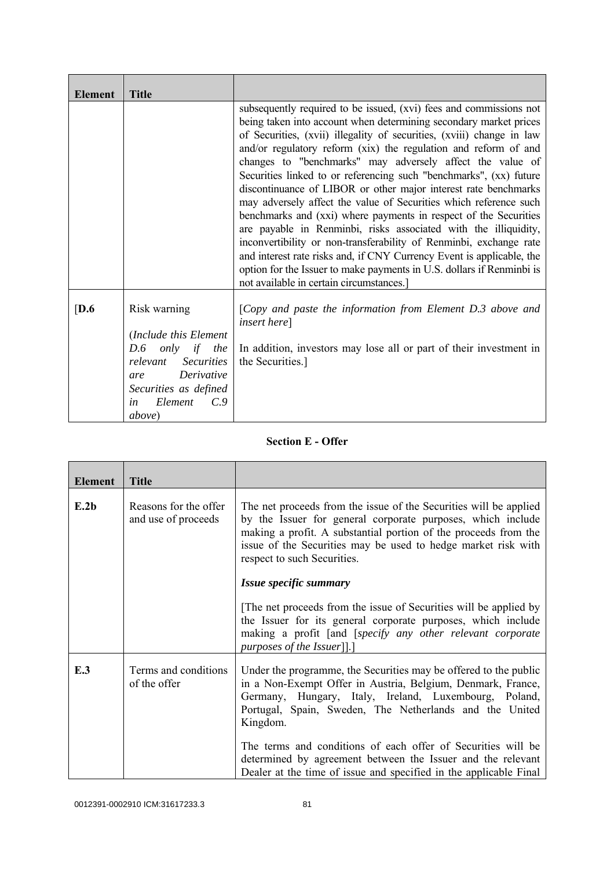| <b>Element</b>   | <b>Title</b>                                                                                                                                                                                   |                                                                                                                                                                                                                                                                                                                                                                                                                                                                                                                                                                                                                                                                                                                                                                                                                                                                                                                                                                           |
|------------------|------------------------------------------------------------------------------------------------------------------------------------------------------------------------------------------------|---------------------------------------------------------------------------------------------------------------------------------------------------------------------------------------------------------------------------------------------------------------------------------------------------------------------------------------------------------------------------------------------------------------------------------------------------------------------------------------------------------------------------------------------------------------------------------------------------------------------------------------------------------------------------------------------------------------------------------------------------------------------------------------------------------------------------------------------------------------------------------------------------------------------------------------------------------------------------|
|                  |                                                                                                                                                                                                | subsequently required to be issued, (xvi) fees and commissions not<br>being taken into account when determining secondary market prices<br>of Securities, (xvii) illegality of securities, (xviii) change in law<br>and/or regulatory reform (xix) the regulation and reform of and<br>changes to "benchmarks" may adversely affect the value of<br>Securities linked to or referencing such "benchmarks", (xx) future<br>discontinuance of LIBOR or other major interest rate benchmarks<br>may adversely affect the value of Securities which reference such<br>benchmarks and (xxi) where payments in respect of the Securities<br>are payable in Renminbi, risks associated with the illiquidity,<br>inconvertibility or non-transferability of Renminbi, exchange rate<br>and interest rate risks and, if CNY Currency Event is applicable, the<br>option for the Issuer to make payments in U.S. dollars if Renminbi is<br>not available in certain circumstances.] |
| $\overline{D.6}$ | Risk warning<br>(Include this Element<br>only if the<br>D.6<br><b>Securities</b><br>relevant<br>Derivative<br>are<br>Securities as defined<br>Element<br>$C_{\cdot}$ 9<br>in<br><i>above</i> ) | [Copy and paste the information from Element D.3 above and<br><i>insert here</i> ]<br>In addition, investors may lose all or part of their investment in<br>the Securities.]                                                                                                                                                                                                                                                                                                                                                                                                                                                                                                                                                                                                                                                                                                                                                                                              |

## **Section E - Offer**

| <b>Element</b> | <b>Title</b>                                 |                                                                                                                                                                                                                                                                                                     |
|----------------|----------------------------------------------|-----------------------------------------------------------------------------------------------------------------------------------------------------------------------------------------------------------------------------------------------------------------------------------------------------|
| E.2b           | Reasons for the offer<br>and use of proceeds | The net proceeds from the issue of the Securities will be applied<br>by the Issuer for general corporate purposes, which include<br>making a profit. A substantial portion of the proceeds from the<br>issue of the Securities may be used to hedge market risk with<br>respect to such Securities. |
|                |                                              | Issue specific summary                                                                                                                                                                                                                                                                              |
|                |                                              | The net proceeds from the issue of Securities will be applied by<br>the Issuer for its general corporate purposes, which include<br>making a profit [and [specify any other relevant corporate<br>purposes of the Issuer]].]                                                                        |
| E.3            | Terms and conditions<br>of the offer         | Under the programme, the Securities may be offered to the public<br>in a Non-Exempt Offer in Austria, Belgium, Denmark, France,<br>Germany, Hungary, Italy, Ireland, Luxembourg, Poland,<br>Portugal, Spain, Sweden, The Netherlands and the United<br>Kingdom.                                     |
|                |                                              | The terms and conditions of each offer of Securities will be<br>determined by agreement between the Issuer and the relevant<br>Dealer at the time of issue and specified in the applicable Final                                                                                                    |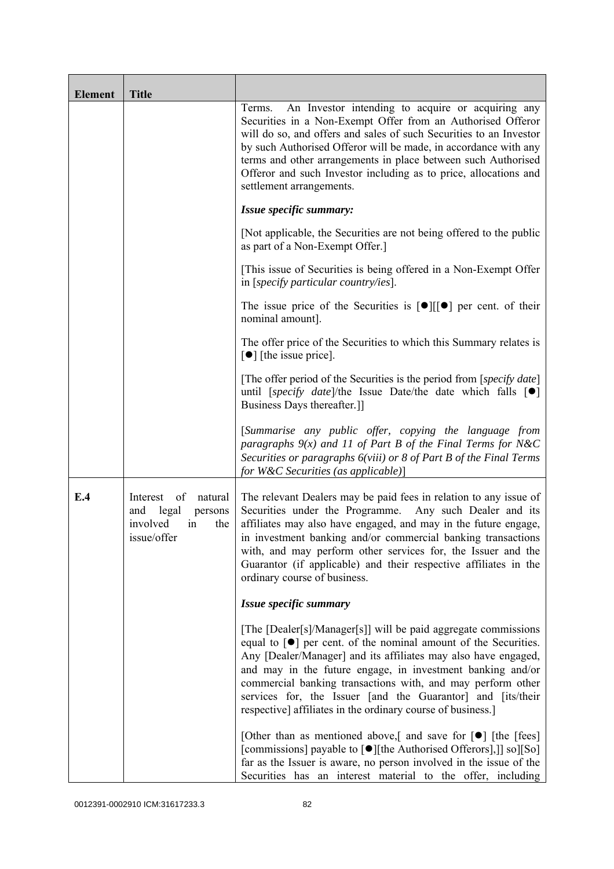| <b>Element</b> | <b>Title</b>                                                                                 |                                                                                                                                                                                                                                                                                                                                                                                                                                                                                    |
|----------------|----------------------------------------------------------------------------------------------|------------------------------------------------------------------------------------------------------------------------------------------------------------------------------------------------------------------------------------------------------------------------------------------------------------------------------------------------------------------------------------------------------------------------------------------------------------------------------------|
|                |                                                                                              | An Investor intending to acquire or acquiring any<br>Terms.<br>Securities in a Non-Exempt Offer from an Authorised Offeror<br>will do so, and offers and sales of such Securities to an Investor<br>by such Authorised Offeror will be made, in accordance with any<br>terms and other arrangements in place between such Authorised<br>Offeror and such Investor including as to price, allocations and<br>settlement arrangements.                                               |
|                |                                                                                              | Issue specific summary:                                                                                                                                                                                                                                                                                                                                                                                                                                                            |
|                |                                                                                              | [Not applicable, the Securities are not being offered to the public<br>as part of a Non-Exempt Offer.]                                                                                                                                                                                                                                                                                                                                                                             |
|                |                                                                                              | [This issue of Securities is being offered in a Non-Exempt Offer<br>in [specify particular country/ies].                                                                                                                                                                                                                                                                                                                                                                           |
|                |                                                                                              | The issue price of the Securities is $[\bullet] [[\bullet] ]$ per cent. of their<br>nominal amount].                                                                                                                                                                                                                                                                                                                                                                               |
|                |                                                                                              | The offer price of the Securities to which this Summary relates is<br>$\lceil \bullet \rceil$ [the issue price].                                                                                                                                                                                                                                                                                                                                                                   |
|                |                                                                                              | [The offer period of the Securities is the period from [ <i>specify date</i> ]<br>until [specify date]/the Issue Date/the date which falls $[\bullet]$<br>Business Days thereafter.]                                                                                                                                                                                                                                                                                               |
|                |                                                                                              | [Summarise any public offer, copying the language from<br>paragraphs $9(x)$ and 11 of Part B of the Final Terms for N&C<br>Securities or paragraphs 6(viii) or 8 of Part B of the Final Terms<br>for W&C Securities (as applicable)]                                                                                                                                                                                                                                               |
| E.4            | of<br>natural<br>Interest<br>and<br>legal<br>persons<br>involved<br>the<br>in<br>issue/offer | The relevant Dealers may be paid fees in relation to any issue of<br>Securities under the Programme.<br>Any such Dealer and its<br>affiliates may also have engaged, and may in the future engage,<br>in investment banking and/or commercial banking transactions<br>with, and may perform other services for, the Issuer and the<br>Guarantor (if applicable) and their respective affiliates in the<br>ordinary course of business.                                             |
|                |                                                                                              | Issue specific summary                                                                                                                                                                                                                                                                                                                                                                                                                                                             |
|                |                                                                                              | [The [Dealer[s]/Manager[s]] will be paid aggregate commissions<br>equal to $\lceil \bullet \rceil$ per cent. of the nominal amount of the Securities.<br>Any [Dealer/Manager] and its affiliates may also have engaged,<br>and may in the future engage, in investment banking and/or<br>commercial banking transactions with, and may perform other<br>services for, the Issuer [and the Guarantor] and [its/their<br>respective] affiliates in the ordinary course of business.] |
|                |                                                                                              | [Other than as mentioned above,] and save for $\lceil \bullet \rceil$ [the [fees]<br>[commissions] payable to [●][the Authorised Offerors],]] so][So]<br>far as the Issuer is aware, no person involved in the issue of the<br>Securities has an interest material to the offer, including                                                                                                                                                                                         |